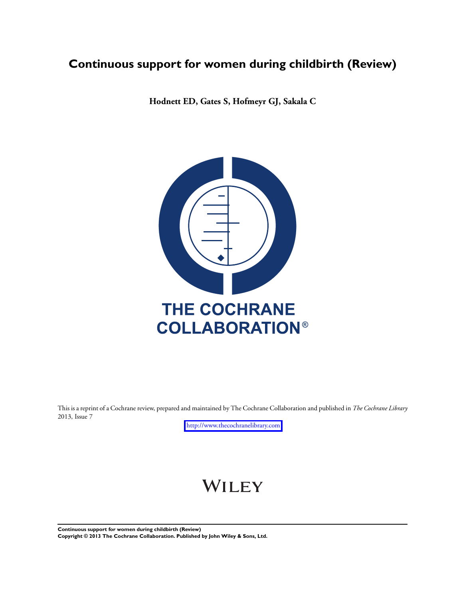## **Continuous support for women during childbirth (Review)**

**Hodnett ED, Gates S, Hofmeyr GJ, Sakala C**



This is a reprint of a Cochrane review, prepared and maintained by The Cochrane Collaboration and published in *The Cochrane Library* 2013, Issue 7

<http://www.thecochranelibrary.com>

# WILEY

**Continuous support for women during childbirth (Review) Copyright © 2013 The Cochrane Collaboration. Published by John Wiley & Sons, Ltd.**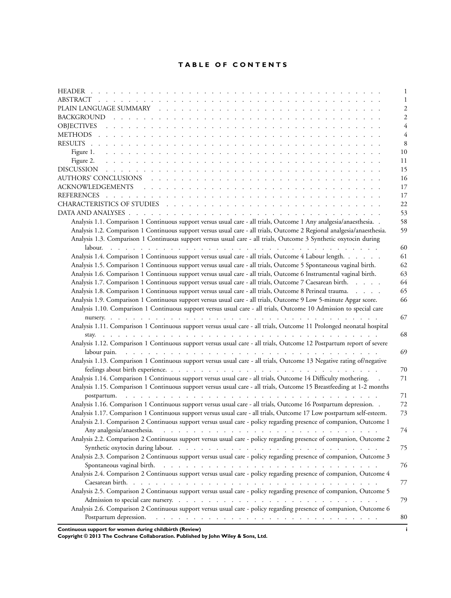## **TABLE OF CONTENTS**

| 1<br>$\overline{2}$<br>$\overline{2}$<br>4<br>4<br>8<br>10<br>11<br>15<br>16<br>17<br>17<br>22<br>53<br>Analysis 1.1. Comparison 1 Continuous support versus usual care - all trials, Outcome 1 Any analgesia/anaesthesia. .<br>58<br>Analysis 1.2. Comparison 1 Continuous support versus usual care - all trials, Outcome 2 Regional analgesia/anaesthesia.<br>59<br>Analysis 1.3. Comparison 1 Continuous support versus usual care - all trials, Outcome 3 Synthetic oxytocin during<br>60<br>Analysis 1.4. Comparison 1 Continuous support versus usual care - all trials, Outcome 4 Labour length.<br>61<br>Analysis 1.5. Comparison 1 Continuous support versus usual care - all trials, Outcome 5 Spontaneous vaginal birth.<br>62<br>Analysis 1.6. Comparison 1 Continuous support versus usual care - all trials, Outcome 6 Instrumental vaginal birth.<br>63<br>Analysis 1.7. Comparison 1 Continuous support versus usual care - all trials, Outcome 7 Caesarean birth.<br>64<br>Analysis 1.8. Comparison 1 Continuous support versus usual care - all trials, Outcome 8 Perineal trauma.<br>65<br>Analysis 1.9. Comparison 1 Continuous support versus usual care - all trials, Outcome 9 Low 5-minute Apgar score.<br>66<br>Analysis 1.10. Comparison 1 Continuous support versus usual care - all trials, Outcome 10 Admission to special care<br>67<br>Analysis 1.11. Comparison 1 Continuous support versus usual care - all trials, Outcome 11 Prolonged neonatal hospital<br>68<br>Analysis 1.12. Comparison 1 Continuous support versus usual care - all trials, Outcome 12 Postpartum report of severe<br>labour pain. The contract of the contract of the contract of the contract of the contract of the contract of the contract of the contract of the contract of the contract of the contract of the contract of the contract of t<br>69<br>Analysis 1.13. Comparison 1 Continuous support versus usual care - all trials, Outcome 13 Negative rating of/negative<br>70<br>Analysis 1.14. Comparison 1 Continuous support versus usual care - all trials, Outcome 14 Difficulty mothering.<br>71<br>Analysis 1.15. Comparison 1 Continuous support versus usual care - all trials, Outcome 15 Breastfeeding at 1-2 months<br>71<br>Analysis 1.16. Comparison 1 Continuous support versus usual care - all trials, Outcome 16 Postpartum depression. .<br>72<br>Analysis 1.17. Comparison 1 Continuous support versus usual care - all trials, Outcome 17 Low postpartum self-esteem.<br>73<br>Analysis 2.1. Comparison 2 Continuous support versus usual care - policy regarding presence of companion, Outcome 1<br>74<br>Analysis 2.2. Comparison 2 Continuous support versus usual care - policy regarding presence of companion, Outcome 2<br>75<br>Analysis 2.3. Comparison 2 Continuous support versus usual care - policy regarding presence of companion, Outcome 3<br>76<br>Analysis 2.4. Comparison 2 Continuous support versus usual care - policy regarding presence of companion, Outcome 4<br>77<br>Analysis 2.5. Comparison 2 Continuous support versus usual care - policy regarding presence of companion, Outcome 5<br>79<br>Analysis 2.6. Comparison 2 Continuous support versus usual care - policy regarding presence of companion, Outcome 6<br>80 | 1 |
|-----------------------------------------------------------------------------------------------------------------------------------------------------------------------------------------------------------------------------------------------------------------------------------------------------------------------------------------------------------------------------------------------------------------------------------------------------------------------------------------------------------------------------------------------------------------------------------------------------------------------------------------------------------------------------------------------------------------------------------------------------------------------------------------------------------------------------------------------------------------------------------------------------------------------------------------------------------------------------------------------------------------------------------------------------------------------------------------------------------------------------------------------------------------------------------------------------------------------------------------------------------------------------------------------------------------------------------------------------------------------------------------------------------------------------------------------------------------------------------------------------------------------------------------------------------------------------------------------------------------------------------------------------------------------------------------------------------------------------------------------------------------------------------------------------------------------------------------------------------------------------------------------------------------------------------------------------------------------------------------------------------------------------------------------------------------------------------------------------------------------------------------------------------------------------------------------------------------------------------------------------------------------------------------------------------------------------------------------------------------------------------------------------------------------------------------------------------------------------------------------------------------------------------------------------------------------------------------------------------------------------------------------------------------------------------------------------------------------------------------------------------------------------------------------------------------------------------------------------------------------------------------------------------------------------------------------------------------------------------------------------------------------------------------------------------------------------------------------------------------------------------------------------------------------------------------------------------------------------------------------------------------------------------------------------|---|
|                                                                                                                                                                                                                                                                                                                                                                                                                                                                                                                                                                                                                                                                                                                                                                                                                                                                                                                                                                                                                                                                                                                                                                                                                                                                                                                                                                                                                                                                                                                                                                                                                                                                                                                                                                                                                                                                                                                                                                                                                                                                                                                                                                                                                                                                                                                                                                                                                                                                                                                                                                                                                                                                                                                                                                                                                                                                                                                                                                                                                                                                                                                                                                                                                                                                                                     |   |
|                                                                                                                                                                                                                                                                                                                                                                                                                                                                                                                                                                                                                                                                                                                                                                                                                                                                                                                                                                                                                                                                                                                                                                                                                                                                                                                                                                                                                                                                                                                                                                                                                                                                                                                                                                                                                                                                                                                                                                                                                                                                                                                                                                                                                                                                                                                                                                                                                                                                                                                                                                                                                                                                                                                                                                                                                                                                                                                                                                                                                                                                                                                                                                                                                                                                                                     |   |
|                                                                                                                                                                                                                                                                                                                                                                                                                                                                                                                                                                                                                                                                                                                                                                                                                                                                                                                                                                                                                                                                                                                                                                                                                                                                                                                                                                                                                                                                                                                                                                                                                                                                                                                                                                                                                                                                                                                                                                                                                                                                                                                                                                                                                                                                                                                                                                                                                                                                                                                                                                                                                                                                                                                                                                                                                                                                                                                                                                                                                                                                                                                                                                                                                                                                                                     |   |
|                                                                                                                                                                                                                                                                                                                                                                                                                                                                                                                                                                                                                                                                                                                                                                                                                                                                                                                                                                                                                                                                                                                                                                                                                                                                                                                                                                                                                                                                                                                                                                                                                                                                                                                                                                                                                                                                                                                                                                                                                                                                                                                                                                                                                                                                                                                                                                                                                                                                                                                                                                                                                                                                                                                                                                                                                                                                                                                                                                                                                                                                                                                                                                                                                                                                                                     |   |
|                                                                                                                                                                                                                                                                                                                                                                                                                                                                                                                                                                                                                                                                                                                                                                                                                                                                                                                                                                                                                                                                                                                                                                                                                                                                                                                                                                                                                                                                                                                                                                                                                                                                                                                                                                                                                                                                                                                                                                                                                                                                                                                                                                                                                                                                                                                                                                                                                                                                                                                                                                                                                                                                                                                                                                                                                                                                                                                                                                                                                                                                                                                                                                                                                                                                                                     |   |
|                                                                                                                                                                                                                                                                                                                                                                                                                                                                                                                                                                                                                                                                                                                                                                                                                                                                                                                                                                                                                                                                                                                                                                                                                                                                                                                                                                                                                                                                                                                                                                                                                                                                                                                                                                                                                                                                                                                                                                                                                                                                                                                                                                                                                                                                                                                                                                                                                                                                                                                                                                                                                                                                                                                                                                                                                                                                                                                                                                                                                                                                                                                                                                                                                                                                                                     |   |
|                                                                                                                                                                                                                                                                                                                                                                                                                                                                                                                                                                                                                                                                                                                                                                                                                                                                                                                                                                                                                                                                                                                                                                                                                                                                                                                                                                                                                                                                                                                                                                                                                                                                                                                                                                                                                                                                                                                                                                                                                                                                                                                                                                                                                                                                                                                                                                                                                                                                                                                                                                                                                                                                                                                                                                                                                                                                                                                                                                                                                                                                                                                                                                                                                                                                                                     |   |
|                                                                                                                                                                                                                                                                                                                                                                                                                                                                                                                                                                                                                                                                                                                                                                                                                                                                                                                                                                                                                                                                                                                                                                                                                                                                                                                                                                                                                                                                                                                                                                                                                                                                                                                                                                                                                                                                                                                                                                                                                                                                                                                                                                                                                                                                                                                                                                                                                                                                                                                                                                                                                                                                                                                                                                                                                                                                                                                                                                                                                                                                                                                                                                                                                                                                                                     |   |
|                                                                                                                                                                                                                                                                                                                                                                                                                                                                                                                                                                                                                                                                                                                                                                                                                                                                                                                                                                                                                                                                                                                                                                                                                                                                                                                                                                                                                                                                                                                                                                                                                                                                                                                                                                                                                                                                                                                                                                                                                                                                                                                                                                                                                                                                                                                                                                                                                                                                                                                                                                                                                                                                                                                                                                                                                                                                                                                                                                                                                                                                                                                                                                                                                                                                                                     |   |
|                                                                                                                                                                                                                                                                                                                                                                                                                                                                                                                                                                                                                                                                                                                                                                                                                                                                                                                                                                                                                                                                                                                                                                                                                                                                                                                                                                                                                                                                                                                                                                                                                                                                                                                                                                                                                                                                                                                                                                                                                                                                                                                                                                                                                                                                                                                                                                                                                                                                                                                                                                                                                                                                                                                                                                                                                                                                                                                                                                                                                                                                                                                                                                                                                                                                                                     |   |
|                                                                                                                                                                                                                                                                                                                                                                                                                                                                                                                                                                                                                                                                                                                                                                                                                                                                                                                                                                                                                                                                                                                                                                                                                                                                                                                                                                                                                                                                                                                                                                                                                                                                                                                                                                                                                                                                                                                                                                                                                                                                                                                                                                                                                                                                                                                                                                                                                                                                                                                                                                                                                                                                                                                                                                                                                                                                                                                                                                                                                                                                                                                                                                                                                                                                                                     |   |
|                                                                                                                                                                                                                                                                                                                                                                                                                                                                                                                                                                                                                                                                                                                                                                                                                                                                                                                                                                                                                                                                                                                                                                                                                                                                                                                                                                                                                                                                                                                                                                                                                                                                                                                                                                                                                                                                                                                                                                                                                                                                                                                                                                                                                                                                                                                                                                                                                                                                                                                                                                                                                                                                                                                                                                                                                                                                                                                                                                                                                                                                                                                                                                                                                                                                                                     |   |
|                                                                                                                                                                                                                                                                                                                                                                                                                                                                                                                                                                                                                                                                                                                                                                                                                                                                                                                                                                                                                                                                                                                                                                                                                                                                                                                                                                                                                                                                                                                                                                                                                                                                                                                                                                                                                                                                                                                                                                                                                                                                                                                                                                                                                                                                                                                                                                                                                                                                                                                                                                                                                                                                                                                                                                                                                                                                                                                                                                                                                                                                                                                                                                                                                                                                                                     |   |
|                                                                                                                                                                                                                                                                                                                                                                                                                                                                                                                                                                                                                                                                                                                                                                                                                                                                                                                                                                                                                                                                                                                                                                                                                                                                                                                                                                                                                                                                                                                                                                                                                                                                                                                                                                                                                                                                                                                                                                                                                                                                                                                                                                                                                                                                                                                                                                                                                                                                                                                                                                                                                                                                                                                                                                                                                                                                                                                                                                                                                                                                                                                                                                                                                                                                                                     |   |
|                                                                                                                                                                                                                                                                                                                                                                                                                                                                                                                                                                                                                                                                                                                                                                                                                                                                                                                                                                                                                                                                                                                                                                                                                                                                                                                                                                                                                                                                                                                                                                                                                                                                                                                                                                                                                                                                                                                                                                                                                                                                                                                                                                                                                                                                                                                                                                                                                                                                                                                                                                                                                                                                                                                                                                                                                                                                                                                                                                                                                                                                                                                                                                                                                                                                                                     |   |
|                                                                                                                                                                                                                                                                                                                                                                                                                                                                                                                                                                                                                                                                                                                                                                                                                                                                                                                                                                                                                                                                                                                                                                                                                                                                                                                                                                                                                                                                                                                                                                                                                                                                                                                                                                                                                                                                                                                                                                                                                                                                                                                                                                                                                                                                                                                                                                                                                                                                                                                                                                                                                                                                                                                                                                                                                                                                                                                                                                                                                                                                                                                                                                                                                                                                                                     |   |
|                                                                                                                                                                                                                                                                                                                                                                                                                                                                                                                                                                                                                                                                                                                                                                                                                                                                                                                                                                                                                                                                                                                                                                                                                                                                                                                                                                                                                                                                                                                                                                                                                                                                                                                                                                                                                                                                                                                                                                                                                                                                                                                                                                                                                                                                                                                                                                                                                                                                                                                                                                                                                                                                                                                                                                                                                                                                                                                                                                                                                                                                                                                                                                                                                                                                                                     |   |
|                                                                                                                                                                                                                                                                                                                                                                                                                                                                                                                                                                                                                                                                                                                                                                                                                                                                                                                                                                                                                                                                                                                                                                                                                                                                                                                                                                                                                                                                                                                                                                                                                                                                                                                                                                                                                                                                                                                                                                                                                                                                                                                                                                                                                                                                                                                                                                                                                                                                                                                                                                                                                                                                                                                                                                                                                                                                                                                                                                                                                                                                                                                                                                                                                                                                                                     |   |
|                                                                                                                                                                                                                                                                                                                                                                                                                                                                                                                                                                                                                                                                                                                                                                                                                                                                                                                                                                                                                                                                                                                                                                                                                                                                                                                                                                                                                                                                                                                                                                                                                                                                                                                                                                                                                                                                                                                                                                                                                                                                                                                                                                                                                                                                                                                                                                                                                                                                                                                                                                                                                                                                                                                                                                                                                                                                                                                                                                                                                                                                                                                                                                                                                                                                                                     |   |
|                                                                                                                                                                                                                                                                                                                                                                                                                                                                                                                                                                                                                                                                                                                                                                                                                                                                                                                                                                                                                                                                                                                                                                                                                                                                                                                                                                                                                                                                                                                                                                                                                                                                                                                                                                                                                                                                                                                                                                                                                                                                                                                                                                                                                                                                                                                                                                                                                                                                                                                                                                                                                                                                                                                                                                                                                                                                                                                                                                                                                                                                                                                                                                                                                                                                                                     |   |
|                                                                                                                                                                                                                                                                                                                                                                                                                                                                                                                                                                                                                                                                                                                                                                                                                                                                                                                                                                                                                                                                                                                                                                                                                                                                                                                                                                                                                                                                                                                                                                                                                                                                                                                                                                                                                                                                                                                                                                                                                                                                                                                                                                                                                                                                                                                                                                                                                                                                                                                                                                                                                                                                                                                                                                                                                                                                                                                                                                                                                                                                                                                                                                                                                                                                                                     |   |
|                                                                                                                                                                                                                                                                                                                                                                                                                                                                                                                                                                                                                                                                                                                                                                                                                                                                                                                                                                                                                                                                                                                                                                                                                                                                                                                                                                                                                                                                                                                                                                                                                                                                                                                                                                                                                                                                                                                                                                                                                                                                                                                                                                                                                                                                                                                                                                                                                                                                                                                                                                                                                                                                                                                                                                                                                                                                                                                                                                                                                                                                                                                                                                                                                                                                                                     |   |
|                                                                                                                                                                                                                                                                                                                                                                                                                                                                                                                                                                                                                                                                                                                                                                                                                                                                                                                                                                                                                                                                                                                                                                                                                                                                                                                                                                                                                                                                                                                                                                                                                                                                                                                                                                                                                                                                                                                                                                                                                                                                                                                                                                                                                                                                                                                                                                                                                                                                                                                                                                                                                                                                                                                                                                                                                                                                                                                                                                                                                                                                                                                                                                                                                                                                                                     |   |
|                                                                                                                                                                                                                                                                                                                                                                                                                                                                                                                                                                                                                                                                                                                                                                                                                                                                                                                                                                                                                                                                                                                                                                                                                                                                                                                                                                                                                                                                                                                                                                                                                                                                                                                                                                                                                                                                                                                                                                                                                                                                                                                                                                                                                                                                                                                                                                                                                                                                                                                                                                                                                                                                                                                                                                                                                                                                                                                                                                                                                                                                                                                                                                                                                                                                                                     |   |
|                                                                                                                                                                                                                                                                                                                                                                                                                                                                                                                                                                                                                                                                                                                                                                                                                                                                                                                                                                                                                                                                                                                                                                                                                                                                                                                                                                                                                                                                                                                                                                                                                                                                                                                                                                                                                                                                                                                                                                                                                                                                                                                                                                                                                                                                                                                                                                                                                                                                                                                                                                                                                                                                                                                                                                                                                                                                                                                                                                                                                                                                                                                                                                                                                                                                                                     |   |
|                                                                                                                                                                                                                                                                                                                                                                                                                                                                                                                                                                                                                                                                                                                                                                                                                                                                                                                                                                                                                                                                                                                                                                                                                                                                                                                                                                                                                                                                                                                                                                                                                                                                                                                                                                                                                                                                                                                                                                                                                                                                                                                                                                                                                                                                                                                                                                                                                                                                                                                                                                                                                                                                                                                                                                                                                                                                                                                                                                                                                                                                                                                                                                                                                                                                                                     |   |
|                                                                                                                                                                                                                                                                                                                                                                                                                                                                                                                                                                                                                                                                                                                                                                                                                                                                                                                                                                                                                                                                                                                                                                                                                                                                                                                                                                                                                                                                                                                                                                                                                                                                                                                                                                                                                                                                                                                                                                                                                                                                                                                                                                                                                                                                                                                                                                                                                                                                                                                                                                                                                                                                                                                                                                                                                                                                                                                                                                                                                                                                                                                                                                                                                                                                                                     |   |
|                                                                                                                                                                                                                                                                                                                                                                                                                                                                                                                                                                                                                                                                                                                                                                                                                                                                                                                                                                                                                                                                                                                                                                                                                                                                                                                                                                                                                                                                                                                                                                                                                                                                                                                                                                                                                                                                                                                                                                                                                                                                                                                                                                                                                                                                                                                                                                                                                                                                                                                                                                                                                                                                                                                                                                                                                                                                                                                                                                                                                                                                                                                                                                                                                                                                                                     |   |
|                                                                                                                                                                                                                                                                                                                                                                                                                                                                                                                                                                                                                                                                                                                                                                                                                                                                                                                                                                                                                                                                                                                                                                                                                                                                                                                                                                                                                                                                                                                                                                                                                                                                                                                                                                                                                                                                                                                                                                                                                                                                                                                                                                                                                                                                                                                                                                                                                                                                                                                                                                                                                                                                                                                                                                                                                                                                                                                                                                                                                                                                                                                                                                                                                                                                                                     |   |
|                                                                                                                                                                                                                                                                                                                                                                                                                                                                                                                                                                                                                                                                                                                                                                                                                                                                                                                                                                                                                                                                                                                                                                                                                                                                                                                                                                                                                                                                                                                                                                                                                                                                                                                                                                                                                                                                                                                                                                                                                                                                                                                                                                                                                                                                                                                                                                                                                                                                                                                                                                                                                                                                                                                                                                                                                                                                                                                                                                                                                                                                                                                                                                                                                                                                                                     |   |
|                                                                                                                                                                                                                                                                                                                                                                                                                                                                                                                                                                                                                                                                                                                                                                                                                                                                                                                                                                                                                                                                                                                                                                                                                                                                                                                                                                                                                                                                                                                                                                                                                                                                                                                                                                                                                                                                                                                                                                                                                                                                                                                                                                                                                                                                                                                                                                                                                                                                                                                                                                                                                                                                                                                                                                                                                                                                                                                                                                                                                                                                                                                                                                                                                                                                                                     |   |
|                                                                                                                                                                                                                                                                                                                                                                                                                                                                                                                                                                                                                                                                                                                                                                                                                                                                                                                                                                                                                                                                                                                                                                                                                                                                                                                                                                                                                                                                                                                                                                                                                                                                                                                                                                                                                                                                                                                                                                                                                                                                                                                                                                                                                                                                                                                                                                                                                                                                                                                                                                                                                                                                                                                                                                                                                                                                                                                                                                                                                                                                                                                                                                                                                                                                                                     |   |
|                                                                                                                                                                                                                                                                                                                                                                                                                                                                                                                                                                                                                                                                                                                                                                                                                                                                                                                                                                                                                                                                                                                                                                                                                                                                                                                                                                                                                                                                                                                                                                                                                                                                                                                                                                                                                                                                                                                                                                                                                                                                                                                                                                                                                                                                                                                                                                                                                                                                                                                                                                                                                                                                                                                                                                                                                                                                                                                                                                                                                                                                                                                                                                                                                                                                                                     |   |
|                                                                                                                                                                                                                                                                                                                                                                                                                                                                                                                                                                                                                                                                                                                                                                                                                                                                                                                                                                                                                                                                                                                                                                                                                                                                                                                                                                                                                                                                                                                                                                                                                                                                                                                                                                                                                                                                                                                                                                                                                                                                                                                                                                                                                                                                                                                                                                                                                                                                                                                                                                                                                                                                                                                                                                                                                                                                                                                                                                                                                                                                                                                                                                                                                                                                                                     |   |
|                                                                                                                                                                                                                                                                                                                                                                                                                                                                                                                                                                                                                                                                                                                                                                                                                                                                                                                                                                                                                                                                                                                                                                                                                                                                                                                                                                                                                                                                                                                                                                                                                                                                                                                                                                                                                                                                                                                                                                                                                                                                                                                                                                                                                                                                                                                                                                                                                                                                                                                                                                                                                                                                                                                                                                                                                                                                                                                                                                                                                                                                                                                                                                                                                                                                                                     |   |
|                                                                                                                                                                                                                                                                                                                                                                                                                                                                                                                                                                                                                                                                                                                                                                                                                                                                                                                                                                                                                                                                                                                                                                                                                                                                                                                                                                                                                                                                                                                                                                                                                                                                                                                                                                                                                                                                                                                                                                                                                                                                                                                                                                                                                                                                                                                                                                                                                                                                                                                                                                                                                                                                                                                                                                                                                                                                                                                                                                                                                                                                                                                                                                                                                                                                                                     |   |
|                                                                                                                                                                                                                                                                                                                                                                                                                                                                                                                                                                                                                                                                                                                                                                                                                                                                                                                                                                                                                                                                                                                                                                                                                                                                                                                                                                                                                                                                                                                                                                                                                                                                                                                                                                                                                                                                                                                                                                                                                                                                                                                                                                                                                                                                                                                                                                                                                                                                                                                                                                                                                                                                                                                                                                                                                                                                                                                                                                                                                                                                                                                                                                                                                                                                                                     |   |
|                                                                                                                                                                                                                                                                                                                                                                                                                                                                                                                                                                                                                                                                                                                                                                                                                                                                                                                                                                                                                                                                                                                                                                                                                                                                                                                                                                                                                                                                                                                                                                                                                                                                                                                                                                                                                                                                                                                                                                                                                                                                                                                                                                                                                                                                                                                                                                                                                                                                                                                                                                                                                                                                                                                                                                                                                                                                                                                                                                                                                                                                                                                                                                                                                                                                                                     |   |
|                                                                                                                                                                                                                                                                                                                                                                                                                                                                                                                                                                                                                                                                                                                                                                                                                                                                                                                                                                                                                                                                                                                                                                                                                                                                                                                                                                                                                                                                                                                                                                                                                                                                                                                                                                                                                                                                                                                                                                                                                                                                                                                                                                                                                                                                                                                                                                                                                                                                                                                                                                                                                                                                                                                                                                                                                                                                                                                                                                                                                                                                                                                                                                                                                                                                                                     |   |
|                                                                                                                                                                                                                                                                                                                                                                                                                                                                                                                                                                                                                                                                                                                                                                                                                                                                                                                                                                                                                                                                                                                                                                                                                                                                                                                                                                                                                                                                                                                                                                                                                                                                                                                                                                                                                                                                                                                                                                                                                                                                                                                                                                                                                                                                                                                                                                                                                                                                                                                                                                                                                                                                                                                                                                                                                                                                                                                                                                                                                                                                                                                                                                                                                                                                                                     |   |
|                                                                                                                                                                                                                                                                                                                                                                                                                                                                                                                                                                                                                                                                                                                                                                                                                                                                                                                                                                                                                                                                                                                                                                                                                                                                                                                                                                                                                                                                                                                                                                                                                                                                                                                                                                                                                                                                                                                                                                                                                                                                                                                                                                                                                                                                                                                                                                                                                                                                                                                                                                                                                                                                                                                                                                                                                                                                                                                                                                                                                                                                                                                                                                                                                                                                                                     |   |
|                                                                                                                                                                                                                                                                                                                                                                                                                                                                                                                                                                                                                                                                                                                                                                                                                                                                                                                                                                                                                                                                                                                                                                                                                                                                                                                                                                                                                                                                                                                                                                                                                                                                                                                                                                                                                                                                                                                                                                                                                                                                                                                                                                                                                                                                                                                                                                                                                                                                                                                                                                                                                                                                                                                                                                                                                                                                                                                                                                                                                                                                                                                                                                                                                                                                                                     |   |
|                                                                                                                                                                                                                                                                                                                                                                                                                                                                                                                                                                                                                                                                                                                                                                                                                                                                                                                                                                                                                                                                                                                                                                                                                                                                                                                                                                                                                                                                                                                                                                                                                                                                                                                                                                                                                                                                                                                                                                                                                                                                                                                                                                                                                                                                                                                                                                                                                                                                                                                                                                                                                                                                                                                                                                                                                                                                                                                                                                                                                                                                                                                                                                                                                                                                                                     |   |
|                                                                                                                                                                                                                                                                                                                                                                                                                                                                                                                                                                                                                                                                                                                                                                                                                                                                                                                                                                                                                                                                                                                                                                                                                                                                                                                                                                                                                                                                                                                                                                                                                                                                                                                                                                                                                                                                                                                                                                                                                                                                                                                                                                                                                                                                                                                                                                                                                                                                                                                                                                                                                                                                                                                                                                                                                                                                                                                                                                                                                                                                                                                                                                                                                                                                                                     |   |
|                                                                                                                                                                                                                                                                                                                                                                                                                                                                                                                                                                                                                                                                                                                                                                                                                                                                                                                                                                                                                                                                                                                                                                                                                                                                                                                                                                                                                                                                                                                                                                                                                                                                                                                                                                                                                                                                                                                                                                                                                                                                                                                                                                                                                                                                                                                                                                                                                                                                                                                                                                                                                                                                                                                                                                                                                                                                                                                                                                                                                                                                                                                                                                                                                                                                                                     |   |
|                                                                                                                                                                                                                                                                                                                                                                                                                                                                                                                                                                                                                                                                                                                                                                                                                                                                                                                                                                                                                                                                                                                                                                                                                                                                                                                                                                                                                                                                                                                                                                                                                                                                                                                                                                                                                                                                                                                                                                                                                                                                                                                                                                                                                                                                                                                                                                                                                                                                                                                                                                                                                                                                                                                                                                                                                                                                                                                                                                                                                                                                                                                                                                                                                                                                                                     |   |
|                                                                                                                                                                                                                                                                                                                                                                                                                                                                                                                                                                                                                                                                                                                                                                                                                                                                                                                                                                                                                                                                                                                                                                                                                                                                                                                                                                                                                                                                                                                                                                                                                                                                                                                                                                                                                                                                                                                                                                                                                                                                                                                                                                                                                                                                                                                                                                                                                                                                                                                                                                                                                                                                                                                                                                                                                                                                                                                                                                                                                                                                                                                                                                                                                                                                                                     |   |
|                                                                                                                                                                                                                                                                                                                                                                                                                                                                                                                                                                                                                                                                                                                                                                                                                                                                                                                                                                                                                                                                                                                                                                                                                                                                                                                                                                                                                                                                                                                                                                                                                                                                                                                                                                                                                                                                                                                                                                                                                                                                                                                                                                                                                                                                                                                                                                                                                                                                                                                                                                                                                                                                                                                                                                                                                                                                                                                                                                                                                                                                                                                                                                                                                                                                                                     |   |
|                                                                                                                                                                                                                                                                                                                                                                                                                                                                                                                                                                                                                                                                                                                                                                                                                                                                                                                                                                                                                                                                                                                                                                                                                                                                                                                                                                                                                                                                                                                                                                                                                                                                                                                                                                                                                                                                                                                                                                                                                                                                                                                                                                                                                                                                                                                                                                                                                                                                                                                                                                                                                                                                                                                                                                                                                                                                                                                                                                                                                                                                                                                                                                                                                                                                                                     |   |

**Continuous support for women during childbirth (Review) i**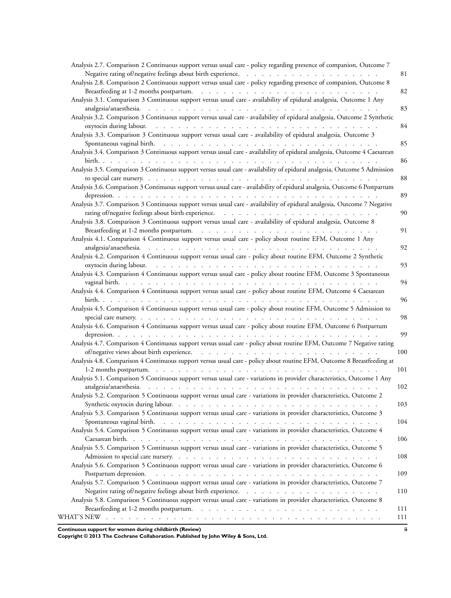| Analysis 2.7. Comparison 2 Continuous support versus usual care - policy regarding presence of companion, Outcome 7                                            | 81  |
|----------------------------------------------------------------------------------------------------------------------------------------------------------------|-----|
|                                                                                                                                                                |     |
| Analysis 2.8. Comparison 2 Continuous support versus usual care - policy regarding presence of companion, Outcome 8<br>Breastfeeding at 1-2 months postpartum. | 82  |
| Analysis 3.1. Comparison 3 Continuous support versus usual care - availability of epidural analgesia, Outcome 1 Any                                            |     |
|                                                                                                                                                                | 83  |
| Analysis 3.2. Comparison 3 Continuous support versus usual care - availability of epidural analgesia, Outcome 2 Synthetic                                      |     |
|                                                                                                                                                                | 84  |
| Analysis 3.3. Comparison 3 Continuous support versus usual care - availability of epidural analgesia, Outcome 3                                                |     |
|                                                                                                                                                                | 85  |
| Analysis 3.4. Comparison 3 Continuous support versus usual care - availability of epidural analgesia, Outcome 4 Caesarean                                      |     |
|                                                                                                                                                                | 86  |
| Analysis 3.5. Comparison 3 Continuous support versus usual care - availability of epidural analgesia, Outcome 5 Admission                                      |     |
|                                                                                                                                                                | 88  |
| Analysis 3.6. Comparison 3 Continuous support versus usual care - availability of epidural analgesia, Outcome 6 Postpartum                                     |     |
|                                                                                                                                                                | 89  |
| Analysis 3.7. Comparison 3 Continuous support versus usual care - availability of epidural analgesia, Outcome 7 Negative                                       |     |
|                                                                                                                                                                | 90  |
| Analysis 3.8. Comparison 3 Continuous support versus usual care - availability of epidural analgesia, Outcome 8                                                |     |
|                                                                                                                                                                | 91  |
| Analysis 4.1. Comparison 4 Continuous support versus usual care - policy about routine EFM, Outcome 1 Any                                                      |     |
|                                                                                                                                                                | 92  |
|                                                                                                                                                                |     |
| Analysis 4.2. Comparison 4 Continuous support versus usual care - policy about routine EFM, Outcome 2 Synthetic                                                |     |
|                                                                                                                                                                | 93  |
| Analysis 4.3. Comparison 4 Continuous support versus usual care - policy about routine EFM, Outcome 3 Spontaneous                                              |     |
|                                                                                                                                                                | 94  |
| Analysis 4.4. Comparison 4 Continuous support versus usual care - policy about routine EFM, Outcome 4 Caesarean                                                |     |
|                                                                                                                                                                | 96  |
| Analysis 4.5. Comparison 4 Continuous support versus usual care - policy about routine EFM, Outcome 5 Admission to                                             |     |
|                                                                                                                                                                | 98  |
| Analysis 4.6. Comparison 4 Continuous support versus usual care - policy about routine EFM, Outcome 6 Postpartum                                               |     |
|                                                                                                                                                                | 99  |
| Analysis 4.7. Comparison 4 Continuous support versus usual care - policy about routine EFM, Outcome 7 Negative rating                                          |     |
|                                                                                                                                                                | 100 |
| Analysis 4.8. Comparison 4 Continuous support versus usual care - policy about routine EFM, Outcome 8 Breastfeeding at                                         |     |
|                                                                                                                                                                | 101 |
| Analysis 5.1. Comparison 5 Continuous support versus usual care - variations in provider characteristics, Outcome 1 Any                                        |     |
|                                                                                                                                                                |     |
|                                                                                                                                                                | 102 |
| Analysis 5.2. Comparison 5 Continuous support versus usual care - variations in provider characteristics, Outcome 2                                            |     |
|                                                                                                                                                                | 103 |
| Analysis 5.3. Comparison 5 Continuous support versus usual care - variations in provider characteristics, Outcome 3                                            |     |
|                                                                                                                                                                | 104 |
| Analysis 5.4. Comparison 5 Continuous support versus usual care - variations in provider characteristics, Outcome 4                                            |     |
|                                                                                                                                                                | 106 |
| Analysis 5.5. Comparison 5 Continuous support versus usual care - variations in provider characteristics, Outcome 5                                            |     |
|                                                                                                                                                                | 108 |
| Analysis 5.6. Comparison 5 Continuous support versus usual care - variations in provider characteristics, Outcome 6                                            |     |
|                                                                                                                                                                | 109 |
| Analysis 5.7. Comparison 5 Continuous support versus usual care - variations in provider characteristics, Outcome 7                                            |     |
|                                                                                                                                                                | 110 |
| Analysis 5.8. Comparison 5 Continuous support versus usual care - variations in provider characteristics, Outcome 8                                            |     |
|                                                                                                                                                                | 111 |
|                                                                                                                                                                |     |
|                                                                                                                                                                | 111 |

**Continuous support for women during childbirth (Review) ii**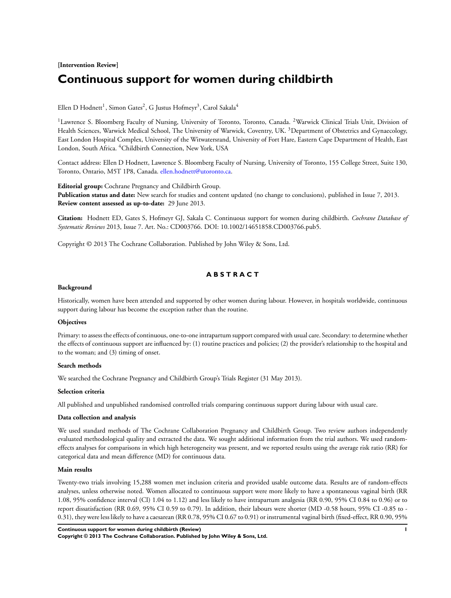## **[Intervention Review] Continuous support for women during childbirth**

## Ellen D Hodnett $^1$ , Simon Gates $^2$ , G Justus Hofmeyr $^3$ , Carol Sakala $^4$

<sup>1</sup>Lawrence S. Bloomberg Faculty of Nursing, University of Toronto, Toronto, Canada. <sup>2</sup>Warwick Clinical Trials Unit, Division of Health Sciences, Warwick Medical School, The University of Warwick, Coventry, UK.<sup>3</sup>Department of Obstetrics and Gynaecology, East London Hospital Complex, University of the Witwatersrand, University of Fort Hare, Eastern Cape Department of Health, East London, South Africa. <sup>4</sup>Childbirth Connection, New York, USA

Contact address: Ellen D Hodnett, Lawrence S. Bloomberg Faculty of Nursing, University of Toronto, 155 College Street, Suite 130, Toronto, Ontario, M5T 1P8, Canada. [ellen.hodnett@utoronto.ca.](mailto:ellen.hodnett@utoronto.ca)

**Editorial group:** Cochrane Pregnancy and Childbirth Group.

**Publication status and date:** New search for studies and content updated (no change to conclusions), published in Issue 7, 2013. **Review content assessed as up-to-date:** 29 June 2013.

**Citation:** Hodnett ED, Gates S, Hofmeyr GJ, Sakala C. Continuous support for women during childbirth. *Cochrane Database of Systematic Reviews* 2013, Issue 7. Art. No.: CD003766. DOI: 10.1002/14651858.CD003766.pub5.

Copyright © 2013 The Cochrane Collaboration. Published by John Wiley & Sons, Ltd.

## **A B S T R A C T**

#### **Background**

Historically, women have been attended and supported by other women during labour. However, in hospitals worldwide, continuous support during labour has become the exception rather than the routine.

## **Objectives**

Primary: to assess the effects of continuous, one-to-one intrapartum support compared with usual care. Secondary: to determine whether the effects of continuous support are influenced by: (1) routine practices and policies; (2) the provider's relationship to the hospital and to the woman; and (3) timing of onset.

## **Search methods**

We searched the Cochrane Pregnancy and Childbirth Group's Trials Register (31 May 2013).

#### **Selection criteria**

All published and unpublished randomised controlled trials comparing continuous support during labour with usual care.

#### **Data collection and analysis**

We used standard methods of The Cochrane Collaboration Pregnancy and Childbirth Group. Two review authors independently evaluated methodological quality and extracted the data. We sought additional information from the trial authors. We used randomeffects analyses for comparisons in which high heterogeneity was present, and we reported results using the average risk ratio (RR) for categorical data and mean difference (MD) for continuous data.

## **Main results**

Twenty-two trials involving 15,288 women met inclusion criteria and provided usable outcome data. Results are of random-effects analyses, unless otherwise noted. Women allocated to continuous support were more likely to have a spontaneous vaginal birth (RR 1.08, 95% confidence interval (CI) 1.04 to 1.12) and less likely to have intrapartum analgesia (RR 0.90, 95% CI 0.84 to 0.96) or to report dissatisfaction (RR 0.69, 95% CI 0.59 to 0.79). In addition, their labours were shorter (MD -0.58 hours, 95% CI -0.85 to - 0.31), they were less likely to have a caesarean (RR 0.78, 95% CI 0.67 to 0.91) or instrumental vaginal birth (fixed-effect, RR 0.90, 95%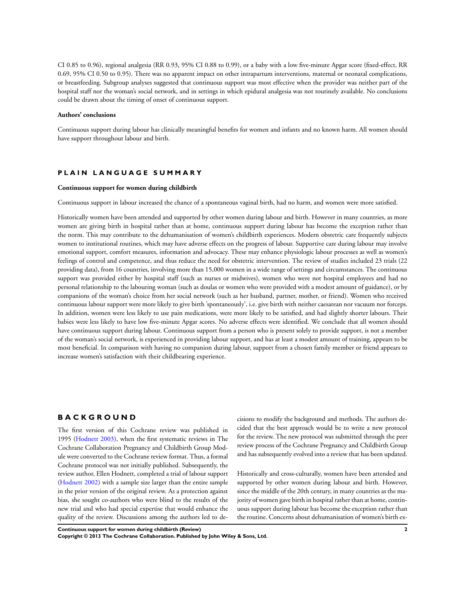CI 0.85 to 0.96), regional analgesia (RR 0.93, 95% CI 0.88 to 0.99), or a baby with a low five-minute Apgar score (fixed-effect, RR 0.69, 95% CI 0.50 to 0.95). There was no apparent impact on other intrapartum interventions, maternal or neonatal complications, or breastfeeding. Subgroup analyses suggested that continuous support was most effective when the provider was neither part of the hospital staff nor the woman's social network, and in settings in which epidural analgesia was not routinely available. No conclusions could be drawn about the timing of onset of continuous support.

### **Authors' conclusions**

Continuous support during labour has clinically meaningful benefits for women and infants and no known harm. All women should have support throughout labour and birth.

## **P L A I N L A N G U A G E S U M M A R Y**

#### **Continuous support for women during childbirth**

Continuous support in labour increased the chance of a spontaneous vaginal birth, had no harm, and women were more satisfied.

Historically women have been attended and supported by other women during labour and birth. However in many countries, as more women are giving birth in hospital rather than at home, continuous support during labour has become the exception rather than the norm. This may contribute to the dehumanisation of women's childbirth experiences. Modern obstetric care frequently subjects women to institutional routines, which may have adverse effects on the progress of labour. Supportive care during labour may involve emotional support, comfort measures, information and advocacy. These may enhance physiologic labour processes as well as women's feelings of control and competence, and thus reduce the need for obstetric intervention. The review of studies included 23 trials (22 providing data), from 16 countries, involving more than 15,000 women in a wide range of settings and circumstances. The continuous support was provided either by hospital staff (such as nurses or midwives), women who were not hospital employees and had no personal relationship to the labouring woman (such as doulas or women who were provided with a modest amount of guidance), or by companions of the woman's choice from her social network (such as her husband, partner, mother, or friend). Women who received continuous labour support were more likely to give birth 'spontaneously', i.e. give birth with neither caesarean nor vacuum nor forceps. In addition, women were less likely to use pain medications, were more likely to be satisfied, and had slightly shorter labours. Their babies were less likely to have low five-minute Apgar scores. No adverse effects were identified. We conclude that all women should have continuous support during labour. Continuous support from a person who is present solely to provide support, is not a member of the woman's social network, is experienced in providing labour support, and has at least a modest amount of training, appears to be most beneficial. In comparison with having no companion during labour, support from a chosen family member or friend appears to increase women's satisfaction with their childbearing experience.

## **B A C K G R O U N D**

The first version of this Cochrane review was published in 1995 (Hodnett 2003), when the first systematic reviews in The Cochrane Collaboration Pregnancy and Childbirth Group Module were converted to the Cochrane review format. Thus, a formal Cochrane protocol was not initially published. Subsequently, the review author, Ellen Hodnett, completed a trial of labour support (Hodnett 2002) with a sample size larger than the entire sample in the prior version of the original review. As a protection against bias, she sought co-authors who were blind to the results of the new trial and who had special expertise that would enhance the quality of the review. Discussions among the authors led to decisions to modify the background and methods. The authors decided that the best approach would be to write a new protocol for the review. The new protocol was submitted through the peer review process of the Cochrane Pregnancy and Childbirth Group and has subsequently evolved into a review that has been updated.

Historically and cross-culturally, women have been attended and supported by other women during labour and birth. However, since the middle of the 20th century, in many countries as the majority of women gave birth in hospital rather than at home, continuous support during labour has become the exception rather than the routine. Concerns about dehumanisation of women's birth ex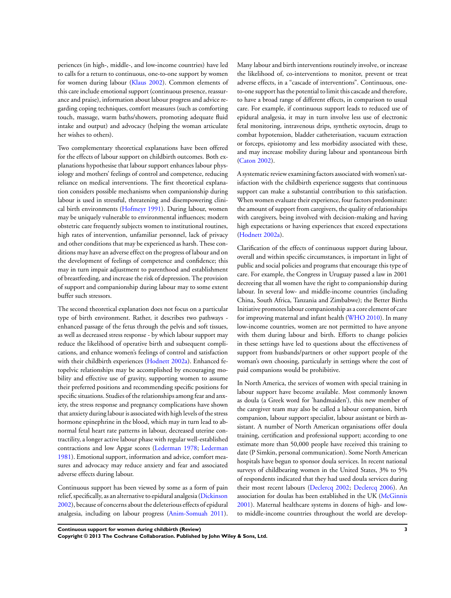periences (in high-, middle-, and low-income countries) have led to calls for a return to continuous, one-to-one support by women for women during labour (Klaus 2002). Common elements of this care include emotional support (continuous presence, reassurance and praise), information about labour progress and advice regarding coping techniques, comfort measures (such as comforting touch, massage, warm baths/showers, promoting adequate fluid intake and output) and advocacy (helping the woman articulate her wishes to others).

Two complementary theoretical explanations have been offered for the effects of labour support on childbirth outcomes. Both explanations hypothesise that labour support enhances labour physiology and mothers' feelings of control and competence, reducing reliance on medical interventions. The first theoretical explanation considers possible mechanisms when companionship during labour is used in stressful, threatening and disempowering clinical birth environments (Hofmeyr 1991). During labour, women may be uniquely vulnerable to environmental influences; modern obstetric care frequently subjects women to institutional routines, high rates of intervention, unfamiliar personnel, lack of privacy and other conditions that may be experienced as harsh. These conditions may have an adverse effect on the progress of labour and on the development of feelings of competence and confidence; this may in turn impair adjustment to parenthood and establishment of breastfeeding, and increase the risk of depression. The provision of support and companionship during labour may to some extent buffer such stressors.

The second theoretical explanation does not focus on a particular type of birth environment. Rather, it describes two pathways enhanced passage of the fetus through the pelvis and soft tissues, as well as decreased stress response - by which labour support may reduce the likelihood of operative birth and subsequent complications, and enhance women's feelings of control and satisfaction with their childbirth experiences (Hodnett 2002a). Enhanced fetopelvic relationships may be accomplished by encouraging mobility and effective use of gravity, supporting women to assume their preferred positions and recommending specific positions for specific situations. Studies of the relationships among fear and anxiety, the stress response and pregnancy complications have shown that anxiety during labour is associated with high levels of the stress hormone epinephrine in the blood, which may in turn lead to abnormal fetal heart rate patterns in labour, decreased uterine contractility, a longer active labour phase with regular well-established contractions and low Apgar scores (Lederman 1978; Lederman 1981). Emotional support, information and advice, comfort measures and advocacy may reduce anxiety and fear and associated adverse effects during labour.

Continuous support has been viewed by some as a form of pain relief, specifically, as an alternative to epidural analgesia (Dickinson 2002), because of concerns about the deleterious effects of epidural analgesia, including on labour progress (Anim-Somuah 2011). Many labour and birth interventions routinely involve, or increase the likelihood of, co-interventions to monitor, prevent or treat adverse effects, in a "cascade of interventions". Continuous, oneto-one support has the potential to limit this cascade and therefore, to have a broad range of different effects, in comparison to usual care. For example, if continuous support leads to reduced use of epidural analgesia, it may in turn involve less use of electronic fetal monitoring, intravenous drips, synthetic oxytocin, drugs to combat hypotension, bladder catheterisation, vacuum extraction or forceps, episiotomy and less morbidity associated with these, and may increase mobility during labour and spontaneous birth (Caton 2002).

A systematic review examining factors associated with women's satisfaction with the childbirth experience suggests that continuous support can make a substantial contribution to this satisfaction. When women evaluate their experience, four factors predominate: the amount of support from caregivers, the quality of relationships with caregivers, being involved with decision-making and having high expectations or having experiences that exceed expectations (Hodnett 2002a).

Clarification of the effects of continuous support during labour, overall and within specific circumstances, is important in light of public and social policies and programs that encourage this type of care. For example, the Congress in Uruguay passed a law in 2001 decreeing that all women have the right to companionship during labour. In several low- and middle-income countries (including China, South Africa, Tanzania and Zimbabwe); the Better Births Initiative promotes labour companionship as a core element of care for improving maternal and infant health (WHO 2010). In many low-income countries, women are not permitted to have anyone with them during labour and birth. Efforts to change policies in these settings have led to questions about the effectiveness of support from husbands/partners or other support people of the woman's own choosing, particularly in settings where the cost of paid companions would be prohibitive.

In North America, the services of women with special training in labour support have become available. Most commonly known as doula (a Greek word for 'handmaiden'), this new member of the caregiver team may also be called a labour companion, birth companion, labour support specialist, labour assistant or birth assistant. A number of North American organisations offer doula training, certification and professional support; according to one estimate more than 50,000 people have received this training to date (P Simkin, personal communication). Some North American hospitals have begun to sponsor doula services. In recent national surveys of childbearing women in the United States, 3% to 5% of respondents indicated that they had used doula services during their most recent labours (Declercq 2002; Declercq 2006). An association for doulas has been established in the UK (McGinnis 2001). Maternal healthcare systems in dozens of high- and lowto middle-income countries throughout the world are develop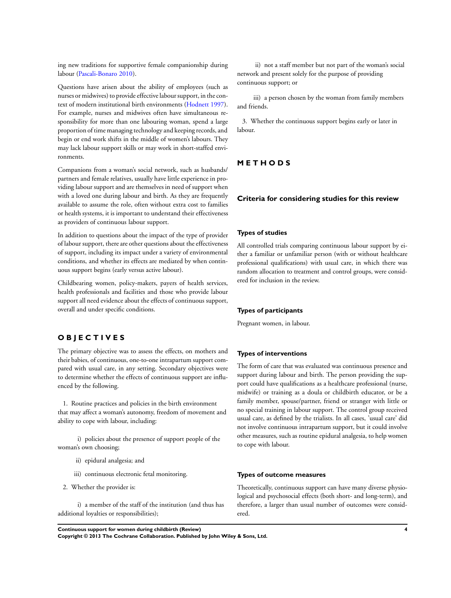ing new traditions for supportive female companionship during labour (Pascali-Bonaro 2010).

Questions have arisen about the ability of employees (such as nurses or midwives) to provide effective labour support, in the context of modern institutional birth environments (Hodnett 1997). For example, nurses and midwives often have simultaneous responsibility for more than one labouring woman, spend a large proportion of time managing technology and keeping records, and begin or end work shifts in the middle of women's labours. They may lack labour support skills or may work in short-staffed environments.

Companions from a woman's social network, such as husbands/ partners and female relatives, usually have little experience in providing labour support and are themselves in need of support when with a loved one during labour and birth. As they are frequently available to assume the role, often without extra cost to families or health systems, it is important to understand their effectiveness as providers of continuous labour support.

In addition to questions about the impact of the type of provider of labour support, there are other questions about the effectiveness of support, including its impact under a variety of environmental conditions, and whether its effects are mediated by when continuous support begins (early versus active labour).

Childbearing women, policy-makers, payers of health services, health professionals and facilities and those who provide labour support all need evidence about the effects of continuous support, overall and under specific conditions.

## **O B J E C T I V E S**

The primary objective was to assess the effects, on mothers and their babies, of continuous, one-to-one intrapartum support compared with usual care, in any setting. Secondary objectives were to determine whether the effects of continuous support are influenced by the following.

1. Routine practices and policies in the birth environment that may affect a woman's autonomy, freedom of movement and ability to cope with labour, including:

i) policies about the presence of support people of the woman's own choosing;

- ii) epidural analgesia; and
- iii) continuous electronic fetal monitoring.
- 2. Whether the provider is:

i) a member of the staff of the institution (and thus has additional loyalties or responsibilities);

ii) not a staff member but not part of the woman's social network and present solely for the purpose of providing continuous support; or

iii) a person chosen by the woman from family members and friends.

3. Whether the continuous support begins early or later in labour.

## **M E T H O D S**

## **Criteria for considering studies for this review**

#### **Types of studies**

All controlled trials comparing continuous labour support by either a familiar or unfamiliar person (with or without healthcare professional qualifications) with usual care, in which there was random allocation to treatment and control groups, were considered for inclusion in the review.

#### **Types of participants**

Pregnant women, in labour.

## **Types of interventions**

The form of care that was evaluated was continuous presence and support during labour and birth. The person providing the support could have qualifications as a healthcare professional (nurse, midwife) or training as a doula or childbirth educator, or be a family member, spouse/partner, friend or stranger with little or no special training in labour support. The control group received usual care, as defined by the trialists. In all cases, 'usual care' did not involve continuous intrapartum support, but it could involve other measures, such as routine epidural analgesia, to help women to cope with labour.

### **Types of outcome measures**

Theoretically, continuous support can have many diverse physiological and psychosocial effects (both short- and long-term), and therefore, a larger than usual number of outcomes were considered.

**Continuous support for women during childbirth (Review) 4 Copyright © 2013 The Cochrane Collaboration. Published by John Wiley & Sons, Ltd.**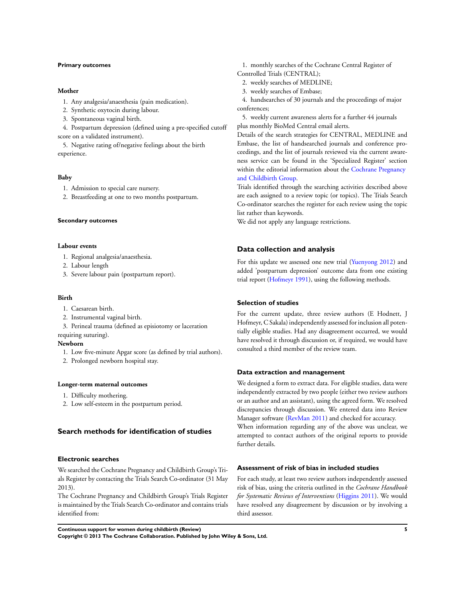#### **Primary outcomes**

#### **Mother**

- 1. Any analgesia/anaesthesia (pain medication).
- 2. Synthetic oxytocin during labour.
- 3. Spontaneous vaginal birth.
- 4. Postpartum depression (defined using a pre-specified cutoff score on a validated instrument).

5. Negative rating of/negative feelings about the birth experience.

#### **Baby**

- 1. Admission to special care nursery.
- 2. Breastfeeding at one to two months postpartum.

#### **Secondary outcomes**

#### **Labour events**

- 1. Regional analgesia/anaesthesia.
- 2. Labour length
- 3. Severe labour pain (postpartum report).

#### **Birth**

- 1. Caesarean birth.
- 2. Instrumental vaginal birth.
- 3. Perineal trauma (defined as episiotomy or laceration
- requiring suturing).

#### **Newborn**

- 1. Low five-minute Apgar score (as defined by trial authors).
- 2. Prolonged newborn hospital stay.

#### **Longer-term maternal outcomes**

- 1. Difficulty mothering.
- 2. Low self-esteem in the postpartum period.

## **Search methods for identification of studies**

## **Electronic searches**

We searched the Cochrane Pregnancy and Childbirth Group's Trials Register by contacting the Trials Search Co-ordinator (31 May 2013).

The Cochrane Pregnancy and Childbirth Group's Trials Register is maintained by the Trials Search Co-ordinator and contains trials identified from:

1. monthly searches of the Cochrane Central Register of Controlled Trials (CENTRAL);

2. weekly searches of MEDLINE;

3. weekly searches of Embase;

4. handsearches of 30 journals and the proceedings of major conferences;

5. weekly current awareness alerts for a further 44 journals plus monthly BioMed Central email alerts.

Details of the search strategies for CENTRAL, MEDLINE and Embase, the list of handsearched journals and conference proceedings, and the list of journals reviewed via the current awareness service can be found in the 'Specialized Register' section within the editorial information about the [Cochrane Pregnancy](http://www.mrw.interscience.wiley.com/cochrane/clabout/articles/PREG/frame.html) [and Childbirth Group](http://www.mrw.interscience.wiley.com/cochrane/clabout/articles/PREG/frame.html).

Trials identified through the searching activities described above are each assigned to a review topic (or topics). The Trials Search Co-ordinator searches the register for each review using the topic list rather than keywords.

We did not apply any language restrictions.

#### **Data collection and analysis**

For this update we assessed one new trial (Yuenyong 2012) and added 'postpartum depression' outcome data from one existing trial report (Hofmeyr 1991), using the following methods.

#### **Selection of studies**

For the current update, three review authors (E Hodnett, J Hofmeyr, C Sakala) independently assessed for inclusion all potentially eligible studies. Had any disagreement occurred, we would have resolved it through discussion or, if required, we would have consulted a third member of the review team.

#### **Data extraction and management**

We designed a form to extract data. For eligible studies, data were independently extracted by two people (either two review authors or an author and an assistant), using the agreed form. We resolved discrepancies through discussion. We entered data into Review Manager software (RevMan 2011) and checked for accuracy.

When information regarding any of the above was unclear, we attempted to contact authors of the original reports to provide further details.

#### **Assessment of risk of bias in included studies**

For each study, at least two review authors independently assessed risk of bias, using the criteria outlined in the *Cochrane Handbook for Systematic Reviews of Interventions* (Higgins 2011). We would have resolved any disagreement by discussion or by involving a third assessor.

**Continuous support for women during childbirth (Review) 5 Copyright © 2013 The Cochrane Collaboration. Published by John Wiley & Sons, Ltd.**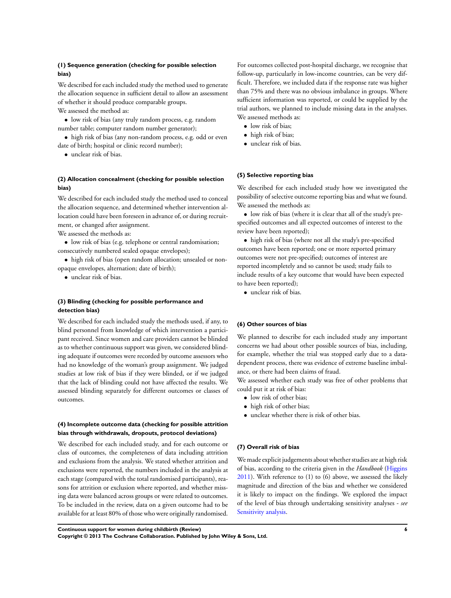## **(1) Sequence generation (checking for possible selection bias)**

We described for each included study the method used to generate the allocation sequence in sufficient detail to allow an assessment of whether it should produce comparable groups. We assessed the method as:

• low risk of bias (any truly random process, e.g. random number table; computer random number generator);

• high risk of bias (any non-random process, e.g. odd or even date of birth; hospital or clinic record number);

• unclear risk of bias.

## **(2) Allocation concealment (checking for possible selection bias)**

We described for each included study the method used to conceal the allocation sequence, and determined whether intervention allocation could have been foreseen in advance of, or during recruitment, or changed after assignment.

We assessed the methods as:

• low risk of bias (e.g. telephone or central randomisation; consecutively numbered sealed opaque envelopes);

• high risk of bias (open random allocation; unsealed or nonopaque envelopes, alternation; date of birth);

• unclear risk of bias.

## **(3) Blinding (checking for possible performance and detection bias)**

We described for each included study the methods used, if any, to blind personnel from knowledge of which intervention a participant received. Since women and care providers cannot be blinded as to whether continuous support was given, we considered blinding adequate if outcomes were recorded by outcome assessors who had no knowledge of the woman's group assignment. We judged studies at low risk of bias if they were blinded, or if we judged that the lack of blinding could not have affected the results. We assessed blinding separately for different outcomes or classes of outcomes.

## **(4) Incomplete outcome data (checking for possible attrition bias through withdrawals, dropouts, protocol deviations)**

We described for each included study, and for each outcome or class of outcomes, the completeness of data including attrition and exclusions from the analysis. We stated whether attrition and exclusions were reported, the numbers included in the analysis at each stage (compared with the total randomised participants), reasons for attrition or exclusion where reported, and whether missing data were balanced across groups or were related to outcomes. To be included in the review, data on a given outcome had to be available for at least 80% of those who were originally randomised.

For outcomes collected post-hospital discharge, we recognise that follow-up, particularly in low-income countries, can be very difficult. Therefore, we included data if the response rate was higher than 75% and there was no obvious imbalance in groups. Where sufficient information was reported, or could be supplied by the trial authors, we planned to include missing data in the analyses. We assessed methods as:

- low risk of bias:
- high risk of bias;
- unclear risk of bias.

#### **(5) Selective reporting bias**

We described for each included study how we investigated the possibility of selective outcome reporting bias and what we found. We assessed the methods as:

• low risk of bias (where it is clear that all of the study's prespecified outcomes and all expected outcomes of interest to the review have been reported);

• high risk of bias (where not all the study's pre-specified outcomes have been reported; one or more reported primary outcomes were not pre-specified; outcomes of interest are reported incompletely and so cannot be used; study fails to include results of a key outcome that would have been expected to have been reported);

• unclear risk of bias.

#### **(6) Other sources of bias**

We planned to describe for each included study any important concerns we had about other possible sources of bias, including, for example, whether the trial was stopped early due to a datadependent process, there was evidence of extreme baseline imbalance, or there had been claims of fraud.

We assessed whether each study was free of other problems that could put it at risk of bias:

- low risk of other bias;
- high risk of other bias;
- unclear whether there is risk of other bias.

#### **(7) Overall risk of bias**

We made explicit judgements about whether studies are at high risk of bias, according to the criteria given in the *Handbook* (Higgins 2011). With reference to (1) to (6) above, we assessed the likely magnitude and direction of the bias and whether we considered it is likely to impact on the findings. We explored the impact of the level of bias through undertaking sensitivity analyses - *see* Sensitivity analysis.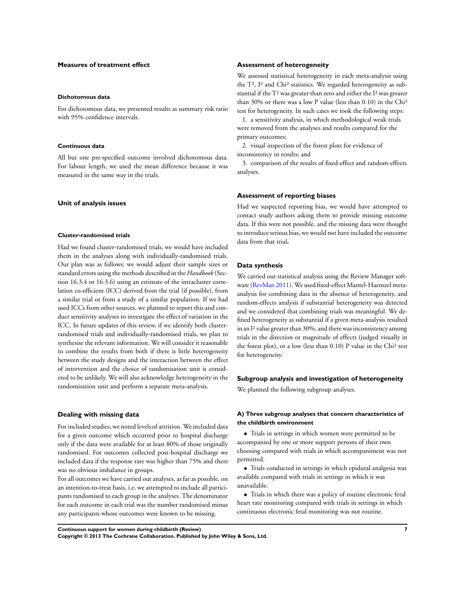#### **Measures of treatment effect**

#### **Dichotomous data**

For dichotomous data, we presented results as summary risk ratio with 95% confidence intervals.

#### **Continuous data**

All but one pre-specified outcome involved dichotomous data. For labour length, we used the mean difference because it was measured in the same way in the trials.

#### **Unit of analysis issues**

#### **Cluster-randomised trials**

Had we found cluster-randomised trials, we would have included them in the analyses along with individually-randomised trials. Our plan was as follows: we would adjust their sample sizes or standard errors using the methods described in the *Handbook* (Section 16.3.4 or 16.3.6) using an estimate of the intracluster correlation co-efficient (ICC) derived from the trial (if possible), from a similar trial or from a study of a similar population. If we had used ICCs from other sources, we planned to report this and conduct sensitivity analyses to investigate the effect of variation in the ICC. In future updates of this review, if we identify both clusterrandomised trials and individually-randomised trials, we plan to synthesise the relevant information. We will consider it reasonable to combine the results from both if there is little heterogeneity between the study designs and the interaction between the effect of intervention and the choice of randomisation unit is considered to be unlikely. We will also acknowledge heterogeneity in the randomisation unit and perform a separate meta-analysis.

#### **Dealing with missing data**

For included studies, we noted levels of attrition. We included data for a given outcome which occurred prior to hospital discharge only if the data were available for at least 80% of those originally randomised. For outcomes collected post-hospital discharge we included data if the response rate was higher than 75% and there was no obvious imbalance in groups.

For all outcomes we have carried out analyses, as far as possible, on an intention-to-treat basis, i.e. we attempted to include all participants randomised to each group in the analyses. The denominator for each outcome in each trial was the number randomised minus any participants whose outcomes were known to be missing.

#### **Assessment of heterogeneity**

We assessed statistical heterogeneity in each meta-analysis using the T², I² and Chi² statistics. We regarded heterogeneity as substantial if the T² was greater than zero and either the I² was greater than 30% or there was a low P value (less than 0.10) in the Chi² test for heterogeneity. In such cases we took the following steps:

1. a sensitivity analysis, in which methodological weak trials were removed from the analyses and results compared for the primary outcomes;

2. visual inspection of the forest plots for evidence of inconsistency in results; and

3. comparison of the results of fixed-effect and random-effects analyses.

#### **Assessment of reporting biases**

Had we suspected reporting bias, we would have attempted to contact study authors asking them to provide missing outcome data. If this were not possible, and the missing data were thought to introduce serious bias, we would not have included the outcome data from that trial**.**

#### **Data synthesis**

We carried out statistical analysis using the Review Manager software (RevMan 2011). We used fixed-effect Mantel-Haenszel metaanalysis for combining data in the absence of heterogeneity, and random-effects analysis if substantial heterogeneity was detected and we considered that combining trials was meaningful. We defined heterogeneity as substantial if a given meta-analysis resulted in an I² value greater than 30%, and there was inconsistency among trials in the direction or magnitude of effects (judged visually in the forest plot), or a low (less than 0.10) P value in the Chi<sup>2</sup> test for heterogeneity.

### **Subgroup analysis and investigation of heterogeneity**

We planned the following subgroup analyses.

## **A) Three subgroup analyses that concern characteristics of the childbirth environment**

• Trials in settings in which women were permitted to be accompanied by one or more support persons of their own choosing compared with trials in which accompaniment was not permitted.

• Trials conducted in settings in which epidural analgesia was available compared with trials in settings in which it was unavailable.

• Trials in which there was a policy of routine electronic fetal heart rate monitoring compared with trials in settings in which continuous electronic fetal monitoring was not routine.

**Continuous support for women during childbirth (Review) 7 Copyright © 2013 The Cochrane Collaboration. Published by John Wiley & Sons, Ltd.**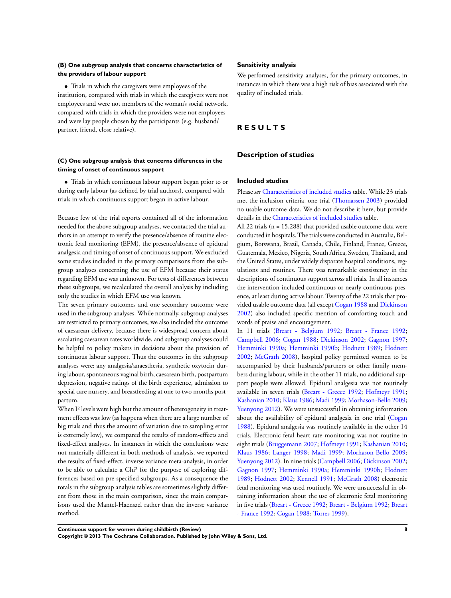## **(B) One subgroup analysis that concerns characteristics of the providers of labour support**

• Trials in which the caregivers were employees of the institution, compared with trials in which the caregivers were not employees and were not members of the woman's social network, compared with trials in which the providers were not employees and were lay people chosen by the participants (e.g. husband/ partner, friend, close relative).

## **(C) One subgroup analysis that concerns differences in the timing of onset of continuous support**

• Trials in which continuous labour support began prior to or during early labour (as defined by trial authors), compared with trials in which continuous support began in active labour.

Because few of the trial reports contained all of the information needed for the above subgroup analyses, we contacted the trial authors in an attempt to verify the presence/absence of routine electronic fetal monitoring (EFM), the presence/absence of epidural analgesia and timing of onset of continuous support. We excluded some studies included in the primary comparisons from the subgroup analyses concerning the use of EFM because their status regarding EFM use was unknown. For tests of differences between these subgroups, we recalculated the overall analysis by including only the studies in which EFM use was known.

The seven primary outcomes and one secondary outcome were used in the subgroup analyses. While normally, subgroup analyses are restricted to primary outcomes, we also included the outcome of caesarean delivery, because there is widespread concern about escalating caesarean rates worldwide, and subgroup analyses could be helpful to policy makers in decisions about the provision of continuous labour support. Thus the outcomes in the subgroup analyses were: any analgesia/anaesthesia, synthetic oxytocin during labour, spontaneous vaginal birth, caesarean birth, postpartum depression, negative ratings of the birth experience, admission to special care nursery, and breastfeeding at one to two months postpartum.

When I<sup>2</sup> levels were high but the amount of heterogeneity in treatment effects was low (as happens when there are a large number of big trials and thus the amount of variation due to sampling error is extremely low), we compared the results of random-effects and fixed-effect analyses. In instances in which the conclusions were not materially different in both methods of analysis, we reported the results of fixed-effect, inverse variance meta-analysis, in order to be able to calculate a Chi² for the purpose of exploring differences based on pre-specified subgroups. As a consequence the totals in the subgroup analysis tables are sometimes slightly different from those in the main comparison, since the main comparisons used the Mantel-Haenszel rather than the inverse variance method.

#### **Sensitivity analysis**

We performed sensitivity analyses, for the primary outcomes, in instances in which there was a high risk of bias associated with the quality of included trials.

## **R E S U L T S**

#### **Description of studies**

#### **Included studies**

Please *see* Characteristics of included studies table. While 23 trials met the inclusion criteria, one trial (Thomassen 2003) provided no usable outcome data. We do not describe it here, but provide details in the Characteristics of included studies table.

All 22 trials ( $n = 15,288$ ) that provided usable outcome data were conducted in hospitals. The trials were conducted in Australia, Belgium, Botswana, Brazil, Canada, Chile, Finland, France, Greece, Guatemala, Mexico, Nigeria, South Africa, Sweden, Thailand, and the United States, under widely disparate hospital conditions, regulations and routines. There was remarkable consistency in the descriptions of continuous support across all trials. In all instances the intervention included continuous or nearly continuous presence, at least during active labour. Twenty of the 22 trials that provided usable outcome data (all except Cogan 1988 and Dickinson 2002) also included specific mention of comforting touch and words of praise and encouragement.

In 11 trials (Breart - Belgium 1992; Breart - France 1992; Campbell 2006; Cogan 1988; Dickinson 2002; Gagnon 1997; Hemminki 1990a; Hemminki 1990b; Hodnett 1989; Hodnett 2002; McGrath 2008), hospital policy permitted women to be accompanied by their husbands/partners or other family members during labour, while in the other 11 trials, no additional support people were allowed. Epidural analgesia was not routinely available in seven trials (Breart - Greece 1992; Hofmeyr 1991; Kashanian 2010; Klaus 1986; Madi 1999; Morhason-Bello 2009; Yuenyong 2012). We were unsuccessful in obtaining information about the availability of epidural analgesia in one trial (Cogan 1988). Epidural analgesia was routinely available in the other 14 trials. Electronic fetal heart rate monitoring was not routine in eight trials (Bruggemann 2007; Hofmeyr 1991; Kashanian 2010; Klaus 1986; Langer 1998; Madi 1999; Morhason-Bello 2009; Yuenyong 2012). In nine trials (Campbell 2006; Dickinson 2002; Gagnon 1997; Hemminki 1990a; Hemminki 1990b; Hodnett 1989; Hodnett 2002; Kennell 1991; McGrath 2008) electronic fetal monitoring was used routinely. We were unsuccessful in obtaining information about the use of electronic fetal monitoring in five trials (Breart - Greece 1992; Breart - Belgium 1992; Breart - France 1992; Cogan 1988; Torres 1999).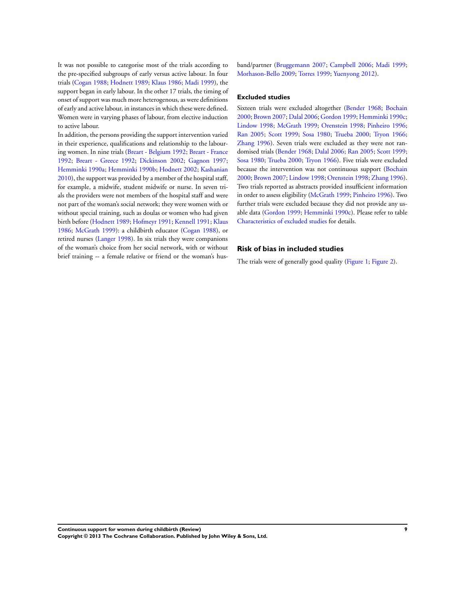It was not possible to categorise most of the trials according to the pre-specified subgroups of early versus active labour. In four trials (Cogan 1988; Hodnett 1989; Klaus 1986; Madi 1999), the support began in early labour. In the other 17 trials, the timing of onset of support was much more heterogenous, as were definitions of early and active labour, in instances in which these were defined. Women were in varying phases of labour, from elective induction to active labour.

In addition, the persons providing the support intervention varied in their experience, qualifications and relationship to the labouring women. In nine trials (Breart - Belgium 1992; Breart - France 1992; Breart - Greece 1992; Dickinson 2002; Gagnon 1997; Hemminki 1990a; Hemminki 1990b; Hodnett 2002; Kashanian 2010), the support was provided by a member of the hospital staff, for example, a midwife, student midwife or nurse. In seven trials the providers were not members of the hospital staff and were not part of the woman's social network; they were women with or without special training, such as doulas or women who had given birth before (Hodnett 1989; Hofmeyr 1991; Kennell 1991; Klaus 1986; McGrath 1999): a childbirth educator (Cogan 1988), or retired nurses (Langer 1998). In six trials they were companions of the woman's choice from her social network, with or without brief training -- a female relative or friend or the woman's husband/partner (Bruggemann 2007; Campbell 2006; Madi 1999; Morhason-Bello 2009; Torres 1999; Yuenyong 2012).

#### **Excluded studies**

Sixteen trials were excluded altogether (Bender 1968; Bochain 2000; Brown 2007; Dalal 2006; Gordon 1999; Hemminki 1990c; Lindow 1998; McGrath 1999; Orenstein 1998; Pinheiro 1996; Ran 2005; Scott 1999; Sosa 1980; Trueba 2000; Tryon 1966; Zhang 1996). Seven trials were excluded as they were not randomised trials (Bender 1968; Dalal 2006; Ran 2005; Scott 1999; Sosa 1980; Trueba 2000; Tryon 1966). Five trials were excluded because the intervention was not continuous support (Bochain 2000; Brown 2007; Lindow 1998; Orenstein 1998; Zhang 1996). Two trials reported as abstracts provided insufficient information in order to assess eligibility (McGrath 1999; Pinheiro 1996). Two further trials were excluded because they did not provide any usable data (Gordon 1999; Hemminki 1990c). Please refer to table Characteristics of excluded studies for details.

#### **Risk of bias in included studies**

The trials were of generally good quality (Figure 1; Figure 2).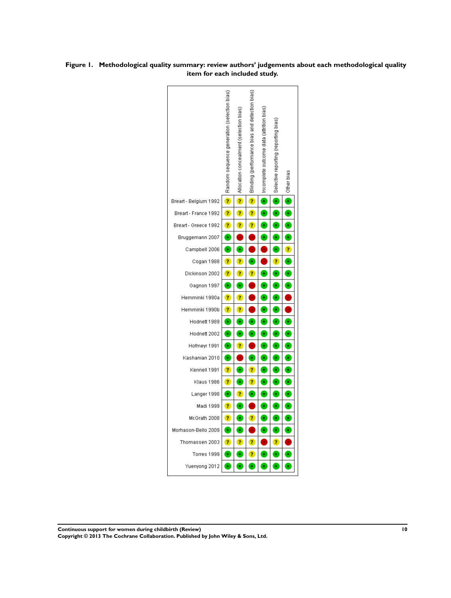

**Figure 1. Methodological quality summary: review authors' judgements about each methodological quality item for each included study.**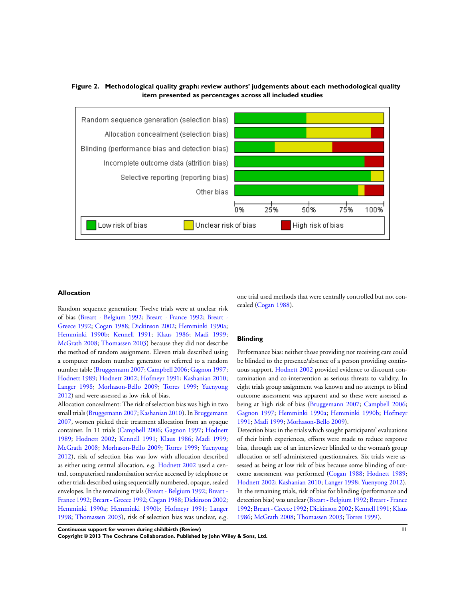**Figure 2. Methodological quality graph: review authors' judgements about each methodological quality item presented as percentages across all included studies**



### **Allocation**

Random sequence generation: Twelve trials were at unclear risk of bias (Breart - Belgium 1992; Breart - France 1992; Breart - Greece 1992; Cogan 1988; Dickinson 2002; Hemminki 1990a; Hemminki 1990b; Kennell 1991; Klaus 1986; Madi 1999; McGrath 2008; Thomassen 2003) because they did not describe the method of random assignment. Eleven trials described using a computer random number generator or referred to a random number table (Bruggemann 2007;Campbell 2006; Gagnon 1997; Hodnett 1989; Hodnett 2002; Hofmeyr 1991; Kashanian 2010; Langer 1998; Morhason-Bello 2009; Torres 1999; Yuenyong 2012) and were assessed as low risk of bias.

Allocation concealment: The risk of selection bias was high in two small trials (Bruggemann 2007; Kashanian 2010). In Bruggemann 2007, women picked their treatment allocation from an opaque container. In 11 trials (Campbell 2006; Gagnon 1997; Hodnett 1989; Hodnett 2002; Kennell 1991; Klaus 1986; Madi 1999; McGrath 2008; Morhason-Bello 2009; Torres 1999; Yuenyong 2012), risk of selection bias was low with allocation described as either using central allocation, e.g. Hodnett 2002 used a central, computerised randomisation service accessed by telephone or other trials described using sequentially numbered, opaque, sealed envelopes. In the remaining trials (Breart - Belgium 1992; Breart - France 1992; Breart - Greece 1992; Cogan 1988; Dickinson 2002; Hemminki 1990a; Hemminki 1990b; Hofmeyr 1991; Langer 1998; Thomassen 2003), risk of selection bias was unclear, e.g.

one trial used methods that were centrally controlled but not concealed (Cogan 1988).

### **Blinding**

Performance bias: neither those providing nor receiving care could be blinded to the presence/absence of a person providing continuous support. Hodnett 2002 provided evidence to discount contamination and co-intervention as serious threats to validity. In eight trials group assignment was known and no attempt to blind outcome assessment was apparent and so these were assessed as being at high risk of bias (Bruggemann 2007; Campbell 2006; Gagnon 1997; Hemminki 1990a; Hemminki 1990b; Hofmeyr 1991; Madi 1999; Morhason-Bello 2009).

Detection bias: in the trials which sought participants' evaluations of their birth experiences, efforts were made to reduce response bias, through use of an interviewer blinded to the woman's group allocation or self-administered questionnaires. Six trials were assessed as being at low risk of bias because some blinding of outcome assessment was performed (Cogan 1988; Hodnett 1989; Hodnett 2002; Kashanian 2010; Langer 1998; Yuenyong 2012). In the remaining trials, risk of bias for blinding (performance and detection bias) was unclear (Breart - Belgium 1992; Breart - France 1992; Breart - Greece 1992; Dickinson 2002; Kennell 1991; Klaus 1986; McGrath 2008; Thomassen 2003; Torres 1999).

**Continuous support for women during childbirth (Review) 11 Copyright © 2013 The Cochrane Collaboration. Published by John Wiley & Sons, Ltd.**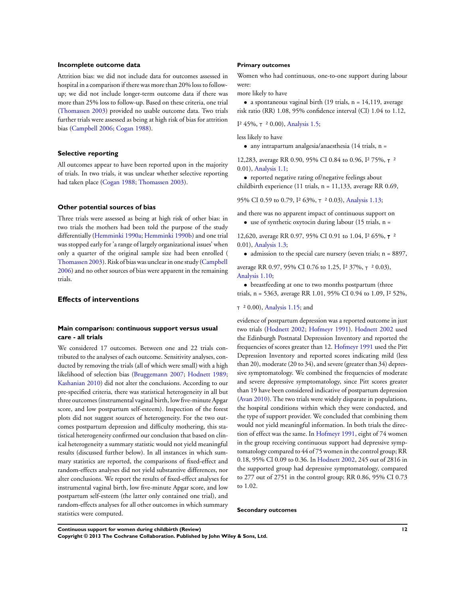#### **Incomplete outcome data**

Attrition bias: we did not include data for outcomes assessed in hospital in a comparison if there was more than 20% loss to followup; we did not include longer-term outcome data if there was more than 25% loss to follow-up. Based on these criteria, one trial (Thomassen 2003) provided no usable outcome data. Two trials further trials were assessed as being at high risk of bias for attrition bias (Campbell 2006; Cogan 1988).

#### **Selective reporting**

All outcomes appear to have been reported upon in the majority of trials. In two trials, it was unclear whether selective reporting had taken place (Cogan 1988; Thomassen 2003).

#### **Other potential sources of bias**

Three trials were assessed as being at high risk of other bias: in two trials the mothers had been told the purpose of the study differentially (Hemminki 1990a; Hemminki 1990b) and one trial was stopped early for 'a range of largely organizational issues' when only a quarter of the original sample size had been enrolled ( Thomassen 2003). Risk of bias was unclear in one study (Campbell 2006) and no other sources of bias were apparent in the remaining trials.

#### **Effects of interventions**

## **Main comparison: continuous support versus usual care - all trials**

We considered 17 outcomes. Between one and 22 trials contributed to the analyses of each outcome. Sensitivity analyses, conducted by removing the trials (all of which were small) with a high likelihood of selection bias (Bruggemann 2007; Hodnett 1989; Kashanian 2010) did not alter the conclusions. According to our pre-specified criteria, there was statistical heterogeneity in all but three outcomes (instrumental vaginal birth, low five-minute Apgar score, and low postpartum self-esteem). Inspection of the forest plots did not suggest sources of heterogeneity. For the two outcomes postpartum depression and difficulty mothering, this statistical heterogeneity confirmed our conclusion that based on clinical heterogeneity a summary statistic would not yield meaningful results (discussed further below). In all instances in which summary statistics are reported, the comparisons of fixed-effect and random-effects analyses did not yield substantive differences, nor alter conclusions. We report the results of fixed-effect analyses for instrumental vaginal birth, low five-minute Apgar score, and low postpartum self-esteem (the latter only contained one trial), and random-effects analyses for all other outcomes in which summary statistics were computed.

#### **Primary outcomes**

Women who had continuous, one-to-one support during labour were:

more likely to have

• a spontaneous vaginal birth (19 trials,  $n = 14,119$ , average risk ratio (RR) 1.08, 95% confidence interval (CI) 1.04 to 1.12,

I<sup>2</sup> 45%,  $\tau$  <sup>2</sup> 0.00), Analysis 1.5;

less likely to have

• any intrapartum analgesia/anaesthesia (14 trials, n =

12,283, average RR 0.90, 95% CI 0.84 to 0.96, I² 75%, ² 0.01), Analysis 1.1;

• reported negative rating of/negative feelings about childbirth experience (11 trials, n = 11,133, average RR 0.69,

95% CI 0.59 to 0.79, I<sup>2</sup> 63%,  $\tau$  <sup>2</sup> 0.03), Analysis 1.13;

and there was no apparent impact of continuous support on • use of synthetic oxytocin during labour (15 trials, n =

12,620, average RR 0.97, 95% CI 0.91 to 1.04, I² 65%, ² 0.01), Analysis 1.3;

• admission to the special care nursery (seven trials;  $n = 8897$ ,

average RR 0.97, 95% CI 0.76 to 1.25, I<sup>2</sup> 37%,  $\tau$  <sup>2</sup> 0.03), Analysis 1.10;

• breastfeeding at one to two months postpartum (three trials, n = 5363, average RR 1.01, 95% CI 0.94 to 1.09, I² 52%,

² 0.00), Analysis 1.15; and

evidence of postpartum depression was a reported outcome in just two trials (Hodnett 2002; Hofmeyr 1991). Hodnett 2002 used the Edinburgh Postnatal Depression Inventory and reported the frequencies of scores greater than 12. Hofmeyr 1991 used the Pitt Depression Inventory and reported scores indicating mild (less than 20), moderate (20 to 34), and severe (greater than 34) depressive symptomatology. We combined the frequencies of moderate and severe depressive symptomatology, since Pitt scores greater than 19 have been considered indicative of postpartum depression (Avan 2010). The two trials were widely disparate in populations, the hospital conditions within which they were conducted, and the type of support provider. We concluded that combining them would not yield meaningful information. In both trials the direction of effect was the same. In Hofmeyr 1991, eight of 74 women in the group receiving continuous support had depressive symptomatology compared to 44 of 75 women in the control group; RR 0.18, 95% CI 0.09 to 0.36. In Hodnett 2002, 245 out of 2816 in the supported group had depressive symptomatology, compared to 277 out of 2751 in the control group; RR 0.86, 95% CI 0.73 to 1.02.

**Secondary outcomes**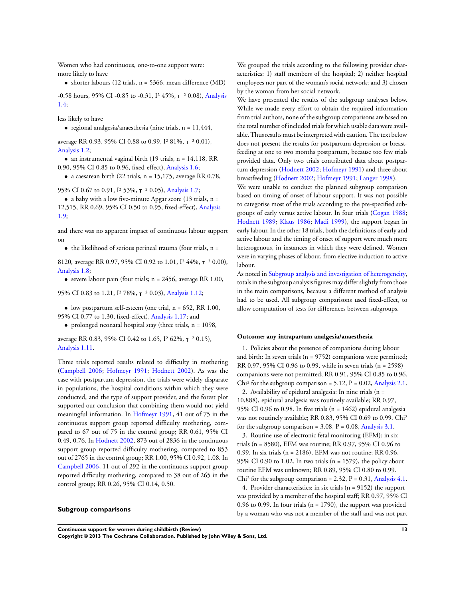Women who had continuous, one-to-one support were: more likely to have

 $\bullet$  shorter labours (12 trials, n = 5366, mean difference (MD)

-0.58 hours, 95% CI -0.85 to -0.31, I² 45%, ² 0.08), Analysis 1.4;

less likely to have

• regional analgesia/anaesthesia (nine trials,  $n = 11,444$ ,

average RR 0.93, 95% CI 0.88 to 0.99,  $I^2 81\%$ ,  $\tau$   $\epsilon$  0.01), Analysis 1.2;

• an instrumental vaginal birth (19 trials, n = 14,118, RR 0.90, 95% CI 0.85 to 0.96, fixed-effect), Analysis 1.6;

• a caesarean birth (22 trials,  $n = 15,175$ , average RR 0.78,

95% CI 0.67 to 0.91, I<sup>2</sup> 53%,  $\tau$  <sup>2</sup> 0.05), Analysis 1.7;

• a baby with a low five-minute Apgar score  $(13 \text{ trials}, n =$ 12,515, RR 0.69, 95% CI 0.50 to 0.95, fixed-effect), Analysis 1.9;

and there was no apparent impact of continuous labour support on

 $\bullet$  the likelihood of serious perineal trauma (four trials, n =

8120, average RR 0.97, 95% CI 0.92 to 1.01, I<sup>2</sup> 44%,  $\tau$  <sup>2</sup> 0.00), Analysis 1.8;

• severe labour pain (four trials;  $n = 2456$ , average RR 1.00,

95% CI 0.83 to 1.21, I<sup>2</sup> 78%,  $\tau$  <sup>2</sup> 0.03), Analysis 1.12;

 $\bullet$  low postpartum self-esteem (one trial, n = 652, RR 1.00, 95% CI 0.77 to 1.30, fixed-effect), Analysis 1.17; and

• prolonged neonatal hospital stay (three trials,  $n = 1098$ ,

average RR 0.83, 95% CI 0.42 to 1.65, I<sup>2</sup> 62%,  $\tau$  <sup>2</sup> 0.15), Analysis 1.11.

Three trials reported results related to difficulty in mothering (Campbell 2006; Hofmeyr 1991; Hodnett 2002). As was the case with postpartum depression, the trials were widely disparate in populations, the hospital conditions within which they were conducted, and the type of support provider, and the forest plot supported our conclusion that combining them would not yield meaningful information. In Hofmeyr 1991, 41 out of 75 in the continuous support group reported difficulty mothering, compared to 67 out of 75 in the control group; RR 0.61, 95% CI 0.49, 0.76. In Hodnett 2002, 873 out of 2836 in the continuous support group reported difficulty mothering, compared to 853 out of 2765 in the control group; RR 1.00, 95% CI 0.92, 1.08. In Campbell 2006, 11 out of 292 in the continuous support group reported difficulty mothering, compared to 38 out of 265 in the control group; RR 0.26, 95% CI 0.14, 0.50.

#### **Subgroup comparisons**

We grouped the trials according to the following provider characteristics: 1) staff members of the hospital; 2) neither hospital employees nor part of the woman's social network; and 3) chosen by the woman from her social network.

We have presented the results of the subgroup analyses below. While we made every effort to obtain the required information from trial authors, none of the subgroup comparisons are based on the total number of included trials for which usable data were available. Thus results must be interpreted with caution. The text below does not present the results for postpartum depression or breastfeeding at one to two months postpartum, because too few trials provided data. Only two trials contributed data about postpartum depression (Hodnett 2002; Hofmeyr 1991) and three about breastfeeding (Hodnett 2002; Hofmeyr 1991; Langer 1998).

We were unable to conduct the planned subgroup comparison based on timing of onset of labour support. It was not possible to categorise most of the trials according to the pre-specified subgroups of early versus active labour. In four trials (Cogan 1988; Hodnett 1989; Klaus 1986; Madi 1999), the support began in early labour. In the other 18 trials, both the definitions of early and active labour and the timing of onset of support were much more heterogenous, in instances in which they were defined. Women were in varying phases of labour, from elective induction to active labour.

As noted in Subgroup analysis and investigation of heterogeneity, totals in the subgroup analysis figures may differ slightly from those in the main comparisons, because a different method of analysis had to be used. All subgroup comparisons used fixed-effect, to allow computation of tests for differences between subgroups.

#### **Outcome: any intrapartum analgesia/anaesthesia**

1. Policies about the presence of companions during labour and birth: In seven trials (n = 9752) companions were permitted; RR 0.97, 95% CI 0.96 to 0.99, while in seven trials (n = 2598) companions were not permitted; RR 0.91, 95% CI 0.85 to 0.96. Chi<sup>2</sup> for the subgroup comparison = 5.12,  $P = 0.02$ , Analysis 2.1.

2. Availability of epidural analgesia: In nine trials (n = 10,888), epidural analgesia was routinely available; RR 0.97, 95% CI 0.96 to 0.98. In five trials ( $n = 1462$ ) epidural analgesia was not routinely available; RR 0.83, 95% CI 0.69 to 0.99. Chi² for the subgroup comparison =  $3.08$ ,  $P = 0.08$ , Analysis 3.1.

3. Routine use of electronic fetal monitoring (EFM): in six trials (n = 8580), EFM was routine; RR 0.97, 95% CI 0.96 to 0.99. In six trials (n = 2186), EFM was not routine; RR 0.96, 95% CI 0.90 to 1.02. In two trials (n = 1579), the policy about routine EFM was unknown; RR 0.89, 95% CI 0.80 to 0.99. Chi<sup>2</sup> for the subgroup comparison = 2.32,  $P = 0.31$ , Analysis 4.1.

4. Provider characteristics: in six trials (n = 9152) the support was provided by a member of the hospital staff; RR 0.97, 95% CI 0.96 to 0.99. In four trials (n = 1790), the support was provided by a woman who was not a member of the staff and was not part

**Continuous support for women during childbirth (Review) 13**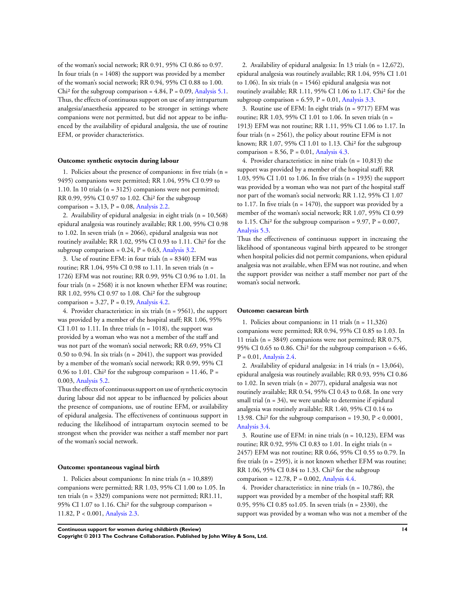of the woman's social network; RR 0.91, 95% CI 0.86 to 0.97. In four trials ( $n = 1408$ ) the support was provided by a member of the woman's social network; RR 0.94, 95% CI 0.88 to 1.00. Chi<sup>2</sup> for the subgroup comparison =  $4.84$ ,  $P = 0.09$ , Analysis 5.1. Thus, the effects of continuous support on use of any intrapartum analgesia/anaesthesia appeared to be stronger in settings where companions were not permitted, but did not appear to be influenced by the availability of epidural analgesia, the use of routine EFM, or provider characteristics.

#### **Outcome: synthetic oxytocin during labour**

1. Policies about the presence of companions: in five trials (n = 9495) companions were permitted; RR 1.04, 95% CI 0.99 to 1.10. In 10 trials (n = 3125) companions were not permitted; RR 0.99, 95% CI 0.97 to 1.02. Chi² for the subgroup comparison =  $3.13$ ,  $P = 0.08$ , Analysis 2.2.

2. Availability of epidural analgesia: in eight trials  $(n = 10,568)$ epidural analgesia was routinely available; RR 1.00, 95% CI 0.98 to 1.02. In seven trials (n = 2066), epidural analgesia was not routinely available; RR 1.02, 95% CI 0.93 to 1.11. Chi² for the subgroup comparison =  $0.24$ ,  $P = 0.63$ , Analysis 3.2.

3. Use of routine EFM: in four trials (n = 8340) EFM was routine; RR 1.04, 95% CI 0.98 to 1.11. In seven trials (n = 1726) EFM was not routine; RR 0.99, 95% CI 0.96 to 1.01. In four trials (n = 2568) it is not known whether EFM was routine; RR 1.02, 95% CI 0.97 to 1.08. Chi² for the subgroup comparison =  $3.27$ ,  $P = 0.19$ , Analysis 4.2.

4. Provider characteristics: in six trials (n = 9561), the support was provided by a member of the hospital staff; RR 1.06, 95% CI 1.01 to 1.11. In three trials  $(n = 1018)$ , the support was provided by a woman who was not a member of the staff and was not part of the woman's social network; RR 0.69, 95% CI 0.50 to 0.94. In six trials ( $n = 2041$ ), the support was provided by a member of the woman's social network; RR 0.99, 95% CI 0.96 to 1.01. Chi<sup>2</sup> for the subgroup comparison = 11.46,  $P =$ 0.003, Analysis 5.2.

Thus the effects of continuous support on use of synthetic oxytocin during labour did not appear to be influenced by policies about the presence of companions, use of routine EFM, or availability of epidural analgesia. The effectiveness of continuous support in reducing the likelihood of intrapartum oxytocin seemed to be strongest when the provider was neither a staff member nor part of the woman's social network.

#### **Outcome: spontaneous vaginal birth**

1. Policies about companions: In nine trials (n = 10,889) companions were permitted; RR 1.03, 95% CI 1.00 to 1.05. In ten trials (n = 3329) companions were not permitted; RR1.11, 95% CI 1.07 to 1.16. Chi<sup>2</sup> for the subgroup comparison = 11.82, P < 0.001, Analysis 2.3.

2. Availability of epidural analgesia: In 13 trials (n = 12,672), epidural analgesia was routinely available; RR 1.04, 95% CI 1.01 to 1.06). In six trials (n = 1546) epidural analgesia was not routinely available; RR 1.11, 95% CI 1.06 to 1.17. Chi² for the subgroup comparison =  $6.59$ ,  $P = 0.01$ , Analysis 3.3.

3. Routine use of EFM: In eight trials (n = 9717) EFM was routine; RR 1.03, 95% CI 1.01 to 1.06. In seven trials (n = 1913) EFM was not routine; RR 1.11, 95% CI 1.06 to 1.17. In four trials ( $n = 2561$ ), the policy about routine EFM is not known; RR 1.07, 95% CI 1.01 to 1.13. Chi² for the subgroup comparison =  $8.56$ ,  $P = 0.01$ , Analysis 4.3.

4. Provider characteristics: in nine trials (n = 10,813) the support was provided by a member of the hospital staff; RR 1.03, 95% CI 1.01 to 1.06. In five trials (n = 1935) the support was provided by a woman who was not part of the hospital staff nor part of the woman's social network; RR 1.12, 95% CI 1.07 to 1.17. In five trials ( $n = 1470$ ), the support was provided by a member of the woman's social network; RR 1.07, 95% CI 0.99 to 1.15. Chi<sup>2</sup> for the subgroup comparison =  $9.97$ ,  $P = 0.007$ , Analysis 5.3.

Thus the effectiveness of continuous support in increasing the likelihood of spontaneous vaginal birth appeared to be stronger when hospital policies did not permit companions, when epidural analgesia was not available, when EFM was not routine, and when the support provider was neither a staff member nor part of the woman's social network.

#### **Outcome: caesarean birth**

1. Policies about companions: in 11 trials (n = 11,326) companions were permitted; RR 0.94, 95% CI 0.85 to 1.03. In 11 trials (n = 3849) companions were not permitted; RR 0.75, 95% CI 0.65 to 0.86. Chi<sup>2</sup> for the subgroup comparison =  $6.46$ ,  $P = 0.01$ , Analysis 2.4.

2. Availability of epidural analgesia: in 14 trials (n = 13,064), epidural analgesia was routinely available; RR 0.93, 95% CI 0.86 to 1.02. In seven trials (n = 2077), epidural analgesia was not routinely available; RR 0.54, 95% CI 0.43 to 0.68. In one very small trial  $(n = 34)$ , we were unable to determine if epidural analgesia was routinely available; RR 1.40, 95% CI 0.14 to 13.98. Chi<sup>2</sup> for the subgroup comparison = 19.30,  $P < 0.0001$ , Analysis 3.4.

3. Routine use of EFM: in nine trials (n = 10,123), EFM was routine; RR 0.92, 95% CI 0.83 to 1.01. In eight trials (n = 2457) EFM was not routine; RR 0.66, 95% CI 0.55 to 0.79. In five trials (n = 2595), it is not known whether EFM was routine; RR 1.06, 95% CI 0.84 to 1.33. Chi² for the subgroup comparison = 12.78,  $P = 0.002$ , Analysis 4.4.

4. Provider characteristics: in nine trials (n = 10,786), the support was provided by a member of the hospital staff; RR 0.95, 95% CI 0.85 to1.05. In seven trials (n = 2330), the support was provided by a woman who was not a member of the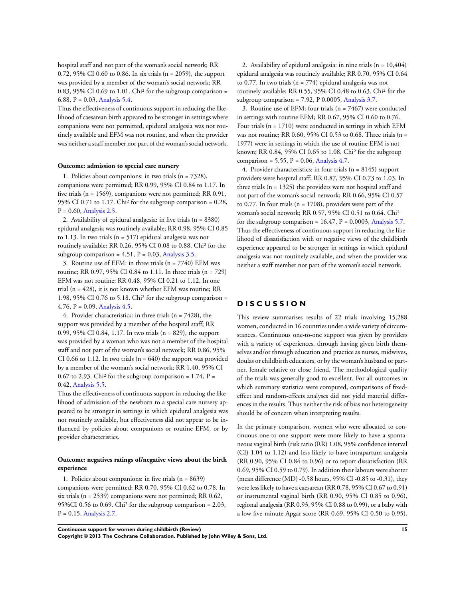hospital staff and not part of the woman's social network; RR 0.72, 95% CI 0.60 to 0.86. In six trials (n = 2059), the support was provided by a member of the woman's social network; RR 0.83, 95% CI 0.69 to 1.01. Chi<sup>2</sup> for the subgroup comparison = 6.88,  $P = 0.03$ , Analysis 5.4.

Thus the effectiveness of continuous support in reducing the likelihood of caesarean birth appeared to be stronger in settings where companions were not permitted, epidural analgesia was not routinely available and EFM was not routine, and when the provider was neither a staff member nor part of the woman's social network.

#### **Outcome: admission to special care nursery**

1. Policies about companions: in two trials (n = 7328), companions were permitted; RR 0.99, 95% CI 0.84 to 1.17. In five trials (n = 1569), companions were not permitted; RR 0.91, 95% CI 0.71 to 1.17. Chi² for the subgroup comparison = 0.28,  $P = 0.60$ , Analysis 2.5.

2. Availability of epidural analgesia: in five trials (n = 8380) epidural analgesia was routinely available; RR 0.98, 95% CI 0.85 to 1.13. In two trials (n = 517) epidural analgesia was not routinely available; RR 0.26, 95% CI 0.08 to 0.88. Chi² for the subgroup comparison =  $4.51$ ,  $P = 0.03$ , Analysis 3.5.

3. Routine use of EFM: in three trials (n = 7740) EFM was routine; RR 0.97, 95% CI 0.84 to 1.11. In three trials (n = 729) EFM was not routine; RR 0.48, 95% CI 0.21 to 1.12. In one trial (n = 428), it is not known whether EFM was routine; RR 1.98, 95% CI 0.76 to 5.18. Chi<sup>2</sup> for the subgroup comparison = 4.76,  $P = 0.09$ , Analysis 4.5.

4. Provider characteristics: in three trials (n = 7428), the support was provided by a member of the hospital staff; RR 0.99, 95% CI 0.84, 1.17. In two trials (n = 829), the support was provided by a woman who was not a member of the hospital staff and not part of the woman's social network; RR 0.86, 95% CI 0.66 to 1.12. In two trials  $(n = 640)$  the support was provided by a member of the woman's social network; RR 1.40, 95% CI 0.67 to 2.93. Chi<sup>2</sup> for the subgroup comparison =  $1.74$ , P = 0.42, Analysis 5.5.

Thus the effectiveness of continuous support in reducing the likelihood of admission of the newborn to a special care nursery appeared to be stronger in settings in which epidural analgesia was not routinely available, but effectiveness did not appear to be influenced by policies about companions or routine EFM, or by provider characteristics.

#### **Outcome: negatives ratings of/negative views about the birth experience**

1. Policies about companions: in five trials (n = 8639) companions were permitted; RR 0.70, 95% CI 0.62 to 0.78. In six trials (n = 2539) companions were not permitted; RR 0.62, 95%CI 0.56 to 0.69. Chi<sup>2</sup> for the subgroup comparison =  $2.03$ , P = 0.15, Analysis 2.7.

2. Availability of epidural analgesia: in nine trials (n = 10,404) epidural analgesia was routinely available; RR 0.70, 95% CI 0.64 to 0.77. In two trials (n = 774) epidural analgesia was not routinely available; RR 0.55, 95% CI 0.48 to 0.63. Chi² for the subgroup comparison =  $7.92$ , P 0.0005, Analysis  $3.7$ .

3. Routine use of EFM: four trials (n = 7467) were conducted in settings with routine EFM; RR 0.67, 95% CI 0.60 to 0.76. Four trials  $(n = 1710)$  were conducted in settings in which EFM was not routine; RR 0.60, 95% CI 0.53 to 0.68. Three trials (n = 1977) were in settings in which the use of routine EFM is not known; RR 0.84, 95% CI 0.65 to 1.08. Chi² for the subgroup comparison =  $5.55$ , P = 0.06, Analysis 4.7.

4. Provider characteristics: in four trials (n = 8145) support providers were hospital staff; RR 0.87, 95% CI 0.73 to 1.03. In three trials ( $n = 1325$ ) the providers were not hospital staff and not part of the woman's social network; RR 0.66, 95% CI 0.57 to 0.77. In four trials ( $n = 1708$ ), providers were part of the woman's social network; RR 0.57, 95% CI 0.51 to 0.64. Chi² for the subgroup comparison =  $16.47$ , P = 0.0003, Analysis 5.7. Thus the effectiveness of continuous support in reducing the likelihood of dissatisfaction with or negative views of the childbirth experience appeared to be stronger in settings in which epidural analgesia was not routinely available, and when the provider was neither a staff member nor part of the woman's social network.

## **D I S C U S S I O N**

This review summarises results of 22 trials involving 15,288 women, conducted in 16 countries under a wide variety of circumstances. Continuous one-to-one support was given by providers with a variety of experiences, through having given birth themselves and/or through education and practice as nurses, midwives, doulas or childbirth educators, or by the woman's husband or partner, female relative or close friend. The methodological quality of the trials was generally good to excellent. For all outcomes in which summary statistics were computed, comparisons of fixedeffect and random-effects analyses did not yield material differences in the results. Thus neither the risk of bias nor heterogeneity should be of concern when interpreting results.

In the primary comparison, women who were allocated to continuous one-to-one support were more likely to have a spontaneous vaginal birth (risk ratio (RR) 1.08, 95% confidence interval (CI) 1.04 to 1.12) and less likely to have intrapartum analgesia (RR 0.90, 95% CI 0.84 to 0.96) or to report dissatisfaction (RR 0.69, 95% CI 0.59 to 0.79). In addition their labours were shorter (mean difference (MD) -0.58 hours, 95% CI -0.85 to -0.31), they were less likely to have a caesarean (RR 0.78, 95% CI 0.67 to 0.91) or instrumental vaginal birth (RR 0.90, 95% CI 0.85 to 0.96), regional analgesia (RR 0.93, 95% CI 0.88 to 0.99), or a baby with a low five-minute Apgar score (RR 0.69, 95% CI 0.50 to 0.95).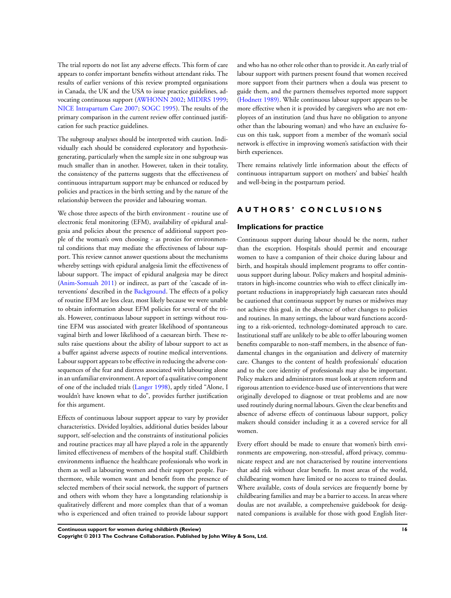The trial reports do not list any adverse effects. This form of care appears to confer important benefits without attendant risks. The results of earlier versions of this review prompted organisations in Canada, the UK and the USA to issue practice guidelines, advocating continuous support (AWHONN 2002; MIDIRS 1999; NICE Intrapartum Care 2007; SOGC 1995). The results of the primary comparison in the current review offer continued justification for such practice guidelines.

The subgroup analyses should be interpreted with caution. Individually each should be considered exploratory and hypothesisgenerating, particularly when the sample size in one subgroup was much smaller than in another. However, taken in their totality, the consistency of the patterns suggests that the effectiveness of continuous intrapartum support may be enhanced or reduced by policies and practices in the birth setting and by the nature of the relationship between the provider and labouring woman.

We chose three aspects of the birth environment - routine use of electronic fetal monitoring (EFM), availability of epidural analgesia and policies about the presence of additional support people of the woman's own choosing - as proxies for environmental conditions that may mediate the effectiveness of labour support. This review cannot answer questions about the mechanisms whereby settings with epidural analgesia limit the effectiveness of labour support. The impact of epidural analgesia may be direct (Anim-Somuah 2011) or indirect, as part of the 'cascade of interventions' described in the Background. The effects of a policy of routine EFM are less clear, most likely because we were unable to obtain information about EFM policies for several of the trials. However, continuous labour support in settings without routine EFM was associated with greater likelihood of spontaneous vaginal birth and lower likelihood of a caesarean birth. These results raise questions about the ability of labour support to act as a buffer against adverse aspects of routine medical interventions. Labour support appears to be effective in reducing the adverse consequences of the fear and distress associated with labouring alone in an unfamiliar environment. A report of a qualitative component of one of the included trials (Langer 1998), aptly titled "Alone, I wouldn't have known what to do", provides further justification for this argument.

Effects of continuous labour support appear to vary by provider characteristics. Divided loyalties, additional duties besides labour support, self-selection and the constraints of institutional policies and routine practices may all have played a role in the apparently limited effectiveness of members of the hospital staff. Childbirth environments influence the healthcare professionals who work in them as well as labouring women and their support people. Furthermore, while women want and benefit from the presence of selected members of their social network, the support of partners and others with whom they have a longstanding relationship is qualitatively different and more complex than that of a woman who is experienced and often trained to provide labour support

and who has no other role other than to provide it. An early trial of labour support with partners present found that women received more support from their partners when a doula was present to guide them, and the partners themselves reported more support (Hodnett 1989). While continuous labour support appears to be more effective when it is provided by caregivers who are not employees of an institution (and thus have no obligation to anyone other than the labouring woman) and who have an exclusive focus on this task, support from a member of the woman's social network is effective in improving women's satisfaction with their birth experiences.

There remains relatively little information about the effects of continuous intrapartum support on mothers' and babies' health and well-being in the postpartum period.

## **A U T H O R S ' C O N C L U S I O N S**

## **Implications for practice**

Continuous support during labour should be the norm, rather than the exception. Hospitals should permit and encourage women to have a companion of their choice during labour and birth, and hospitals should implement programs to offer continuous support during labour. Policy makers and hospital administrators in high-income countries who wish to effect clinically important reductions in inappropriately high caesarean rates should be cautioned that continuous support by nurses or midwives may not achieve this goal, in the absence of other changes to policies and routines. In many settings, the labour ward functions according to a risk-oriented, technology-dominated approach to care. Institutional staff are unlikely to be able to offer labouring women benefits comparable to non-staff members, in the absence of fundamental changes in the organisation and delivery of maternity care. Changes to the content of health professionals' education and to the core identity of professionals may also be important. Policy makers and administrators must look at system reform and rigorous attention to evidence-based use of interventions that were originally developed to diagnose or treat problems and are now used routinely during normal labours. Given the clear benefits and absence of adverse effects of continuous labour support, policy makers should consider including it as a covered service for all women.

Every effort should be made to ensure that women's birth environments are empowering, non-stressful, afford privacy, communicate respect and are not characterised by routine interventions that add risk without clear benefit. In most areas of the world, childbearing women have limited or no access to trained doulas. Where available, costs of doula services are frequently borne by childbearing families and may be a barrier to access. In areas where doulas are not available, a comprehensive guidebook for designated companions is available for those with good English liter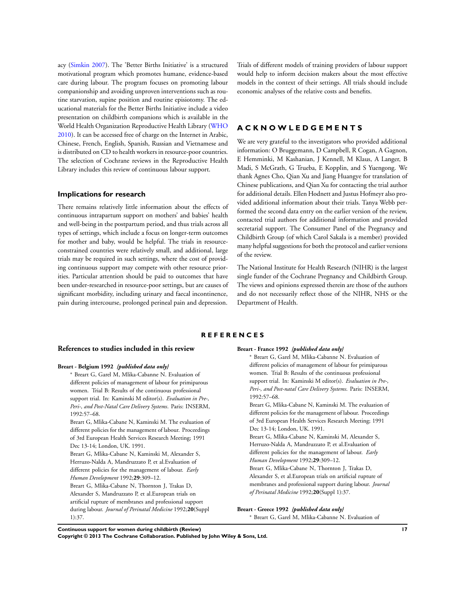acy (Simkin 2007). The 'Better Births Initiative' is a structured motivational program which promotes humane, evidence-based care during labour. The program focuses on promoting labour companionship and avoiding unproven interventions such as routine starvation, supine position and routine episiotomy. The educational materials for the Better Births Initiative include a video presentation on childbirth companions which is available in the World Health Organization Reproductive Health Library (WHO 2010). It can be accessed free of charge on the Internet in Arabic, Chinese, French, English, Spanish, Russian and Vietnamese and is distributed on CD to health workers in resource-poor countries. The selection of Cochrane reviews in the Reproductive Health Library includes this review of continuous labour support.

## **Implications for research**

There remains relatively little information about the effects of continuous intrapartum support on mothers' and babies' health and well-being in the postpartum period, and thus trials across all types of settings, which include a focus on longer-term outcomes for mother and baby, would be helpful. The trials in resourceconstrained countries were relatively small, and additional, large trials may be required in such settings, where the cost of providing continuous support may compete with other resource priorities. Particular attention should be paid to outcomes that have been under-researched in resource-poor settings, but are causes of significant morbidity, including urinary and faecal incontinence, pain during intercourse, prolonged perineal pain and depression.

Trials of different models of training providers of labour support would help to inform decision makers about the most effective models in the context of their settings. All trials should include economic analyses of the relative costs and benefits.

## **A C K N O W L E D G E M E N T S**

We are very grateful to the investigators who provided additional information: O Bruggemann, D Campbell, R Cogan, A Gagnon, E Hemminki, M Kashanian, J Kennell, M Klaus, A Langer, B Madi, S McGrath, G Trueba, E Kopplin, and S Yuengong. We thank Agnes Cho, Qian Xu and Jiang Huangye for translation of Chinese publications, and Qian Xu for contacting the trial author for additional details. Ellen Hodnett and Justus Hofmeyr also provided additional information about their trials. Tanya Webb performed the second data entry on the earlier version of the review, contacted trial authors for additional information and provided secretarial support. The Consumer Panel of the Pregnancy and Childbirth Group (of which Carol Sakala is a member) provided many helpful suggestions for both the protocol and earlier versions of the review.

The National Institute for Health Research (NIHR) is the largest single funder of the Cochrane Pregnancy and Childbirth Group. The views and opinions expressed therein are those of the authors and do not necessarily reflect those of the NIHR, NHS or the Department of Health.

#### **R E F E R E N C E S**

#### **References to studies included in this review**

#### **Breart - Belgium 1992** *{published data only}*

<sup>∗</sup> Breart G, Garel M, Mlika-Cabanne N. Evaluation of different policies of management of labour for primiparous women. Trial B: Results of the continuous professional support trial. In: Kaminski M editor(s). *Evaluation in Pre-, Peri-, and Post-Natal Care Delivery Systems*. Paris: INSERM, 1992:57–68.

Breart G, Mlika-Cabane N, Kaminski M. The evaluation of different policies for the management of labour. Proceedings of 3rd European Health Services Research Meeting; 1991 Dec 13-14; London, UK. 1991.

Breart G, Mlika-Cabane N, Kaminski M, Alexander S, Herruzo-Nalda A, Mandruzzato P, et al.Evaluation of different policies for the management of labour. *Early Human Development* 1992;**29**:309–12.

Breart G, Mlika-Cabane N, Thornton J, Trakas D, Alexander S, Mandruzzato P, et al.European trials on artificial rupture of membranes and professional support during labour. *Journal of Perinatal Medicine* 1992;**20**(Suppl 1):37.

#### **Breart - France 1992** *{published data only}*

<sup>∗</sup> Breart G, Garel M, Mlika-Cabanne N. Evaluation of different policies of management of labour for primiparous women. Trial B: Results of the continuous professional support trial. In: Kaminski M editor(s). *Evaluation in Pre-, Peri-, and Post-natal Care Delivery Systems*. Paris: INSERM, 1992:57–68.

Breart G, Mlika-Cabane N, Kaminski M. The evaluation of different policies for the management of labour. Proceedings of 3rd European Health Services Research Meeting; 1991 Dec 13-14; London, UK. 1991.

Breart G, Mlika-Cabane N, Kaminski M, Alexander S, Herruzo-Nalda A, Mandruzzato P, et al.Evaluation of different policies for the management of labour. *Early Human Development* 1992;**29**:309–12.

Breart G, Mlika-Cabane N, Thornton J, Trakas D, Alexander S, et al.European trials on artificial rupture of membranes and professional support during labour. *Journal of Perinatal Medicine* 1992;**20**(Suppl 1):37.

**Breart - Greece 1992** *{published data only}*

<sup>∗</sup> Breart G, Garel M, Mlika-Cabanne N. Evaluation of

**Continuous support for women during childbirth (Review) 17**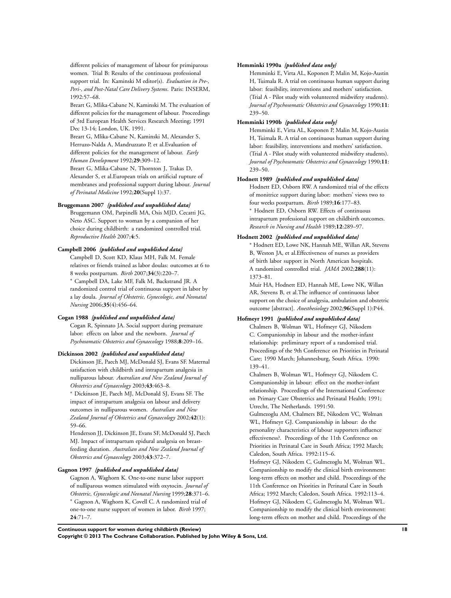different policies of management of labour for primiparous women. Trial B: Results of the continuous professional support trial. In: Kaminski M editor(s). *Evaluation in Pre-, Peri-, and Post-Natal Care Delivery Systems*. Paris: INSERM, 1992:57–68.

Breart G, Mlika-Cabane N, Kaminski M. The evaluation of different policies for the management of labour. Proceedings of 3rd European Health Services Research Meeting; 1991 Dec 13-14; London, UK. 1991.

Breart G, Mlika-Cabane N, Kaminski M, Alexander S, Herruzo-Nalda A, Mandruzzato P, et al.Evaluation of different policies for the management of labour. *Early Human Development* 1992;**29**:309–12. Breart G, Mlika-Cabane N, Thornton J, Trakas D,

Alexander S, et al.European trials on artificial rupture of membranes and professional support during labour. *Journal of Perinatal Medicine* 1992;**20**(Suppl 1):37.

#### **Bruggemann 2007** *{published and unpublished data}*

Bruggemann OM, Parpinelli MA, Osis MJD, Cecatti JG, Neto ASC. Support to woman by a companion of her choice during childbirth: a randomized controlled trial. *Reproductive Health* 2007;**4**:5.

#### **Campbell 2006** *{published and unpublished data}*

Campbell D, Scott KD, Klaus MH, Falk M. Female relatives or friends trained as labor doulas: outcomes at 6 to 8 weeks postpartum. *Birth* 2007;**34**(3):220–7. <sup>∗</sup> Campbell DA, Lake MF, Falk M, Backstrand JR. A randomized control trial of continuous support in labor by a lay doula. *Journal of Obstetric, Gynecologic, and Neonatal Nursing* 2006;**35**(4):456–64.

#### **Cogan 1988** *{published and unpublished data}*

Cogan R, Spinnato JA. Social support during premature labor: effects on labor and the newborn. *Journal of Psychosomatic Obstetrics and Gynaecology* 1988;**8**:209–16.

#### **Dickinson 2002** *{published and unpublished data}*

Dickinson JE, Paech MJ, McDonald SJ, Evans SF. Maternal satisfaction with childbirth and intrapartum analgesia in nulliparous labour. *Australian and New Zealand Journal of Obstetrics and Gynaecology* 2003;**43**:463–8.

<sup>∗</sup> Dickinson JE, Paech MJ, McDonald SJ, Evans SF. The impact of intrapartum analgesia on labour and delivery outcomes in nulliparous women. *Australian and New Zealand Journal of Obstetrics and Gynaecology* 2002;**42**(1): 59–66.

Henderson JJ, Dickinson JE, Evans SF, McDonald SJ, Paech MJ. Impact of intrapartum epidural analgesia on breastfeeding duration. *Australian and New Zealand Journal of Obstetrics and Gynaecology* 2003;**43**:372–7.

#### **Gagnon 1997** *{published and unpublished data}*

Gagnon A, Waghorn K. One-to-one nurse labor support of nulliparous women stimulated with oxytocin. *Journal of Obstetric, Gynecologic and Neonatal Nursing* 1999;**28**:371–6. <sup>∗</sup> Gagnon A, Waghorn K, Covell C. A randomized trial of one-to-one nurse support of women in labor. *Birth* 1997; **24**:71–7.

#### **Hemminki 1990a** *{published data only}*

Hemminki E, Virta AL, Koponen P, Malin M, Kojo-Austin H, Tuimala R. A trial on continuous human support during labor: feasibility, interventions and mothers' satisfaction. (Trial A - Pilot study with volunteered midwifery students). *Journal of Psychosomatic Obstetrics and Gynaecology* 1990;**11**: 239–50.

#### **Hemminki 1990b** *{published data only}*

Hemminki E, Virta AL, Koponen P, Malin M, Kojo-Austin H, Tuimala R. A trial on continuous human support during labor: feasibility, interventions and mothers' satisfaction. (Trial A - Pilot study with volunteered midwifery students). *Journal of Psychosomatic Obstetrics and Gynaecology* 1990;**11**: 239–50.

#### **Hodnett 1989** *{published and unpublished data}*

Hodnett ED, Osborn RW. A randomized trial of the effects of monitrice support during labor: mothers' views two to four weeks postpartum. *Birth* 1989;**16**:177–83. <sup>∗</sup> Hodnett ED, Osborn RW. Effects of continuous intrapartum professional support on childbirth outcomes. *Research in Nursing and Health* 1989;**12**:289–97.

#### **Hodnett 2002** *{published and unpublished data}*

<sup>∗</sup> Hodnett ED, Lowe NK, Hannah ME, Willan AR, Stevens B, Weston JA, et al.Effectiveness of nurses as providers of birth labor support in North American hospitals. A randomized controlled trial. *JAMA* 2002;**288**(11): 1373–81.

Muir HA, Hodnett ED, Hannah ME, Lowe NK, Willan AR, Stevens B, et al.The influence of continuous labor support on the choice of analgesia, ambulation and obstetric outcome [abstract]. *Anesthesiology* 2002;**96**(Suppl 1):P44.

#### **Hofmeyr 1991** *{published and unpublished data}*

Chalmers B, Wolman WL, Hofmeyr GJ, Nikodem C. Companionship in labour and the mother-infant relationship: preliminary report of a randomised trial. Proceedings of the 9th Conference on Priorities in Perinatal Care; 1990 March; Johannesburg, South Africa. 1990: 139–41.

Chalmers B, Wolman WL, Hofmeyr GJ, Nikodem C. Companionship in labour: effect on the mother-infant relationship. Proceedings of the International Conference on Primary Care Obstetrics and Perinatal Health; 1991; Utrecht, The Netherlands. 1991:50.

Gulmezoglu AM, Chalmers BE, Nikodem VC, Wolman WL, Hofmeyr GJ. Companionship in labour: do the personality characteristics of labour supporters influence effectiveness?. Proceedings of the 11th Conference on Priorities in Perinatal Care in South Africa; 1992 March; Caledon, South Africa. 1992:115–6.

Hofmeyr GJ, Nikodem C, Gulmezoglu M, Wolman WL. Companionship to modify the clinical birth environment: long-term effects on mother and child. Proceedings of the 11th Conference on Priorities in Perinatal Care in South Africa; 1992 March; Caledon, South Africa. 1992:113–4. Hofmeyr GJ, Nikodem C, Gulmezoglu M, Wolman WL. Companionship to modify the clinical birth environment: long-term effects on mother and child. Proceedings of the

**Continuous support for women during childbirth (Review) 18 Copyright © 2013 The Cochrane Collaboration. Published by John Wiley & Sons, Ltd.**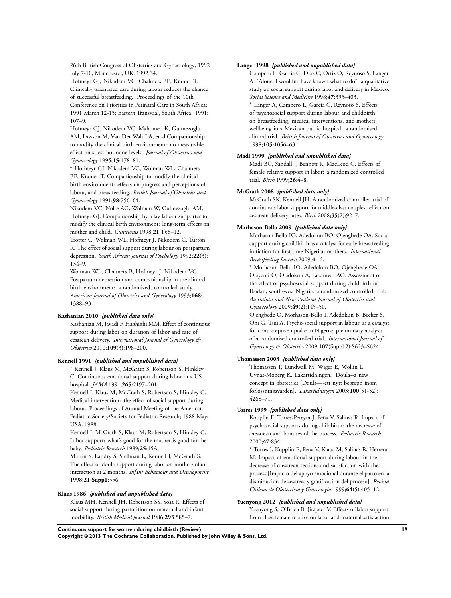26th British Congress of Obstetrics and Gynaecology; 1992 July 7-10; Manchester, UK. 1992:34.

Hofmeyr GJ, Nikodem VC, Chalmers BE, Kramer T. Clinically orientated care during labour reduces the chance of successful breastfeeding. Proceedings of the 10th Conference on Priorities in Perinatal Care in South Africa; 1991 March 12-15; Eastern Transvaal, South Africa. 1991: 107–9.

Hofmeyr GJ, Nikodem VC, Mahomed K, Gulmezoglu AM, Lawson M, Van Der Walt LA, et al.Companionship to modify the clinical birth environment: no measurable effect on stress hormone levels. *Journal of Obstetrics and Gynaecology* 1995;**15**:178–81.

<sup>∗</sup> Hofmeyr GJ, Nikodem VC, Wolman WL, Chalmers BE, Kramer T. Companionship to modify the clinical birth environment: effects on progress and perceptions of labour, and breastfeeding. *British Journal of Obstetrics and Gynaecology* 1991;**98**:756–64.

Nikodem VC, Nolte AG, Wolman W, Gulmezoglu AM, Hofmeyr GJ. Companionship by a lay labour supporter to modify the clinical birth environment: long-term effects on mother and child. *Curationis* 1998;**21**(1):8–12.

Trotter C, Wolman WL, Hofmeyr J, Nikodem C, Turton R. The effect of social support during labour on postpartum depression. *South African Journal of Psychology* 1992;**22**(3): 134–9.

Wolman WL, Chalmers B, Hofmeyr J, Nikodem VC. Postpartum depression and companionship in the clinical birth environment: a randomized, controlled study. *American Journal of Obstetrics and Gynecology* 1993;**168**: 1388–93.

#### **Kashanian 2010** *{published data only}*

Kashanian M, Javadi F, Haghighi MM. Effect of continuous support during labor on duration of labor and rate of cesarean delivery. *International Journal of Gynecology & Obstetrics* 2010;**109**(3):198–200.

#### **Kennell 1991** *{published and unpublished data}*

<sup>∗</sup> Kennell J, Klaus M, McGrath S, Robertson S, Hinkley C. Continuous emotional support during labor in a US hospital. *JAMA* 1991;**265**:2197–201.

Kennell J, Klaus M, McGrath S, Robertson S, Hinkley C. Medical intervention: the effect of social support during labour. Proceedings of Annual Meeting of the American Pediatric Society/Society for Pediatric Research; 1988 May; USA. 1988.

Kennell J, McGrath S, Klaus M, Robertson S, Hinkley C. Labor support: what's good for the mother is good for the baby. *Pediatric Research* 1989;**25**:15A.

Martin S, Landry S, Stellman L, Kennell J, McGrath S. The effect of doula support during labor on mother-infant interaction at 2 months. *Infant Behaviour and Development* 1998;**21 Supp1**:556.

#### **Klaus 1986** *{published and unpublished data}*

Klaus MH, Kennell JH, Robertson SS, Sosa R. Effects of social support during parturition on maternal and infant morbidity. *British Medical Journal* 1986;**293**:585–7.

#### **Langer 1998** *{published and unpublished data}*

Campero L, Garcia C, Diaz C, Ortiz O, Reynoso S, Langer A. "Alone, I wouldn't have known what to do": a qualitative study on social support during labor and delivery in Mexico. *Social Science and Medicine* 1998;**47**:395–403.

<sup>∗</sup> Langer A, Campero L, Garcia C, Reynoso S. Effects of psychosocial support during labour and childbirth on breastfeeding, medical interventions, and mothers' wellbeing in a Mexican public hospital: a randomised clinical trial. *British Journal of Obstetrics and Gynaecology* 1998;**105**:1056–63.

## **Madi 1999** *{published and unpublished data}*

Madi BC, Sandall J, Bennett R, MacLeod C. Effects of female relative support in labor: a randomized controlled trial. *Birth* 1999;**26**:4–8.

#### **McGrath 2008** *{published data only}*

McGrath SK, Kennell JH. A randomized controlled trial of continuous labor support for middle-class couples: effect on cesarean delivery rates. *Birth* 2008;**35**(2):92–7.

#### **Morhason-Bello 2009** *{published data only}*

Morhason-Bello IO, Adedokun BO, Ojengbede OA. Social support during childbirth as a catalyst for early breastfeeding initiation for first-time Nigerian mothers. *International Breastfeeding Journal* 2009;**4**:16.

<sup>∗</sup> Morhason-Bello IO, Adedokun BO, Ojengbede OA, Olayemi O, Oladokun A, Fabamwo AO. Assessment of the effect of psychosocial support during childbirth in Ibadan, south-west Nigeria: a randomised controlled trial. *Australian and New Zealand Journal of Obstetrics and Gynaecology* 2009;**49**(2):145–50.

Ojengbede O, Morhason-Bello I, Adedokun B, Becker S, Oni G, Tsui A. Psycho-social support in labour, as a catalyst for contraceptive uptake in Nigeria: preliminary analysis of a randomised controlled trial. *International Journal of Gynecology & Obstetrics* 2009;**107**(Suppl 2):S623–S624.

#### **Thomassen 2003** *{published data only}*

Thomassen P, Lundwall M, Wiger E, Wollin L, Uvnas-Moberg K. Lakartidningen. Doula--a new concept in obstetrics [Doula—-ett nytt begrepp inom forlossningsvarden]. *Lakartidningen* 2003;**100**(51-52): 4268–71.

#### **Torres 1999** *{published data only}*

Kopplin E, Torres-Pereyra J, Peña V, Salinas R. Impact of psychosocial supports during childbirth: the decrease of caesarean and bonuses of the process. *Pediatric Research* 2000;**47**:834.

<sup>∗</sup> Torres J, Kopplin E, Pena V, Klaus M, Salinas R, Herrera M. Impact of emotional support during labour in the decrease of caesarean sections and satisfaction with the process [Impacto del apoyo emocional durante el parto en la disminucion de cesareas y gratificacion del proceso]. *Revista Chilena de Obstetricia y Ginecologia* 1999;**64**(5):405–12.

#### **Yuenyong 2012** *{published and unpublished data}*

Yuenyong S, O'Brien B, Jirapeet V. Effects of labor support from close female relative on labor and maternal satisfaction

**Continuous support for women during childbirth (Review) 19 Copyright © 2013 The Cochrane Collaboration. Published by John Wiley & Sons, Ltd.**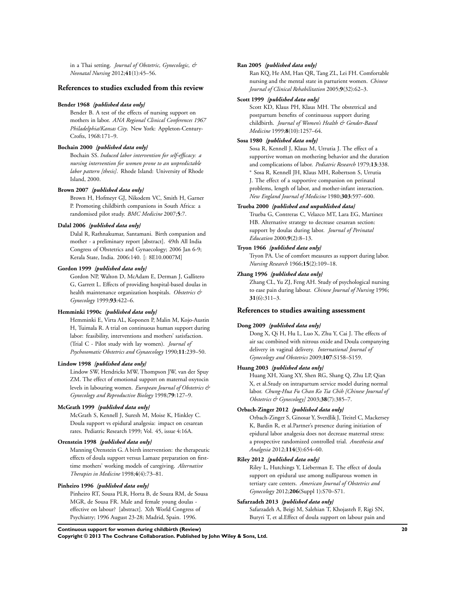in a Thai setting. *Journal of Obstetric, Gynecologic, & Neonatal Nursing* 2012;**41**(1):45–56.

## **References to studies excluded from this review**

#### **Bender 1968** *{published data only}*

Bender B. A test of the effects of nursing support on mothers in labor. *ANA Regional Clinical Conferences 1967 Philadelphia/Kansas City*. New York: Appleton-Century-Crofts, 1968:171–9.

#### **Bochain 2000** *{published data only}*

Bochain SS. *Induced labor intervention for self-efficacy: a nursing intervention for women prone to an unpredictable labor pattern [thesis]*. Rhode Island: University of Rhode Island, 2000.

#### **Brown 2007** *{published data only}*

Brown H, Hofmeyr GJ, Nikodem VC, Smith H, Garner P. Promoting childbirth companions in South Africa: a randomised pilot study. *BMC Medicine* 2007;**5**:7.

#### **Dalal 2006** *{published data only}*

Dalal R, Rathnakumar, Santamani. Birth companion and mother - a preliminary report [abstract]. 49th All India Congress of Obstetrics and Gynaecology; 2006 Jan 6-9; Kerala State, India. 2006:140. [: 8E10.0007M]

#### **Gordon 1999** *{published data only}*

Gordon NP, Walton D, McAdam E, Derman J, Gallitero G, Garrett L. Effects of providing hospital-based doulas in health maintenance organization hospitals. *Obstetrics & Gynecology* 1999;**93**:422–6.

#### **Hemminki 1990c** *{published data only}*

Hemminki E, Virta AL, Koponen P, Malin M, Kojo-Austin H, Tuimala R. A trial on continuous human support during labor: feasibility, interventions and mothers' satisfaction. (Trial C - Pilot study with lay women). *Journal of Psychosomatic Obstetrics and Gynaecology* 1990;**11**:239–50.

#### **Lindow 1998** *{published data only}*

Lindow SW, Hendricks MW, Thompson JW, van der Spuy ZM. The effect of emotional support on maternal oxytocin levels in labouring women. *European Journal of Obstetrics & Gynecology and Reproductive Biology* 1998;**79**:127–9.

#### **McGrath 1999** *{published data only}*

McGrath S, Kennell J, Suresh M, Moise K, Hinkley C. Doula support vs epidural analgesia: impact on cesarean rates. Pediatric Research 1999; Vol. 45, issue 4:16A.

#### **Orenstein 1998** *{published data only}*

Manning Orenstein G. A birth intervention: the therapeutic effects of doula support versus Lamaze preparation on firsttime mothers' working models of caregiving. *Alternative Therapies in Medicine* 1998;**4**(4):73–81.

#### **Pinheiro 1996** *{published data only}*

Pinheiro RT, Sousa PLR, Horta B, de Souza RM, de Sousa MGR, de Sousa FR. Male and female young doulas effective on labour? [abstract]. Xth World Congress of Psychiatry; 1996 August 23-28; Madrid, Spain. 1996.

#### **Ran 2005** *{published data only}*

Ran KQ, He AM, Han QR, Tang ZL, Lei FH. Comfortable nursing and the mental state in parturient women. *Chinese Journal of Clinical Rehabilitation* 2005;**9**(32):62–3.

#### **Scott 1999** *{published data only}*

Scott KD, Klaus PH, Klaus MH. The obstetrical and postpartum benefits of continuous support during childbirth. *Journal of Women's Health & Gender-Based Medicine* 1999;**8**(10):1257–64.

#### **Sosa 1980** *{published data only}*

Sosa R, Kennell J, Klaus M, Urrutia J. The effect of a supportive woman on mothering behavior and the duration and complications of labor. *Pediatric Research* 1979;**13**:338. <sup>∗</sup> Sosa R, Kennell JH, Klaus MH, Robertson S, Urrutia

J. The effect of a supportive companion on perinatal problems, length of labor, and mother-infant interaction. *New England Journal of Medicine* 1980;**303**:597–600.

#### **Trueba 2000** *{published and unpublished data}*

Trueba G, Contreras C, Velazco MT, Lara EG, Martinez HB. Alternative strategy to decrease cesarean section: support by doulas during labor. *Journal of Perinatal Education* 2000;**9**(2):8–13.

#### **Tryon 1966** *{published data only}*

Tryon PA. Use of comfort measures as support during labor. *Nursing Research* 1966;**15**(2):109–18.

## **Zhang 1996** *{published data only}*

Zhang CL, Yu ZJ, Feng AH. Study of psychological nursing to ease pain during labour. *Chinese Journal of Nursing* 1996; **31**(6):311–3.

#### **References to studies awaiting assessment**

#### **Dong 2009** *{published data only}*

Dong X, Qi H, Hu L, Luo X, Zhu Y, Cai J. The effects of air sac combined with nitrous oxide and Doula companying delivery in vaginal delivery. *International Journal of Gynecology and Obstetrics* 2009;**107**:S158–S159.

#### **Huang 2003** *{published data only}*

Huang XH, Xiang XY, Shen RG, Shang Q, Zhu LP, Qian X, et al.Study on intrapartum service model during normal labor. *Chung-Hua Fu Chan Ko Tsa Chih [Chinese Journal of Obstetrics & Gynecology]* 2003;**38**(7):385–7.

#### **Orbach-Zinger 2012** *{published data only}*

Orbach-Zinger S, Ginosar Y, Sverdlik J, Treitel C, Mackersey K, Bardin R, et al.Partner's presence during initiation of epidural labor analgesia does not decrease maternal stress: a prospective randomized controlled trial. *Anesthesia and Analgesia* 2012;**114**(3):654–60.

#### **Riley 2012** *{published data only}*

Riley L, Hutchings Y, Lieberman E. The effect of doula support on epidural use among nulliparous women in tertiary care centers. *American Journal of Obstetrics and Gynecology* 2012;**206**(Suppl 1):S70–S71.

#### **Safarzadeh 2013** *{published data only}*

Safarzadeh A, Beigi M, Salehian T, Khojasteh F, Rigi SN, Buryri T, et al.Effect of doula support on labour pain and

**Continuous support for women during childbirth (Review) 20**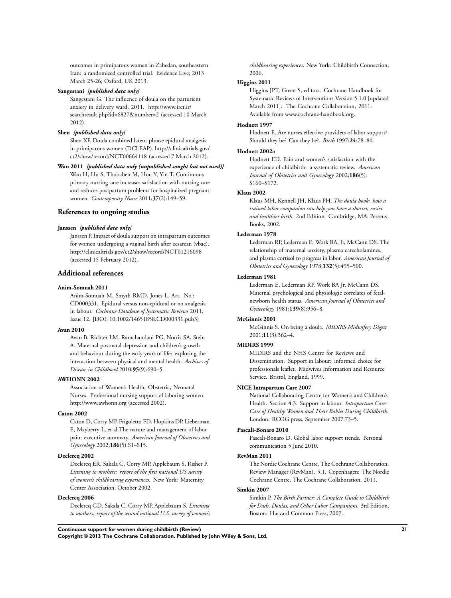outcomes in primiparous women in Zahedan, southeastern Iran: a randomized controlled trial. Evidence Live; 2013 March 25-26; Oxford, UK 2013.

#### **Sangestani** *{published data only}*

Sangestani G. The influence of doula on the parturient anxiety in delivery ward, 2011. http://www.irct.ir/ searchresult.php?id=6827&number=2 (accessed 10 March 2012).

#### **Shen** *{published data only}*

Shen XF. Doula combined latent phrase epidural analgesia in primiparous women (DCLEAP). http://clinicaltrials.gov/ ct2/show/record/NCT00664118 (accessed 7 March 2012).

#### **Wan 2011** *{published data only (unpublished sought but not used)}*

Wan H, Hu S, Thobaben M, Hou Y, Yin T. Continuous primary nursing care increases satisfaction with nursing care and reduces postpartum problems for hospitalized pregnant women. *Contemporary Nurse* 2011;**37**(2):149–59.

#### **References to ongoing studies**

#### **Janssen** *{published data only}*

Janssen P. Impact of doula support on intrapartum outcomes for women undergoing a vaginal birth after cesarean (vbac). http://clinicaltrials.gov/ct2/show/record/NCT01216098 (accessed 15 February 2012).

#### **Additional references**

#### **Anim-Somuah 2011**

Anim-Somuah M, Smyth RMD, Jones L. Art. No.: CD000331. Epidural versus non-epidural or no analgesia in labour. *Cochrane Database of Systematic Reviews* 2011, Issue 12. [DOI: 10.1002/14651858.CD000331.pub3]

#### **Avan 2010**

Avan B, Richter LM, Ramchandani PG, Norris SA, Stein A. Maternal postnatal depression and children's growth and behaviour during the early years of life: exploring the interaction between physical and mental health. *Archives of Disease in Childhood* 2010;**95**(9):690–5.

#### **AWHONN 2002**

Association of Women's Health, Obstetric, Neonatal Nurses. Professional nursing support of laboring women. http://www.awhonn.org (accessed 2002).

#### **Caton 2002**

Caton D, Corry MP, Frigoletto FD, Hopkins DP, Lieberman E, Mayberry L, et al.The nature and management of labor pain: executive summary. *American Journal of Obstetrics and Gynecology* 2002;**186**(5):S1–S15.

#### **Declercq 2002**

Declercq ER, Sakala C, Corry MP, Applebaum S, Risher P. *Listening to mothers: report of the first national US survey of women's childbearing experiences*. New York: Maternity Center Association, October 2002.

#### **Declercq 2006**

Declercq GD, Sakala C, Corry MP, Applebaum S. *Listening to mothers: report of the second national U.S. survey of women's* *childbearing experiences*. New York: Childbirth Connection, 2006.

#### **Higgins 2011**

Higgins JPT, Green S, editors. Cochrane Handbook for Systematic Reviews of Interventions Version 5.1.0 [updated March 2011]. The Cochrane Collaboration, 2011. Available from www.cochrane-handbook.org.

#### **Hodnett 1997**

Hodnett E. Are nurses effective providers of labor support? Should they be? Can they be?. *Birth* 1997;**24**:78–80.

## **Hodnett 2002a**

Hodnett ED. Pain and women's satisfaction with the experience of childbirth: a systematic review. *American Journal of Obstetrics and Gynecology* 2002;**186**(5): S160–S172.

#### **Klaus 2002**

Klaus MH, Kennell JH, Klaus PH. *The doula book: how a trained labor companion can help you have a shorter, easier and healthier birth*. 2nd Edition. Cambridge, MA: Perseus Books, 2002.

#### **Lederman 1978**

Lederman RP, Lederman E, Work BA, Jr, McCann DS. The relationship of maternal anxiety, plasma catecholamines, and plasma cortisol to progress in labor. *American Journal of Obstetrics and Gynecology* 1978;**132**(5):495–500.

#### **Lederman 1981**

Lederman E, Lederman RP, Work BA Jr, McCann DS. Maternal psychological and physiologic correlates of fetalnewborn health status. *American Journal of Obstetrics and Gynecology* 1981;**139**(8):956–8.

#### **McGinnis 2001**

McGinnis S. On being a doula. *MIDIRS Midwifery Digest* 2001;**11**(3):362–4.

#### **MIDIRS 1999**

MIDIRS and the NHS Centre for Reviews and Dissemination. Support in labour: informed choice for professionals leaflet. Midwives Information and Resource Service. Bristol, England, 1999.

#### **NICE Intrapartum Care 2007**

National Collaborating Centre for Women's and Children's Health. Section 4.3. Support in labour. *Intrapartum Care: Care of Healthy Women and Their Babies During Childbirth*. London: RCOG press, September 2007:73–5.

#### **Pascali-Bonaro 2010**

Pascali-Bonaro D. Global labor support trends. Personal communication 5 June 2010.

#### **RevMan 2011**

The Nordic Cochrane Centre, The Cochrane Collaboration. Review Manager (RevMan). 5.1. Copenhagen: The Nordic Cochrane Centre, The Cochrane Collaboration, 2011.

#### **Simkin 2007**

Simkin P. *The Birth Partner: A Complete Guide to Childbirth for Dads, Doulas, and Other Labor Companions*. 3rd Edition. Boston: Harvard Common Press, 2007.

**Continuous support for women during childbirth (Review) 21 Copyright © 2013 The Cochrane Collaboration. Published by John Wiley & Sons, Ltd.**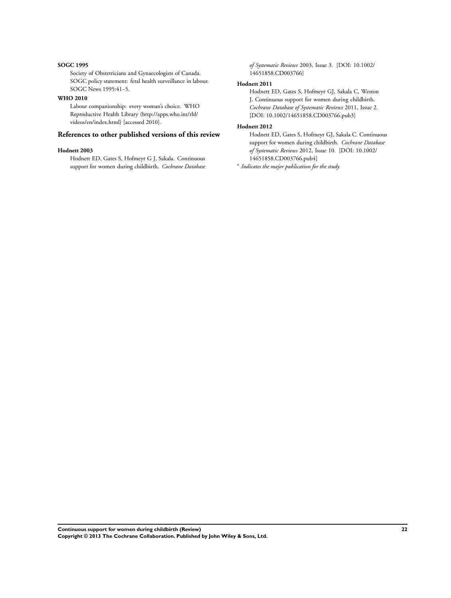#### **SOGC 1995**

Society of Obstetricians and Gynaecologists of Canada. SOGC policy statement: fetal health surveillance in labour. SOGC News 1995:41–5.

#### **WHO 2010**

Labour companionship: every woman's choice. WHO Reproductive Health Library (http://apps.who.int/rhl/ videos/en/index.html) [accessed 2010].

#### **References to other published versions of this review**

## **Hodnett 2003**

Hodnett ED, Gates S, Hofmeyr G J, Sakala. Continuous support for women during childbirth. *Cochrane Database* *of Systematic Reviews* 2003, Issue 3. [DOI: 10.1002/ 14651858.CD003766]

#### **Hodnett 2011**

Hodnett ED, Gates S, Hofmeyr GJ, Sakala C, Weston J. Continuous support for women during childbirth. *Cochrane Database of Systematic Reviews* 2011, Issue 2. [DOI: 10.1002/14651858.CD003766.pub3]

#### **Hodnett 2012**

Hodnett ED, Gates S, Hofmeyr GJ, Sakala C. Continuous support for women during childbirth. *Cochrane Database of Systematic Reviews* 2012, Issue 10. [DOI: 10.1002/ 14651858.CD003766.pub4]

∗ *Indicates the major publication for the study*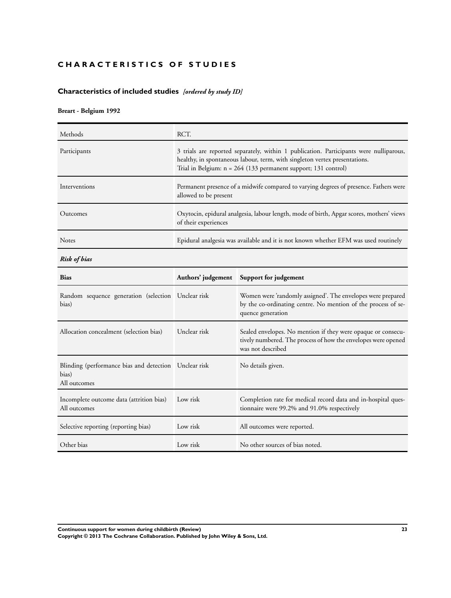## **CHARACTERISTICS OF STUDIES**

## **Characteristics of included studies** *[ordered by study ID]*

## **Breart - Belgium 1992**

| Methods         | RCT.                                                                                                                                                                                                                                   |
|-----------------|----------------------------------------------------------------------------------------------------------------------------------------------------------------------------------------------------------------------------------------|
| Participants    | 3 trials are reported separately, within 1 publication. Participants were nulliparous,<br>healthy, in spontaneous labour, term, with singleton vertex presentations.<br>Trial in Belgium: n = 264 (133 permanent support; 131 control) |
| Interventions   | Permanent presence of a midwife compared to varying degrees of presence. Fathers were<br>allowed to be present                                                                                                                         |
| <b>Outcomes</b> | Oxytocin, epidural analgesia, labour length, mode of birth, Apgar scores, mothers' views<br>of their experiences                                                                                                                       |
| <b>Notes</b>    | Epidural analgesia was available and it is not known whether EFM was used routinely                                                                                                                                                    |

## *Risk of bias*

| <b>Bias</b>                                                                    |              | Authors' judgement Support for judgement                                                                                                           |
|--------------------------------------------------------------------------------|--------------|----------------------------------------------------------------------------------------------------------------------------------------------------|
| Random sequence generation (selection Unclear risk<br>bias)                    |              | Women were 'randomly assigned'. The envelopes were prepared<br>by the co-ordinating centre. No mention of the process of se-<br>quence generation  |
| Allocation concealment (selection bias)                                        | Unclear risk | Sealed envelopes. No mention if they were opaque or consecu-<br>tively numbered. The process of how the envelopes were opened<br>was not described |
| Blinding (performance bias and detection Unclear risk<br>bias)<br>All outcomes |              | No details given.                                                                                                                                  |
| Incomplete outcome data (attrition bias)<br>All outcomes                       | Low risk     | Completion rate for medical record data and in-hospital ques-<br>tionnaire were 99.2% and 91.0% respectively                                       |
| Selective reporting (reporting bias)                                           | Low risk     | All outcomes were reported.                                                                                                                        |
| Other bias                                                                     | Low risk     | No other sources of bias noted.                                                                                                                    |

**Continuous support for women during childbirth (Review) 23**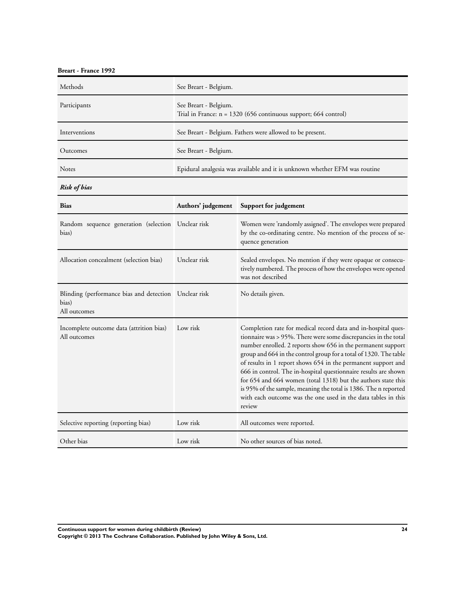| <b>Breart - France 1992</b>                                                    |                                                                                          |                                                                                                                                                                                                                                                                                                                                                                                                                                                                                                                                                                                                                          |  |  |  |
|--------------------------------------------------------------------------------|------------------------------------------------------------------------------------------|--------------------------------------------------------------------------------------------------------------------------------------------------------------------------------------------------------------------------------------------------------------------------------------------------------------------------------------------------------------------------------------------------------------------------------------------------------------------------------------------------------------------------------------------------------------------------------------------------------------------------|--|--|--|
| Methods                                                                        | See Breart - Belgium.                                                                    |                                                                                                                                                                                                                                                                                                                                                                                                                                                                                                                                                                                                                          |  |  |  |
| Participants                                                                   | See Breart - Belgium.<br>Trial in France: n = 1320 (656 continuous support; 664 control) |                                                                                                                                                                                                                                                                                                                                                                                                                                                                                                                                                                                                                          |  |  |  |
| Interventions                                                                  | See Breart - Belgium. Fathers were allowed to be present.                                |                                                                                                                                                                                                                                                                                                                                                                                                                                                                                                                                                                                                                          |  |  |  |
| Outcomes                                                                       | See Breart - Belgium.                                                                    |                                                                                                                                                                                                                                                                                                                                                                                                                                                                                                                                                                                                                          |  |  |  |
| <b>Notes</b>                                                                   |                                                                                          | Epidural analgesia was available and it is unknown whether EFM was routine                                                                                                                                                                                                                                                                                                                                                                                                                                                                                                                                               |  |  |  |
| Risk of bias                                                                   |                                                                                          |                                                                                                                                                                                                                                                                                                                                                                                                                                                                                                                                                                                                                          |  |  |  |
| <b>Bias</b>                                                                    | Authors' judgement                                                                       | Support for judgement                                                                                                                                                                                                                                                                                                                                                                                                                                                                                                                                                                                                    |  |  |  |
| Random sequence generation (selection Unclear risk<br>bias)                    |                                                                                          | Women were 'randomly assigned'. The envelopes were prepared<br>by the co-ordinating centre. No mention of the process of se-<br>quence generation                                                                                                                                                                                                                                                                                                                                                                                                                                                                        |  |  |  |
| Allocation concealment (selection bias)                                        | Unclear risk                                                                             | Sealed envelopes. No mention if they were opaque or consecu-<br>tively numbered. The process of how the envelopes were opened<br>was not described                                                                                                                                                                                                                                                                                                                                                                                                                                                                       |  |  |  |
| Blinding (performance bias and detection Unclear risk<br>bias)<br>All outcomes |                                                                                          | No details given.                                                                                                                                                                                                                                                                                                                                                                                                                                                                                                                                                                                                        |  |  |  |
| Incomplete outcome data (attrition bias)<br>All outcomes                       | Low risk                                                                                 | Completion rate for medical record data and in-hospital ques-<br>tionnaire was > 95%. There were some discrepancies in the total<br>number enrolled. 2 reports show 656 in the permanent support<br>group and 664 in the control group for a total of 1320. The table<br>of results in 1 report shows 654 in the permanent support and<br>666 in control. The in-hospital questionnaire results are shown<br>for 654 and 664 women (total 1318) but the authors state this<br>is 95% of the sample, meaning the total is 1386. The n reported<br>with each outcome was the one used in the data tables in this<br>review |  |  |  |
| Selective reporting (reporting bias)                                           | Low risk                                                                                 | All outcomes were reported.                                                                                                                                                                                                                                                                                                                                                                                                                                                                                                                                                                                              |  |  |  |
| Other bias                                                                     | Low risk                                                                                 | No other sources of bias noted.                                                                                                                                                                                                                                                                                                                                                                                                                                                                                                                                                                                          |  |  |  |

**Continuous support for women during childbirth (Review) 24**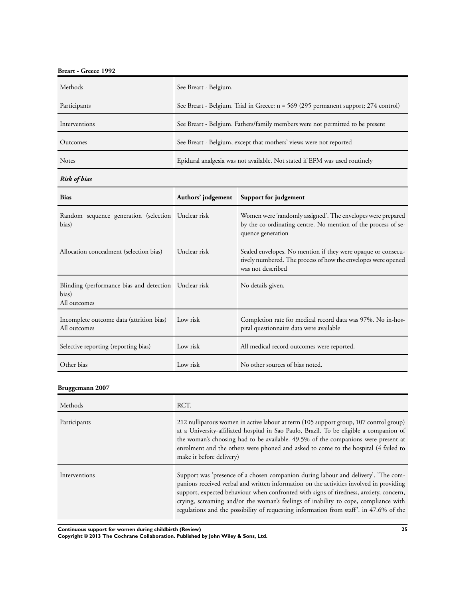## **Breart - Greece 1992**

| Methods       | See Breart - Belgium.                                                                 |
|---------------|---------------------------------------------------------------------------------------|
| Participants  | See Breart - Belgium. Trial in Greece: $n = 569$ (295 permanent support; 274 control) |
| Interventions | See Breart - Belgium. Fathers/family members were not permitted to be present         |
| Outcomes      | See Breart - Belgium, except that mothers' views were not reported                    |
| <b>Notes</b>  | Epidural analgesia was not available. Not stated if EFM was used routinely            |

*Risk of bias*

| <b>Bias</b>                                                                    |              | Authors' judgement Support for judgement                                                                                                           |
|--------------------------------------------------------------------------------|--------------|----------------------------------------------------------------------------------------------------------------------------------------------------|
| Random sequence generation (selection Unclear risk<br>bias)                    |              | Women were 'randomly assigned'. The envelopes were prepared<br>by the co-ordinating centre. No mention of the process of se-<br>quence generation  |
| Allocation concealment (selection bias)                                        | Unclear risk | Sealed envelopes. No mention if they were opaque or consecu-<br>tively numbered. The process of how the envelopes were opened<br>was not described |
| Blinding (performance bias and detection Unclear risk<br>bias)<br>All outcomes |              | No details given.                                                                                                                                  |
| Incomplete outcome data (attrition bias)<br>All outcomes                       | Low risk     | Completion rate for medical record data was 97%. No in-hos-<br>pital questionnaire data were available                                             |
| Selective reporting (reporting bias)                                           | Low risk     | All medical record outcomes were reported.                                                                                                         |
| Other bias                                                                     | Low risk     | No other sources of bias noted.                                                                                                                    |

## **Bruggemann 2007**

| Methods       | RCT.                                                                                                                                                                                                                                                                                                                                                                                                                                                     |
|---------------|----------------------------------------------------------------------------------------------------------------------------------------------------------------------------------------------------------------------------------------------------------------------------------------------------------------------------------------------------------------------------------------------------------------------------------------------------------|
| Participants  | 212 nulliparous women in active labour at term $(105$ support group, $107$ control group)<br>at a University-affiliated hospital in Sao Paulo, Brazil. To be eligible a companion of<br>the woman's choosing had to be available. 49.5% of the companions were present at<br>enrolment and the others were phoned and asked to come to the hospital (4 failed to<br>make it before delivery)                                                             |
| Interventions | Support was 'presence of a chosen companion during labour and delivery'. 'The com-<br>panions received verbal and written information on the activities involved in providing<br>support, expected behaviour when confronted with signs of tiredness, anxiety, concern,<br>crying, screaming and/or the woman's feelings of inability to cope, compliance with<br>regulations and the possibility of requesting information from staff'. in 47.6% of the |

**Continuous support for women during childbirth (Review) 25**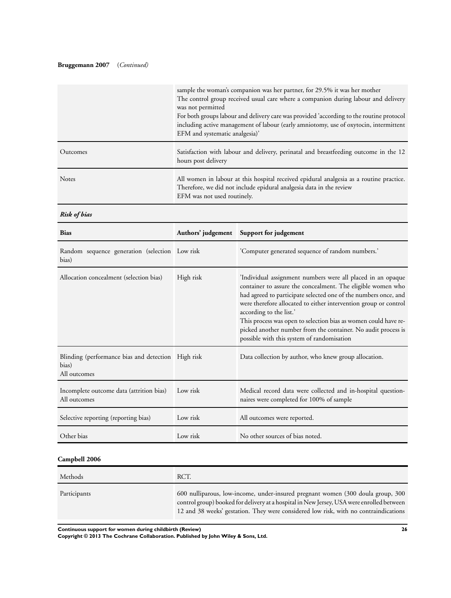## **Bruggemann 2007** (*Continued)*

|              | sample the woman's companion was her partner, for 29.5% it was her mother<br>The control group received usual care where a companion during labour and delivery<br>was not permitted<br>For both groups labour and delivery care was provided 'according to the routine protocol<br>including active management of labour (early amniotomy, use of oxytocin, intermittent<br>EFM and systematic analgesia)' |
|--------------|-------------------------------------------------------------------------------------------------------------------------------------------------------------------------------------------------------------------------------------------------------------------------------------------------------------------------------------------------------------------------------------------------------------|
| Outcomes     | Satisfaction with labour and delivery, perinatal and breastfeeding outcome in the 12<br>hours post delivery                                                                                                                                                                                                                                                                                                 |
| <b>Notes</b> | All women in labour at this hospital received epidural analgesia as a routine practice.<br>Therefore, we did not include epidural analgesia data in the review<br>EFM was not used routinely.                                                                                                                                                                                                               |

*Risk of bias*

| <b>Bias</b>                                                                 |           | Authors' judgement Support for judgement                                                                                                                                                                                                                                                                                                                                                                                                                                       |
|-----------------------------------------------------------------------------|-----------|--------------------------------------------------------------------------------------------------------------------------------------------------------------------------------------------------------------------------------------------------------------------------------------------------------------------------------------------------------------------------------------------------------------------------------------------------------------------------------|
| Random sequence generation (selection Low risk<br>bias)                     |           | 'Computer generated sequence of random numbers.'                                                                                                                                                                                                                                                                                                                                                                                                                               |
| Allocation concealment (selection bias)                                     | High risk | 'Individual assignment numbers were all placed in an opaque<br>container to assure the concealment. The eligible women who<br>had agreed to participate selected one of the numbers once, and<br>were therefore allocated to either intervention group or control<br>according to the list.'<br>This process was open to selection bias as women could have re-<br>picked another number from the container. No audit process is<br>possible with this system of randomisation |
| Blinding (performance bias and detection High risk<br>bias)<br>All outcomes |           | Data collection by author, who knew group allocation.                                                                                                                                                                                                                                                                                                                                                                                                                          |
| Incomplete outcome data (attrition bias)<br>All outcomes                    | Low risk  | Medical record data were collected and in-hospital question-<br>naires were completed for 100% of sample                                                                                                                                                                                                                                                                                                                                                                       |
| Selective reporting (reporting bias)                                        | Low risk  | All outcomes were reported.                                                                                                                                                                                                                                                                                                                                                                                                                                                    |
| Other bias                                                                  | Low risk  | No other sources of bias noted.                                                                                                                                                                                                                                                                                                                                                                                                                                                |

## **Campbell 2006**

| Methods      | RCT.                                                                                                                                                                                                                                                                 |
|--------------|----------------------------------------------------------------------------------------------------------------------------------------------------------------------------------------------------------------------------------------------------------------------|
| Participants | 600 nulliparous, low-income, under-insured pregnant women (300 doula group, 300<br>control group) booked for delivery at a hospital in New Jersey, USA were enrolled between<br>12 and 38 weeks' gestation. They were considered low risk, with no contraindications |

**Continuous support for women during childbirth (Review) 26**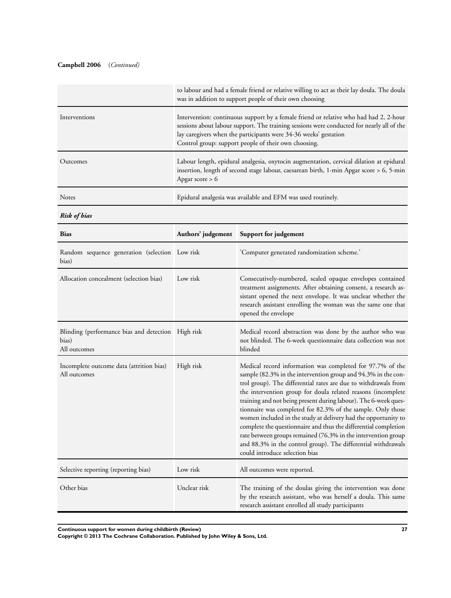## **Campbell 2006** (*Continued)*

|               | to labour and had a female friend or relative willing to act as their lay doula. The doula<br>was in addition to support people of their own choosing                                                                                                                                                          |
|---------------|----------------------------------------------------------------------------------------------------------------------------------------------------------------------------------------------------------------------------------------------------------------------------------------------------------------|
| Interventions | Intervention: continuous support by a female friend or relative who had had 2, 2-hour<br>sessions about labour support. The training sessions were conducted for nearly all of the<br>lay caregivers when the participants were 34-36 weeks' gestation<br>Control group: support people of their own choosing. |
| Outcomes      | Labour length, epidural analgesia, oxytocin augmentation, cervical dilation at epidural<br>insertion, length of second stage labour, caesarean birth, 1-min Apgar score > 6, 5-min<br>Apgar score $> 6$                                                                                                        |
| <b>Notes</b>  | Epidural analgesia was available and EFM was used routinely.                                                                                                                                                                                                                                                   |

*Risk of bias*

| <b>Bias</b>                                                                 | Authors' judgement | Support for judgement                                                                                                                                                                                                                                                                                                                                                                                                                                                                                                                                                                                                                                                                                    |
|-----------------------------------------------------------------------------|--------------------|----------------------------------------------------------------------------------------------------------------------------------------------------------------------------------------------------------------------------------------------------------------------------------------------------------------------------------------------------------------------------------------------------------------------------------------------------------------------------------------------------------------------------------------------------------------------------------------------------------------------------------------------------------------------------------------------------------|
| Random sequence generation (selection Low risk<br>bias)                     |                    | 'Computer generated randomization scheme.'                                                                                                                                                                                                                                                                                                                                                                                                                                                                                                                                                                                                                                                               |
| Allocation concealment (selection bias)                                     | Low risk           | Consecutively-numbered, sealed opaque envelopes contained<br>treatment assignments. After obtaining consent, a research as-<br>sistant opened the next envelope. It was unclear whether the<br>research assistant enrolling the woman was the same one that<br>opened the envelope                                                                                                                                                                                                                                                                                                                                                                                                                       |
| Blinding (performance bias and detection High risk<br>bias)<br>All outcomes |                    | Medical record abstraction was done by the author who was<br>not blinded. The 6-week questionnaire data collection was not<br>blinded                                                                                                                                                                                                                                                                                                                                                                                                                                                                                                                                                                    |
| Incomplete outcome data (attrition bias)<br>All outcomes                    | High risk          | Medical record information was completed for 97.7% of the<br>sample (82.3% in the intervention group and 94.3% in the con-<br>trol group). The differential rates are due to withdrawals from<br>the intervention group for doula related reasons (incomplete<br>training and not being present during labour). The 6-week ques-<br>tionnaire was completed for 82.3% of the sample. Only those<br>women included in the study at delivery had the opportunity to<br>complete the questionnaire and thus the differential completion<br>rate between groups remained (76.3% in the intervention group<br>and 88.3% in the control group). The differential withdrawals<br>could introduce selection bias |
| Selective reporting (reporting bias)                                        | Low risk           | All outcomes were reported.                                                                                                                                                                                                                                                                                                                                                                                                                                                                                                                                                                                                                                                                              |
| Other bias                                                                  | Unclear risk       | The training of the doulas giving the intervention was done<br>by the research assistant, who was herself a doula. This same<br>research assistant enrolled all study participants                                                                                                                                                                                                                                                                                                                                                                                                                                                                                                                       |

**Continuous support for women during childbirth (Review) 27**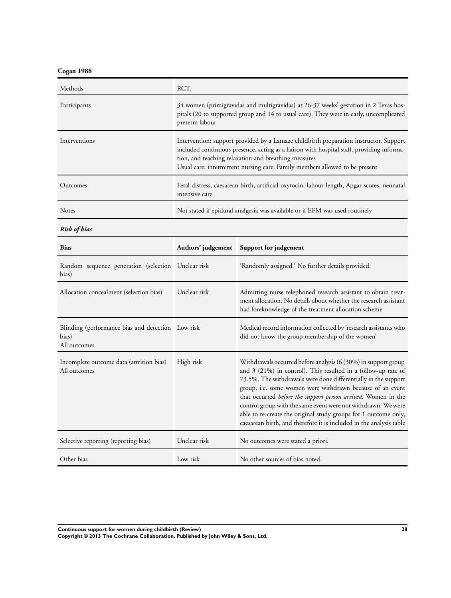**Cogan 1988**

| Methods         | RCT.                                                                                                                                                                                                                                                                                                                      |
|-----------------|---------------------------------------------------------------------------------------------------------------------------------------------------------------------------------------------------------------------------------------------------------------------------------------------------------------------------|
| Participants    | 34 women (primigravidas and multigravidas) at 26-37 weeks' gestation in 2 Texas hos-<br>pitals (20 to supported group and 14 to usual care). They were in early, uncomplicated<br>preterm labour                                                                                                                          |
| Interventions   | Intervention: support provided by a Lamaze childbirth preparation instructor. Support<br>included continuous presence, acting as a liaison with hospital staff, providing informa-<br>tion, and teaching relaxation and breathing measures<br>Usual care: intermittent nursing care. Family members allowed to be present |
| <b>Outcomes</b> | Fetal distress, caesarean birth, artificial oxytocin, labour length, Apgar scores, neonatal<br>intensive care                                                                                                                                                                                                             |
| <b>Notes</b>    | Not stated if epidural analgesia was available or if EFM was used routinely                                                                                                                                                                                                                                               |

*Risk of bias*

| <b>Bias</b>                                                                |              | Authors' judgement Support for judgement                                                                                                                                                                                                                                                                                                                                                                                                                                                                                                     |
|----------------------------------------------------------------------------|--------------|----------------------------------------------------------------------------------------------------------------------------------------------------------------------------------------------------------------------------------------------------------------------------------------------------------------------------------------------------------------------------------------------------------------------------------------------------------------------------------------------------------------------------------------------|
| Random sequence generation (selection Unclear risk<br>bias)                |              | 'Randomly assigned.' No further details provided.                                                                                                                                                                                                                                                                                                                                                                                                                                                                                            |
| Allocation concealment (selection bias)                                    | Unclear risk | Admitting nurse telephoned research assistant to obtain treat-<br>ment allocation. No details about whether the research assistant<br>had foreknowledge of the treatment allocation scheme                                                                                                                                                                                                                                                                                                                                                   |
| Blinding (performance bias and detection Low risk<br>bias)<br>All outcomes |              | Medical record information collected by 'research assistants who<br>did not know the group membership of the women'                                                                                                                                                                                                                                                                                                                                                                                                                          |
| Incomplete outcome data (attrition bias)<br>All outcomes                   | High risk    | Withdrawals occurred before analysis (6 (30%) in support group<br>and $3$ (21%) in control). This resulted in a follow-up rate of<br>73.5%. The withdrawals were done differentially in the support<br>group, i.e. some women were withdrawn because of an event<br>that occurred before the support person arrived. Women in the<br>control group with the same event were not withdrawn. We were<br>able to re-create the original study groups for 1 outcome only,<br>caesarean birth, and therefore it is included in the analysis table |
| Selective reporting (reporting bias)                                       | Unclear risk | No outcomes were stated a priori.                                                                                                                                                                                                                                                                                                                                                                                                                                                                                                            |
| Other bias                                                                 | Low risk     | No other sources of bias noted.                                                                                                                                                                                                                                                                                                                                                                                                                                                                                                              |

**Continuous support for women during childbirth (Review) 28**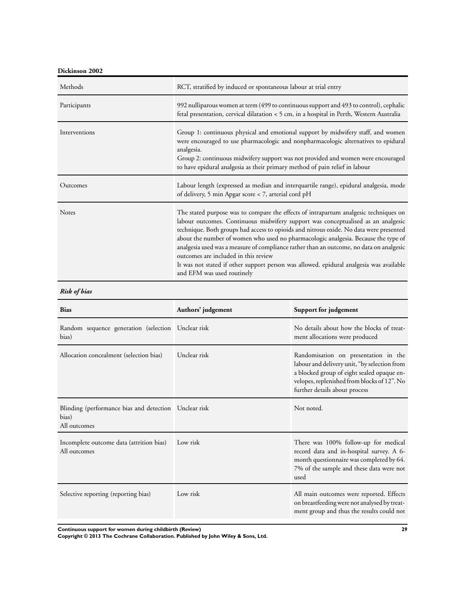**Dickinson 2002**

| Methods       | RCT, stratified by induced or spontaneous labour at trial entry                                                                                                                                                                                                                                                                                                                                                                                                                                                                                                                                                      |
|---------------|----------------------------------------------------------------------------------------------------------------------------------------------------------------------------------------------------------------------------------------------------------------------------------------------------------------------------------------------------------------------------------------------------------------------------------------------------------------------------------------------------------------------------------------------------------------------------------------------------------------------|
| Participants  | 992 nulliparous women at term (499 to continuous support and 493 to control), cephalic<br>fetal presentation, cervical dilatation < 5 cm, in a hospital in Perth, Western Australia                                                                                                                                                                                                                                                                                                                                                                                                                                  |
| Interventions | Group 1: continuous physical and emotional support by midwifery staff, and women<br>were encouraged to use pharmacologic and nonpharmacologic alternatives to epidural<br>analgesia.<br>Group 2: continuous midwifery support was not provided and women were encouraged<br>to have epidural analgesia as their primary method of pain relief in labour                                                                                                                                                                                                                                                              |
| Outcomes      | Labour length (expressed as median and interquartile range), epidural analgesia, mode<br>of delivery, 5 min Apgar score < 7, arterial cord pH                                                                                                                                                                                                                                                                                                                                                                                                                                                                        |
| <b>Notes</b>  | The stated purpose was to compare the effects of intrapartum analgesic techniques on<br>labour outcomes. Continuous midwifery support was conceptualised as an analgesic<br>technique. Both groups had access to opioids and nitrous oxide. No data were presented<br>about the number of women who used no pharmacologic analgesia. Because the type of<br>analgesia used was a measure of compliance rather than an outcome, no data on analgesic<br>outcomes are included in this review<br>It was not stated if other support person was allowed. epidural analgesia was available<br>and EFM was used routinely |

## *Risk of bias*

| <b>Bias</b>                                                                    | Authors' judgement | Support for judgement                                                                                                                                                                                              |
|--------------------------------------------------------------------------------|--------------------|--------------------------------------------------------------------------------------------------------------------------------------------------------------------------------------------------------------------|
| Random sequence generation (selection Unclear risk<br>bias)                    |                    | No details about how the blocks of treat-<br>ment allocations were produced                                                                                                                                        |
| Allocation concealment (selection bias)                                        | Unclear risk       | Randomisation on presentation in the<br>labour and delivery unit, "by selection from<br>a blocked group of eight sealed opaque en-<br>velopes, replenished from blocks of 12". No<br>further details about process |
| Blinding (performance bias and detection Unclear risk<br>bias)<br>All outcomes |                    | Not noted.                                                                                                                                                                                                         |
| Incomplete outcome data (attrition bias)<br>All outcomes                       | Low risk           | There was 100% follow-up for medical<br>record data and in-hospital survey. A 6-<br>month questionnaire was completed by 64.<br>7% of the sample and these data were not<br>used                                   |
| Selective reporting (reporting bias)                                           | Low risk           | All main outcomes were reported. Effects<br>on breastfeeding were not analysed by treat-<br>ment group and thus the results could not                                                                              |

**Continuous support for women during childbirth (Review) 29**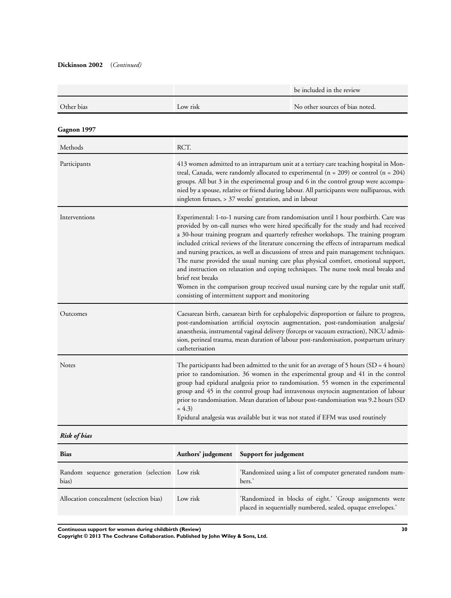## **Dickinson 2002** (*Continued)*

|                     |                                                                                                                                                                                                                                                                                                                                                                                                                                                                                                                                                                                                                                                                                                                                                                                                              | be included in the review                                                                                                                                                                                                                                                                                                                                                                                                                        |  |
|---------------------|--------------------------------------------------------------------------------------------------------------------------------------------------------------------------------------------------------------------------------------------------------------------------------------------------------------------------------------------------------------------------------------------------------------------------------------------------------------------------------------------------------------------------------------------------------------------------------------------------------------------------------------------------------------------------------------------------------------------------------------------------------------------------------------------------------------|--------------------------------------------------------------------------------------------------------------------------------------------------------------------------------------------------------------------------------------------------------------------------------------------------------------------------------------------------------------------------------------------------------------------------------------------------|--|
| Other bias          | Low risk                                                                                                                                                                                                                                                                                                                                                                                                                                                                                                                                                                                                                                                                                                                                                                                                     | No other sources of bias noted.                                                                                                                                                                                                                                                                                                                                                                                                                  |  |
| Gagnon 1997         |                                                                                                                                                                                                                                                                                                                                                                                                                                                                                                                                                                                                                                                                                                                                                                                                              |                                                                                                                                                                                                                                                                                                                                                                                                                                                  |  |
| Methods             | RCT.                                                                                                                                                                                                                                                                                                                                                                                                                                                                                                                                                                                                                                                                                                                                                                                                         |                                                                                                                                                                                                                                                                                                                                                                                                                                                  |  |
| Participants        |                                                                                                                                                                                                                                                                                                                                                                                                                                                                                                                                                                                                                                                                                                                                                                                                              | 413 women admitted to an intrapartum unit at a tertiary care teaching hospital in Mon-<br>treal, Canada, were randomly allocated to experimental ( $n = 209$ ) or control ( $n = 204$ )<br>groups. All but 3 in the experimental group and 6 in the control group were accompa-<br>nied by a spouse, relative or friend during labour. All participants were nulliparous, with<br>singleton fetuses, > 37 weeks' gestation, and in labour        |  |
| Interventions       | Experimental: 1-to-1 nursing care from randomisation until 1 hour postbirth. Care was<br>provided by on-call nurses who were hired specifically for the study and had received<br>a 30-hour training program and quarterly refresher workshops. The training program<br>included critical reviews of the literature concerning the effects of intrapartum medical<br>and nursing practices, as well as discussions of stress and pain management techniques.<br>The nurse provided the usual nursing care plus physical comfort, emotional support,<br>and instruction on relaxation and coping techniques. The nurse took meal breaks and<br>brief rest breaks<br>Women in the comparison group received usual nursing care by the regular unit staff,<br>consisting of intermittent support and monitoring |                                                                                                                                                                                                                                                                                                                                                                                                                                                  |  |
| Outcomes            | catheterisation                                                                                                                                                                                                                                                                                                                                                                                                                                                                                                                                                                                                                                                                                                                                                                                              | Caesarean birth, caesarean birth for cephalopelvic disproportion or failure to progress,<br>post-randomisation artificial oxytocin augmentation, post-randomisation analgesia/<br>anaesthesia, instrumental vaginal delivery (forceps or vacuum extraction), NICU admis-<br>sion, perineal trauma, mean duration of labour post-randomisation, postpartum urinary                                                                                |  |
| Notes               | $= 4.3$<br>Epidural analgesia was available but it was not stated if EFM was used routinely                                                                                                                                                                                                                                                                                                                                                                                                                                                                                                                                                                                                                                                                                                                  | The participants had been admitted to the unit for an average of 5 hours ( $SD = 4$ hours)<br>prior to randomisation. 36 women in the experimental group and 41 in the control<br>group had epidural analgesia prior to randomisation. 55 women in the experimental<br>group and 45 in the control group had intravenous oxytocin augmentation of labour<br>prior to randomisation. Mean duration of labour post-randomisation was 9.2 hours (SD |  |
| <b>Risk of bias</b> |                                                                                                                                                                                                                                                                                                                                                                                                                                                                                                                                                                                                                                                                                                                                                                                                              |                                                                                                                                                                                                                                                                                                                                                                                                                                                  |  |
|                     |                                                                                                                                                                                                                                                                                                                                                                                                                                                                                                                                                                                                                                                                                                                                                                                                              |                                                                                                                                                                                                                                                                                                                                                                                                                                                  |  |

| <b>Bias</b>                                             |          | Authors' judgement Support for judgement                                                                                |
|---------------------------------------------------------|----------|-------------------------------------------------------------------------------------------------------------------------|
| Random sequence generation (selection Low risk<br>bias) |          | 'Randomized using a list of computer generated random num-<br>bers.'                                                    |
| Allocation concealment (selection bias)                 | Low risk | 'Randomized in blocks of eight.' 'Group assignments were<br>placed in sequentially numbered, sealed, opaque envelopes.' |

**Continuous support for women during childbirth (Review) 30**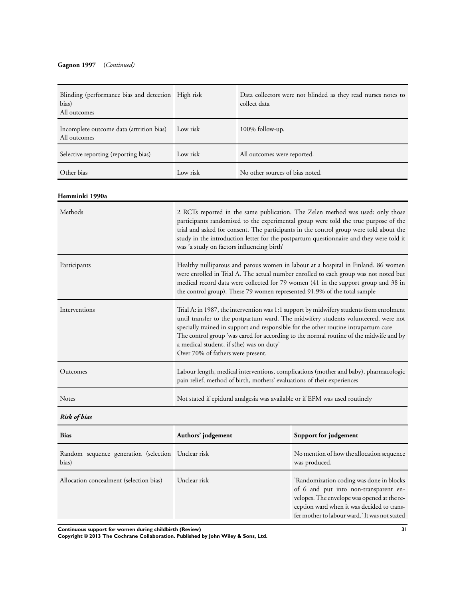## **Gagnon 1997** (*Continued)*

| Blinding (performance bias and detection High risk<br>bias)<br>All outcomes |                                                                                                                                                                                                                                                                                                                                                                                                                                                  | collect data                    | Data collectors were not blinded as they read nurses notes to |
|-----------------------------------------------------------------------------|--------------------------------------------------------------------------------------------------------------------------------------------------------------------------------------------------------------------------------------------------------------------------------------------------------------------------------------------------------------------------------------------------------------------------------------------------|---------------------------------|---------------------------------------------------------------|
| Incomplete outcome data (attrition bias)<br>All outcomes                    | Low risk                                                                                                                                                                                                                                                                                                                                                                                                                                         | $100\%$ follow-up.              |                                                               |
| Selective reporting (reporting bias)                                        | Low risk                                                                                                                                                                                                                                                                                                                                                                                                                                         | All outcomes were reported.     |                                                               |
| Other bias                                                                  | Low risk                                                                                                                                                                                                                                                                                                                                                                                                                                         | No other sources of bias noted. |                                                               |
| Hemminki 1990a                                                              |                                                                                                                                                                                                                                                                                                                                                                                                                                                  |                                 |                                                               |
| Methods                                                                     | 2 RCTs reported in the same publication. The Zelen method was used: only those<br>participants randomised to the experimental group were told the true purpose of the<br>trial and asked for consent. The participants in the control group were told about the<br>study in the introduction letter for the postpartum questionnaire and they were told it<br>was 'a study on factors influencing birth'                                         |                                 |                                                               |
| Participants                                                                | Healthy nulliparous and parous women in labour at a hospital in Finland. 86 women<br>were enrolled in Trial A. The actual number enrolled to each group was not noted but<br>medical record data were collected for 79 women (41 in the support group and 38 in<br>the control group). These 79 women represented 91.9% of the total sample                                                                                                      |                                 |                                                               |
| Interventions                                                               | Trial A: in 1987, the intervention was 1:1 support by midwifery students from enrolment<br>until transfer to the postpartum ward. The midwifery students volunteered, were not<br>specially trained in support and responsible for the other routine intrapartum care<br>The control group 'was cared for according to the normal routine of the midwife and by<br>a medical student, if s(he) was on duty'<br>Over 70% of fathers were present. |                                 |                                                               |
| Outcomes                                                                    | Labour length, medical interventions, complications (mother and baby), pharmacologic<br>pain relief, method of birth, mothers' evaluations of their experiences                                                                                                                                                                                                                                                                                  |                                 |                                                               |
| Notes                                                                       | Not stated if epidural analgesia was available or if EFM was used routinely                                                                                                                                                                                                                                                                                                                                                                      |                                 |                                                               |
| <b>Risk of bias</b>                                                         |                                                                                                                                                                                                                                                                                                                                                                                                                                                  |                                 |                                                               |
| Bias                                                                        | Authors' judgement                                                                                                                                                                                                                                                                                                                                                                                                                               |                                 | Support for judgement                                         |
| Random sequence generation (selection Unclear risk                          |                                                                                                                                                                                                                                                                                                                                                                                                                                                  |                                 | No mention of how the allocation sequence                     |

| bias)                                   |              | was produced.                                                                                                                                                                                                                   |
|-----------------------------------------|--------------|---------------------------------------------------------------------------------------------------------------------------------------------------------------------------------------------------------------------------------|
| Allocation concealment (selection bias) | Unclear risk | 'Randomization coding was done in blocks<br>of 6 and put into non-transparent en-<br>velopes. The envelope was opened at the re-<br>ception ward when it was decided to trans-<br>fer mother to labour ward.' It was not stated |

**Continuous support for women during childbirth (Review) 31**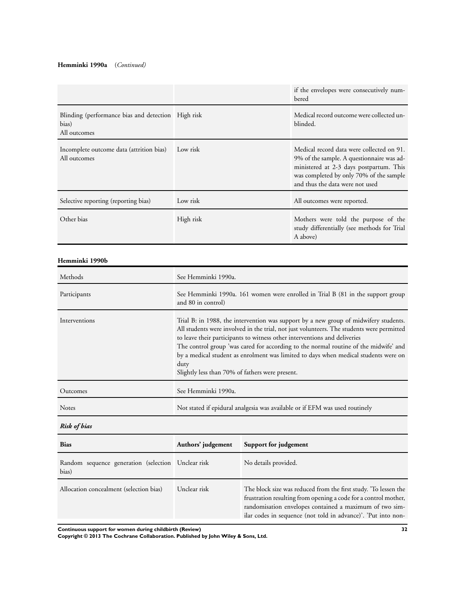## **Hemminki 1990a** (*Continued)*

|                                                                             |           | if the envelopes were consecutively num-<br>bered                                                                                                                                                               |
|-----------------------------------------------------------------------------|-----------|-----------------------------------------------------------------------------------------------------------------------------------------------------------------------------------------------------------------|
| Blinding (performance bias and detection High risk<br>bias)<br>All outcomes |           | Medical record outcome were collected un-<br>blinded.                                                                                                                                                           |
| Incomplete outcome data (attrition bias)<br>All outcomes                    | Low risk  | Medical record data were collected on 91.<br>9% of the sample. A questionnaire was ad-<br>ministered at 2-3 days postpartum. This<br>was completed by only 70% of the sample<br>and thus the data were not used |
| Selective reporting (reporting bias)                                        | Low risk  | All outcomes were reported.                                                                                                                                                                                     |
| Other bias                                                                  | High risk | Mothers were told the purpose of the<br>study differentially (see methods for Trial<br>A above)                                                                                                                 |

## **Hemminki 1990b**

| <b>Methods</b> | See Hemminki 1990a.                                                                                                                                                                                                                                                                                                                                                                                                                                                                                      |
|----------------|----------------------------------------------------------------------------------------------------------------------------------------------------------------------------------------------------------------------------------------------------------------------------------------------------------------------------------------------------------------------------------------------------------------------------------------------------------------------------------------------------------|
| Participants   | See Hemminki 1990a. 161 women were enrolled in Trial B (81 in the support group<br>and 80 in control)                                                                                                                                                                                                                                                                                                                                                                                                    |
| Interventions  | Trial B: in 1988, the intervention was support by a new group of midwifery students.<br>All students were involved in the trial, not just volunteers. The students were permitted<br>to leave their participants to witness other interventions and deliveries<br>The control group 'was cared for according to the normal routine of the midwife' and<br>by a medical student as enrolment was limited to days when medical students were on<br>duty<br>Slightly less than 70% of fathers were present. |
| Outcomes       | See Hemminki 1990a.                                                                                                                                                                                                                                                                                                                                                                                                                                                                                      |
| <b>Notes</b>   | Not stated if epidural analgesia was available or if EFM was used routinely                                                                                                                                                                                                                                                                                                                                                                                                                              |

*Risk of bias*

| <b>Bias</b>                                                 | Authors' judgement | Support for judgement                                                                                                                                                                                                                                          |
|-------------------------------------------------------------|--------------------|----------------------------------------------------------------------------------------------------------------------------------------------------------------------------------------------------------------------------------------------------------------|
| Random sequence generation (selection Unclear risk<br>bias) |                    | No details provided.                                                                                                                                                                                                                                           |
| Allocation concealment (selection bias)                     | Unclear risk       | The block size was reduced from the first study. 'To lessen the<br>frustration resulting from opening a code for a control mother,<br>randomisation envelopes contained a maximum of two sim-<br>ilar codes in sequence (not told in advance)'. 'Put into non- |

**Continuous support for women during childbirth (Review) 32**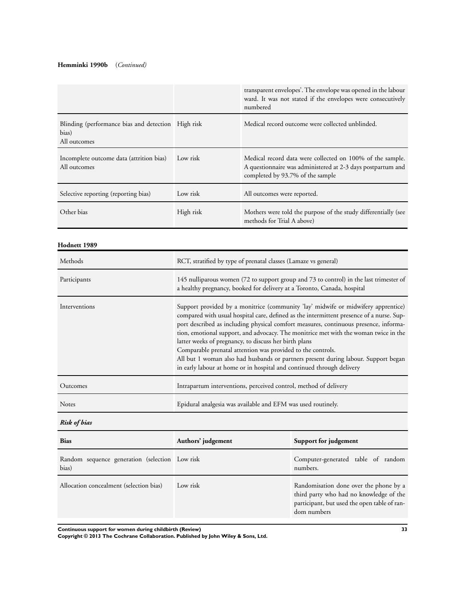#### **Hemminki 1990b** (*Continued)*

|                                                                             |           | transparent envelopes'. The envelope was opened in the labour<br>ward. It was not stated if the envelopes were consecutively<br>numbered                     |
|-----------------------------------------------------------------------------|-----------|--------------------------------------------------------------------------------------------------------------------------------------------------------------|
| Blinding (performance bias and detection High risk<br>bias)<br>All outcomes |           | Medical record outcome were collected unblinded.                                                                                                             |
| Incomplete outcome data (attrition bias)<br>All outcomes                    | Low risk  | Medical record data were collected on 100% of the sample.<br>A questionnaire was administered at 2-3 days postpartum and<br>completed by 93.7% of the sample |
| Selective reporting (reporting bias)                                        | Low risk  | All outcomes were reported.                                                                                                                                  |
| Other bias                                                                  | High risk | Mothers were told the purpose of the study differentially (see<br>methods for Trial A above)                                                                 |

#### **Hodnett 1989**

| Methods       | RCT, stratified by type of prenatal classes (Lamaze vs general)                                                                                                                                                                                                                                                                                                                                                                                                                                                                                                                                                                                      |
|---------------|------------------------------------------------------------------------------------------------------------------------------------------------------------------------------------------------------------------------------------------------------------------------------------------------------------------------------------------------------------------------------------------------------------------------------------------------------------------------------------------------------------------------------------------------------------------------------------------------------------------------------------------------------|
| Participants  | 145 nulliparous women (72 to support group and 73 to control) in the last trimester of<br>a healthy pregnancy, booked for delivery at a Toronto, Canada, hospital                                                                                                                                                                                                                                                                                                                                                                                                                                                                                    |
| Interventions | Support provided by a monitrice (community 'lay' midwife or midwifery apprentice)<br>compared with usual hospital care, defined as the intermittent presence of a nurse. Sup-<br>port described as including physical comfort measures, continuous presence, informa-<br>tion, emotional support, and advocacy. The monitrice met with the woman twice in the<br>latter weeks of pregnancy, to discuss her birth plans<br>Comparable prenatal attention was provided to the controls.<br>All but 1 woman also had husbands or partners present during labour. Support began<br>in early labour at home or in hospital and continued through delivery |
| Outcomes      | Intrapartum interventions, perceived control, method of delivery                                                                                                                                                                                                                                                                                                                                                                                                                                                                                                                                                                                     |
| <b>Notes</b>  | Epidural analgesia was available and EFM was used routinely.                                                                                                                                                                                                                                                                                                                                                                                                                                                                                                                                                                                         |

*Risk of bias*

| <b>Bias</b>                                             | Authors' judgement | Support for judgement                                                                                                                            |
|---------------------------------------------------------|--------------------|--------------------------------------------------------------------------------------------------------------------------------------------------|
| Random sequence generation (selection Low risk<br>bias) |                    | Computer-generated table of random<br>numbers.                                                                                                   |
| Allocation concealment (selection bias)                 | Low risk           | Randomisation done over the phone by a<br>third party who had no knowledge of the<br>participant, but used the open table of ran-<br>dom numbers |

**Continuous support for women during childbirth (Review) 33**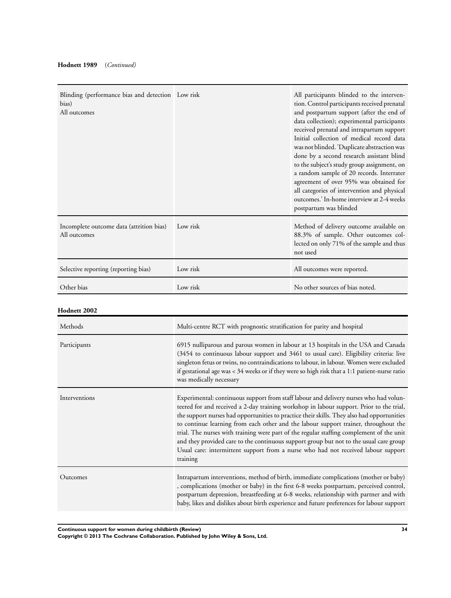| Blinding (performance bias and detection Low risk<br>bias)<br>All outcomes |          | All participants blinded to the interven-<br>tion. Control participants received prenatal<br>and postpartum support (after the end of<br>data collection); experimental participants<br>received prenatal and intrapartum support<br>Initial collection of medical record data<br>was not blinded. 'Duplicate abstraction was<br>done by a second research assistant blind<br>to the subject's study group assignment, on<br>a random sample of 20 records. Interrater<br>agreement of over 95% was obtained for<br>all categories of intervention and physical<br>outcomes.' In-home interview at 2-4 weeks<br>postpartum was blinded |
|----------------------------------------------------------------------------|----------|----------------------------------------------------------------------------------------------------------------------------------------------------------------------------------------------------------------------------------------------------------------------------------------------------------------------------------------------------------------------------------------------------------------------------------------------------------------------------------------------------------------------------------------------------------------------------------------------------------------------------------------|
| Incomplete outcome data (attrition bias)<br>All outcomes                   | Low risk | Method of delivery outcome available on<br>88.3% of sample. Other outcomes col-<br>lected on only 71% of the sample and thus<br>not used                                                                                                                                                                                                                                                                                                                                                                                                                                                                                               |
| Selective reporting (reporting bias)                                       | Low risk | All outcomes were reported.                                                                                                                                                                                                                                                                                                                                                                                                                                                                                                                                                                                                            |
| Other bias                                                                 | Low risk | No other sources of bias noted.                                                                                                                                                                                                                                                                                                                                                                                                                                                                                                                                                                                                        |

#### **Hodnett 2002**

| Methods       | Multi-centre RCT with prognostic stratification for parity and hospital                                                                                                                                                                                                                                                                                                                                                                                                                                                                                                                                                                                       |
|---------------|---------------------------------------------------------------------------------------------------------------------------------------------------------------------------------------------------------------------------------------------------------------------------------------------------------------------------------------------------------------------------------------------------------------------------------------------------------------------------------------------------------------------------------------------------------------------------------------------------------------------------------------------------------------|
| Participants  | 6915 nulliparous and parous women in labour at 13 hospitals in the USA and Canada<br>(3454 to continuous labour support and 3461 to usual care). Eligibility criteria: live<br>singleton fetus or twins, no contraindications to labour, in labour. Women were excluded<br>if gestational age was < 34 weeks or if they were so high risk that a 1:1 patient-nurse ratio<br>was medically necessary                                                                                                                                                                                                                                                           |
| Interventions | Experimental: continuous support from staff labour and delivery nurses who had volun-<br>teered for and received a 2-day training workshop in labour support. Prior to the trial,<br>the support nurses had opportunities to practice their skills. They also had opportunities<br>to continue learning from each other and the labour support trainer, throughout the<br>trial. The nurses with training were part of the regular staffing complement of the unit<br>and they provided care to the continuous support group but not to the usual care group<br>Usual care: intermittent support from a nurse who had not received labour support<br>training |
| Outcomes      | Intrapartum interventions, method of birth, immediate complications (mother or baby)<br>, complications (mother or baby) in the first 6-8 weeks postpartum, perceived control,<br>postpartum depression, breastfeeding at 6-8 weeks, relationship with partner and with<br>baby, likes and dislikes about birth experience and future preferences for labour support                                                                                                                                                                                                                                                                                          |

**Continuous support for women during childbirth (Review) 34**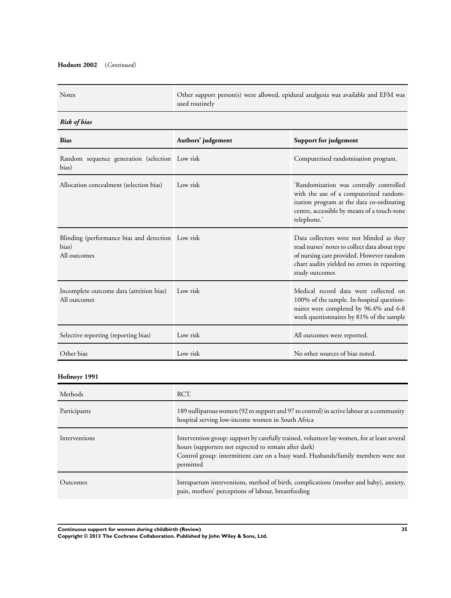#### **Hodnett 2002** (*Continued)*

Notes Other support person(s) were allowed, epidural analgesia was available and EFM was used routinely

## *Risk of bias*

| <b>Bias</b>                                                                | Authors' judgement | Support for judgement                                                                                                                                                                                  |
|----------------------------------------------------------------------------|--------------------|--------------------------------------------------------------------------------------------------------------------------------------------------------------------------------------------------------|
| Random sequence generation (selection Low risk<br>bias)                    |                    | Computerised randomisation program.                                                                                                                                                                    |
| Allocation concealment (selection bias)                                    | Low risk           | 'Randomization was centrally controlled<br>with the use of a computerized random-<br>ization program at the data co-ordinating<br>centre, accessible by means of a touch-tone<br>telephone.'           |
| Blinding (performance bias and detection Low risk<br>bias)<br>All outcomes |                    | Data collectors were not blinded as they<br>read nurses' notes to collect data about type<br>of nursing care provided. However random<br>chart audits yielded no errors in reporting<br>study outcomes |
| Incomplete outcome data (attrition bias)<br>All outcomes                   | Low risk           | Medical record data were collected on<br>100% of the sample. In-hospital question-<br>naires were completed by 96.4% and 6-8<br>week questionnaires by 81% of the sample                               |
| Selective reporting (reporting bias)                                       | Low risk           | All outcomes were reported.                                                                                                                                                                            |
| Other bias                                                                 | Low risk           | No other sources of bias noted.                                                                                                                                                                        |

# **Hofmeyr 1991**

| Methods       | RCT.                                                                                                                                                                                                                                                  |
|---------------|-------------------------------------------------------------------------------------------------------------------------------------------------------------------------------------------------------------------------------------------------------|
| Participants  | 189 nulliparous women (92 to support and 97 to control) in active labour at a community<br>hospital serving low-income women in South Africa                                                                                                          |
| Interventions | Intervention group: support by carefully trained, volunteer lay women, for at least several<br>hours (supporters not expected to remain after dark)<br>Control group: intermittent care on a busy ward. Husbands/family members were not<br>permitted |
| Outcomes      | Intrapartum interventions, method of birth, complications (mother and baby), anxiety,<br>pain, mothers' perceptions of labour, breastfeeding                                                                                                          |

**Continuous support for women during childbirth (Review) 35**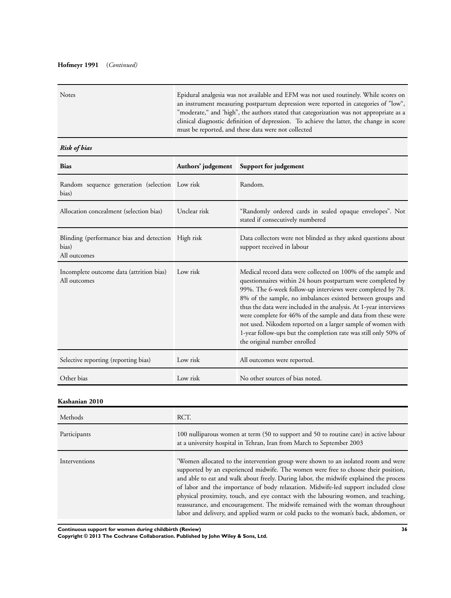## **Hofmeyr 1991** (*Continued)*

| <b>Notes</b> | Epidural analgesia was not available and EFM was not used routinely. While scores on     |
|--------------|------------------------------------------------------------------------------------------|
|              | an instrument measuring postpartum depression were reported in categories of "low",      |
|              | "moderate," and 'high", the authors stated that categorization was not appropriate as a  |
|              | clinical diagnostic definition of depression. To achieve the latter, the change in score |
|              | must be reported, and these data were not collected                                      |
|              |                                                                                          |

## *Risk of bias*

| <b>Bias</b>                                                                 | Authors' judgement | Support for judgement                                                                                                                                                                                                                                                                                                                                                                                                                                                                                                                                          |
|-----------------------------------------------------------------------------|--------------------|----------------------------------------------------------------------------------------------------------------------------------------------------------------------------------------------------------------------------------------------------------------------------------------------------------------------------------------------------------------------------------------------------------------------------------------------------------------------------------------------------------------------------------------------------------------|
| Random sequence generation (selection Low risk<br>bias)                     |                    | Random.                                                                                                                                                                                                                                                                                                                                                                                                                                                                                                                                                        |
| Allocation concealment (selection bias)                                     | Unclear risk       | "Randomly ordered cards in sealed opaque envelopes". Not<br>stated if consecutively numbered                                                                                                                                                                                                                                                                                                                                                                                                                                                                   |
| Blinding (performance bias and detection High risk<br>bias)<br>All outcomes |                    | Data collectors were not blinded as they asked questions about<br>support received in labour                                                                                                                                                                                                                                                                                                                                                                                                                                                                   |
| Incomplete outcome data (attrition bias)<br>All outcomes                    | Low risk           | Medical record data were collected on 100% of the sample and<br>questionnaires within 24 hours postpartum were completed by<br>99%. The 6-week follow-up interviews were completed by 78.<br>8% of the sample, no imbalances existed between groups and<br>thus the data were included in the analysis. At 1-year interviews<br>were complete for 46% of the sample and data from these were<br>not used. Nikodem reported on a larger sample of women with<br>1-year follow-ups but the completion rate was still only 50% of<br>the original number enrolled |
| Selective reporting (reporting bias)                                        | Low risk           | All outcomes were reported.                                                                                                                                                                                                                                                                                                                                                                                                                                                                                                                                    |
| Other bias                                                                  | Low risk           | No other sources of bias noted.                                                                                                                                                                                                                                                                                                                                                                                                                                                                                                                                |

#### **Kashanian 2010**

| Methods       | RCT.                                                                                                                                                                                                                                                                                                                                                                                                                                                                                                                                                                                                                    |
|---------------|-------------------------------------------------------------------------------------------------------------------------------------------------------------------------------------------------------------------------------------------------------------------------------------------------------------------------------------------------------------------------------------------------------------------------------------------------------------------------------------------------------------------------------------------------------------------------------------------------------------------------|
| Participants  | 100 nulliparous women at term (50 to support and 50 to routine care) in active labour<br>at a university hospital in Tehran, Iran from March to September 2003                                                                                                                                                                                                                                                                                                                                                                                                                                                          |
| Interventions | 'Women allocated to the intervention group were shown to an isolated room and were<br>supported by an experienced midwife. The women were free to choose their position,<br>and able to eat and walk about freely. During labor, the midwife explained the process<br>of labor and the importance of body relaxation. Midwife-led support included close<br>physical proximity, touch, and eye contact with the labouring women, and teaching,<br>reassurance, and encouragement. The midwife remained with the woman throughout<br>labor and delivery, and applied warm or cold packs to the woman's back, abdomen, or |

**Continuous support for women during childbirth (Review) 36**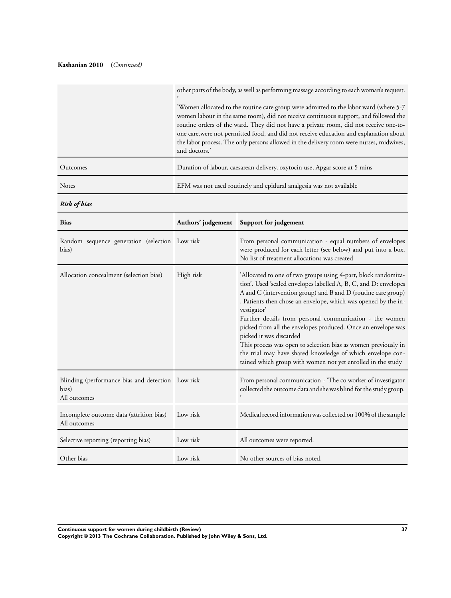#### **Kashanian 2010** (*Continued)*

|              | other parts of the body, as well as performing massage according to each woman's request.                                                                                                                                                                                                                                                                                                                                                                                    |
|--------------|------------------------------------------------------------------------------------------------------------------------------------------------------------------------------------------------------------------------------------------------------------------------------------------------------------------------------------------------------------------------------------------------------------------------------------------------------------------------------|
|              | 'Women allocated to the routine care group were admitted to the labor ward (where 5-7<br>women labour in the same room), did not receive continuous support, and followed the<br>routine orders of the ward. They did not have a private room, did not receive one-to-<br>one care, were not permitted food, and did not receive education and explanation about<br>the labor process. The only persons allowed in the delivery room were nurses, midwives,<br>and doctors.' |
| Outcomes     | Duration of labour, caesarean delivery, oxytocin use, Apgar score at 5 mins                                                                                                                                                                                                                                                                                                                                                                                                  |
| <b>Notes</b> | EFM was not used routinely and epidural analgesia was not available                                                                                                                                                                                                                                                                                                                                                                                                          |

*Risk of bias*

| <b>Bias</b>                                                                | Authors' judgement | Support for judgement                                                                                                                                                                                                                                                                                                                                                                                                                                                                                                                                                                                                                     |
|----------------------------------------------------------------------------|--------------------|-------------------------------------------------------------------------------------------------------------------------------------------------------------------------------------------------------------------------------------------------------------------------------------------------------------------------------------------------------------------------------------------------------------------------------------------------------------------------------------------------------------------------------------------------------------------------------------------------------------------------------------------|
| Random sequence generation (selection Low risk<br>bias)                    |                    | From personal communication - equal numbers of envelopes<br>were produced for each letter (see below) and put into a box.<br>No list of treatment allocations was created                                                                                                                                                                                                                                                                                                                                                                                                                                                                 |
| Allocation concealment (selection bias)                                    | High risk          | 'Allocated to one of two groups using 4-part, block randomiza-<br>tion'. Used 'sealed envelopes labelled A, B, C, and D: envelopes<br>A and C (intervention group) and B and D (routine care group)<br>. Patients then chose an envelope, which was opened by the in-<br>vestigator'<br>Further details from personal communication - the women<br>picked from all the envelopes produced. Once an envelope was<br>picked it was discarded<br>This process was open to selection bias as women previously in<br>the trial may have shared knowledge of which envelope con-<br>tained which group with women not yet enrolled in the study |
| Blinding (performance bias and detection Low risk<br>bias)<br>All outcomes |                    | From personal communication - 'The co worker of investigator<br>collected the outcome data and she was blind for the study group.                                                                                                                                                                                                                                                                                                                                                                                                                                                                                                         |
| Incomplete outcome data (attrition bias)<br>All outcomes                   | Low risk           | Medical record information was collected on 100% of the sample                                                                                                                                                                                                                                                                                                                                                                                                                                                                                                                                                                            |
| Selective reporting (reporting bias)                                       | Low risk           | All outcomes were reported.                                                                                                                                                                                                                                                                                                                                                                                                                                                                                                                                                                                                               |
| Other bias                                                                 | Low risk           | No other sources of bias noted.                                                                                                                                                                                                                                                                                                                                                                                                                                                                                                                                                                                                           |

**Continuous support for women during childbirth (Review) 37**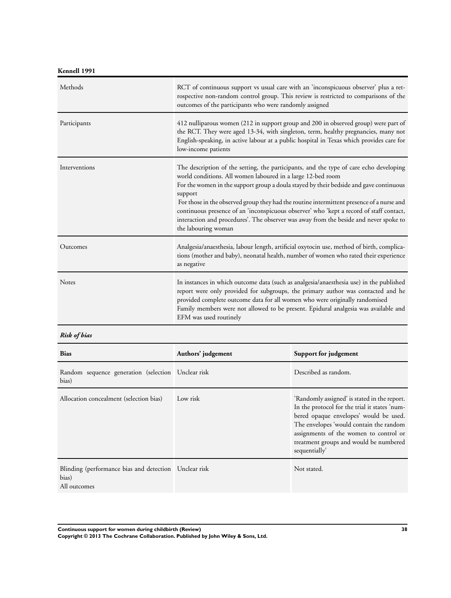**Kennell 1991**

| Methods       | RCT of continuous support vs usual care with an 'inconspicuous observer' plus a ret-<br>rospective non-random control group. This review is restricted to comparisons of the<br>outcomes of the participants who were randomly assigned                                                                                                                                                                                                                                                                                                                            |  |
|---------------|--------------------------------------------------------------------------------------------------------------------------------------------------------------------------------------------------------------------------------------------------------------------------------------------------------------------------------------------------------------------------------------------------------------------------------------------------------------------------------------------------------------------------------------------------------------------|--|
| Participants  | 412 nulliparous women (212 in support group and 200 in observed group) were part of<br>the RCT. They were aged 13-34, with singleton, term, healthy pregnancies, many not<br>English-speaking, in active labour at a public hospital in Texas which provides care for<br>low-income patients                                                                                                                                                                                                                                                                       |  |
| Interventions | The description of the setting, the participants, and the type of care echo developing<br>world conditions. All women laboured in a large 12-bed room<br>For the women in the support group a doula stayed by their bedside and gave continuous<br>support<br>For those in the observed group they had the routine intermittent presence of a nurse and<br>continuous presence of an 'inconspicuous observer' who 'kept a record of staff contact,<br>interaction and procedures'. The observer was away from the beside and never spoke to<br>the labouring woman |  |
| Outcomes      | Analgesia/anaesthesia, labour length, artificial oxytocin use, method of birth, complica-<br>tions (mother and baby), neonatal health, number of women who rated their experience<br>as negative                                                                                                                                                                                                                                                                                                                                                                   |  |
| Notes         | In instances in which outcome data (such as analgesia/anaesthesia use) in the published<br>report were only provided for subgroups, the primary author was contacted and he<br>provided complete outcome data for all women who were originally randomised<br>Family members were not allowed to be present. Epidural analgesia was available and<br>EFM was used routinely                                                                                                                                                                                        |  |

## *Risk of bias*

| <b>Bias</b>                                                                    | Authors' judgement | Support for judgement                                                                                                                                                                                                                                                                   |
|--------------------------------------------------------------------------------|--------------------|-----------------------------------------------------------------------------------------------------------------------------------------------------------------------------------------------------------------------------------------------------------------------------------------|
| Random sequence generation (selection Unclear risk<br>bias)                    |                    | Described as random.                                                                                                                                                                                                                                                                    |
| Allocation concealment (selection bias)                                        | Low risk           | 'Randomly assigned' is stated in the report.<br>In the protocol for the trial it states 'num-<br>bered opaque envelopes' would be used.<br>The envelopes 'would contain the random<br>assignments of the women to control or<br>treatment groups and would be numbered<br>sequentially' |
| Blinding (performance bias and detection Unclear risk<br>bias)<br>All outcomes |                    | Not stated.                                                                                                                                                                                                                                                                             |

**Continuous support for women during childbirth (Review) 38**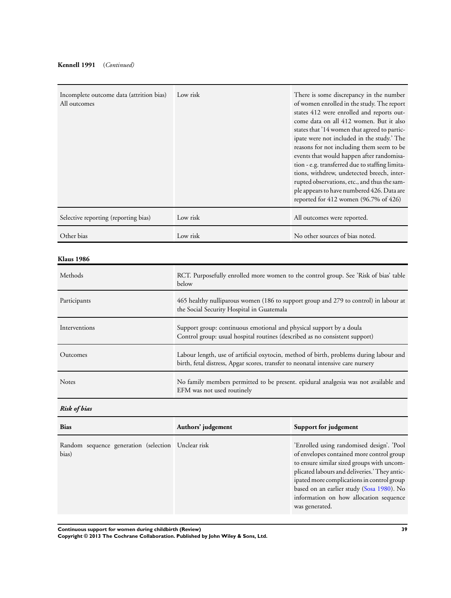| Incomplete outcome data (attrition bias)<br>All outcomes | Low risk | There is some discrepancy in the number<br>of women enrolled in the study. The report<br>states 412 were enrolled and reports out-<br>come data on all 412 women. But it also<br>states that '14 women that agreed to partic-<br>ipate were not included in the study.' The<br>reasons for not including them seem to be<br>events that would happen after randomisa-<br>tion - e.g. transferred due to staffing limita-<br>tions, withdrew, undetected breech, inter-<br>rupted observations, etc., and thus the sam-<br>ple appears to have numbered 426. Data are<br>reported for 412 women (96.7% of 426) |
|----------------------------------------------------------|----------|---------------------------------------------------------------------------------------------------------------------------------------------------------------------------------------------------------------------------------------------------------------------------------------------------------------------------------------------------------------------------------------------------------------------------------------------------------------------------------------------------------------------------------------------------------------------------------------------------------------|
| Selective reporting (reporting bias)                     | Low risk | All outcomes were reported.                                                                                                                                                                                                                                                                                                                                                                                                                                                                                                                                                                                   |
| Other bias                                               | Low risk | No other sources of bias noted.                                                                                                                                                                                                                                                                                                                                                                                                                                                                                                                                                                               |

**Klaus 1986**

| Methods       | RCT. Purposefully enrolled more women to the control group. See 'Risk of bias' table<br>below                                                                              |
|---------------|----------------------------------------------------------------------------------------------------------------------------------------------------------------------------|
| Participants  | 465 healthy nulliparous women (186 to support group and 279 to control) in labour at<br>the Social Security Hospital in Guatemala                                          |
| Interventions | Support group: continuous emotional and physical support by a doula<br>Control group: usual hospital routines (described as no consistent support)                         |
| Outcomes      | Labour length, use of artificial oxytocin, method of birth, problems during labour and<br>birth, fetal distress, Apgar scores, transfer to neonatal intensive care nursery |
| <b>Notes</b>  | No family members permitted to be present. epidural analgesia was not available and<br>EFM was not used routinely                                                          |

*Risk of bias*

| <b>Bias</b>                                                 | Authors' judgement | Support for judgement                                                                                                                                                                                                                                                                                                                        |
|-------------------------------------------------------------|--------------------|----------------------------------------------------------------------------------------------------------------------------------------------------------------------------------------------------------------------------------------------------------------------------------------------------------------------------------------------|
| Random sequence generation (selection Unclear risk<br>bias) |                    | 'Enrolled using randomised design'. 'Pool<br>of envelopes contained more control group<br>to ensure similar sized groups with uncom-<br>plicated labours and deliveries.' They antic-<br>ipated more complications in control group<br>based on an earlier study (Sosa 1980). No<br>information on how allocation sequence<br>was generated. |

**Continuous support for women during childbirth (Review) 39**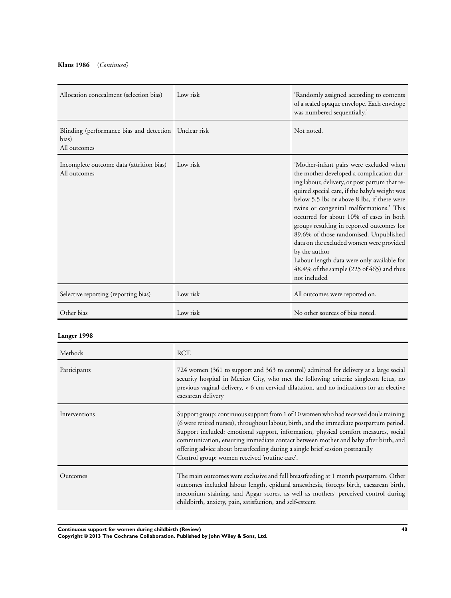#### **Klaus 1986** (*Continued)*

| Allocation concealment (selection bias)                                        | Low risk | 'Randomly assigned according to contents<br>of a sealed opaque envelope. Each envelope<br>was numbered sequentially.'                                                                                                                                                                                                                                                                                                                                                                                                                                                                      |
|--------------------------------------------------------------------------------|----------|--------------------------------------------------------------------------------------------------------------------------------------------------------------------------------------------------------------------------------------------------------------------------------------------------------------------------------------------------------------------------------------------------------------------------------------------------------------------------------------------------------------------------------------------------------------------------------------------|
| Blinding (performance bias and detection Unclear risk<br>bias)<br>All outcomes |          | Not noted.                                                                                                                                                                                                                                                                                                                                                                                                                                                                                                                                                                                 |
| Incomplete outcome data (attrition bias)<br>All outcomes                       | Low risk | 'Mother-infant pairs were excluded when<br>the mother developed a complication dur-<br>ing labour, delivery, or post partum that re-<br>quired special care, if the baby's weight was<br>below 5.5 lbs or above 8 lbs, if there were<br>twins or congenital malformations.' This<br>occurred for about 10% of cases in both<br>groups resulting in reported outcomes for<br>89.6% of those randomised. Unpublished<br>data on the excluded women were provided<br>by the author<br>Labour length data were only available for<br>48.4% of the sample (225 of 465) and thus<br>not included |
| Selective reporting (reporting bias)                                           | Low risk | All outcomes were reported on.                                                                                                                                                                                                                                                                                                                                                                                                                                                                                                                                                             |
| Other bias                                                                     | Low risk | No other sources of bias noted.                                                                                                                                                                                                                                                                                                                                                                                                                                                                                                                                                            |

## **Langer 1998**

| Methods       | RCT.                                                                                                                                                                                                                                                                                                                                                                                                                                                                                           |
|---------------|------------------------------------------------------------------------------------------------------------------------------------------------------------------------------------------------------------------------------------------------------------------------------------------------------------------------------------------------------------------------------------------------------------------------------------------------------------------------------------------------|
| Participants  | 724 women (361 to support and 363 to control) admitted for delivery at a large social<br>security hospital in Mexico City, who met the following criteria: singleton fetus, no<br>previous vaginal delivery, < 6 cm cervical dilatation, and no indications for an elective<br>caesarean delivery                                                                                                                                                                                              |
| Interventions | Support group: continuous support from 1 of 10 women who had received doula training<br>(6 were retired nurses), throughout labour, birth, and the immediate postpartum period.<br>Support included: emotional support, information, physical comfort measures, social<br>communication, ensuring immediate contact between mother and baby after birth, and<br>offering advice about breastfeeding during a single brief session postnatally<br>Control group: women received 'routine care'. |
| Outcomes      | The main outcomes were exclusive and full breastfeeding at 1 month postpartum. Other<br>outcomes included labour length, epidural anaesthesia, forceps birth, caesarean birth,<br>meconium staining, and Apgar scores, as well as mothers' perceived control during<br>childbirth, anxiety, pain, satisfaction, and self-esteem                                                                                                                                                                |

**Continuous support for women during childbirth (Review) 40**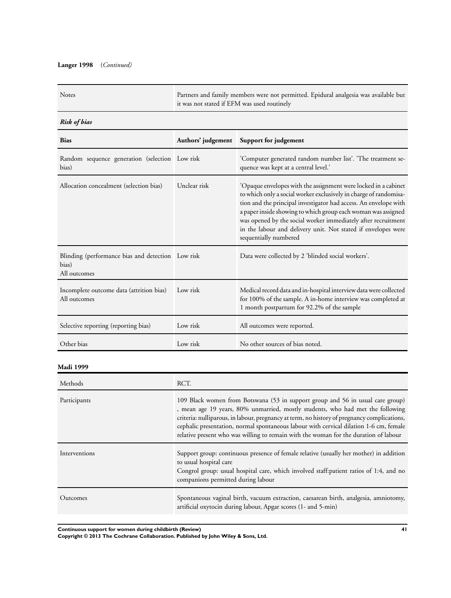## **Langer 1998** (*Continued)*

| <b>Notes</b> | Partners and family members were not permitted. Epidural analgesia was available but |
|--------------|--------------------------------------------------------------------------------------|
|              | it was not stated if EFM was used routinely                                          |

## *Risk of bias*

| <b>Bias</b>                                                                | Authors' judgement | Support for judgement                                                                                                                                                                                                                                                                                                                                                                                                               |
|----------------------------------------------------------------------------|--------------------|-------------------------------------------------------------------------------------------------------------------------------------------------------------------------------------------------------------------------------------------------------------------------------------------------------------------------------------------------------------------------------------------------------------------------------------|
| Random sequence generation (selection Low risk<br>bias)                    |                    | 'Computer generated random number list'. 'The treatment se-<br>quence was kept at a central level.'                                                                                                                                                                                                                                                                                                                                 |
| Allocation concealment (selection bias)                                    | Unclear risk       | 'Opaque envelopes with the assignment were locked in a cabinet<br>to which only a social worker exclusively in charge of randomisa-<br>tion and the principal investigator had access. An envelope with<br>a paper inside showing to which group each woman was assigned<br>was opened by the social worker immediately after recruitment<br>in the labour and delivery unit. Not stated if envelopes were<br>sequentially numbered |
| Blinding (performance bias and detection Low risk<br>bias)<br>All outcomes |                    | Data were collected by 2 'blinded social workers'.                                                                                                                                                                                                                                                                                                                                                                                  |
| Incomplete outcome data (attrition bias)<br>All outcomes                   | Low risk           | Medical record data and in-hospital interview data were collected<br>for 100% of the sample. A in-home interview was completed at<br>1 month postpartum for 92.2% of the sample                                                                                                                                                                                                                                                     |
| Selective reporting (reporting bias)                                       | Low risk           | All outcomes were reported.                                                                                                                                                                                                                                                                                                                                                                                                         |
| Other bias                                                                 | Low risk           | No other sources of bias noted.                                                                                                                                                                                                                                                                                                                                                                                                     |

#### **Madi 1999**

| Methods       | RCT.                                                                                                                                                                                                                                                                                                                                                                                                                                              |
|---------------|---------------------------------------------------------------------------------------------------------------------------------------------------------------------------------------------------------------------------------------------------------------------------------------------------------------------------------------------------------------------------------------------------------------------------------------------------|
| Participants  | 109 Black women from Botswana (53 in support group and 56 in usual care group)<br>, mean age 19 years, 80% unmarried, mostly students, who had met the following<br>criteria: nulliparous, in labour, pregnancy at term, no history of pregnancy complications,<br>cephalic presentation, normal spontaneous labour with cervical dilation 1-6 cm, female<br>relative present who was willing to remain with the woman for the duration of labour |
| Interventions | Support group: continuous presence of female relative (usually her mother) in addition<br>to usual hospital care<br>Congrol group: usual hospital care, which involved staff:patient ratios of 1:4, and no<br>companions permitted during labour                                                                                                                                                                                                  |
| Outcomes      | Spontaneous vaginal birth, vacuum extraction, caesarean birth, analgesia, amniotomy,<br>artificial oxytocin during labour, Apgar scores (1- and 5-min)                                                                                                                                                                                                                                                                                            |

**Continuous support for women during childbirth (Review) 41**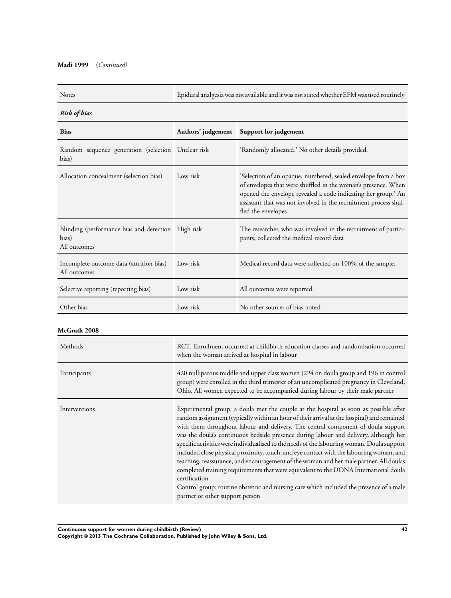Notes Epidural analgesia was not available and it was not stated whether EFM was used routinely

# *Risk of bias*

| <b>Bias</b>                                                                 |          | Authors' judgement Support for judgement                                                                                                                                                                                                                                                  |
|-----------------------------------------------------------------------------|----------|-------------------------------------------------------------------------------------------------------------------------------------------------------------------------------------------------------------------------------------------------------------------------------------------|
| Random sequence generation (selection Unclear risk<br>bias)                 |          | 'Randomly allocated.' No other details provided.                                                                                                                                                                                                                                          |
| Allocation concealment (selection bias)                                     | Low risk | 'Selection of an opaque, numbered, sealed envelope from a box<br>of envelopes that were shuffled in the woman's presence. When<br>opened the envelope revealed a code indicating her group.' An<br>assistant that was not involved in the recruitment process shuf-<br>fled the envelopes |
| Blinding (performance bias and detection High risk<br>bias)<br>All outcomes |          | The researcher, who was involved in the recruitment of partici-<br>pants, collected the medical record data                                                                                                                                                                               |
| Incomplete outcome data (attrition bias)<br>All outcomes                    | Low risk | Medical record data were collected on 100% of the sample.                                                                                                                                                                                                                                 |
| Selective reporting (reporting bias)                                        | Low risk | All outcomes were reported.                                                                                                                                                                                                                                                               |
| Other bias                                                                  | Low risk | No other sources of bias noted.                                                                                                                                                                                                                                                           |

## **McGrath 2008**

| Methods       | RCT. Enrollment occurred at childbirth education classes and randomisation occurred<br>when the woman arrived at hospital in labour                                                                                                                                                                                                                                                                                                                                                                                                                                                                                                                                                                                                                                                                                                                                                      |
|---------------|------------------------------------------------------------------------------------------------------------------------------------------------------------------------------------------------------------------------------------------------------------------------------------------------------------------------------------------------------------------------------------------------------------------------------------------------------------------------------------------------------------------------------------------------------------------------------------------------------------------------------------------------------------------------------------------------------------------------------------------------------------------------------------------------------------------------------------------------------------------------------------------|
| Participants  | 420 nulliparous middle and upper class women (224 on doula group and 196 in control<br>group) were enrolled in the third trimester of an uncomplicated pregnancy in Cleveland,<br>Ohio. All women expected to be accompanied during labour by their male partner                                                                                                                                                                                                                                                                                                                                                                                                                                                                                                                                                                                                                         |
| Interventions | Experimental group: a doula met the couple at the hospital as soon as possible after<br>random assignment (typically within an hour of their arrival at the hospital) and remained<br>with them throughout labour and delivery. The central component of doula support<br>was the doula's continuous bedside presence during labour and delivery, although her<br>specific activities were individualised to the needs of the labouring woman. Doula support<br>included close physical proximity, touch, and eye contact with the labouring woman, and<br>teaching, reassurance, and encouragement of the woman and her male partner. All doulas<br>completed training requirements that were equivalent to the DONA International doula<br>certification<br>Control group: routine obstetric and nursing care which included the presence of a male<br>partner or other support person |

**Continuous support for women during childbirth (Review) 42**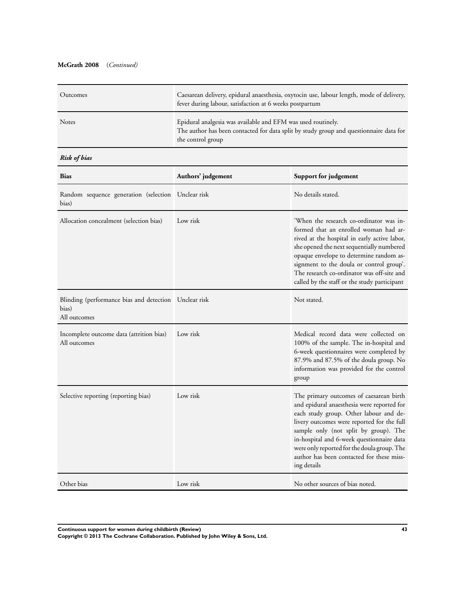#### **McGrath 2008** (*Continued)*

| Outcomes     | Caesarean delivery, epidural anaesthesia, oxytocin use, labour length, mode of delivery,<br>fever during labour, satisfaction at 6 weeks postpartum                         |
|--------------|-----------------------------------------------------------------------------------------------------------------------------------------------------------------------------|
| <b>Notes</b> | Epidural analgesia was available and EFM was used routinely.<br>The author has been contacted for data split by study group and questionnaire data for<br>the control group |

## *Risk of bias*

| <b>Bias</b>                                                                    | Authors' judgement | Support for judgement                                                                                                                                                                                                                                                                                                                                                          |
|--------------------------------------------------------------------------------|--------------------|--------------------------------------------------------------------------------------------------------------------------------------------------------------------------------------------------------------------------------------------------------------------------------------------------------------------------------------------------------------------------------|
| Random sequence generation (selection Unclear risk<br>bias)                    |                    | No details stated.                                                                                                                                                                                                                                                                                                                                                             |
| Allocation concealment (selection bias)                                        | Low risk           | 'When the research co-ordinator was in-<br>formed that an enrolled woman had ar-<br>rived at the hospital in early active labor,<br>she opened the next sequentially numbered<br>opaque envelope to determine random as-<br>signment to the doula or control group'.<br>The research co-ordinator was off-site and<br>called by the staff or the study participant             |
| Blinding (performance bias and detection Unclear risk<br>bias)<br>All outcomes |                    | Not stated.                                                                                                                                                                                                                                                                                                                                                                    |
| Incomplete outcome data (attrition bias)<br>All outcomes                       | Low risk           | Medical record data were collected on<br>100% of the sample. The in-hospital and<br>6-week questionnaires were completed by<br>87.9% and 87.5% of the doula group. No<br>information was provided for the control<br>group                                                                                                                                                     |
| Selective reporting (reporting bias)                                           | Low risk           | The primary outcomes of caesarean birth<br>and epidural anaesthesia were reported for<br>each study group. Other labour and de-<br>livery outcomes were reported for the full<br>sample only (not split by group). The<br>in-hospital and 6-week questionnaire data<br>were only reported for the doula group. The<br>author has been contacted for these miss-<br>ing details |
| Other bias                                                                     | Low risk           | No other sources of bias noted.                                                                                                                                                                                                                                                                                                                                                |

**Continuous support for women during childbirth (Review) 43**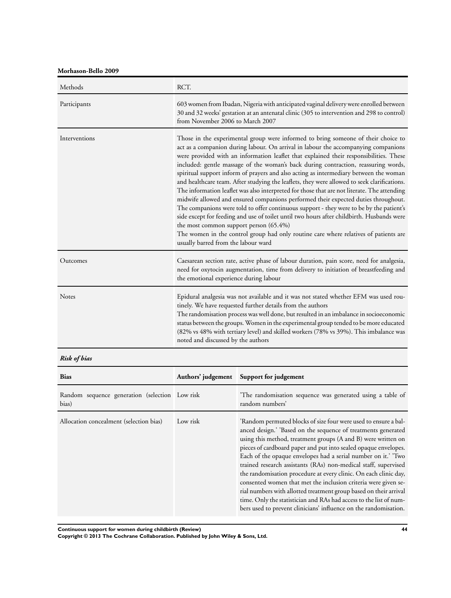**Morhason-Bello 2009**

| Methods       | RCT.                                                                                                                                                                                                                                                                                                                                                                                                                                                                                                                                                                                                                                                                                                                                                                                                                                                                                                                                                                                                                                                                                                     |
|---------------|----------------------------------------------------------------------------------------------------------------------------------------------------------------------------------------------------------------------------------------------------------------------------------------------------------------------------------------------------------------------------------------------------------------------------------------------------------------------------------------------------------------------------------------------------------------------------------------------------------------------------------------------------------------------------------------------------------------------------------------------------------------------------------------------------------------------------------------------------------------------------------------------------------------------------------------------------------------------------------------------------------------------------------------------------------------------------------------------------------|
| Participants  | 603 women from Ibadan, Nigeria with anticipated vaginal delivery were enrolled between<br>30 and 32 weeks' gestation at an antenatal clinic (305 to intervention and 298 to control)<br>from November 2006 to March 2007                                                                                                                                                                                                                                                                                                                                                                                                                                                                                                                                                                                                                                                                                                                                                                                                                                                                                 |
| Interventions | Those in the experimental group were informed to bring someone of their choice to<br>act as a companion during labour. On arrival in labour the accompanying companions<br>were provided with an information leaflet that explained their responsibilities. These<br>included: gentle massage of the woman's back during contraction, reassuring words,<br>spiritual support inform of prayers and also acting as intermediary between the woman<br>and healthcare team. After studying the leaflets, they were allowed to seek clarifications.<br>The information leaflet was also interpreted for those that are not literate. The attending<br>midwife allowed and ensured companions performed their expected duties throughout.<br>The companions were told to offer continuous support - they were to be by the patient's<br>side except for feeding and use of toilet until two hours after childbirth. Husbands were<br>the most common support person $(65.4\%)$<br>The women in the control group had only routine care where relatives of patients are<br>usually barred from the labour ward |
| Outcomes      | Caesarean section rate, active phase of labour duration, pain score, need for analgesia,<br>need for oxytocin augmentation, time from delivery to initiation of breastfeeding and<br>the emotional experience during labour                                                                                                                                                                                                                                                                                                                                                                                                                                                                                                                                                                                                                                                                                                                                                                                                                                                                              |
| <b>Notes</b>  | Epidural analgesia was not available and it was not stated whether EFM was used rou-<br>tinely. We have requested further details from the authors<br>The randomisation process was well done, but resulted in an imbalance in socioeconomic<br>status between the groups. Women in the experimental group tended to be more educated<br>(82% vs 48% with tertiary level) and skilled workers (78% vs 39%). This imbalance was<br>noted and discussed by the authors                                                                                                                                                                                                                                                                                                                                                                                                                                                                                                                                                                                                                                     |

# *Risk of bias*

| <b>Bias</b>                                             |          | Authors' judgement Support for judgement                                                                                                                                                                                                                                                                                                                                                                                                                                                                                                                                                                                                                                                                                                                      |
|---------------------------------------------------------|----------|---------------------------------------------------------------------------------------------------------------------------------------------------------------------------------------------------------------------------------------------------------------------------------------------------------------------------------------------------------------------------------------------------------------------------------------------------------------------------------------------------------------------------------------------------------------------------------------------------------------------------------------------------------------------------------------------------------------------------------------------------------------|
| Random sequence generation (selection Low risk<br>bias) |          | The randomisation sequence was generated using a table of<br>random numbers'                                                                                                                                                                                                                                                                                                                                                                                                                                                                                                                                                                                                                                                                                  |
| Allocation concealment (selection bias)                 | Low risk | 'Random permuted blocks of size four were used to ensure a bal-<br>anced design.' 'Based on the sequence of treatments generated<br>using this method, treatment groups (A and B) were written on<br>pieces of cardboard paper and put into sealed opaque envelopes.<br>Each of the opaque envelopes had a serial number on it.' 'Two<br>trained research assistants (RAs) non-medical staff, supervised<br>the randomisation procedure at every clinic. On each clinic day,<br>consented women that met the inclusion criteria were given se-<br>rial numbers with allotted treatment group based on their arrival<br>time. Only the statistician and RAs had access to the list of num-<br>bers used to prevent clinicians' influence on the randomisation. |

**Continuous support for women during childbirth (Review) 44**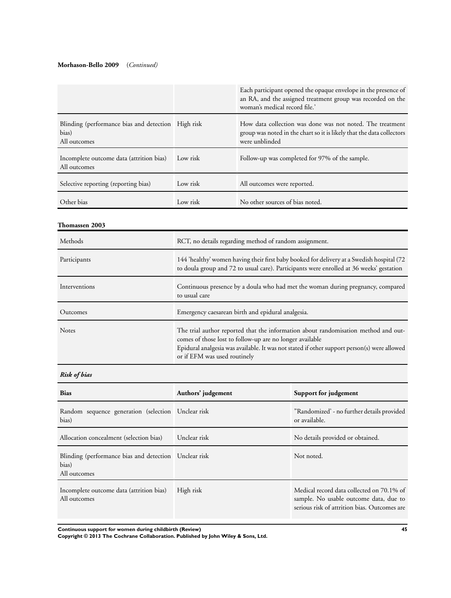#### **Morhason-Bello 2009** (*Continued)*

| <b>Bias</b>                                                                 | Authors' judgement                                                                                                                                                                                                                                                            |                                 | Support for judgement                                                                                                              |
|-----------------------------------------------------------------------------|-------------------------------------------------------------------------------------------------------------------------------------------------------------------------------------------------------------------------------------------------------------------------------|---------------------------------|------------------------------------------------------------------------------------------------------------------------------------|
| Risk of bias                                                                |                                                                                                                                                                                                                                                                               |                                 |                                                                                                                                    |
| <b>Notes</b>                                                                | The trial author reported that the information about randomisation method and out-<br>comes of those lost to follow-up are no longer available<br>Epidural analgesia was available. It was not stated if other support person(s) were allowed<br>or if EFM was used routinely |                                 |                                                                                                                                    |
| Outcomes                                                                    | Emergency caesarean birth and epidural analgesia.                                                                                                                                                                                                                             |                                 |                                                                                                                                    |
| Interventions                                                               | Continuous presence by a doula who had met the woman during pregnancy, compared<br>to usual care                                                                                                                                                                              |                                 |                                                                                                                                    |
| Participants                                                                | 144 'healthy' women having their first baby booked for delivery at a Swedish hospital (72<br>to doula group and 72 to usual care). Participants were enrolled at 36 weeks' gestation                                                                                          |                                 |                                                                                                                                    |
| Methods                                                                     | RCT, no details regarding method of random assignment.                                                                                                                                                                                                                        |                                 |                                                                                                                                    |
| Thomassen 2003                                                              |                                                                                                                                                                                                                                                                               |                                 |                                                                                                                                    |
| Other bias                                                                  | Low risk                                                                                                                                                                                                                                                                      | No other sources of bias noted. |                                                                                                                                    |
| Selective reporting (reporting bias)                                        | Low risk                                                                                                                                                                                                                                                                      | All outcomes were reported.     |                                                                                                                                    |
| Incomplete outcome data (attrition bias)<br>All outcomes                    | Low risk                                                                                                                                                                                                                                                                      |                                 | Follow-up was completed for 97% of the sample.                                                                                     |
| Blinding (performance bias and detection High risk<br>bias)<br>All outcomes |                                                                                                                                                                                                                                                                               | were unblinded                  | How data collection was done was not noted. The treatment<br>group was noted in the chart so it is likely that the data collectors |
|                                                                             |                                                                                                                                                                                                                                                                               | woman's medical record file.'   | Each participant opened the opaque envelope in the presence of<br>an RA, and the assigned treatment group was recorded on the      |

| <b>Bias</b>                                                                    | Authors judgement | Support for judgement                                                                                                               |
|--------------------------------------------------------------------------------|-------------------|-------------------------------------------------------------------------------------------------------------------------------------|
| Random sequence generation (selection Unclear risk<br>bias)                    |                   | "Randomized' - no further details provided<br>or available.                                                                         |
| Allocation concealment (selection bias)                                        | Unclear risk      | No details provided or obtained.                                                                                                    |
| Blinding (performance bias and detection Unclear risk<br>bias)<br>All outcomes |                   | Not noted.                                                                                                                          |
| Incomplete outcome data (attrition bias)<br>All outcomes                       | High risk         | Medical record data collected on 70.1% of<br>sample. No usable outcome data, due to<br>serious risk of attrition bias. Outcomes are |

**Continuous support for women during childbirth (Review) 45**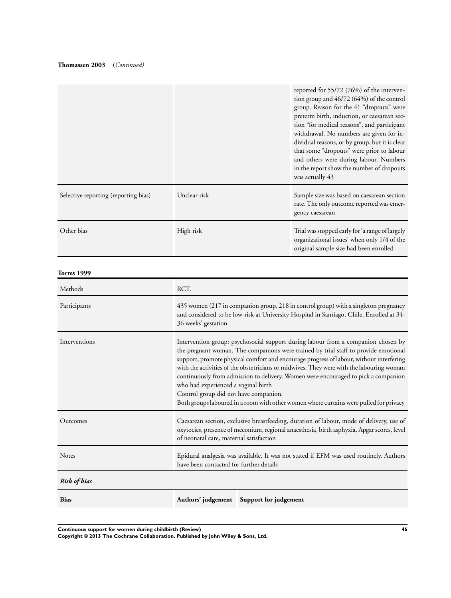#### **Thomassen 2003** (*Continued)*

|                                      |              | reported for 55/72 (76%) of the interven-<br>tion group and 46/72 (64%) of the control<br>group. Reason for the 41 "dropouts" were<br>preterm birth, induction, or caesarean sec-<br>tion "for medical reasons", and participant<br>withdrawal. No numbers are given for in-<br>dividual reasons, or by group, but it is clear<br>that some "dropouts" were prior to labour<br>and others were during labour. Numbers<br>in the report show the number of dropouts<br>was actually 43 |
|--------------------------------------|--------------|---------------------------------------------------------------------------------------------------------------------------------------------------------------------------------------------------------------------------------------------------------------------------------------------------------------------------------------------------------------------------------------------------------------------------------------------------------------------------------------|
| Selective reporting (reporting bias) | Unclear risk | Sample size was based on caesarean section<br>rate. The only outcome reported was emer-<br>gency caesarean                                                                                                                                                                                                                                                                                                                                                                            |
| Other bias                           | High risk    | Trial was stopped early for 'a range of largely<br>organizational issues' when only 1/4 of the<br>original sample size had been enrolled                                                                                                                                                                                                                                                                                                                                              |

#### **Torres 1999**

| Methods             | RCT.                                                                                                                                                                                                                              |                                                                                                                                                                                                                                                                                                                                                                                                                                                                                                                                                 |  |
|---------------------|-----------------------------------------------------------------------------------------------------------------------------------------------------------------------------------------------------------------------------------|-------------------------------------------------------------------------------------------------------------------------------------------------------------------------------------------------------------------------------------------------------------------------------------------------------------------------------------------------------------------------------------------------------------------------------------------------------------------------------------------------------------------------------------------------|--|
| Participants        | 36 weeks' gestation                                                                                                                                                                                                               | 435 women (217 in companion group, 218 in control group) with a singleton pregnancy<br>and considered to be low-risk at University Hospital in Santiago, Chile. Enrolled at 34-                                                                                                                                                                                                                                                                                                                                                                 |  |
| Interventions       | who had experienced a vaginal birth<br>Control group did not have companion.                                                                                                                                                      | Intervention group: psychosocial support during labour from a companion chosen by<br>the pregnant woman. The companions were trained by trial staff to provide emotional<br>support, promote physical comfort and encourage progress of labour, without interfering<br>with the activities of the obstetricians or midwives. They were with the labouring woman<br>continuously from admission to delivery. Women were encouraged to pick a companion<br>Both groups laboured in a room with other women where curtains were pulled for privacy |  |
| Outcomes            | Caesarean section, exclusive breastfeeding, duration of labour, mode of delivery, use of<br>oxytocics, presence of meconium, regional anaesthesia, birth asphyxia, Apgar scores, level<br>of neonatal care, maternal satisfaction |                                                                                                                                                                                                                                                                                                                                                                                                                                                                                                                                                 |  |
| <b>Notes</b>        | Epidural analgesia was available. It was not stated if EFM was used routinely. Authors<br>have been contacted for further details                                                                                                 |                                                                                                                                                                                                                                                                                                                                                                                                                                                                                                                                                 |  |
| <b>Risk of bias</b> |                                                                                                                                                                                                                                   |                                                                                                                                                                                                                                                                                                                                                                                                                                                                                                                                                 |  |
| <b>Bias</b>         |                                                                                                                                                                                                                                   | Authors' judgement Support for judgement                                                                                                                                                                                                                                                                                                                                                                                                                                                                                                        |  |

**Continuous support for women during childbirth (Review) 46**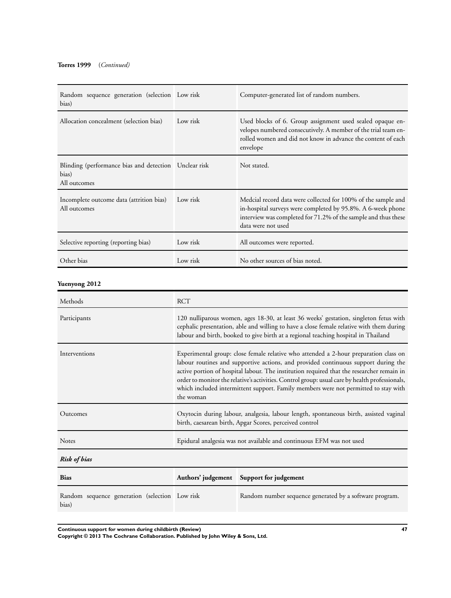#### **Torres 1999** (*Continued)*

| Random sequence generation (selection Low risk<br>bias)                        |          | Computer-generated list of random numbers.                                                                                                                                                                           |
|--------------------------------------------------------------------------------|----------|----------------------------------------------------------------------------------------------------------------------------------------------------------------------------------------------------------------------|
| Allocation concealment (selection bias)                                        | Low risk | Used blocks of 6. Group assignment used sealed opaque en-<br>velopes numbered consecutively. A member of the trial team en-<br>rolled women and did not know in advance the content of each<br>envelope              |
| Blinding (performance bias and detection Unclear risk<br>bias)<br>All outcomes |          | Not stated.                                                                                                                                                                                                          |
| Incomplete outcome data (attrition bias)<br>All outcomes                       | Low risk | Medcial record data were collected for 100% of the sample and<br>in-hospital surveys were completed by 95.8%. A 6-week phone<br>interview was completed for 71.2% of the sample and thus these<br>data were not used |
| Selective reporting (reporting bias)                                           | Low risk | All outcomes were reported.                                                                                                                                                                                          |
| Other bias                                                                     | Low risk | No other sources of bias noted.                                                                                                                                                                                      |

## **Yuenyong 2012**

| Methods       | <b>RCT</b>                                                                                                                                                                                                                                                                                                                                                                                                                                                                    |
|---------------|-------------------------------------------------------------------------------------------------------------------------------------------------------------------------------------------------------------------------------------------------------------------------------------------------------------------------------------------------------------------------------------------------------------------------------------------------------------------------------|
| Participants  | 120 nulliparous women, ages 18-30, at least 36 weeks' gestation, singleton fetus with<br>cephalic presentation, able and willing to have a close female relative with them during<br>labour and birth, booked to give birth at a regional teaching hospital in Thailand                                                                                                                                                                                                       |
| Interventions | Experimental group: close female relative who attended a 2-hour preparation class on<br>labour routines and supportive actions, and provided continuous support during the<br>active portion of hospital labour. The institution required that the researcher remain in<br>order to monitor the relative's activities. Control group: usual care by health professionals,<br>which included intermittent support. Family members were not permitted to stay with<br>the woman |
| Outcomes      | Oxytocin during labour, analgesia, labour length, spontaneous birth, assisted vaginal<br>birth, caesarean birth, Apgar Scores, perceived control                                                                                                                                                                                                                                                                                                                              |
| <b>Notes</b>  | Epidural analgesia was not available and continuous EFM was not used                                                                                                                                                                                                                                                                                                                                                                                                          |
| Risk of bias  |                                                                                                                                                                                                                                                                                                                                                                                                                                                                               |

| <b>Bias</b>                                             | Authors' judgement Support for judgement                |
|---------------------------------------------------------|---------------------------------------------------------|
| Random sequence generation (selection Low risk<br>bias) | Random number sequence generated by a software program. |

**Continuous support for women during childbirth (Review) 47**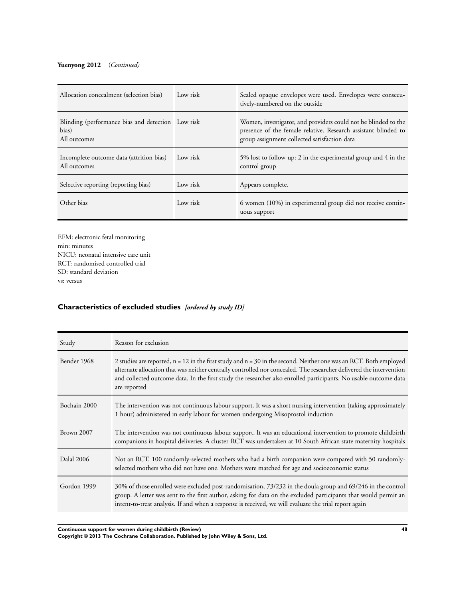## **Yuenyong 2012** (*Continued)*

| Allocation concealment (selection bias)                                    | Low risk | Sealed opaque envelopes were used. Envelopes were consecu-<br>tively-numbered on the outside                                                                                     |
|----------------------------------------------------------------------------|----------|----------------------------------------------------------------------------------------------------------------------------------------------------------------------------------|
| Blinding (performance bias and detection Low risk<br>bias)<br>All outcomes |          | Women, investigator, and providers could not be blinded to the<br>presence of the female relative. Research assistant blinded to<br>group assignment collected satisfaction data |
| Incomplete outcome data (attrition bias)<br>All outcomes                   | Low risk | 5% lost to follow-up: 2 in the experimental group and 4 in the<br>control group                                                                                                  |
| Selective reporting (reporting bias)                                       | Low risk | Appears complete.                                                                                                                                                                |
| Other bias                                                                 | Low risk | 6 women (10%) in experimental group did not receive contin-<br>uous support                                                                                                      |

EFM: electronic fetal monitoring min: minutes NICU: neonatal intensive care unit RCT: randomised controlled trial SD: standard deviation vs: versus

## **Characteristics of excluded studies** *[ordered by study ID]*

| Study             | Reason for exclusion                                                                                                                                                                                                                                                                                                                                                             |
|-------------------|----------------------------------------------------------------------------------------------------------------------------------------------------------------------------------------------------------------------------------------------------------------------------------------------------------------------------------------------------------------------------------|
| Bender 1968       | 2 studies are reported, $n = 12$ in the first study and $n = 30$ in the second. Neither one was an RCT. Both employed<br>alternate allocation that was neither centrally controlled nor concealed. The researcher delivered the intervention<br>and collected outcome data. In the first study the researcher also enrolled participants. No usable outcome data<br>are reported |
| Bochain 2000      | The intervention was not continuous labour support. It was a short nursing intervention (taking approximately<br>1 hour) administered in early labour for women undergoing Misoprostol induction                                                                                                                                                                                 |
| Brown 2007        | The intervention was not continuous labour support. It was an educational intervention to promote childbirth<br>companions in hospital deliveries. A cluster-RCT was undertaken at 10 South African state maternity hospitals                                                                                                                                                    |
| <b>Dalal 2006</b> | Not an RCT. 100 randomly-selected mothers who had a birth companion were compared with 50 randomly-<br>selected mothers who did not have one. Mothers were matched for age and socioeconomic status                                                                                                                                                                              |
| Gordon 1999       | 30% of those enrolled were excluded post-randomisation, 73/232 in the doula group and 69/246 in the control<br>group. A letter was sent to the first author, asking for data on the excluded participants that would permit an<br>intent-to-treat analysis. If and when a response is received, we will evaluate the trial report again                                          |

**Continuous support for women during childbirth (Review) 48**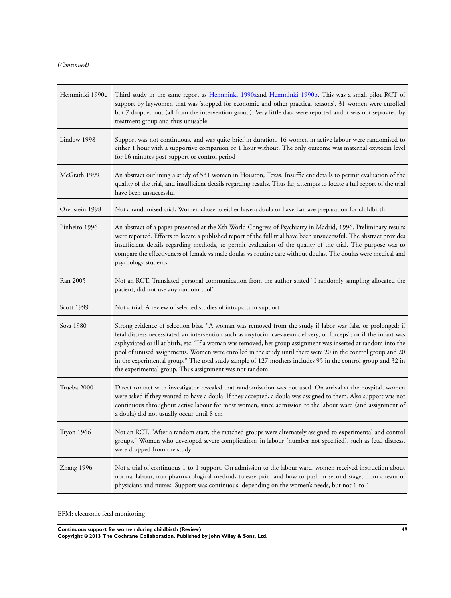(*Continued)*

| Hemminki 1990c | Third study in the same report as Hemminki 1990aand Hemminki 1990b. This was a small pilot RCT of<br>support by laywomen that was 'stopped for economic and other practical reasons'. 31 women were enrolled<br>but 7 dropped out (all from the intervention group). Very little data were reported and it was not separated by<br>treatment group and thus unusable                                                                                                                                                                                                                                                                           |  |  |  |  |  |
|----------------|------------------------------------------------------------------------------------------------------------------------------------------------------------------------------------------------------------------------------------------------------------------------------------------------------------------------------------------------------------------------------------------------------------------------------------------------------------------------------------------------------------------------------------------------------------------------------------------------------------------------------------------------|--|--|--|--|--|
| Lindow 1998    | Support was not continuous, and was quite brief in duration. 16 women in active labour were randomised to<br>either 1 hour with a supportive companion or 1 hour without. The only outcome was maternal oxytocin level<br>for 16 minutes post-support or control period                                                                                                                                                                                                                                                                                                                                                                        |  |  |  |  |  |
| McGrath 1999   | An abstract outlining a study of 531 women in Houston, Texas. Insufficient details to permit evaluation of the<br>quality of the trial, and insufficient details regarding results. Thus far, attempts to locate a full report of the trial<br>have been unsuccessful                                                                                                                                                                                                                                                                                                                                                                          |  |  |  |  |  |
| Orenstein 1998 | Not a randomised trial. Women chose to either have a doula or have Lamaze preparation for childbirth                                                                                                                                                                                                                                                                                                                                                                                                                                                                                                                                           |  |  |  |  |  |
| Pinheiro 1996  | An abstract of a paper presented at the Xth World Congress of Psychiatry in Madrid, 1996. Preliminary results<br>were reported. Efforts to locate a published report of the full trial have been unsuccessful. The abstract provides<br>insufficient details regarding methods, to permit evaluation of the quality of the trial. The purpose was to<br>compare the effectiveness of female vs male doulas vs routine care without doulas. The doulas were medical and<br>psychology students                                                                                                                                                  |  |  |  |  |  |
| Ran 2005       | Not an RCT. Translated personal communication from the author stated "I randomly sampling allocated the<br>patient, did not use any random tool"                                                                                                                                                                                                                                                                                                                                                                                                                                                                                               |  |  |  |  |  |
| Scott 1999     | Not a trial. A review of selected studies of intrapartum support                                                                                                                                                                                                                                                                                                                                                                                                                                                                                                                                                                               |  |  |  |  |  |
| Sosa 1980      | Strong evidence of selection bias. "A woman was removed from the study if labor was false or prolonged; if<br>fetal distress necessitated an intervention such as oxytocin, caesarean delivery, or forceps"; or if the infant was<br>asphyxiated or ill at birth, etc. "If a woman was removed, her group assignment was inserted at random into the<br>pool of unused assignments. Women were enrolled in the study until there were 20 in the control group and 20<br>in the experimental group." The total study sample of 127 mothers includes 95 in the control group and 32 in<br>the experimental group. Thus assignment was not random |  |  |  |  |  |
| Trueba 2000    | Direct contact with investigator revealed that randomisation was not used. On arrival at the hospital, women<br>were asked if they wanted to have a doula. If they accepted, a doula was assigned to them. Also support was not<br>continuous throughout active labour for most women, since admission to the labour ward (and assignment of<br>a doula) did not usually occur until 8 cm                                                                                                                                                                                                                                                      |  |  |  |  |  |
| Tryon 1966     | Not an RCT. "After a random start, the matched groups were alternately assigned to experimental and control<br>groups." Women who developed severe complications in labour (number not specified), such as fetal distress,<br>were dropped from the study                                                                                                                                                                                                                                                                                                                                                                                      |  |  |  |  |  |
| Zhang 1996     | Not a trial of continuous 1-to-1 support. On admission to the labour ward, women received instruction about<br>normal labour, non-pharmacological methods to ease pain, and how to push in second stage, from a team of<br>physicians and nurses. Support was continuous, depending on the women's needs, but not 1-to-1                                                                                                                                                                                                                                                                                                                       |  |  |  |  |  |

EFM: electronic fetal monitoring

**Continuous support for women during childbirth (Review) 49**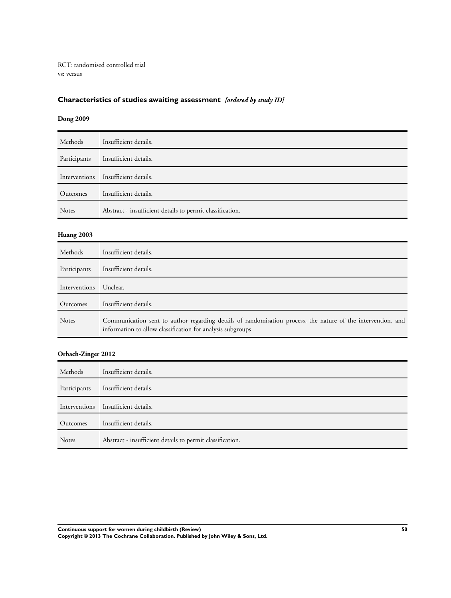RCT: randomised controlled trial vs: versus

# **Characteristics of studies awaiting assessment** *[ordered by study ID]*

## **Dong 2009**

| Methods      | Insufficient details.                                     |
|--------------|-----------------------------------------------------------|
| Participants | Insufficient details.                                     |
|              | Interventions Insufficient details.                       |
| Outcomes     | Insufficient details.                                     |
| <b>Notes</b> | Abstract - insufficient details to permit classification. |

## **Huang 2003**

| Methods       | Insufficient details.                                                                                                                                                      |
|---------------|----------------------------------------------------------------------------------------------------------------------------------------------------------------------------|
| Participants  | Insufficient details.                                                                                                                                                      |
| Interventions | Unclear.                                                                                                                                                                   |
| Outcomes      | Insufficient details.                                                                                                                                                      |
| <b>Notes</b>  | Communication sent to author regarding details of randomisation process, the nature of the intervention, and<br>information to allow classification for analysis subgroups |

## **Orbach-Zinger 2012**

| Methods      | Insufficient details.                                     |
|--------------|-----------------------------------------------------------|
| Participants | Insufficient details.                                     |
|              | Interventions Insufficient details.                       |
| Outcomes     | Insufficient details.                                     |
| <b>Notes</b> | Abstract - insufficient details to permit classification. |

**Continuous support for women during childbirth (Review) 50**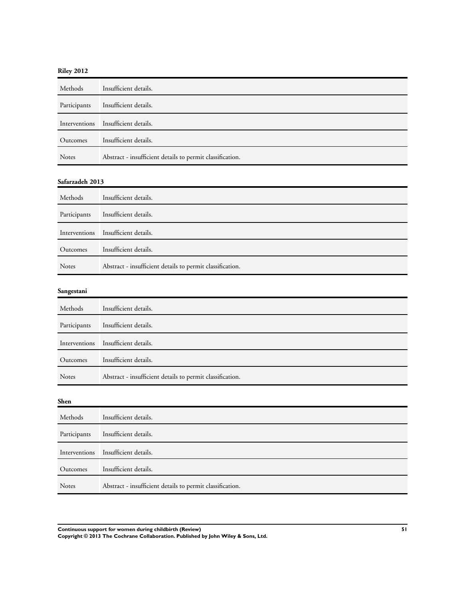| <b>Riley 2012</b> |                                                           |  |  |
|-------------------|-----------------------------------------------------------|--|--|
| Methods           | Insufficient details.                                     |  |  |
| Participants      | Insufficient details.                                     |  |  |
|                   | Interventions Insufficient details.                       |  |  |
| Outcomes          | Insufficient details.                                     |  |  |
| <b>Notes</b>      | Abstract - insufficient details to permit classification. |  |  |

#### **Safarzadeh 2013**

| Methods      | Insufficient details.                                     |
|--------------|-----------------------------------------------------------|
| Participants | Insufficient details.                                     |
|              | Interventions Insufficient details.                       |
| Outcomes     | Insufficient details.                                     |
| <b>Notes</b> | Abstract - insufficient details to permit classification. |

#### **Sangestani**

| Methods      | Insufficient details.                                     |
|--------------|-----------------------------------------------------------|
| Participants | Insufficient details.                                     |
|              | Interventions Insufficient details.                       |
| Outcomes     | Insufficient details.                                     |
| <b>Notes</b> | Abstract - insufficient details to permit classification. |

**Shen**

| www          |                                                           |
|--------------|-----------------------------------------------------------|
| Methods      | Insufficient details.                                     |
| Participants | Insufficient details.                                     |
|              | Interventions Insufficient details.                       |
| Outcomes     | Insufficient details.                                     |
| Notes        | Abstract - insufficient details to permit classification. |

**Continuous support for women during childbirth (Review) 51**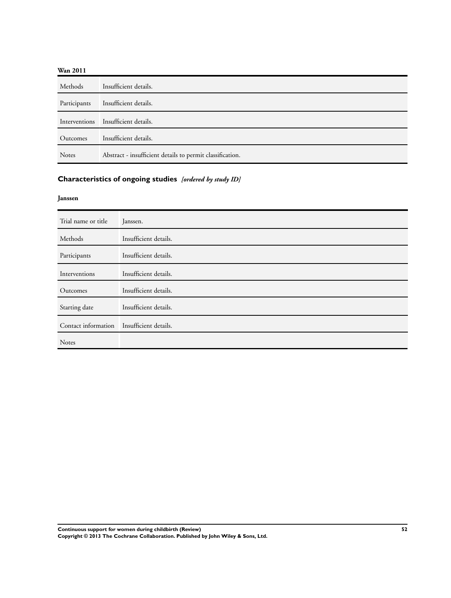| <b>Wan 2011</b> |                                                           |  |  |
|-----------------|-----------------------------------------------------------|--|--|
| Methods         | Insufficient details.                                     |  |  |
| Participants    | Insufficient details.                                     |  |  |
| Interventions   | Insufficient details.                                     |  |  |
| Outcomes        | Insufficient details.                                     |  |  |
| <b>Notes</b>    | Abstract - insufficient details to permit classification. |  |  |

# **Characteristics of ongoing studies** *[ordered by study ID]*

#### **Janssen**

| Trial name or title | Janssen.              |
|---------------------|-----------------------|
| Methods             | Insufficient details. |
| Participants        | Insufficient details. |
| Interventions       | Insufficient details. |
| Outcomes            | Insufficient details. |
| Starting date       | Insufficient details. |
| Contact information | Insufficient details. |
| <b>Notes</b>        |                       |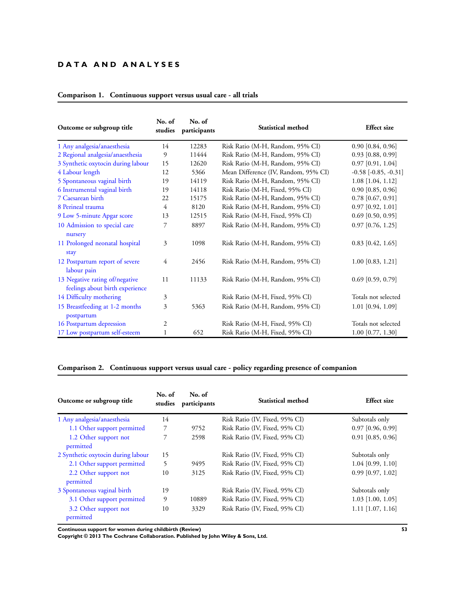## **D A T A A N D A N A L Y S E S**

## **Comparison 1. Continuous support versus usual care - all trials**

| Outcome or subgroup title                                         | No. of<br>studies | No. of<br>participants | Statistical method                   | <b>Effect</b> size       |
|-------------------------------------------------------------------|-------------------|------------------------|--------------------------------------|--------------------------|
| 1 Any analgesia/anaesthesia                                       | 14                | 12283                  | Risk Ratio (M-H, Random, 95% CI)     | $0.90$ [0.84, 0.96]      |
| 2 Regional analgesia/anaesthesia                                  | 9                 | 11444                  | Risk Ratio (M-H, Random, 95% CI)     | $0.93$ [0.88, 0.99]      |
| 3 Synthetic oxytocin during labour                                | 15                | 12620                  | Risk Ratio (M-H, Random, 95% CI)     | $0.97$ [0.91, 1.04]      |
| 4 Labour length                                                   | 12                | 5366                   | Mean Difference (IV, Random, 95% CI) | $-0.58$ $[-0.85, -0.31]$ |
| 5 Spontaneous vaginal birth                                       | 19                | 14119                  | Risk Ratio (M-H, Random, 95% CI)     | $1.08$ [1.04, 1.12]      |
| 6 Instrumental vaginal birth                                      | 19                | 14118                  | Risk Ratio (M-H, Fixed, 95% CI)      | $0.90$ [0.85, 0.96]      |
| 7 Caesarean birth                                                 | 22                | 15175                  | Risk Ratio (M-H, Random, 95% CI)     | $0.78$ [0.67, 0.91]      |
| 8 Perineal trauma                                                 | 4                 | 8120                   | Risk Ratio (M-H, Random, 95% CI)     | $0.97$ [0.92, 1.01]      |
| 9 Low 5-minute Apgar score                                        | 13                | 12515                  | Risk Ratio (M-H, Fixed, 95% CI)      | $0.69$ [0.50, 0.95]      |
| 10 Admission to special care<br>nursery                           | 7                 | 8897                   | Risk Ratio (M-H, Random, 95% CI)     | $0.97$ [0.76, 1.25]      |
| 11 Prolonged neonatal hospital<br>stay                            | 3                 | 1098                   | Risk Ratio (M-H, Random, 95% CI)     | $0.83$ [0.42, 1.65]      |
| 12 Postpartum report of severe<br>labour pain                     | 4                 | 2456                   | Risk Ratio (M-H, Random, 95% CI)     | $1.00$ [0.83, 1.21]      |
| 13 Negative rating of/negative<br>feelings about birth experience | 11                | 11133                  | Risk Ratio (M-H, Random, 95% CI)     | $0.69$ [0.59, 0.79]      |
| 14 Difficulty mothering                                           | 3                 |                        | Risk Ratio (M-H, Fixed, 95% CI)      | Totals not selected      |
| 15 Breastfeeding at 1-2 months<br>postpartum                      | 3                 | 5363                   | Risk Ratio (M-H, Random, 95% CI)     | $1.01$ [0.94, 1.09]      |
| 16 Postpartum depression                                          | $\mathfrak{2}$    |                        | Risk Ratio (M-H, Fixed, 95% CI)      | Totals not selected      |
| 17 Low postpartum self-esteem                                     | 1                 | 652                    | Risk Ratio (M-H, Fixed, 95% CI)      | $1.00$ [0.77, 1.30]      |

## **Comparison 2. Continuous support versus usual care - policy regarding presence of companion**

| Outcome or subgroup title          | No. of<br>studies | No. of<br>participants | Statistical method             | <b>Effect size</b>  |
|------------------------------------|-------------------|------------------------|--------------------------------|---------------------|
| 1 Any analgesia/anaesthesia        | 14                |                        | Risk Ratio (IV, Fixed, 95% CI) | Subtotals only      |
| 1.1 Other support permitted        | 7                 | 9752                   | Risk Ratio (IV, Fixed, 95% CI) | $0.97$ [0.96, 0.99] |
| 1.2 Other support not<br>permitted | 7                 | 2598                   | Risk Ratio (IV, Fixed, 95% CI) | $0.91$ [0.85, 0.96] |
| 2 Synthetic oxytocin during labour | 15                |                        | Risk Ratio (IV, Fixed, 95% CI) | Subtotals only      |
| 2.1 Other support permitted        | 5                 | 9495                   | Risk Ratio (IV, Fixed, 95% CI) | 1.04 [0.99, 1.10]   |
| 2.2 Other support not<br>permitted | 10                | 3125                   | Risk Ratio (IV, Fixed, 95% CI) | $0.99$ [0.97, 1.02] |
| 3 Spontaneous vaginal birth        | 19                |                        | Risk Ratio (IV, Fixed, 95% CI) | Subtotals only      |
| 3.1 Other support permitted        | 9                 | 10889                  | Risk Ratio (IV, Fixed, 95% CI) | $1.03$ [1.00, 1.05] |
| 3.2 Other support not<br>permitted | 10                | 3329                   | Risk Ratio (IV, Fixed, 95% CI) | $1.11$ [1.07, 1.16] |

**Continuous support for women during childbirth (Review) 53**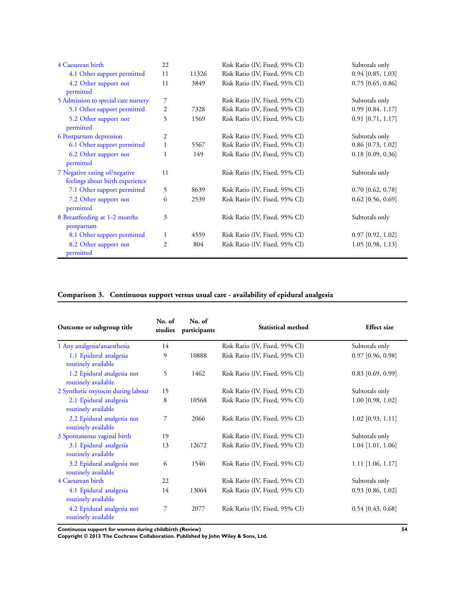| 4 Caesarean birth                                                | 22           |       | Risk Ratio (IV, Fixed, 95% CI) | Subtotals only      |
|------------------------------------------------------------------|--------------|-------|--------------------------------|---------------------|
| 4.1 Other support permitted                                      | 11           | 11326 | Risk Ratio (IV, Fixed, 95% CI) | $0.94$ [0.85, 1.03] |
| 4.2 Other support not<br>permitted                               | 11           | 3849  | Risk Ratio (IV, Fixed, 95% CI) | $0.75$ [0.65, 0.86] |
| 5 Admission to special care nursery                              | 7            |       | Risk Ratio (IV, Fixed, 95% CI) | Subtotals only      |
| 5.1 Other support permitted                                      | 2            | 7328  | Risk Ratio (IV, Fixed, 95% CI) | $0.99$ [0.84, 1.17] |
| 5.2 Other support not<br>permitted                               | 5            | 1569  | Risk Ratio (IV, Fixed, 95% CI) | $0.91$ [0.71, 1.17] |
| 6 Postpartum depression                                          | 2            |       | Risk Ratio (IV, Fixed, 95% CI) | Subtotals only      |
| 6.1 Other support permitted                                      | $\mathbf{1}$ | 5567  | Risk Ratio (IV, Fixed, 95% CI) | $0.86$ [0.73, 1.02] |
| 6.2 Other support not<br>permitted                               | 1            | 149   | Risk Ratio (IV, Fixed, 95% CI) | $0.18$ [0.09, 0.36] |
| 7 Negative rating of/negative<br>feelings about birth experience | 11           |       | Risk Ratio (IV, Fixed, 95% CI) | Subtotals only      |
| 7.1 Other support permitted                                      | 5            | 8639  | Risk Ratio (IV, Fixed, 95% CI) | $0.70$ [0.62, 0.78] |
| 7.2 Other support not<br>permitted                               | 6            | 2539  | Risk Ratio (IV, Fixed, 95% CI) | $0.62$ [0.56, 0.69] |
| 8 Breastfeeding at 1-2 months<br>postpartum                      | 3            |       | Risk Ratio (IV, Fixed, 95% CI) | Subtotals only      |
| 8.1 Other support permitted                                      | 1            | 4559  | Risk Ratio (IV, Fixed, 95% CI) | $0.97$ [0.92, 1.02] |
| 8.2 Other support not<br>permitted                               | 2            | 804   | Risk Ratio (IV, Fixed, 95% CI) | $1.05$ [0.98, 1.13] |

# **Comparison 3. Continuous support versus usual care - availability of epidural analgesia**

| Outcome or subgroup title                         | No. of<br>studies | No. of<br>participants | <b>Statistical method</b>      | <b>Effect</b> size  |
|---------------------------------------------------|-------------------|------------------------|--------------------------------|---------------------|
| 1 Any analgesia/anaesthesia                       | 14                |                        | Risk Ratio (IV, Fixed, 95% CI) | Subtotals only      |
| 1.1 Epidural analgesia<br>routinely available     | 9                 | 10888                  | Risk Ratio (IV, Fixed, 95% CI) | $0.97$ [0.96, 0.98] |
| 1.2 Epidural analgesia not<br>routinely available | 5                 | 1462                   | Risk Ratio (IV, Fixed, 95% CI) | $0.83$ [0.69, 0.99] |
| 2 Synthetic oxytocin during labour                | 15                |                        | Risk Ratio (IV, Fixed, 95% CI) | Subtotals only      |
| 2.1 Epidural analgesia<br>routinely available     | 8                 | 10568                  | Risk Ratio (IV, Fixed, 95% CI) | $1.00$ [0.98, 1.02] |
| 2.2 Epidural analgesia not<br>routinely available | 7                 | 2066                   | Risk Ratio (IV, Fixed, 95% CI) | $1.02$ [0.93, 1.11] |
| 3 Spontaneous vaginal birth                       | 19                |                        | Risk Ratio (IV, Fixed, 95% CI) | Subtotals only      |
| 3.1 Epidural analgesia<br>routinely available     | 13                | 12672                  | Risk Ratio (IV, Fixed, 95% CI) | $1.04$ [1.01, 1.06] |
| 3.2 Epidural analgesia not<br>routinely available | 6                 | 1546                   | Risk Ratio (IV, Fixed, 95% CI) | $1.11$ [1.06, 1.17] |
| 4 Caesarean birth                                 | 22                |                        | Risk Ratio (IV, Fixed, 95% CI) | Subtotals only      |
| 4.1 Epidural analgesia<br>routinely available     | 14                | 13064                  | Risk Ratio (IV, Fixed, 95% CI) | $0.93$ [0.86, 1.02] |
| 4.2 Epidural analgesia not<br>routinely available | 7                 | 2077                   | Risk Ratio (IV, Fixed, 95% CI) | $0.54$ [0.43, 0.68] |

**Continuous support for women during childbirth (Review) 54**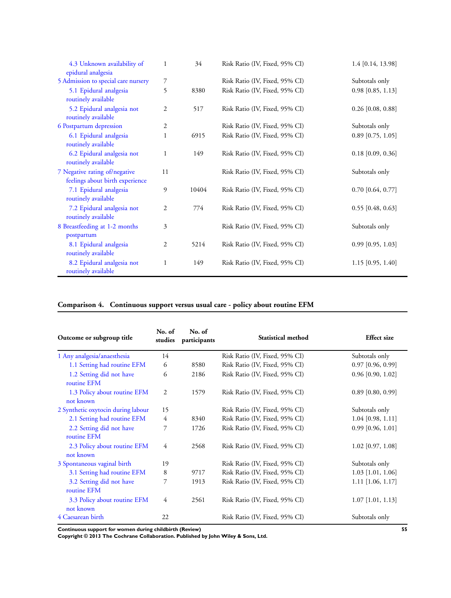| 4.3 Unknown availability of                                      | 1              | 34    | Risk Ratio (IV, Fixed, 95% CI) | 1.4 [0.14, 13.98]   |
|------------------------------------------------------------------|----------------|-------|--------------------------------|---------------------|
| epidural analgesia                                               |                |       |                                |                     |
| 5 Admission to special care nursery                              | $\overline{7}$ |       | Risk Ratio (IV, Fixed, 95% CI) | Subtotals only      |
| 5.1 Epidural analgesia<br>routinely available                    | 5              | 8380  | Risk Ratio (IV, Fixed, 95% CI) | $0.98$ [0.85, 1.13] |
| 5.2 Epidural analgesia not<br>routinely available                | $\overline{2}$ | 517   | Risk Ratio (IV, Fixed, 95% CI) | $0.26$ [0.08, 0.88] |
| 6 Postpartum depression                                          | 2              |       | Risk Ratio (IV, Fixed, 95% CI) | Subtotals only      |
| 6.1 Epidural analgesia<br>routinely available                    | $\mathbf{1}$   | 6915  | Risk Ratio (IV, Fixed, 95% CI) | $0.89$ [0.75, 1.05] |
| 6.2 Epidural analgesia not<br>routinely available                | $\mathbf{1}$   | 149   | Risk Ratio (IV, Fixed, 95% CI) | $0.18$ [0.09, 0.36] |
| 7 Negative rating of/negative<br>feelings about birth experience | 11             |       | Risk Ratio (IV, Fixed, 95% CI) | Subtotals only      |
| 7.1 Epidural analgesia<br>routinely available                    | 9              | 10404 | Risk Ratio (IV, Fixed, 95% CI) | $0.70$ [0.64, 0.77] |
| 7.2 Epidural analgesia not<br>routinely available                | 2              | 774   | Risk Ratio (IV, Fixed, 95% CI) | $0.55$ [0.48, 0.63] |
| 8 Breastfeeding at 1-2 months<br>postpartum                      | 3              |       | Risk Ratio (IV, Fixed, 95% CI) | Subtotals only      |
| 8.1 Epidural analgesia<br>routinely available                    | $\overline{2}$ | 5214  | Risk Ratio (IV, Fixed, 95% CI) | $0.99$ [0.95, 1.03] |
| 8.2 Epidural analgesia not<br>routinely available                | 1              | 149   | Risk Ratio (IV, Fixed, 95% CI) | $1.15$ [0.95, 1.40] |

## **Comparison 4. Continuous support versus usual care - policy about routine EFM**

| Outcome or subgroup title                 | No. of<br>studies | No. of<br>participants | Statistical method             | <b>Effect</b> size  |
|-------------------------------------------|-------------------|------------------------|--------------------------------|---------------------|
| 1 Any analgesia/anaesthesia               | 14                |                        | Risk Ratio (IV, Fixed, 95% CI) | Subtotals only      |
| 1.1 Setting had routine EFM               | 6                 | 8580                   | Risk Ratio (IV, Fixed, 95% CI) | $0.97$ [0.96, 0.99] |
| 1.2 Setting did not have<br>routine EFM   | 6                 | 2186                   | Risk Ratio (IV, Fixed, 95% CI) | $0.96$ [0.90, 1.02] |
| 1.3 Policy about routine EFM<br>not known | $\overline{2}$    | 1579                   | Risk Ratio (IV, Fixed, 95% CI) | $0.89$ [0.80, 0.99] |
| 2 Synthetic oxytocin during labour        | 15                |                        | Risk Ratio (IV, Fixed, 95% CI) | Subtotals only      |
| 2.1 Setting had routine EFM               | 4                 | 8340                   | Risk Ratio (IV, Fixed, 95% CI) | $1.04$ [0.98, 1.11] |
| 2.2 Setting did not have<br>routine EFM   | 7                 | 1726                   | Risk Ratio (IV, Fixed, 95% CI) | $0.99$ [0.96, 1.01] |
| 2.3 Policy about routine EFM<br>not known | 4                 | 2568                   | Risk Ratio (IV, Fixed, 95% CI) | $1.02$ [0.97, 1.08] |
| 3 Spontaneous vaginal birth               | 19                |                        | Risk Ratio (IV, Fixed, 95% CI) | Subtotals only      |
| 3.1 Setting had routine EFM               | 8                 | 9717                   | Risk Ratio (IV, Fixed, 95% CI) | $1.03$ [1.01, 1.06] |
| 3.2 Setting did not have<br>routine EFM   | 7                 | 1913                   | Risk Ratio (IV, Fixed, 95% CI) | $1.11$ [1.06, 1.17] |
| 3.3 Policy about routine EFM<br>not known | 4                 | 2561                   | Risk Ratio (IV, Fixed, 95% CI) | $1.07$ [1.01, 1.13] |
| 4 Caesarean birth                         | 22                |                        | Risk Ratio (IV, Fixed, 95% CI) | Subtotals only      |

**Continuous support for women during childbirth (Review) 55**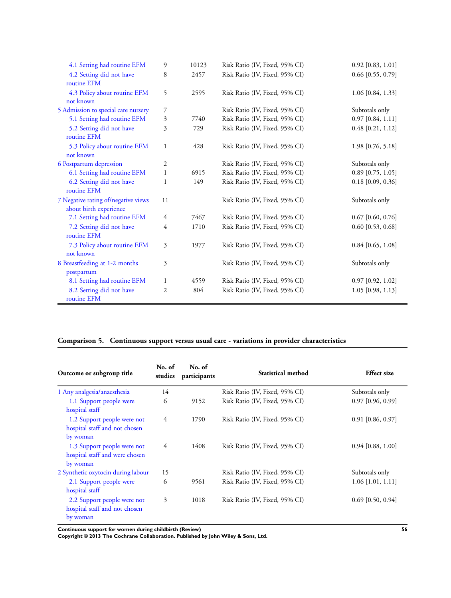| 4.1 Setting had routine EFM                                   | 9            | 10123 | Risk Ratio (IV, Fixed, 95% CI) | $0.92$ [0.83, 1.01] |
|---------------------------------------------------------------|--------------|-------|--------------------------------|---------------------|
| 4.2 Setting did not have<br>routine EFM                       | 8            | 2457  | Risk Ratio (IV, Fixed, 95% CI) | $0.66$ [0.55, 0.79] |
| 4.3 Policy about routine EFM<br>not known                     | 5            | 2595  | Risk Ratio (IV, Fixed, 95% CI) | $1.06$ [0.84, 1.33] |
| 5 Admission to special care nursery                           | 7            |       | Risk Ratio (IV, Fixed, 95% CI) | Subtotals only      |
| 5.1 Setting had routine EFM                                   | 3            | 7740  | Risk Ratio (IV, Fixed, 95% CI) | $0.97$ [0.84, 1.11] |
| 5.2 Setting did not have<br>routine EFM                       | 3            | 729   | Risk Ratio (IV, Fixed, 95% CI) | $0.48$ [0.21, 1.12] |
| 5.3 Policy about routine EFM<br>not known                     | 1            | 428   | Risk Ratio (IV, Fixed, 95% CI) | $1.98$ [0.76, 5.18] |
| 6 Postpartum depression                                       | 2            |       | Risk Ratio (IV, Fixed, 95% CI) | Subtotals only      |
| 6.1 Setting had routine EFM                                   | $\mathbf{1}$ | 6915  | Risk Ratio (IV, Fixed, 95% CI) | $0.89$ [0.75, 1.05] |
| 6.2 Setting did not have<br>routine EFM                       | 1            | 149   | Risk Ratio (IV, Fixed, 95% CI) | $0.18$ [0.09, 0.36] |
| 7 Negative rating of/negative views<br>about birth experience | 11           |       | Risk Ratio (IV, Fixed, 95% CI) | Subtotals only      |
| 7.1 Setting had routine EFM                                   | 4            | 7467  | Risk Ratio (IV, Fixed, 95% CI) | $0.67$ [0.60, 0.76] |
| 7.2 Setting did not have<br>routine EFM                       | 4            | 1710  | Risk Ratio (IV, Fixed, 95% CI) | $0.60$ [0.53, 0.68] |
| 7.3 Policy about routine EFM<br>not known                     | 3            | 1977  | Risk Ratio (IV, Fixed, 95% CI) | $0.84$ [0.65, 1.08] |
| 8 Breastfeeding at 1-2 months<br>postpartum                   | 3            |       | Risk Ratio (IV, Fixed, 95% CI) | Subtotals only      |
| 8.1 Setting had routine EFM                                   | 1            | 4559  | Risk Ratio (IV, Fixed, 95% CI) | $0.97$ [0.92, 1.02] |
| 8.2 Setting did not have<br>routine EFM                       | 2            | 804   | Risk Ratio (IV, Fixed, 95% CI) | $1.05$ [0.98, 1.13] |

# **Comparison 5. Continuous support versus usual care - variations in provider characteristics**

| Outcome or subgroup title                                                 | No. of<br>studies | No. of<br>participants | Statistical method             | <b>Effect</b> size  |
|---------------------------------------------------------------------------|-------------------|------------------------|--------------------------------|---------------------|
| 1 Any analgesia/anaesthesia                                               | 14                |                        | Risk Ratio (IV, Fixed, 95% CI) | Subtotals only      |
| 1.1 Support people were<br>hospital staff                                 | 6                 | 9152                   | Risk Ratio (IV, Fixed, 95% CI) | $0.97$ [0.96, 0.99] |
| 1.2 Support people were not<br>hospital staff and not chosen<br>by woman  | 4                 | 1790                   | Risk Ratio (IV, Fixed, 95% CI) | $0.91$ [0.86, 0.97] |
| 1.3 Support people were not<br>hospital staff and were chosen<br>by woman | 4                 | 1408                   | Risk Ratio (IV, Fixed, 95% CI) | $0.94$ [0.88, 1.00] |
| 2 Synthetic oxytocin during labour                                        | 15                |                        | Risk Ratio (IV, Fixed, 95% CI) | Subtotals only      |
| 2.1 Support people were<br>hospital staff                                 | 6                 | 9561                   | Risk Ratio (IV, Fixed, 95% CI) | $1.06$ [1.01, 1.11] |
| 2.2 Support people were not<br>hospital staff and not chosen<br>by woman  | 3                 | 1018                   | Risk Ratio (IV, Fixed, 95% CI) | $0.69$ [0.50, 0.94] |

**Continuous support for women during childbirth (Review) 56**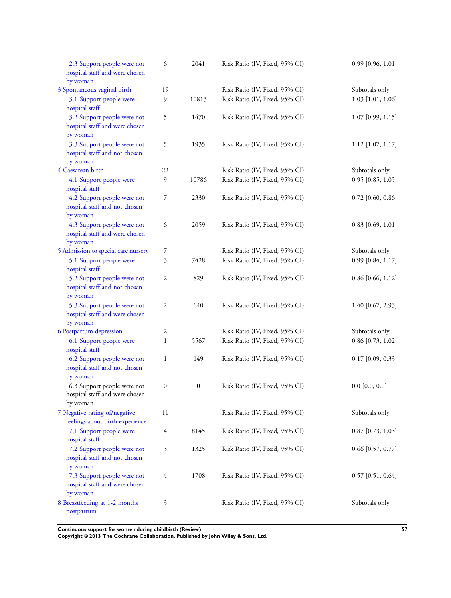| 2.3 Support people were not<br>hospital staff and were chosen<br>by woman | 6                | 2041             | Risk Ratio (IV, Fixed, 95% CI) | $0.99$ [0.96, 1.01] |
|---------------------------------------------------------------------------|------------------|------------------|--------------------------------|---------------------|
| 3 Spontaneous vaginal birth                                               | 19               |                  | Risk Ratio (IV, Fixed, 95% CI) | Subtotals only      |
| 3.1 Support people were<br>hospital staff                                 | 9                | 10813            | Risk Ratio (IV, Fixed, 95% CI) | $1.03$ [1.01, 1.06] |
| 3.2 Support people were not<br>hospital staff and were chosen<br>by woman | 5                | 1470             | Risk Ratio (IV, Fixed, 95% CI) | $1.07$ [0.99, 1.15] |
| 3.3 Support people were not<br>hospital staff and not chosen<br>by woman  | 5                | 1935             | Risk Ratio (IV, Fixed, 95% CI) | 1.12 [1.07, 1.17]   |
| 4 Caesarean birth                                                         | 22               |                  | Risk Ratio (IV, Fixed, 95% CI) | Subtotals only      |
| 4.1 Support people were<br>hospital staff                                 | 9                | 10786            | Risk Ratio (IV, Fixed, 95% CI) | $0.95$ [0.85, 1.05] |
| 4.2 Support people were not<br>hospital staff and not chosen<br>by woman  | 7                | 2330             | Risk Ratio (IV, Fixed, 95% CI) | $0.72$ [0.60, 0.86] |
| 4.3 Support people were not<br>hospital staff and were chosen<br>by woman | 6                | 2059             | Risk Ratio (IV, Fixed, 95% CI) | $0.83$ [0.69, 1.01] |
| 5 Admission to special care nursery                                       | 7                |                  | Risk Ratio (IV, Fixed, 95% CI) | Subtotals only      |
| 5.1 Support people were<br>hospital staff                                 | 3                | 7428             | Risk Ratio (IV, Fixed, 95% CI) | $0.99$ [0.84, 1.17] |
| 5.2 Support people were not<br>hospital staff and not chosen<br>by woman  | 2                | 829              | Risk Ratio (IV, Fixed, 95% CI) | $0.86$ [0.66, 1.12] |
| 5.3 Support people were not<br>hospital staff and were chosen<br>by woman | $\mathfrak{2}$   | 640              | Risk Ratio (IV, Fixed, 95% CI) | 1.40 [0.67, 2.93]   |
| 6 Postpartum depression                                                   | 2                |                  | Risk Ratio (IV, Fixed, 95% CI) | Subtotals only      |
| 6.1 Support people were<br>hospital staff                                 | $\mathbf{1}$     | 5567             | Risk Ratio (IV, Fixed, 95% CI) | $0.86$ [0.73, 1.02] |
| 6.2 Support people were not<br>hospital staff and not chosen<br>by woman  | $\mathbf{1}$     | 149              | Risk Ratio (IV, Fixed, 95% CI) | $0.17$ [0.09, 0.33] |
| 6.3 Support people were not<br>hospital staff and were chosen<br>by woman | $\boldsymbol{0}$ | $\boldsymbol{0}$ | Risk Ratio (IV, Fixed, 95% CI) | 0.0 [0.0, 0.0]      |
| 7 Negative rating of/negative<br>feelings about birth experience          | 11               |                  | Risk Ratio (IV, Fixed, 95% CI) | Subtotals only      |
| 7.1 Support people were<br>hospital staff                                 | 4                | 8145             | Risk Ratio (IV, Fixed, 95% CI) | $0.87$ [0.73, 1.03] |
| 7.2 Support people were not<br>hospital staff and not chosen<br>by woman  | 3                | 1325             | Risk Ratio (IV, Fixed, 95% CI) | $0.66$ [0.57, 0.77] |
| 7.3 Support people were not<br>hospital staff and were chosen<br>by woman | 4                | 1708             | Risk Ratio (IV, Fixed, 95% CI) | $0.57$ [0.51, 0.64] |
| 8 Breastfeeding at 1-2 months<br>postpartum                               | 3                |                  | Risk Ratio (IV, Fixed, 95% CI) | Subtotals only      |

**Continuous support for women during childbirth (Review) 57**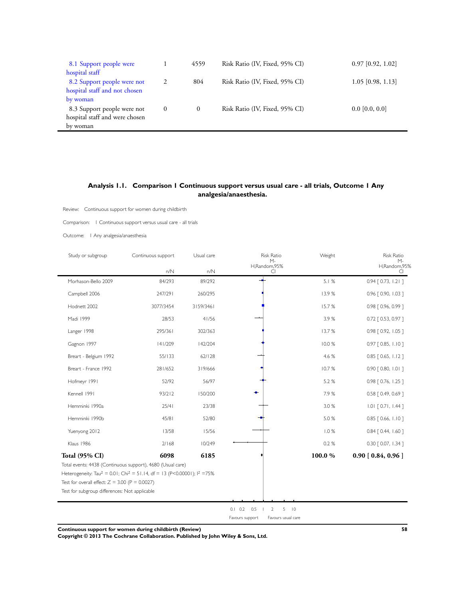| 8.1 Support people were                   |   | 4559     | Risk Ratio (IV, Fixed, 95% CI) | $0.97$ [0.92, 1.02] |
|-------------------------------------------|---|----------|--------------------------------|---------------------|
| hospital staff                            |   |          |                                |                     |
| 8.2 Support people were not               | 2 | 804      | Risk Ratio (IV, Fixed, 95% CI) | $1.05$ [0.98, 1.13] |
| hospital staff and not chosen<br>by woman |   |          |                                |                     |
| 8.3 Support people were not               | 0 | $\left($ | Risk Ratio (IV, Fixed, 95% CI) | $0.0$ [0.0, 0.0]    |
| hospital staff and were chosen            |   |          |                                |                     |
| by woman                                  |   |          |                                |                     |

#### **Analysis 1.1. Comparison 1 Continuous support versus usual care - all trials, Outcome 1 Any analgesia/anaesthesia.**

Review: Continuous support for women during childbirth

Comparison: I Continuous support versus usual care - all trials

Outcome: 1 Any analgesia/anaesthesia

| Study or subgroup                                                                                 | Continuous support | Usual care | <b>Risk Ratio</b><br>$M -$                          | Weight | <b>Risk Ratio</b><br>$M -$ |
|---------------------------------------------------------------------------------------------------|--------------------|------------|-----------------------------------------------------|--------|----------------------------|
|                                                                                                   | n/N                | n/N        | H,Random,95%<br>CI.                                 |        | H,Random,95%<br>C.         |
| Morhason-Bello 2009                                                                               | 84/293             | 89/292     |                                                     | 5.1%   | 0.94 [ 0.73, 1.2   ]       |
| Campbell 2006                                                                                     | 247/291            | 260/295    |                                                     | 13.9%  | 0.96 [0.90, 1.03]          |
| Hodnett 2002                                                                                      | 3077/3454          | 3159/3461  |                                                     | 15.7%  | 0.98 [0.96, 0.99]          |
| Madi 1999                                                                                         | 28/53              | 41/56      |                                                     | 3.9%   | $0.72$ $[0.53, 0.97]$      |
| Langer 1998                                                                                       | 295/361            | 302/363    |                                                     | 13.7%  | 0.98 [ 0.92, 1.05 ]        |
| Gagnon 1997                                                                                       | 141/209            | 142/204    |                                                     | 10.0%  | 0.97 [ 0.85, 1.10 ]        |
| Breart - Belgium 1992                                                                             | 55/133             | 62/128     |                                                     | 4.6 %  | $0.85$ $[0.65, 1.12]$      |
| Breart - France 1992                                                                              | 281/652            | 319/666    |                                                     | 10.7%  | 0.90 [ 0.80, 1.01 ]        |
| Hofmeyr 1991                                                                                      | 52/92              | 56/97      |                                                     | 5.2 %  | 0.98 [ 0.76, 1.25 ]        |
| Kennell 1991                                                                                      | 93/212             | 150/200    |                                                     | 7.9%   | $0.58$ $[0.49, 0.69]$      |
| Hemminki 1990a                                                                                    | 25/41              | 23/38      |                                                     | 3.0 %  | $1.01$ $[0.71, 1.44]$      |
| Hemminki 1990b                                                                                    | 45/8               | 52/80      |                                                     | 5.0%   | $0.85$ $[0.66, 1.10]$      |
| Yuenyong 2012                                                                                     | 13/58              | 15/56      |                                                     | 1.0%   | $0.84$ $[0.44, 1.60]$      |
| Klaus 1986                                                                                        | 2/168              | 10/249     |                                                     | 0.2%   | 0.30 [ 0.07, 1.34 ]        |
| <b>Total (95% CI)</b>                                                                             | 6098               | 6185       |                                                     | 100.0% | 0.90 [0.84, 0.96]          |
| Total events: 4438 (Continuous support), 4680 (Usual care)                                        |                    |            |                                                     |        |                            |
| Heterogeneity: Tau <sup>2</sup> = 0.01; Chi <sup>2</sup> = 51.14, df = 13 (P<0.00001); $1^2$ =75% |                    |            |                                                     |        |                            |
| Test for overall effect: $Z = 3.00$ (P = 0.0027)                                                  |                    |            |                                                     |        |                            |
| Test for subgroup differences: Not applicable                                                     |                    |            |                                                     |        |                            |
|                                                                                                   |                    |            |                                                     |        |                            |
|                                                                                                   |                    |            | $0.1 \quad 0.2$<br>0.5<br> 0<br>$\overline{2}$<br>5 |        |                            |
|                                                                                                   |                    |            | Favours support<br>Favours usual care               |        |                            |

**Continuous support for women during childbirth (Review) 58**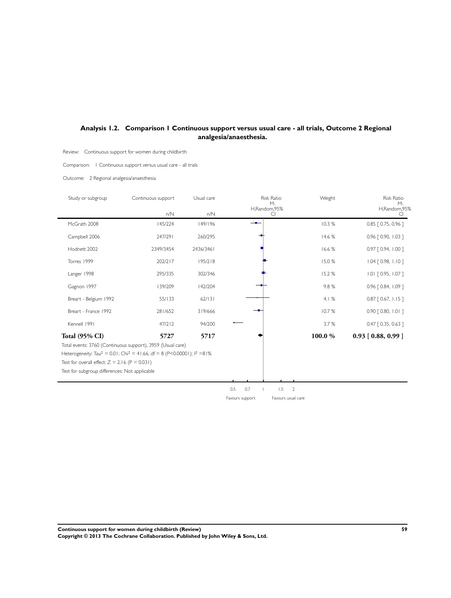#### **Analysis 1.2. Comparison 1 Continuous support versus usual care - all trials, Outcome 2 Regional analgesia/anaesthesia.**

Review: Continuous support for women during childbirth

Comparison: 1 Continuous support versus usual care - all trials

Outcome: 2 Regional analgesia/anaesthesia

| Study or subgroup                                                                                | Continuous support | Usual care | Risk Ratio<br>М-              | Weight | <b>Risk Ratio</b><br>$M -$ |
|--------------------------------------------------------------------------------------------------|--------------------|------------|-------------------------------|--------|----------------------------|
|                                                                                                  | n/N                | n/N        | H,Random,95%<br><sub>Cl</sub> |        | H,Random,95%<br>CI.        |
| McGrath 2008                                                                                     | 145/224            | 149/196    | — <b>u</b> —                  | 10.3%  | $0.85$ $[0.75, 0.96]$      |
| Campbell 2006                                                                                    | 247/291            | 260/295    |                               | 14.6 % | 0.96 [ 0.90, 1.03 ]        |
| Hodnett 2002                                                                                     | 2349/3454          | 2436/3461  |                               | 16.6%  | 0.97 [0.94, 1.00]          |
| Torres 1999                                                                                      | 202/217            | 195/218    |                               | 15.0%  | $1.04$ $[0.98, 1.10]$      |
| Langer 1998                                                                                      | 295/335            | 302/346    |                               | 15.2%  | $1.01$ $[0.95, 1.07]$      |
| Gagnon 1997                                                                                      | 139/209            | 142/204    |                               | 9.8%   | 0.96 [ 0.84, 1.09 ]        |
| Breart - Belgium 1992                                                                            | 55/133             | 62/131     |                               | 4.1%   | $0.87$ $[0.67, 1.15]$      |
| Breart - France 1992                                                                             | 281/652            | 319/666    |                               | 10.7%  | 0.90 [ 0.80, 1.01 ]        |
| Kennell 1991                                                                                     | 47/212             | 94/200     |                               | 3.7 %  | $0.47$ $[0.35, 0.63]$      |
| <b>Total (95% CI)</b>                                                                            | 5727               | 5717       |                               | 100.0% | $0.93$ [ 0.88, 0.99 ]      |
| Total events: 3760 (Continuous support), 3959 (Usual care)                                       |                    |            |                               |        |                            |
| Heterogeneity: Tau <sup>2</sup> = 0.01; Chi <sup>2</sup> = 41.66, df = 8 (P<0.00001); $1^2$ =81% |                    |            |                               |        |                            |
| Test for overall effect: $Z = 2.16$ (P = 0.031)                                                  |                    |            |                               |        |                            |
| Test for subgroup differences: Not applicable                                                    |                    |            |                               |        |                            |

 $0.5$  0.7 1.5 2

Favours support Favours usual care

**Continuous support for women during childbirth (Review) 59**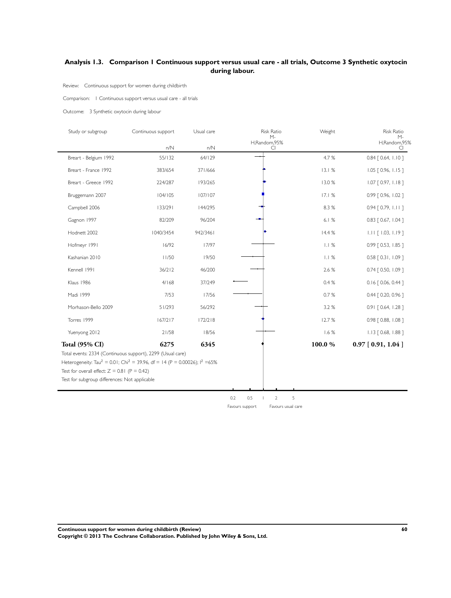### **Analysis 1.3. Comparison 1 Continuous support versus usual care - all trials, Outcome 3 Synthetic oxytocin during labour.**

Review: Continuous support for women during childbirth

Comparison: I Continuous support versus usual care - all trials

Outcome: 3 Synthetic oxytocin during labour

| Study or subgroup                                                                                                 | Continuous support                                                                                                                                                        | Usual care | <b>Risk Ratio</b><br>$M -$                                                 | Weight | <b>Risk Ratio</b><br>М- |
|-------------------------------------------------------------------------------------------------------------------|---------------------------------------------------------------------------------------------------------------------------------------------------------------------------|------------|----------------------------------------------------------------------------|--------|-------------------------|
|                                                                                                                   | n/N                                                                                                                                                                       | n/N        | H,Random,95%<br>Cl                                                         |        | H,Random,95%<br>CI.     |
| Breart - Belgium 1992                                                                                             | 55/132                                                                                                                                                                    | 64/129     |                                                                            | 4.7%   | $0.84$ $[ 0.64, 1.10 ]$ |
| Breart - France 1992                                                                                              | 383/654                                                                                                                                                                   | 371/666    |                                                                            | 13.1%  | $1.05$ $[0.96, 1.15]$   |
| Breart - Greece 1992                                                                                              | 224/287                                                                                                                                                                   | 193/265    |                                                                            | 13.0%  | $1.07$ [ 0.97, 1.18 ]   |
| Bruggemann 2007                                                                                                   | 104/105                                                                                                                                                                   | 107/107    |                                                                            | 17.1%  | 0.99 [0.96, 1.02]       |
| Campbell 2006                                                                                                     | 133/291                                                                                                                                                                   | 144/295    |                                                                            | 8.3 %  | $0.94$ [ 0.79, 1.11 ]   |
| Gagnon 1997                                                                                                       | 82/209                                                                                                                                                                    | 96/204     |                                                                            | 6.1%   | $0.83$ $[0.67, 1.04]$   |
| Hodnett 2002                                                                                                      | 1040/3454                                                                                                                                                                 | 942/3461   |                                                                            | 14.4 % | $1.11$ $[1.03, 1.19]$   |
| Hofmeyr 1991                                                                                                      | 16/92                                                                                                                                                                     | 17/97      |                                                                            | 1.1%   | 0.99 [0.53, 1.85]       |
| Kashanian 2010                                                                                                    | 11/50                                                                                                                                                                     | 19/50      |                                                                            | 1.1%   | $0.58$ $[0.31, 1.09]$   |
| Kennell 1991                                                                                                      | 36/212                                                                                                                                                                    | 46/200     |                                                                            | 2.6 %  | 0.74 [ 0.50, 1.09 ]     |
| Klaus 1986                                                                                                        | 4/168                                                                                                                                                                     | 37/249     |                                                                            | 0.4 %  | $0.16$ $[0.06, 0.44]$   |
| Madi 1999                                                                                                         | 7/53                                                                                                                                                                      | 17/56      |                                                                            | 0.7%   | $0.44$ $[0.20, 0.96]$   |
| Morhason-Bello 2009                                                                                               | 51/293                                                                                                                                                                    | 56/292     |                                                                            | 3.2 %  | $0.91$ $[0.64, 1.28]$   |
| Torres 1999                                                                                                       | 167/217                                                                                                                                                                   | 172/218    |                                                                            | 12.7%  | 0.98 [ 0.88, 1.08 ]     |
| Yuenyong 2012                                                                                                     | 21/58                                                                                                                                                                     | 18/56      |                                                                            | 1.6%   | $1.13$ [ 0.68, 1.88 ]   |
| Total (95% CI)<br>Test for overall effect: $Z = 0.81$ (P = 0.42)<br>Test for subgroup differences: Not applicable | 6275<br>Total events: 2334 (Continuous support), 2299 (Usual care)<br>Heterogeneity: Tau <sup>2</sup> = 0.01; Chi <sup>2</sup> = 39.96, df = 14 (P = 0.00026); $1^2$ =65% | 6345       | 0.2<br>0.5<br>$\overline{2}$<br>5<br>Favours support<br>Favours usual care | 100.0% | $0.97$ [ $0.91, 1.04$ ] |
|                                                                                                                   |                                                                                                                                                                           |            |                                                                            |        |                         |

**Continuous support for women during childbirth (Review) 60**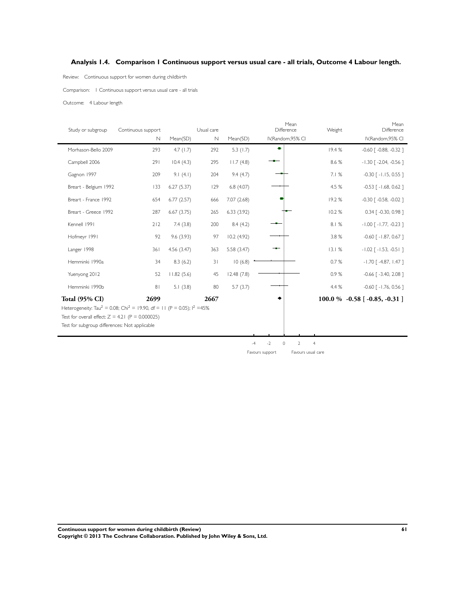#### **Analysis 1.4. Comparison 1 Continuous support versus usual care - all trials, Outcome 4 Labour length.**

Review: Continuous support for women during childbirth

Comparison: 1 Continuous support versus usual care - all trials

Outcome: 4 Labour length

| Study or subgroup                                                                                         | Continuous support |             | Usual care  |             | Mean<br>Difference | Weight | Mean<br>Difference                   |
|-----------------------------------------------------------------------------------------------------------|--------------------|-------------|-------------|-------------|--------------------|--------|--------------------------------------|
|                                                                                                           | N                  | Mean(SD)    | $\mathbb N$ | Mean(SD)    | IV, Random, 95% CI |        | IV, Random, 95% CI                   |
| Morhason-Bello 2009                                                                                       | 293                | 4.7(1.7)    | 292         | 5.3 $(1.7)$ | ₩                  | 19.4%  | $-0.60$ $\lceil -0.88, -0.32 \rceil$ |
| Campbell 2006                                                                                             | 291                | 10.4(4.3)   | 295         | 11.7(4.8)   |                    | 8.6 %  | $-1.30$ $[-2.04, -0.56]$             |
| Gagnon 1997                                                                                               | 209                | 9.1(4.1)    | 204         | 9.4(4.7)    |                    | 7.1%   | $-0.30$ $\lceil -1.15, 0.55 \rceil$  |
| Breart - Belgium 1992                                                                                     | 133                | 6.27(5.37)  | 129         | 6.8(4.07)   |                    | 4.5 %  | $-0.53$ $\lceil -1.68, 0.62 \rceil$  |
| Breart - France 1992                                                                                      | 654                | 6.77(2.57)  | 666         | 7.07(2.68)  |                    | 19.2%  | $-0.30$ $\lceil -0.58, -0.02 \rceil$ |
| Breart - Greece 1992                                                                                      | 287                | 6.67(3.75)  | 265         | 6.33(3.92)  |                    | 10.2%  | $0.34$ $\lceil -0.30, 0.98 \rceil$   |
| Kennell 1991                                                                                              | 212                | 7.4(3.8)    | 200         | 8.4(4.2)    |                    | 8.1%   | $-1.00$ $[-1.77, -0.23]$             |
| Hofmeyr 1991                                                                                              | 92                 | 9.6(3.93)   | 97          | 10.2(4.92)  |                    | 3.8 %  | $-0.60$ [ $-1.87, 0.67$ ]            |
| Langer 1998                                                                                               | 361                | 4.56 (3.47) | 363         | 5.58 (3.47) |                    | 13.1%  | $-1.02$ $[-1.53, -0.51]$             |
| Hemminki 1990a                                                                                            | 34                 | 8.3(6.2)    | 31          | 10(6.8)     |                    | 0.7%   | $-1.70$ [ $-4.87$ , 1.47 ]           |
| Yuenyong 2012                                                                                             | 52                 | 11.82(5.6)  | 45          | 12.48(7.8)  |                    | 0.9%   | $-0.66$ $\lceil -3.40, 2.08 \rceil$  |
| Hemminki 1990b                                                                                            | 8 <sub>1</sub>     | 5.1(3.8)    | 80          | 5.7(3.7)    |                    | 4.4 %  | $-0.60$ $\lceil -1.76, 0.56 \rceil$  |
| <b>Total (95% CI)</b>                                                                                     | 2699               |             | 2667        |             |                    |        | $100.0 \%$ -0.58 [-0.85, -0.31]      |
| Heterogeneity: Tau <sup>2</sup> = 0.08; Chi <sup>2</sup> = 19.90, df = 11 (P = 0.05); l <sup>2</sup> =45% |                    |             |             |             |                    |        |                                      |
| Test for overall effect: $Z = 4.21$ (P = 0.000025)                                                        |                    |             |             |             |                    |        |                                      |
| Test for subgroup differences: Not applicable                                                             |                    |             |             |             |                    |        |                                      |

#### $-4$   $-2$  0 2 4

Favours support Favours usual care

**Continuous support for women during childbirth (Review) 61 Copyright © 2013 The Cochrane Collaboration. Published by John Wiley & Sons, Ltd.**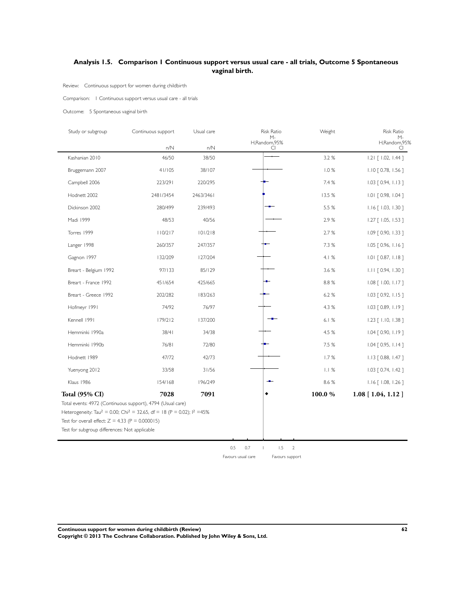## **Analysis 1.5. Comparison 1 Continuous support versus usual care - all trials, Outcome 5 Spontaneous vaginal birth.**

Review: Continuous support for women during childbirth

Comparison: I Continuous support versus usual care - all trials

Outcome: 5 Spontaneous vaginal birth

| Study or subgroup                                                                                   | Continuous support                                                                                                                                                       | Usual care | <b>Risk Ratio</b>                     | Weight | <b>Risk Ratio</b><br>$M -$ |
|-----------------------------------------------------------------------------------------------------|--------------------------------------------------------------------------------------------------------------------------------------------------------------------------|------------|---------------------------------------|--------|----------------------------|
|                                                                                                     | n/N                                                                                                                                                                      | n/N        | $M -$<br>H,Random,95%<br>CI           |        | H,Random,95%<br>CI         |
| Kashanian 2010                                                                                      | 46/50                                                                                                                                                                    | 38/50      |                                       | 3.2 %  | $1.21$ $[1.02, 1.44]$      |
| Bruggemann 2007                                                                                     | 41/105                                                                                                                                                                   | 38/107     |                                       | 1.0%   | 1.10 [ 0.78, 1.56 ]        |
| Campbell 2006                                                                                       | 223/291                                                                                                                                                                  | 220/295    |                                       | 7.4 %  | $1.03$ [ 0.94, 1.13 ]      |
| Hodnett 2002                                                                                        | 2481/3454                                                                                                                                                                | 2463/3461  |                                       | 13.5 % | $1.01$ $[0.98, 1.04]$      |
| Dickinson 2002                                                                                      | 280/499                                                                                                                                                                  | 239/493    |                                       | 5.5 %  | $1.16$ [ $1.03$ , $1.30$ ] |
| Madi 1999                                                                                           | 48/53                                                                                                                                                                    | 40/56      |                                       | 2.9%   | $1.27$ [ $1.05$ , $1.53$ ] |
| Torres 1999                                                                                         | 110/217                                                                                                                                                                  | 101/218    |                                       | 2.7%   | $1.09$ $[0.90, 1.33]$      |
| Langer 1998                                                                                         | 260/357                                                                                                                                                                  | 247/357    |                                       | 7.3 %  | $1.05$ $[0.96, 1.16]$      |
| Gagnon 1997                                                                                         | 132/209                                                                                                                                                                  | 127/204    |                                       | 4.1%   | $1.01$ $[0.87, 1.18]$      |
| Breart - Belgium 1992                                                                               | 97/133                                                                                                                                                                   | 85/129     |                                       | 3.6 %  | $1.11$ $[0.94, 1.30]$      |
| Breart - France 1992                                                                                | 451/654                                                                                                                                                                  | 425/665    |                                       | 8.8%   | $1.08$ $[ 1.00, 1.17 ]$    |
| Breart - Greece 1992                                                                                | 202/282                                                                                                                                                                  | 183/263    |                                       | 6.2%   | $1.03$ [ 0.92, 1.15 ]      |
| Hofmeyr 1991                                                                                        | 74/92                                                                                                                                                                    | 76/97      |                                       | 4.3 %  | $1.03$ $[0.89, 1.19]$      |
| Kennell 1991                                                                                        | 179/212                                                                                                                                                                  | 137/200    |                                       | 6.1%   | $1.23$ [ $1.10$ , $1.38$ ] |
| Hemminki 1990a                                                                                      | 38/41                                                                                                                                                                    | 34/38      |                                       | 4.5 %  | $1.04$ [ 0.90, 1.19 ]      |
| Hemminki 1990b                                                                                      | 76/81                                                                                                                                                                    | 72/80      |                                       | 7.5 %  | $1.04$ $[0.95, 1.14]$      |
| Hodnett 1989                                                                                        | 47/72                                                                                                                                                                    | 42/73      |                                       | 1.7%   | $1.13$ [ 0.88, 1.47 ]      |
| Yuenyong 2012                                                                                       | 33/58                                                                                                                                                                    | 31/56      |                                       | 1.1%   | 1.03 [ 0.74, 1.42 ]        |
| Klaus 1986                                                                                          | 154/168                                                                                                                                                                  | 196/249    |                                       | 8.6 %  | $1.16$ $[ 1.08, 1.26 ]$    |
| <b>Total (95% CI)</b>                                                                               | 7028                                                                                                                                                                     | 7091       |                                       | 100.0% | $1.08$ [ $1.04$ , $1.12$ ] |
| Test for overall effect: $Z = 4.33$ (P = 0.000015)<br>Test for subgroup differences: Not applicable | Total events: 4972 (Continuous support), 4794 (Usual care)<br>Heterogeneity: Tau <sup>2</sup> = 0.00; Chi <sup>2</sup> = 32.65, df = 18 (P = 0.02); l <sup>2</sup> = 45% |            |                                       |        |                            |
|                                                                                                     |                                                                                                                                                                          |            | 0.7<br>1.5<br>$\overline{2}$<br>0.5   |        |                            |
|                                                                                                     |                                                                                                                                                                          |            | Favours usual care<br>Favours support |        |                            |

**Continuous support for women during childbirth (Review) 62**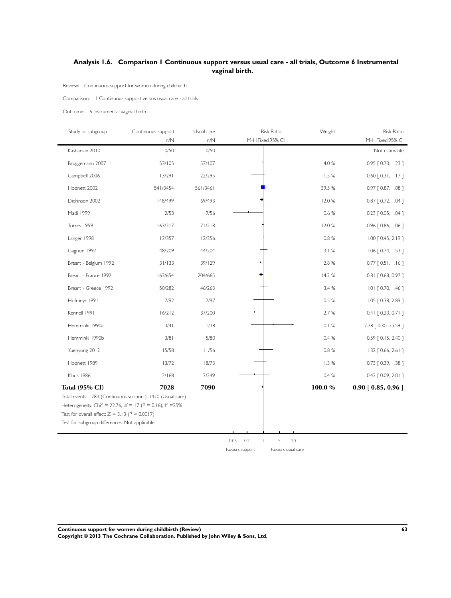### **Analysis 1.6. Comparison 1 Continuous support versus usual care - all trials, Outcome 6 Instrumental vaginal birth.**

Review: Continuous support for women during childbirth

Comparison: I Continuous support versus usual care - all trials

Outcome: 6 Instrumental vaginal birth

j.

| Study or subgroup                                                                                                                                                                               | Continuous support<br>n/N                                          | Usual care<br>n/N | Risk Ratio<br>M-H,Fixed,95% CI                                  | Weight | <b>Risk Ratio</b><br>M-H,Fixed,95% Cl |
|-------------------------------------------------------------------------------------------------------------------------------------------------------------------------------------------------|--------------------------------------------------------------------|-------------------|-----------------------------------------------------------------|--------|---------------------------------------|
| Kashanian 2010                                                                                                                                                                                  | 0/50                                                               | 0/50              |                                                                 |        | Not estimable                         |
| Bruggemann 2007                                                                                                                                                                                 | 53/105                                                             | 57/107            |                                                                 | 4.0%   | 0.95 [ 0.73, 1.23 ]                   |
| Campbell 2006                                                                                                                                                                                   | 13/291                                                             | 22/295            |                                                                 | 1.5%   | $0.60$ [ $0.31$ , $1.17$ ]            |
| Hodnett 2002                                                                                                                                                                                    | 541/3454                                                           | 561/3461          |                                                                 | 39.5 % | 0.97 [ 0.87, 1.08 ]                   |
| Dickinson 2002                                                                                                                                                                                  | 148/499                                                            | 169/493           |                                                                 | 12.0%  | $0.87$ $[$ 0.72, 1.04 $]$             |
| Madi 1999                                                                                                                                                                                       | 2/53                                                               | 9/56              |                                                                 | 0.6 %  | $0.23$ $[0.05, 1.04]$                 |
| Torres 1999                                                                                                                                                                                     | 163/217                                                            | 171/218           |                                                                 | 12.0%  | $0.96$ $[0.86, 1.06]$                 |
| Langer 1998                                                                                                                                                                                     | 12/357                                                             | 12/356            |                                                                 | 0.8%   | $1.00$ $[0.45, 2.19]$                 |
| Gagnon 1997                                                                                                                                                                                     | 48/209                                                             | 44/204            |                                                                 | 3.1%   | $1.06$ $[0.74, 1.53]$                 |
| Breart - Belgium 1992                                                                                                                                                                           | 31/133                                                             | 39/129            |                                                                 | 2.8%   | $0.77$ $[0.51, 1.16]$                 |
| Breart - France 1992                                                                                                                                                                            | 163/654                                                            | 204/665           |                                                                 | 14.2 % | $0.81$ $[0.68, 0.97]$                 |
| Breart - Greece 1992                                                                                                                                                                            | 50/282                                                             | 46/263            |                                                                 | 3.4 %  | $1.01$ $[0.70, 1.46]$                 |
| Hofmeyr 1991                                                                                                                                                                                    | 7/92                                                               | 7/97              |                                                                 | 0.5%   | $1.05$ $[0.38, 2.89]$                 |
| Kennell 1991                                                                                                                                                                                    | 16/212                                                             | 37/200            |                                                                 | 2.7%   | $0.41$ $[0.23, 0.71]$                 |
| Hemminki 1990a                                                                                                                                                                                  | 3/4                                                                | 1/38              |                                                                 | 0.1%   | 2.78 [ 0.30, 25.59 ]                  |
| Hemminki 1990b                                                                                                                                                                                  | 3/81                                                               | 5/80              |                                                                 | 0.4 %  | $0.59$ $[0.15, 2.40]$                 |
| Yuenyong 2012                                                                                                                                                                                   | 15/58                                                              | 11/56             |                                                                 | 0.8%   | $1.32$ [ 0.66, 2.61 ]                 |
| Hodnett 1989                                                                                                                                                                                    | 13/72                                                              | 18/73             |                                                                 | 1.3%   | $0.73$ $[0.39, 1.38]$                 |
| Klaus 1986                                                                                                                                                                                      | 2/168                                                              | 7/249             |                                                                 | 0.4 %  | $0.42$ $[0.09, 2.01]$                 |
| Total (95% CI)<br>Heterogeneity: Chi <sup>2</sup> = 22.76, df = 17 (P = 0.16); $1^2$ = 25%<br>Test for overall effect: $Z = 3.13$ (P = 0.0017)<br>Test for subgroup differences: Not applicable | 7028<br>Total events: 1283 (Continuous support), 1420 (Usual care) | 7090              |                                                                 | 100.0% | $0.90$ [ $0.85, 0.96$ ]               |
|                                                                                                                                                                                                 |                                                                    |                   | 0.2<br>5<br>20<br>0.05<br>Favours usual care<br>Favours support |        |                                       |

**Continuous support for women during childbirth (Review) 63**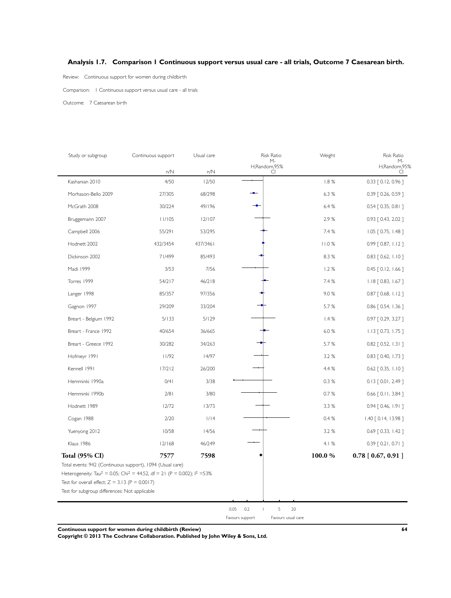#### **Analysis 1.7. Comparison 1 Continuous support versus usual care - all trials, Outcome 7 Caesarean birth.**

Review: Continuous support for women during childbirth

Comparison: 1 Continuous support versus usual care - all trials

Outcome: 7 Caesarean birth

|                                                                                                                                                                                                                                                                              |          |          |                             | Weight | Risk Ratio                  |
|------------------------------------------------------------------------------------------------------------------------------------------------------------------------------------------------------------------------------------------------------------------------------|----------|----------|-----------------------------|--------|-----------------------------|
|                                                                                                                                                                                                                                                                              | n/N      | n/N      | $M -$<br>H,Random,95%<br>CI |        | $M -$<br>H,Random,95%<br>CI |
| Kashanian 2010                                                                                                                                                                                                                                                               | 4/50     | 12/50    |                             | 1.8%   | $0.33$ $[0.12, 0.96]$       |
| Morhason-Bello 2009                                                                                                                                                                                                                                                          | 27/305   | 68/298   |                             | 6.3%   | $0.39$ $[0.26, 0.59]$       |
| McGrath 2008                                                                                                                                                                                                                                                                 | 30/224   | 49/196   |                             | 6.4 %  | $0.54$ [ 0.35, 0.81 ]       |
| Bruggemann 2007                                                                                                                                                                                                                                                              | 11/105   | 12/107   |                             | 2.9%   | $0.93$ $[0.43, 2.02]$       |
| Campbell 2006                                                                                                                                                                                                                                                                | 55/291   | 53/295   |                             | 7.4 %  | $1.05$ $[0.75, 1.48]$       |
| Hodnett 2002                                                                                                                                                                                                                                                                 | 432/3454 | 437/3461 |                             | 11.0%  | $0.99$ $[0.87, 1.12]$       |
| Dickinson 2002                                                                                                                                                                                                                                                               | 71/499   | 85/493   |                             | 8.3 %  | $0.83$ [ 0.62, 1.10 ]       |
| Madi 1999                                                                                                                                                                                                                                                                    | 3/53     | 7/56     |                             | 1.2%   | $0.45$ $[0.12, 1.66]$       |
| Torres 1999                                                                                                                                                                                                                                                                  | 54/217   | 46/218   |                             | 7.4 %  | $1.18$ [ 0.83, 1.67 ]       |
| Langer 1998                                                                                                                                                                                                                                                                  | 85/357   | 97/356   |                             | 9.0%   | $0.87$ [ 0.68, 1.12 ]       |
| Gagnon 1997                                                                                                                                                                                                                                                                  | 29/209   | 33/204   |                             | 5.7%   | $0.86$ [ 0.54, 1.36 ]       |
| Breart - Belgium 1992                                                                                                                                                                                                                                                        | 5/133    | 5/129    |                             | 1.4%   | $0.97$ $[0.29, 3.27]$       |
| Breart - France 1992                                                                                                                                                                                                                                                         | 40/654   | 36/665   |                             | 6.0%   | $1.13$ [ 0.73, 1.75 ]       |
| Breart - Greece 1992                                                                                                                                                                                                                                                         | 30/282   | 34/263   |                             | 5.7%   | $0.82$ [ 0.52, 1.31 ]       |
| Hofmeyr 1991                                                                                                                                                                                                                                                                 | 11/92    | 14/97    |                             | 3.2 %  | $0.83$ $[0.40, 1.73]$       |
| Kennell 1991                                                                                                                                                                                                                                                                 | 17/212   | 26/200   |                             | 4.4 %  | $0.62$ [ 0.35, 1.10 ]       |
| Hemminki 1990a                                                                                                                                                                                                                                                               | 0/41     | 3/38     |                             | 0.3 %  | $0.13$ $[0.01, 2.49]$       |
| Hemminki 1990b                                                                                                                                                                                                                                                               | 2/81     | 3/80     |                             | 0.7%   | $0.66$ $[0.11, 3.84]$       |
| Hodnett 1989                                                                                                                                                                                                                                                                 | 12/72    | 13/73    |                             | 3.3 %  | $0.94$ $[0.46, 1.91]$       |
| Cogan 1988                                                                                                                                                                                                                                                                   | 2/20     | 1/14     |                             | 0.4 %  | $1.40$ $[0.14, 13.98]$      |
| Yuenyong 2012                                                                                                                                                                                                                                                                | 10/58    | 14/56    |                             | 3.2%   | $0.69$ $[ 0.33, 1.42 ]$     |
| Klaus 1986                                                                                                                                                                                                                                                                   | 12/168   | 46/249   |                             | 4.1%   | $0.39$ $[0.21, 0.71]$       |
| <b>Total (95% CI)</b>                                                                                                                                                                                                                                                        | 7577     | 7598     |                             | 100.0% | $0.78$ [ $0.67$ , $0.91$ ]  |
| Total events: 942 (Continuous support), 1094 (Usual care)<br>Heterogeneity: Tau <sup>2</sup> = 0.05; Chi <sup>2</sup> = 44.52, df = 21 (P = 0.002); l <sup>2</sup> =53%<br>Test for overall effect: $Z = 3.13$ (P = 0.0017)<br>Test for subgroup differences: Not applicable |          |          |                             |        |                             |
|                                                                                                                                                                                                                                                                              |          |          |                             |        |                             |

**Continuous support for women during childbirth (Review) 64**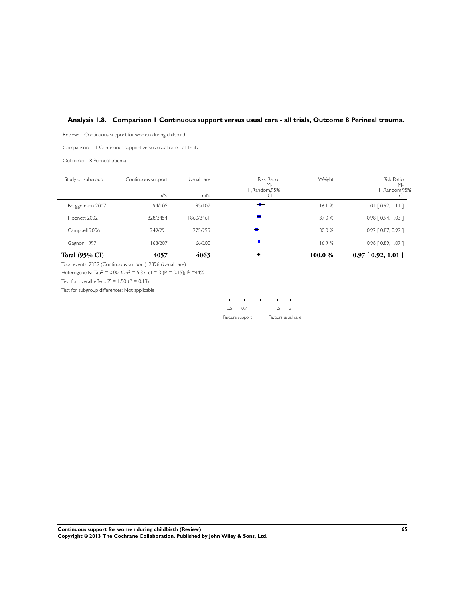#### **Analysis 1.8. Comparison 1 Continuous support versus usual care - all trials, Outcome 8 Perineal trauma.**

Review: Continuous support for women during childbirth

Comparison: 1 Continuous support versus usual care - all trials

Outcome: 8 Perineal trauma

| Study or subgroup                                                                               | Continuous support                                                                                                                                                    | Usual care | Risk Ratio                            | Weight     | Risk Ratio<br>$M -$     |
|-------------------------------------------------------------------------------------------------|-----------------------------------------------------------------------------------------------------------------------------------------------------------------------|------------|---------------------------------------|------------|-------------------------|
|                                                                                                 | $n/N$                                                                                                                                                                 | $n/N$      | M-<br>H,Random,95%<br>CI              |            | H,Random,95%<br>CI      |
| Bruggemann 2007                                                                                 | 94/105                                                                                                                                                                | 95/107     |                                       | 16.1%      | $1.01$ [ 0.92, $1.11$ ] |
| Hodnett 2002                                                                                    | 1828/3454                                                                                                                                                             | 1860/3461  |                                       | 37.0 %     | 0.98 [ 0.94, 1.03 ]     |
| Campbell 2006                                                                                   | 249/291                                                                                                                                                               | 275/295    |                                       | 30.0 %     | 0.92 [ 0.87, 0.97 ]     |
| Gagnon 1997                                                                                     | 168/207                                                                                                                                                               | 166/200    |                                       | 16.9%      | 0.98 [ 0.89, 1.07 ]     |
| Total (95% CI)                                                                                  | 4057                                                                                                                                                                  | 4063       |                                       | $100.0~\%$ | $0.97$ [ $0.92, 1.01$ ] |
| Test for overall effect: $Z = 1.50$ (P = 0.13)<br>Test for subgroup differences: Not applicable | Total events: 2339 (Continuous support), 2396 (Usual care)<br>Heterogeneity: Tau <sup>2</sup> = 0.00; Chi <sup>2</sup> = 5.33, df = 3 (P = 0.15); l <sup>2</sup> =44% |            |                                       |            |                         |
|                                                                                                 |                                                                                                                                                                       |            | 0.7<br>0.5<br>1.5<br>$\sqrt{2}$       |            |                         |
|                                                                                                 |                                                                                                                                                                       |            | Favours support<br>Favours usual care |            |                         |
|                                                                                                 |                                                                                                                                                                       |            |                                       |            |                         |
|                                                                                                 |                                                                                                                                                                       |            |                                       |            |                         |
|                                                                                                 |                                                                                                                                                                       |            |                                       |            |                         |
|                                                                                                 |                                                                                                                                                                       |            |                                       |            |                         |
|                                                                                                 |                                                                                                                                                                       |            |                                       |            |                         |
|                                                                                                 |                                                                                                                                                                       |            |                                       |            |                         |
|                                                                                                 |                                                                                                                                                                       |            |                                       |            |                         |
|                                                                                                 |                                                                                                                                                                       |            |                                       |            |                         |
|                                                                                                 |                                                                                                                                                                       |            |                                       |            |                         |
|                                                                                                 |                                                                                                                                                                       |            |                                       |            |                         |
|                                                                                                 |                                                                                                                                                                       |            |                                       |            |                         |
|                                                                                                 |                                                                                                                                                                       |            |                                       |            |                         |
|                                                                                                 |                                                                                                                                                                       |            |                                       |            |                         |
|                                                                                                 |                                                                                                                                                                       |            |                                       |            |                         |
|                                                                                                 |                                                                                                                                                                       |            |                                       |            |                         |

**Continuous support for women during childbirth (Review) 65 Copyright © 2013 The Cochrane Collaboration. Published by John Wiley & Sons, Ltd.**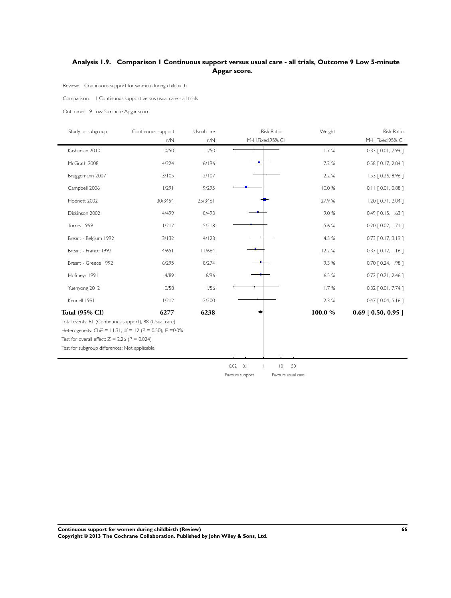### **Analysis 1.9. Comparison 1 Continuous support versus usual care - all trials, Outcome 9 Low 5-minute Apgar score.**

Review: Continuous support for women during childbirth

Comparison: I Continuous support versus usual care - all trials

Outcome: 9 Low 5-minute Apgar score

| Study or subgroup                                                        | Continuous support | Usual care | <b>Risk Ratio</b>  | Weight | <b>Risk Ratio</b>       |
|--------------------------------------------------------------------------|--------------------|------------|--------------------|--------|-------------------------|
|                                                                          | n/N                | n/N        | M-H, Fixed, 95% CI |        | M-H,Fixed,95% Cl        |
| Kashanian 2010                                                           | 0/50               | 1/50       |                    | 1.7%   | $0.33$ $[0.01, 7.99]$   |
| McGrath 2008                                                             | 4/224              | 6/196      |                    | 7.2 %  | 0.58 [ 0.17, 2.04 ]     |
| Bruggemann 2007                                                          | 3/105              | 2/107      |                    | 2.2 %  | $1.53$ $[0.26, 8.96]$   |
| Campbell 2006                                                            | 1/291              | 9/295      |                    | 10.0%  | $0.11$ $[0.01, 0.88]$   |
| Hodnett 2002                                                             | 30/3454            | 25/3461    |                    | 27.9%  | $1.20$ [ 0.71, 2.04 ]   |
| Dickinson 2002                                                           | 4/499              | 8/493      |                    | 9.0%   | $0.49$ $[0.15, 1.63]$   |
| Torres 1999                                                              | 1/217              | $5/2$   8  |                    | 5.6 %  | $0.20$ $[0.02, 1.71]$   |
| Breart - Belgium 1992                                                    | 3/132              | 4/128      |                    | 4.5 %  | $0.73$ $[0.17, 3.19]$   |
| Breart - France 1992                                                     | 4/651              | 1/664      |                    | 12.2 % | $0.37$ $[0.12, 1.16]$   |
| Breart - Greece 1992                                                     | 6/295              | 8/274      |                    | 9.3%   | 0.70 [ 0.24, 1.98 ]     |
| Hofmeyr 1991                                                             | 4/89               | 6/96       |                    | 6.5 %  | $0.72$ $[0.21, 2.46]$   |
| Yuenyong 2012                                                            | 0/58               | 1/56       |                    | 1.7%   | $0.32$ $[0.01, 7.74]$   |
| Kennell 1991                                                             | 1/212              | 2/200      |                    | 2.3 %  | $0.47$ $[0.04, 5.16]$   |
| <b>Total (95% CI)</b>                                                    | 6277               | 6238       |                    | 100.0% | $0.69$ [ $0.50, 0.95$ ] |
| Total events: 61 (Continuous support), 88 (Usual care)                   |                    |            |                    |        |                         |
| Heterogeneity: Chi <sup>2</sup> = 11.31, df = 12 (P = 0.50); $1^2$ =0.0% |                    |            |                    |        |                         |
| Test for overall effect: $Z = 2.26$ (P = 0.024)                          |                    |            |                    |        |                         |
| Test for subgroup differences: Not applicable                            |                    |            |                    |        |                         |
|                                                                          |                    |            |                    |        |                         |

 $0.02$  0.1 10 50

Favours support Favours usual care

**Continuous support for women during childbirth (Review) 66**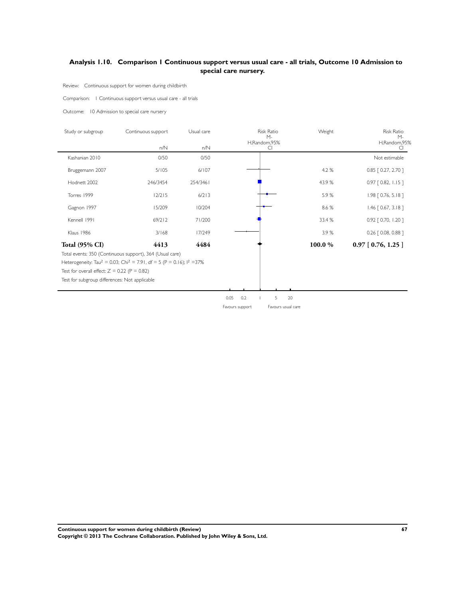#### **Analysis 1.10. Comparison 1 Continuous support versus usual care - all trials, Outcome 10 Admission to special care nursery.**

Review: Continuous support for women during childbirth

Comparison: I Continuous support versus usual care - all trials

Outcome: 10 Admission to special care nursery

| Study or subgroup                              | Continuous support                                                                             | Usual care |                 | <b>Risk Ratio</b><br>$M -$ | Weight | <b>Risk Ratio</b><br>$M -$ |
|------------------------------------------------|------------------------------------------------------------------------------------------------|------------|-----------------|----------------------------|--------|----------------------------|
|                                                | n/N                                                                                            | n/N        |                 | H,Random,95%<br>CI         |        | H,Random,95%<br>CI         |
| Kashanian 2010                                 | 0/50                                                                                           | 0/50       |                 |                            |        | Not estimable              |
| Bruggemann 2007                                | $5/105$                                                                                        | 6/107      |                 |                            | 4.2 %  | $0.85$ $[0.27, 2.70]$      |
| Hodnett 2002                                   | 246/3454                                                                                       | 254/3461   |                 |                            | 43.9%  | $0.97$ $[0.82, 1.15]$      |
| Torres 1999                                    | 12/215                                                                                         | 6/213      |                 |                            | 5.9%   | $1.98$ $[0.76, 5.18]$      |
| Gagnon 1997                                    | 15/209                                                                                         | 10/204     |                 |                            | 8.6 %  | $1.46$ $[0.67, 3.18]$      |
| Kennell 1991                                   | 69/212                                                                                         | 71/200     |                 |                            | 33.4 % | 0.92 [ 0.70, 1.20 ]        |
| Klaus 1986                                     | 3/168                                                                                          | 17/249     |                 |                            | 3.9%   | $0.26$ $[0.08, 0.88]$      |
| <b>Total (95% CI)</b>                          | 4413                                                                                           | 4484       |                 |                            | 100.0% | $0.97$ [ 0.76, 1.25 ]      |
|                                                | Total events: 350 (Continuous support), 364 (Usual care)                                       |            |                 |                            |        |                            |
|                                                | Heterogeneity: Tau <sup>2</sup> = 0.03; Chi <sup>2</sup> = 7.91, df = 5 (P = 0.16); $1^2$ =37% |            |                 |                            |        |                            |
| Test for overall effect: $Z = 0.22$ (P = 0.82) |                                                                                                |            |                 |                            |        |                            |
| Test for subgroup differences: Not applicable  |                                                                                                |            |                 |                            |        |                            |
|                                                |                                                                                                |            |                 |                            |        |                            |
|                                                |                                                                                                |            | 0.05<br>0.2     | 5<br>20                    |        |                            |
|                                                |                                                                                                |            | Favours support | Favours usual care         |        |                            |
|                                                |                                                                                                |            |                 |                            |        |                            |

**Continuous support for women during childbirth (Review) 67 Copyright © 2013 The Cochrane Collaboration. Published by John Wiley & Sons, Ltd.**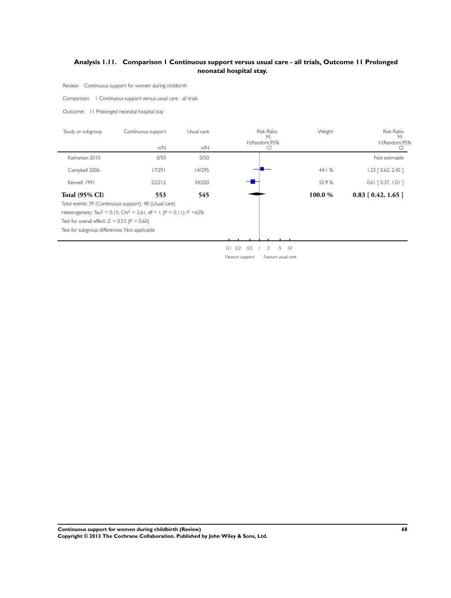#### **Analysis 1.11. Comparison 1 Continuous support versus usual care - all trials, Outcome 11 Prolonged neonatal hospital stay.**

Review: Continuous support for women during childbirth

Comparison: I Continuous support versus usual care - all trials

Outcome: 11 Prolonged neonatal hospital stay

| Study or subgroup                                                                               | Continuous support                                                                                                                                              | Usual care |                   | <b>Risk Ratio</b><br>$M -$            | Weight | <b>Risk Ratio</b><br>$M -$    |
|-------------------------------------------------------------------------------------------------|-----------------------------------------------------------------------------------------------------------------------------------------------------------------|------------|-------------------|---------------------------------------|--------|-------------------------------|
|                                                                                                 | n/N                                                                                                                                                             | n/N        |                   | H,Random,95%<br>a                     |        | H,Random,95%<br><sub>Cl</sub> |
| Kashanian 2010                                                                                  | 0/50                                                                                                                                                            | 0/50       |                   |                                       |        | Not estimable                 |
| Campbell 2006                                                                                   | 17/291                                                                                                                                                          | 14/295     |                   |                                       | 44.1 % | $1.23$ $[0.62, 2.45]$         |
| Kennell 1991                                                                                    | 22/212                                                                                                                                                          | 34/200     |                   |                                       | 55.9%  | $0.61$ [ 0.37, 1.01 ]         |
| <b>Total (95% CI)</b>                                                                           | 553<br>Total events: 39 (Continuous support), 48 (Usual care)<br>Heterogeneity: Tau <sup>2</sup> = 0.15; Chi <sup>2</sup> = 2.61, df = 1 (P = 0.11); $1^2$ =62% | 545        |                   |                                       | 100.0% | $0.83$ [ 0.42, 1.65 ]         |
| Test for overall effect: $Z = 0.53$ (P = 0.60)<br>Test for subgroup differences: Not applicable |                                                                                                                                                                 |            |                   |                                       |        |                               |
|                                                                                                 |                                                                                                                                                                 |            |                   |                                       |        |                               |
|                                                                                                 |                                                                                                                                                                 |            | $0.1$ $0.2$ $0.5$ | $\overline{0}$<br>$\overline{2}$<br>5 |        |                               |
|                                                                                                 |                                                                                                                                                                 |            | Favours support   | Favours usual care                    |        |                               |

**Continuous support for women during childbirth (Review) 68 Copyright © 2013 The Cochrane Collaboration. Published by John Wiley & Sons, Ltd.**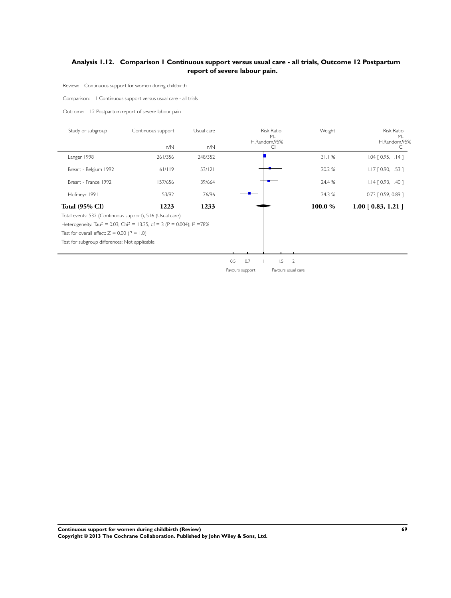## **Analysis 1.12. Comparison 1 Continuous support versus usual care - all trials, Outcome 12 Postpartum report of severe labour pain.**

Review: Continuous support for women during childbirth

Comparison: I Continuous support versus usual care - all trials

Outcome: 12 Postpartum report of severe labour pain

| Study or subgroup                                                                                | Continuous support | Usual care |     |                 | <b>Risk Ratio</b><br>$M -$ |                    | Weight  | <b>Risk Ratio</b><br>$M -$ |
|--------------------------------------------------------------------------------------------------|--------------------|------------|-----|-----------------|----------------------------|--------------------|---------|----------------------------|
|                                                                                                  | n/N                | n/N        |     |                 | H,Random,95%<br>CI         |                    |         | H,Random,95%               |
| Langer 1998                                                                                      | 261/356            | 248/352    |     |                 |                            |                    | 31.1%   | $1.04$ $[0.95, 1.14]$      |
| Breart - Belgium 1992                                                                            | 61/119             | 53/121     |     |                 |                            |                    | 20.2 %  | $1.17$ $[0.90, 1.53]$      |
| Breart - France 1992                                                                             | 157/656            | 139/664    |     |                 |                            |                    | 24.4 %  | $1.14$ $[0.93, 1.40]$      |
| Hofmeyr 1991                                                                                     | 53/92              | 76/96      |     |                 |                            |                    | 24.3 %  | $0.73$ [ 0.59, 0.89 ]      |
| <b>Total (95% CI)</b>                                                                            | 1223               | 1233       |     |                 |                            |                    | 100.0 % | $1.00$ [ 0.83, 1.21 ]      |
| Total events: 532 (Continuous support), 516 (Usual care)                                         |                    |            |     |                 |                            |                    |         |                            |
| Heterogeneity: Tau <sup>2</sup> = 0.03; Chi <sup>2</sup> = 13.35, df = 3 (P = 0.004); $1^2$ =78% |                    |            |     |                 |                            |                    |         |                            |
| Test for overall effect: $Z = 0.00$ (P = 1.0)                                                    |                    |            |     |                 |                            |                    |         |                            |
| Test for subgroup differences: Not applicable                                                    |                    |            |     |                 |                            |                    |         |                            |
|                                                                                                  |                    |            |     |                 |                            |                    |         |                            |
|                                                                                                  |                    |            | 0.5 | 0.7             | 1.5                        | $\overline{2}$     |         |                            |
|                                                                                                  |                    |            |     | Favours support |                            | Favours usual care |         |                            |

**Continuous support for women during childbirth (Review) 69 Copyright © 2013 The Cochrane Collaboration. Published by John Wiley & Sons, Ltd.**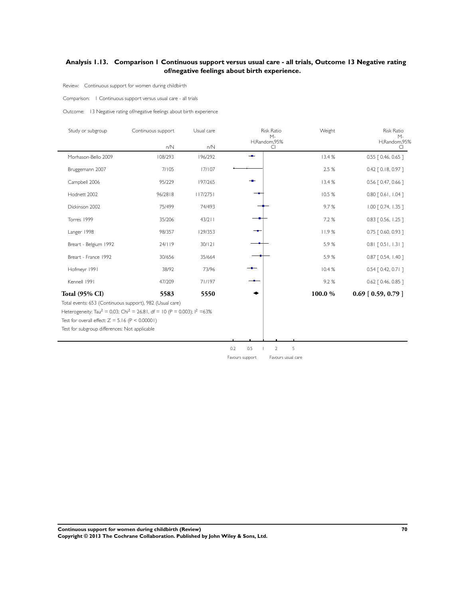## **Analysis 1.13. Comparison 1 Continuous support versus usual care - all trials, Outcome 13 Negative rating of/negative feelings about birth experience.**

Review: Continuous support for women during childbirth

Comparison: I Continuous support versus usual care - all trials

Outcome: 13 Negative rating of/negative feelings about birth experience

| Study or subgroup                                 | Continuous support                                                                                          | Usual care |                 | <b>Risk Ratio</b><br>$M -$<br>H,Random,95% | Weight | <b>Risk Ratio</b><br>$M -$<br>H,Random,95% |
|---------------------------------------------------|-------------------------------------------------------------------------------------------------------------|------------|-----------------|--------------------------------------------|--------|--------------------------------------------|
|                                                   | n/N                                                                                                         | n/N        |                 | CI                                         |        | CI                                         |
| Morhason-Bello 2009                               | 108/293                                                                                                     | 196/292    | $-$             |                                            | 13.4 % | $0.55$ $[0.46, 0.65]$                      |
| Bruggemann 2007                                   | 7/105                                                                                                       | 17/107     |                 |                                            | 2.5 %  | $0.42$ $[0.18, 0.97]$                      |
| Campbell 2006                                     | 95/229                                                                                                      | 197/265    |                 |                                            | 13.4 % | $0.56$ $[0.47, 0.66]$                      |
| Hodnett 2002                                      | 96/2818                                                                                                     | 117/2751   |                 |                                            | 10.5 % | $0.80$ $[0.61, 1.04]$                      |
| Dickinson 2002                                    | 75/499                                                                                                      | 74/493     |                 |                                            | 9.7%   | $1.00$ $[0.74, 1.35]$                      |
| Torres 1999                                       | 35/206                                                                                                      | $43/2$     |                 |                                            | 7.2 %  | $0.83$ $[0.56, 1.25]$                      |
| Langer 1998                                       | 98/357                                                                                                      | 129/353    |                 |                                            | 11.9%  | 0.75 [ 0.60, 0.93 ]                        |
| Breart - Belgium 1992                             | 24/119                                                                                                      | 30/121     |                 |                                            | 5.9%   | $0.81$ [ $0.51$ , $1.31$ ]                 |
| Breart - France 1992                              | 30/656                                                                                                      | 35/664     |                 |                                            | 5.9%   | $0.87$ $[$ 0.54, 1.40 $]$                  |
| Hofmeyr 1991                                      | 38/92                                                                                                       | 73/96      |                 |                                            | 10.4 % | $0.54$ $[0.42, 0.71]$                      |
| Kennell 1991                                      | 47/209                                                                                                      | 71/197     |                 |                                            | 9.2%   | 0.62   0.46, 0.85 ]                        |
| <b>Total (95% CI)</b>                             | 5583                                                                                                        | 5550       |                 |                                            | 100.0% | $0.69$ [ $0.59$ , $0.79$ ]                 |
|                                                   | Total events: 653 (Continuous support), 982 (Usual care)                                                    |            |                 |                                            |        |                                            |
|                                                   | Heterogeneity: Tau <sup>2</sup> = 0.03; Chi <sup>2</sup> = 26.81, df = 10 (P = 0.003); l <sup>2</sup> = 63% |            |                 |                                            |        |                                            |
| Test for overall effect: $Z = 5.16$ (P < 0.00001) |                                                                                                             |            |                 |                                            |        |                                            |
| Test for subgroup differences: Not applicable     |                                                                                                             |            |                 |                                            |        |                                            |
|                                                   |                                                                                                             |            |                 |                                            |        |                                            |
|                                                   |                                                                                                             |            | 0.2<br>0.5      | $\overline{2}$<br>5                        |        |                                            |
|                                                   |                                                                                                             |            | Favours support | Favours usual care                         |        |                                            |
|                                                   |                                                                                                             |            |                 |                                            |        |                                            |
|                                                   |                                                                                                             |            |                 |                                            |        |                                            |
|                                                   |                                                                                                             |            |                 |                                            |        |                                            |
|                                                   |                                                                                                             |            |                 |                                            |        |                                            |

**Continuous support for women during childbirth (Review) 70**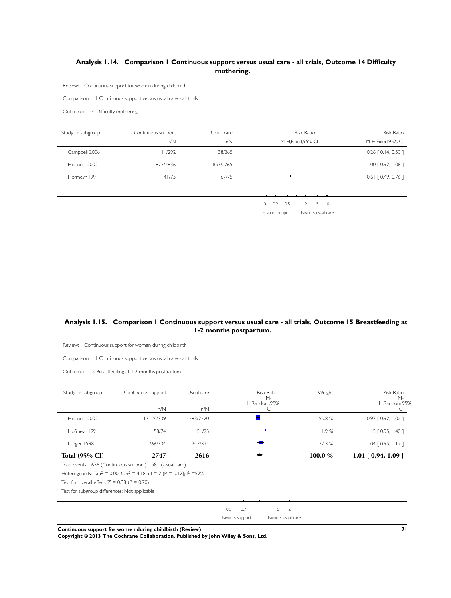# **Analysis 1.14. Comparison 1 Continuous support versus usual care - all trials, Outcome 14 Difficulty mothering.**

Review: Continuous support for women during childbirth

Comparison: I Continuous support versus usual care - all trials

Outcome: 14 Difficulty mothering

| Study or subgroup | Continuous support | Usual care | <b>Risk Ratio</b>                                                                                               | <b>Risk Ratio</b>     |
|-------------------|--------------------|------------|-----------------------------------------------------------------------------------------------------------------|-----------------------|
|                   | n/N                | n/N        | M-H, Fixed, 95% CI                                                                                              | M-H, Fixed, 95% CI    |
| Campbell 2006     | 11/292             | 38/265     |                                                                                                                 | $0.26$ $[0.14, 0.50]$ |
| Hodnett 2002      | 873/2836           | 853/2765   |                                                                                                                 | $1.00$ $[0.92, 1.08]$ |
| Hofmeyr 1991      | 41/75              | 67/75      |                                                                                                                 | $0.61$ $[0.49, 0.76]$ |
|                   |                    |            | the contract of the contract of the contract of the contract of the contract of the contract of the contract of |                       |



### **Analysis 1.15. Comparison 1 Continuous support versus usual care - all trials, Outcome 15 Breastfeeding at 1-2 months postpartum.**

| Review:                                        | Continuous support for women during childbirth                                                 |            |                 |                            |         |                            |
|------------------------------------------------|------------------------------------------------------------------------------------------------|------------|-----------------|----------------------------|---------|----------------------------|
|                                                | Comparison:   Continuous support versus usual care - all trials                                |            |                 |                            |         |                            |
| Outcome:                                       | 15 Breastfeeding at 1-2 months postpartum                                                      |            |                 |                            |         |                            |
| Study or subgroup                              | Continuous support                                                                             | Usual care |                 | <b>Risk Ratio</b><br>$M -$ | Weight  | <b>Risk Ratio</b><br>$M -$ |
|                                                | n/N                                                                                            | n/N        |                 | H,Random,95%<br>CI.        |         | H,Random,95%               |
| Hodnett 2002                                   | 1312/2339                                                                                      | 1283/2220  |                 |                            | 50.8%   | 0.97 [ 0.92, 1.02 ]        |
| Hofmeyr 1991                                   | 58/74                                                                                          | 51/75      |                 |                            | 11.9%   | $1.15$ $[0.95, 1.40]$      |
| Langer 1998                                    | 266/334                                                                                        | 247/321    |                 |                            | 37.3 %  | $1.04$ $[0.95, 1.12]$      |
| <b>Total (95% CI)</b>                          | 2747                                                                                           | 2616       |                 |                            | 100.0 % | $1.01$ [ 0.94, 1.09 ]      |
|                                                | Total events: 1636 (Continuous support), 1581 (Usual care)                                     |            |                 |                            |         |                            |
|                                                | Heterogeneity: Tau <sup>2</sup> = 0.00; Chi <sup>2</sup> = 4.18, df = 2 (P = 0.12); $1^2$ =52% |            |                 |                            |         |                            |
| Test for overall effect: $Z = 0.38$ (P = 0.70) |                                                                                                |            |                 |                            |         |                            |
| Test for subgroup differences: Not applicable  |                                                                                                |            |                 |                            |         |                            |
|                                                |                                                                                                |            |                 |                            |         |                            |
|                                                |                                                                                                |            | 0.5<br>0.7      | 1.5<br>$\overline{2}$      |         |                            |
|                                                |                                                                                                |            | Favours support | Favours usual care         |         |                            |

**Continuous support for women during childbirth (Review) 71**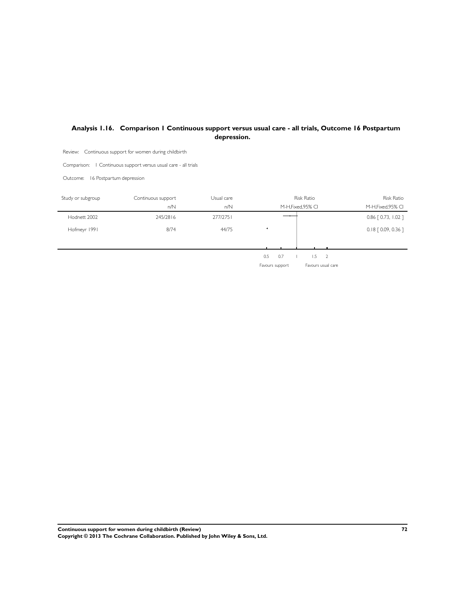# **Analysis 1.16. Comparison 1 Continuous support versus usual care - all trials, Outcome 16 Postpartum depression.**

Review: Continuous support for women during childbirth

Comparison: I Continuous support versus usual care - all trials

Outcome: 16 Postpartum depression

| Study or subgroup | Continuous support | Usual care |                      | Risk Ratio                     | Risk Ratio          |
|-------------------|--------------------|------------|----------------------|--------------------------------|---------------------|
|                   | $n/N$              | $n/N$      | M-H,Fixed,95% CI     | M-H,Fixed,95% CI               |                     |
| Hodnett 2002      | 245/2816           | 277/2751   |                      |                                | 0.86 [ 0.73, 1.02 ] |
| Hofmeyr 1991      | 8/74               | 44/75      | $\blacktriangleleft$ |                                | 0.18 [ 0.09, 0.36 ] |
|                   |                    |            |                      |                                |                     |
|                   |                    |            | 0.7<br>0.5           | $\sqrt{2}$<br>$\overline{1.5}$ |                     |
|                   |                    |            | Favours support      | Favours usual care             |                     |
|                   |                    |            |                      |                                |                     |
|                   |                    |            |                      |                                |                     |
|                   |                    |            |                      |                                |                     |
|                   |                    |            |                      |                                |                     |
|                   |                    |            |                      |                                |                     |
|                   |                    |            |                      |                                |                     |
|                   |                    |            |                      |                                |                     |
|                   |                    |            |                      |                                |                     |
|                   |                    |            |                      |                                |                     |
|                   |                    |            |                      |                                |                     |
|                   |                    |            |                      |                                |                     |
|                   |                    |            |                      |                                |                     |
|                   |                    |            |                      |                                |                     |
|                   |                    |            |                      |                                |                     |
|                   |                    |            |                      |                                |                     |
|                   |                    |            |                      |                                |                     |
|                   |                    |            |                      |                                |                     |
|                   |                    |            |                      |                                |                     |
|                   |                    |            |                      |                                |                     |
|                   |                    |            |                      |                                |                     |
|                   |                    |            |                      |                                |                     |
|                   |                    |            |                      |                                |                     |
|                   |                    |            |                      |                                |                     |
|                   |                    |            |                      |                                |                     |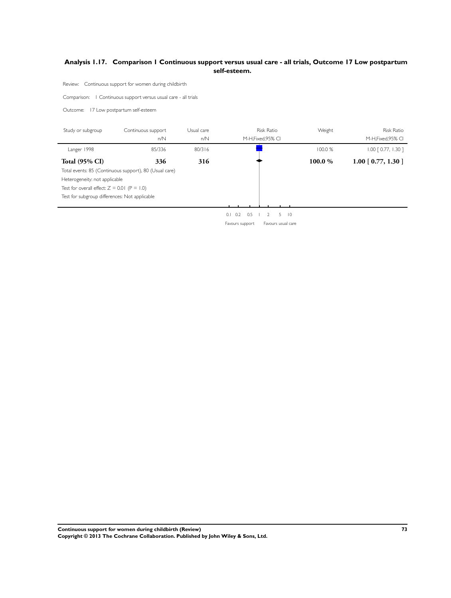# **Analysis 1.17. Comparison 1 Continuous support versus usual care - all trials, Outcome 17 Low postpartum self-esteem.**

Review: Continuous support for women during childbirth

Comparison: I Continuous support versus usual care - all trials

Outcome: 17 Low postpartum self-esteem

| Study or subgroup                             | Usual care<br>Continuous support                       |        | Risk Ratio                                          | Weight     | Risk Ratio            |  |
|-----------------------------------------------|--------------------------------------------------------|--------|-----------------------------------------------------|------------|-----------------------|--|
|                                               | $n/N$                                                  | $n/N$  | M-H,Fixed,95% CI                                    |            | M-H,Fixed,95% CI      |  |
| Langer 1998                                   | 85/336                                                 | 80/316 | ÷                                                   | $100.0~\%$ | $1.00$ [ 0.77, 1.30 ] |  |
| <b>Total (95% CI)</b>                         | 336                                                    | 316    |                                                     | $100.0~\%$ | 1.00 [0.77, 1.30]     |  |
|                                               | Total events: 85 (Continuous support), 80 (Usual care) |        |                                                     |            |                       |  |
| Heterogeneity: not applicable                 |                                                        |        |                                                     |            |                       |  |
| Test for overall effect: $Z = 0.01$ (P = 1.0) |                                                        |        |                                                     |            |                       |  |
| Test for subgroup differences: Not applicable |                                                        |        |                                                     |            |                       |  |
|                                               |                                                        |        |                                                     |            |                       |  |
|                                               |                                                        |        | $0.1 \quad 0.2 \quad 0.5$<br>$\sqrt{2}$<br>$5 - 10$ |            |                       |  |
|                                               |                                                        |        | Favours support<br>Favours usual care               |            |                       |  |
|                                               |                                                        |        |                                                     |            |                       |  |
|                                               |                                                        |        |                                                     |            |                       |  |
|                                               |                                                        |        |                                                     |            |                       |  |
|                                               |                                                        |        |                                                     |            |                       |  |
|                                               |                                                        |        |                                                     |            |                       |  |
|                                               |                                                        |        |                                                     |            |                       |  |
|                                               |                                                        |        |                                                     |            |                       |  |
|                                               |                                                        |        |                                                     |            |                       |  |
|                                               |                                                        |        |                                                     |            |                       |  |
|                                               |                                                        |        |                                                     |            |                       |  |
|                                               |                                                        |        |                                                     |            |                       |  |
|                                               |                                                        |        |                                                     |            |                       |  |
|                                               |                                                        |        |                                                     |            |                       |  |
|                                               |                                                        |        |                                                     |            |                       |  |
|                                               |                                                        |        |                                                     |            |                       |  |
|                                               |                                                        |        |                                                     |            |                       |  |
|                                               |                                                        |        |                                                     |            |                       |  |
|                                               |                                                        |        |                                                     |            |                       |  |
|                                               |                                                        |        |                                                     |            |                       |  |
|                                               |                                                        |        |                                                     |            |                       |  |
|                                               |                                                        |        |                                                     |            |                       |  |
|                                               |                                                        |        |                                                     |            |                       |  |
|                                               |                                                        |        |                                                     |            |                       |  |
|                                               |                                                        |        |                                                     |            |                       |  |
|                                               |                                                        |        |                                                     |            |                       |  |
|                                               |                                                        |        |                                                     |            |                       |  |
|                                               |                                                        |        |                                                     |            |                       |  |
|                                               |                                                        |        |                                                     |            |                       |  |
|                                               |                                                        |        |                                                     |            |                       |  |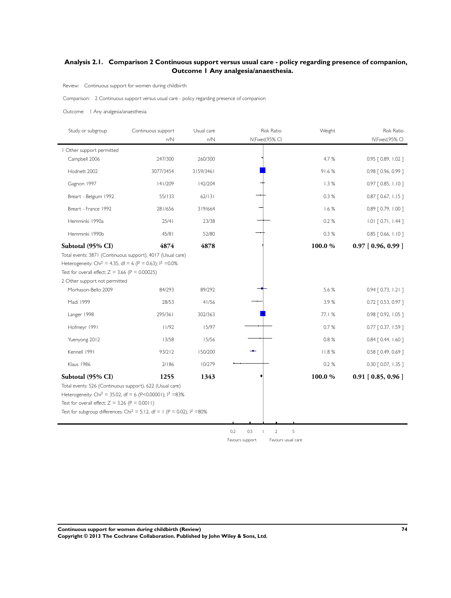## **Analysis 2.1. Comparison 2 Continuous support versus usual care - policy regarding presence of companion, Outcome 1 Any analgesia/anaesthesia.**

Review: Continuous support for women during childbirth

Comparison: 2 Continuous support versus usual care - policy regarding presence of companion

Outcome: 1 Any analgesia/anaesthesia

| Study or subgroup                                                       | Continuous support                                                                    | Usual care | Risk Ratio      | Weight              | <b>Risk Ratio</b>       |
|-------------------------------------------------------------------------|---------------------------------------------------------------------------------------|------------|-----------------|---------------------|-------------------------|
|                                                                         | n/N                                                                                   | n/N        | IV,Fixed,95% CI |                     | IV, Fixed, 95% CI       |
| Other support permitted                                                 |                                                                                       |            |                 |                     |                         |
| Campbell 2006                                                           | 247/300                                                                               | 260/300    |                 | 4.7%                | 0.95 [ 0.89, 1.02 ]     |
| Hodnett 2002                                                            | 3077/3454                                                                             | 3159/3461  |                 | 91.6%               | 0.98 [0.96, 0.99]       |
| Gagnon 1997                                                             | 141/209                                                                               | 142/204    |                 | 1.3%                | $0.97$ [ 0.85, 1.10 ]   |
| Breart - Belgium 1992                                                   | 55/133                                                                                | 62/131     |                 | 0.3%                | $0.87$ [ 0.67, 1.15 ]   |
| Breart - France 1992                                                    | 281/656                                                                               | 319/664    |                 | 1.6%                | 0.89 [ 0.79, 1.00 ]     |
| Hemminki 1990a                                                          | 25/41                                                                                 | 23/38      |                 | 0.2 %               | $1.01$ [ 0.71, 1.44 ]   |
| Hemminki 1990b                                                          | 45/81                                                                                 | 52/80      |                 | 0.3 %               | $0.85$ $[0.66, 1.10]$   |
| Subtotal (95% CI)                                                       | 4874                                                                                  | 4878       |                 | 100.0%              | $0.97$ [ $0.96, 0.99$ ] |
|                                                                         | Total events: 3871 (Continuous support), 4017 (Usual care)                            |            |                 |                     |                         |
| Heterogeneity: Chi <sup>2</sup> = 4.35, df = 6 (P = 0.63); $1^2$ = 0.0% |                                                                                       |            |                 |                     |                         |
| Test for overall effect: $Z = 3.66$ (P = 0.00025)                       |                                                                                       |            |                 |                     |                         |
| 2 Other support not permitted                                           |                                                                                       |            |                 |                     |                         |
| Morhason-Bello 2009                                                     | 84/293                                                                                | 89/292     |                 | 5.6 %               | 0.94 [ 0.73, 1.2   ]    |
| Madi 1999                                                               | 28/53                                                                                 | 41/56      |                 | 3.9%                | 0.72 [ 0.53, 0.97 ]     |
| Langer 1998                                                             | 295/361                                                                               | 302/363    |                 | 77.1 %              | 0.98 [ 0.92, 1.05 ]     |
| Hofmeyr 1991                                                            | 11/92                                                                                 | 15/97      |                 | 0.7%                | 0.77 [ 0.37, 1.59 ]     |
| Yuenyong 2012                                                           | 13/58                                                                                 | 15/56      |                 | 0.8%                | $0.84$ $[0.44, 1.60]$   |
| Kennell 1991                                                            | 93/212                                                                                | 150/200    |                 | 11.8%               | 0.58 [ 0.49, 0.69 ]     |
| Klaus 1986                                                              | 2/186                                                                                 | 10/279     |                 | 0.2 %               | 0.30 [ 0.07, 1.35 ]     |
| Subtotal (95% CI)                                                       | 1255                                                                                  | 1343       |                 | 100.0%              | $0.91$ [ 0.85, 0.96 ]   |
| Total events: 526 (Continuous support), 622 (Usual care)                |                                                                                       |            |                 |                     |                         |
|                                                                         | Heterogeneity: Chi <sup>2</sup> = 35.02, df = 6 (P<0.00001); $1^2$ =83%               |            |                 |                     |                         |
| Test for overall effect: $Z = 3.26$ (P = 0.0011)                        |                                                                                       |            |                 |                     |                         |
|                                                                         | Test for subgroup differences: Chi <sup>2</sup> = 5.12, df = 1 (P = 0.02), $1^2$ =80% |            |                 |                     |                         |
|                                                                         |                                                                                       |            |                 |                     |                         |
|                                                                         |                                                                                       |            | 0.2<br>0.5      | 5<br>$\overline{2}$ |                         |
|                                                                         |                                                                                       |            | Favours support | Favours usual care  |                         |

**Continuous support for women during childbirth (Review) 74**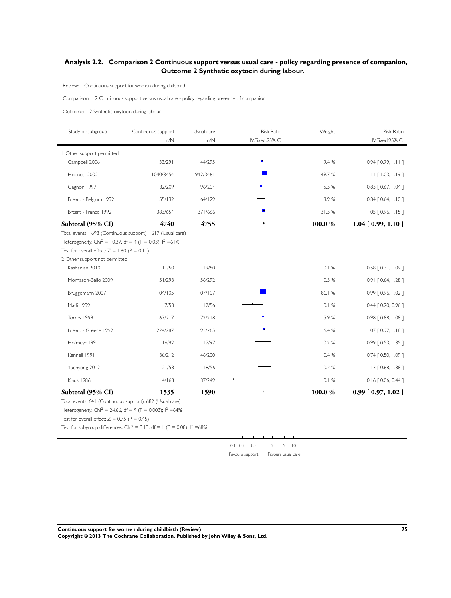### **Analysis 2.2. Comparison 2 Continuous support versus usual care - policy regarding presence of companion, Outcome 2 Synthetic oxytocin during labour.**

Review: Continuous support for women during childbirth

Comparison: 2 Continuous support versus usual care - policy regarding presence of companion

Outcome: 2 Synthetic oxytocin during labour

| Study or subgroup                                                                                                                                                                                                                                                              | Continuous support | Usual care | <b>Risk Ratio</b>                                                                                    | Weight | Risk Ratio              |
|--------------------------------------------------------------------------------------------------------------------------------------------------------------------------------------------------------------------------------------------------------------------------------|--------------------|------------|------------------------------------------------------------------------------------------------------|--------|-------------------------|
|                                                                                                                                                                                                                                                                                | n/N                | n/N        | IV,Fixed,95% CI                                                                                      |        | IV,Fixed,95% CI         |
| Other support permitted                                                                                                                                                                                                                                                        |                    |            |                                                                                                      |        |                         |
| Campbell 2006                                                                                                                                                                                                                                                                  | 133/291            | 144/295    |                                                                                                      | 9.4%   | $0.94$ [ 0.79, 1.11 ]   |
| Hodnett 2002                                                                                                                                                                                                                                                                   | 1040/3454          | 942/3461   |                                                                                                      | 49.7%  | $1.11$ $[1.03, 1.19]$   |
| Gagnon 1997                                                                                                                                                                                                                                                                    | 82/209             | 96/204     |                                                                                                      | 5.5 %  | $0.83$ $[0.67, 1.04]$   |
| Breart - Belgium 1992                                                                                                                                                                                                                                                          | 55/132             | 64/129     |                                                                                                      | 3.9%   | $0.84$ $[0.64, 1.10]$   |
| Breart - France 1992                                                                                                                                                                                                                                                           | 383/654            | 371/666    |                                                                                                      | 31.5%  | $1.05$ $[0.96, 1.15]$   |
| Subtotal (95% CI)                                                                                                                                                                                                                                                              | 4740               | 4755       |                                                                                                      | 100.0% | $1.04$ [ 0.99, 1.10 ]   |
| Total events: 1693 (Continuous support), 1617 (Usual care)<br>Heterogeneity: Chi <sup>2</sup> = 10.37, df = 4 (P = 0.03); $1^2$ = 61%<br>Test for overall effect: $Z = 1.60$ (P = 0.11)<br>2 Other support not permitted                                                       |                    |            |                                                                                                      |        |                         |
| Kashanian 2010                                                                                                                                                                                                                                                                 | 11/50              | 19/50      |                                                                                                      | 0.1%   | $0.58$ $[0.31, 1.09]$   |
| Morhason-Bello 2009                                                                                                                                                                                                                                                            | 51/293             | 56/292     |                                                                                                      | 0.5 %  | $0.91$ $[0.64, 1.28]$   |
| Bruggemann 2007                                                                                                                                                                                                                                                                | 104/105            | 107/107    |                                                                                                      | 86.1%  | 0.99 [0.96, 1.02]       |
| Madi 1999                                                                                                                                                                                                                                                                      | 7/53               | 17/56      |                                                                                                      | 0.1%   | 0.44 [ 0.20, 0.96 ]     |
| Torres 1999                                                                                                                                                                                                                                                                    | 167/217            | 172/218    |                                                                                                      | 5.9%   | 0.98 [ 0.88, 1.08 ]     |
| Breart - Greece 1992                                                                                                                                                                                                                                                           | 224/287            | 193/265    |                                                                                                      | 6.4 %  | $1.07$ $[0.97, 1.18]$   |
| Hofmeyr 1991                                                                                                                                                                                                                                                                   | 16/92              | 17/97      |                                                                                                      | 0.2%   | 0.99 [ 0.53, 1.85 ]     |
| Kennell 1991                                                                                                                                                                                                                                                                   | 36/212             | 46/200     |                                                                                                      | 0.4%   | 0.74 [ 0.50, 1.09 ]     |
| Yuenyong 2012                                                                                                                                                                                                                                                                  | 21/58              | 18/56      |                                                                                                      | 0.2%   | $1.13$ [ 0.68, 1.88 ]   |
| Klaus 1986                                                                                                                                                                                                                                                                     | 4/168              | 37/249     |                                                                                                      | 0.1%   | $0.16$ $[0.06, 0.44]$   |
| Subtotal (95% CI)                                                                                                                                                                                                                                                              | 1535               | 1590       |                                                                                                      | 100.0% | $0.99$ [ $0.97, 1.02$ ] |
| Total events: 641 (Continuous support), 682 (Usual care)<br>Heterogeneity: Chi <sup>2</sup> = 24.66, df = 9 (P = 0.003); $1^2$ =64%<br>Test for overall effect: $Z = 0.75$ (P = 0.45)<br>Test for subgroup differences: Chi <sup>2</sup> = 3.13, df = 1 (P = 0.08), $1^2$ =68% |                    |            |                                                                                                      |        |                         |
|                                                                                                                                                                                                                                                                                |                    |            | 5<br>$\overline{10}$<br>$0.1$ $0.2$ $0.5$<br>$\overline{2}$<br>Favours support<br>Favours usual care |        |                         |

**Continuous support for women during childbirth (Review) 75**

l.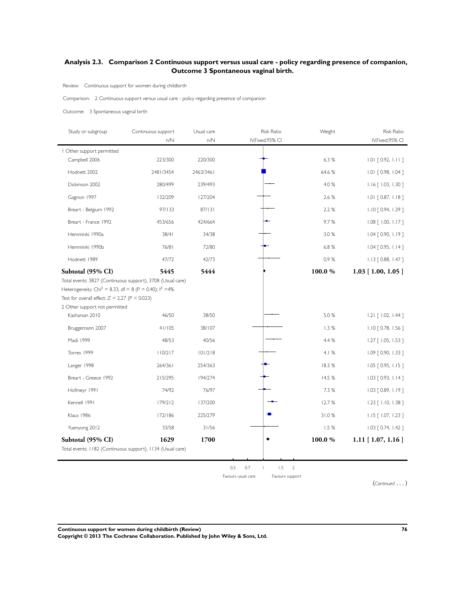### **Analysis 2.3. Comparison 2 Continuous support versus usual care - policy regarding presence of companion, Outcome 3 Spontaneous vaginal birth.**

Review: Continuous support for women during childbirth

Comparison: 2 Continuous support versus usual care - policy regarding presence of companion

Outcome: 3 Spontaneous vaginal birth

| Study or subgroup                                                                                                                                                  | Continuous support<br>n/N | Usual care<br>n/N | <b>Risk Ratio</b><br>IV, Fixed, 95% CI | Weight | <b>Risk Ratio</b><br>IV,Fixed,95% CI |
|--------------------------------------------------------------------------------------------------------------------------------------------------------------------|---------------------------|-------------------|----------------------------------------|--------|--------------------------------------|
| Other support permitted                                                                                                                                            |                           |                   |                                        |        |                                      |
| Campbell 2006                                                                                                                                                      | 223/300                   | 220/300           |                                        | 6.3 %  | $1.01$ [ 0.92, $1.11$ ]              |
| Hodnett 2002                                                                                                                                                       | 2481/3454                 | 2463/3461         |                                        | 64.6 % | 1.01 [ 0.98, 1.04 ]                  |
| Dickinson 2002                                                                                                                                                     | 280/499                   | 239/493           |                                        | 4.0 %  | $1.16$ [ $1.03$ , $1.30$ ]           |
| Gagnon 1997                                                                                                                                                        | 132/209                   | 127/204           |                                        | 2.6 %  | $1.01$ $[0.87, 1.18]$                |
| Breart - Belgium 1992                                                                                                                                              | 97/133                    | 87/131            |                                        | 2.2%   | $1.10$ $[0.94, 1.29]$                |
| Breart - France 1992                                                                                                                                               | 453/656                   | 424/664           |                                        | 9.7%   | $1.08$ [ $1.00$ , $1.17$ ]           |
| Hemminki 1990a                                                                                                                                                     | 38/41                     | 34/38             |                                        | 3.0 %  | $1.04$ $[0.90, 1.19]$                |
| Hemminki 1990b                                                                                                                                                     | 76/81                     | 72/80             |                                        | 6.8%   | $1.04$ [ 0.95, 1.14 ]                |
| Hodnett 1989                                                                                                                                                       | 47/72                     | 42/73             |                                        | 0.9%   | $1.13$ [ 0.88, 1.47 ]                |
| Subtotal (95% CI)                                                                                                                                                  | 5445                      | 5444              |                                        | 100.0% | $1.03$ [ 1.00, 1.05 ]                |
| Heterogeneity: Chi <sup>2</sup> = 8.33, df = 8 (P = 0.40); l <sup>2</sup> = 4%<br>Test for overall effect: $Z = 2.27$ (P = 0.023)<br>2 Other support not permitted |                           |                   |                                        |        |                                      |
| Kashanian 2010                                                                                                                                                     | 46/50                     | 38/50             |                                        | 5.0%   | $1.21$ $[1.02, 1.44]$                |
| Bruggemann 2007                                                                                                                                                    | 41/105                    | 38/107            |                                        | 1.3%   | $1.10$ [ 0.78, 1.56 ]                |
| Madi 1999                                                                                                                                                          | 48/53                     | 40/56             |                                        | 4.4 %  | 1.27 [ 1.05, 1.53 ]                  |
| Torres 1999                                                                                                                                                        | 110/217                   | 101/218           |                                        | 4.1%   | $1.09$ [ 0.90, 1.33 ]                |
| Langer 1998                                                                                                                                                        | 264/361                   | 254/363           |                                        | 18.3%  | $1.05$ $[0.95, 1.15]$                |
| Breart - Greece 1992                                                                                                                                               | 215/295                   | 194/274           |                                        | 14.5 % | $1.03$ [ 0.93, 1.14 ]                |
| Hofmeyr 1991                                                                                                                                                       | 74/92                     | 76/97             |                                        | 7.3 %  | $1.03$ [ 0.89, 1.19 ]                |
| Kennell 1991                                                                                                                                                       | 179/212                   | 137/200           |                                        | 12.7%  | $1.23$ [ $1.10$ , $1.38$ ]           |
| Klaus 1986                                                                                                                                                         | 172/186                   | 225/279           |                                        | 31.0%  | $1.15$ [ $1.07$ , $1.23$ ]           |
| Yuenyong 2012                                                                                                                                                      | 33/58                     | 31/56             |                                        | 1.5%   | $1.03$ $[0.74, 1.42]$                |
| Subtotal (95% CI)                                                                                                                                                  | 1629                      | 1700              |                                        | 100.0% | $1.11$ [ $1.07, 1.16$ ]              |
| Total events: 1182 (Continuous support), 1134 (Usual care)                                                                                                         |                           |                   |                                        |        |                                      |
|                                                                                                                                                                    |                           |                   | 0.5<br>0.7<br>1.5<br>$\overline{2}$    |        |                                      |
|                                                                                                                                                                    |                           |                   | Favours usual care<br>Favours support  |        |                                      |

**Continuous support for women during childbirth (Review) 76**

**Copyright © 2013 The Cochrane Collaboration. Published by John Wiley & Sons, Ltd.**

(*Continued* ... )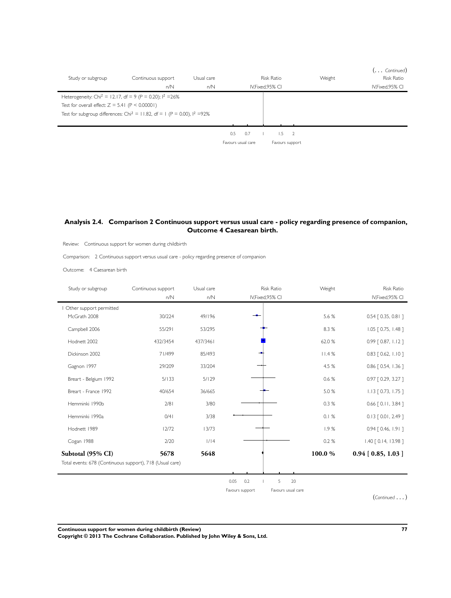| Study or subgroup                                 | Continuous support<br>n/N                                                                                                                                         | Usual care<br>n/N |                                  | <b>Risk Ratio</b><br>IV, Fixed, 95% CI | Weight | $(\ldots$ Continued)<br><b>Risk Ratio</b><br>IV, Fixed, 95% CI |
|---------------------------------------------------|-------------------------------------------------------------------------------------------------------------------------------------------------------------------|-------------------|----------------------------------|----------------------------------------|--------|----------------------------------------------------------------|
| Test for overall effect: $Z = 5.41$ (P < 0.00001) | Heterogeneity: Chi <sup>2</sup> = 12.17, df = 9 (P = 0.20); $1^2$ = 26%<br>Test for subgroup differences: Chi <sup>2</sup> = 11.82, df = 1 (P = 0.00), $1^2$ =92% |                   |                                  |                                        |        |                                                                |
|                                                   |                                                                                                                                                                   |                   | 0.5<br>0.7<br>Favours usual care | $1.5 \t 2$<br>Favours support          |        |                                                                |

## **Analysis 2.4. Comparison 2 Continuous support versus usual care - policy regarding presence of companion, Outcome 4 Caesarean birth.**

Review: Continuous support for women during childbirth

Comparison: 2 Continuous support versus usual care - policy regarding presence of companion

Outcome: 4 Caesarean birth

| Study or subgroup                                        | Continuous support<br>n/N | Usual care<br>n/N | <b>Risk Ratio</b><br>IV, Fixed, 95% CI | Weight | <b>Risk Ratio</b><br>IV, Fixed, 95% CI |
|----------------------------------------------------------|---------------------------|-------------------|----------------------------------------|--------|----------------------------------------|
| Other support permitted                                  |                           |                   |                                        |        |                                        |
| McGrath 2008                                             | 30/224                    | 49/196            |                                        | 5.6 %  | $0.54$ $[0.35, 0.81]$                  |
| Campbell 2006                                            | 55/291                    | 53/295            |                                        | 8.3%   | $1.05$ $[0.75, 1.48]$                  |
| Hodnett 2002                                             | 432/3454                  | 437/3461          |                                        | 62.0 % | $0.99$ $[0.87, 1.12]$                  |
| Dickinson 2002                                           | 71/499                    | 85/493            |                                        | 11.4%  | $0.83$ $[0.62, 1.10]$                  |
| Gagnon 1997                                              | 29/209                    | 33/204            |                                        | 4.5 %  | $0.86$ $[ 0.54, 1.36 ]$                |
| Breart - Belgium 1992                                    | 5/133                     | 5/129             |                                        | 0.6 %  | $0.97$ $[0.29, 3.27]$                  |
| Breart - France 1992                                     | 40/654                    | 36/665            |                                        | 5.0%   | $1.13$ $[0.73, 1.75]$                  |
| Hemminki 1990b                                           | 2/81                      | 3/80              |                                        | 0.3 %  | $0.66$ $[0.11, 3.84]$                  |
| Hemminki 1990a                                           | 0/4                       | 3/38              |                                        | 0.1%   | $0.13$ $[0.01, 2.49]$                  |
| Hodnett 1989                                             | 12/72                     | 13/73             |                                        | 1.9%   | $0.94$ $[0.46, 1.91]$                  |
| Cogan 1988                                               | 2/20                      | 1/14              |                                        | 0.2%   | $1.40$ $[0.14, 13.98]$                 |
| Subtotal (95% CI)                                        | 5678                      | 5648              |                                        | 100.0% | $0.94$ [ 0.85, 1.03 ]                  |
| Total events: 678 (Continuous support), 718 (Usual care) |                           |                   |                                        |        |                                        |

0.05 0.2 1 5 20 Favours support Favours usual care

(*Continued* ... )

**Continuous support for women during childbirth (Review) 77**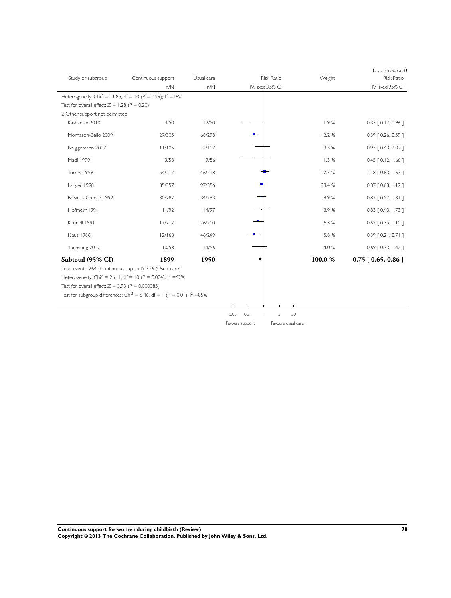| Study or subgroup                                  | Continuous support<br>n/N                                                             | Usual care<br>n/N | <b>Risk Ratio</b><br>IV, Fixed, 95% CI | Weight | $( \ldots$ Continued)<br><b>Risk Ratio</b><br>IV, Fixed, 95% CI |
|----------------------------------------------------|---------------------------------------------------------------------------------------|-------------------|----------------------------------------|--------|-----------------------------------------------------------------|
|                                                    | Heterogeneity: Chi <sup>2</sup> = 11.85, df = 10 (P = 0.29); $1^2 = 16\%$             |                   |                                        |        |                                                                 |
| Test for overall effect: $Z = 1.28$ (P = 0.20)     |                                                                                       |                   |                                        |        |                                                                 |
| 2 Other support not permitted                      |                                                                                       |                   |                                        |        |                                                                 |
| Kashanian 2010                                     | 4/50                                                                                  | 12/50             |                                        | 1.9%   | $0.33$ $[0.12, 0.96]$                                           |
| Morhason-Bello 2009                                | 27/305                                                                                | 68/298            |                                        | 12.2 % | 0.39 [ 0.26, 0.59 ]                                             |
| Bruggemann 2007                                    | 11/105                                                                                | 12/107            |                                        | 3.5 %  | 0.93 [ 0.43, 2.02 ]                                             |
| Madi 1999                                          | 3/53                                                                                  | 7/56              |                                        | 1.3%   | $0.45$ $[0.12, 1.66]$                                           |
| Torres 1999                                        | 54/217                                                                                | 46/218            |                                        | 17.7%  | $1.18$ $[0.83, 1.67]$                                           |
| Langer 1998                                        | 85/357                                                                                | 97/356            |                                        | 33.4 % | $0.87$ $[ 0.68, 1.12 ]$                                         |
| Breart - Greece 1992                               | 30/282                                                                                | 34/263            |                                        | 9.9%   | $0.82$ $[ 0.52, 1.31 ]$                                         |
| Hofmeyr 1991                                       | 11/92                                                                                 | 14/97             |                                        | 3.9%   | $0.83$ $[0.40, 1.73]$                                           |
| Kennell 1991                                       | 17/212                                                                                | 26/200            |                                        | 6.3 %  | $0.62$ $[0.35, 1.10]$                                           |
| Klaus 1986                                         | 12/168                                                                                | 46/249            |                                        | 5.8 %  | $0.39$ $[0.21, 0.71]$                                           |
| Yuenyong 2012                                      | 10/58                                                                                 | 14/56             |                                        | 4.0 %  | $0.69$ $[ 0.33, 1.42 ]$                                         |
| Subtotal (95% CI)                                  | 1899                                                                                  | 1950              |                                        | 100.0% | $0.75$ [ 0.65, 0.86 ]                                           |
|                                                    | Total events: 264 (Continuous support), 376 (Usual care)                              |                   |                                        |        |                                                                 |
|                                                    | Heterogeneity: Chi <sup>2</sup> = 26.11, df = 10 (P = 0.004); $1^2$ =62%              |                   |                                        |        |                                                                 |
| Test for overall effect: $Z = 3.93$ (P = 0.000085) |                                                                                       |                   |                                        |        |                                                                 |
|                                                    | Test for subgroup differences: Chi <sup>2</sup> = 6.46, df = 1 (P = 0.01), $1^2$ =85% |                   |                                        |        |                                                                 |
|                                                    |                                                                                       |                   |                                        |        |                                                                 |
|                                                    |                                                                                       |                   | 0.05<br>0.2<br>5<br>20                 |        |                                                                 |

Favours support Favours usual care

**Continuous support for women during childbirth (Review) 78**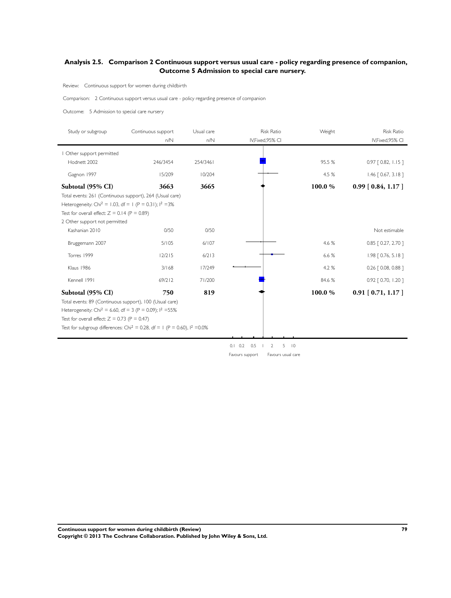## **Analysis 2.5. Comparison 2 Continuous support versus usual care - policy regarding presence of companion, Outcome 5 Admission to special care nursery.**

Review: Continuous support for women during childbirth

Comparison: 2 Continuous support versus usual care - policy regarding presence of companion

Outcome: 5 Admission to special care nursery

| Study or subgroup                                                     | Continuous support                                                                      | Usual care | <b>Risk Ratio</b>                           | Weight | <b>Risk Ratio</b>        |
|-----------------------------------------------------------------------|-----------------------------------------------------------------------------------------|------------|---------------------------------------------|--------|--------------------------|
|                                                                       | n/N                                                                                     | n/N        | IV, Fixed, 95% CI                           |        | IV, Fixed, 95% CI        |
| Other support permitted                                               |                                                                                         |            |                                             |        |                          |
| Hodnett 2002                                                          | 246/3454                                                                                | 254/3461   |                                             | 95.5 % | $0.97$ $[0.82, 1.15]$    |
| Gagnon 1997                                                           | 15/209                                                                                  | 10/204     |                                             | 4.5 %  | $1.46$ $[0.67, 3.18]$    |
| Subtotal (95% CI)                                                     | 3663                                                                                    | 3665       |                                             | 100.0% | $0.99$ [ $0.84$ , 1.17 ] |
|                                                                       | Total events: 261 (Continuous support), 264 (Usual care)                                |            |                                             |        |                          |
| Heterogeneity: Chi <sup>2</sup> = 1.03, df = 1 (P = 0.31); $1^2$ =3%  |                                                                                         |            |                                             |        |                          |
| Test for overall effect: $Z = 0.14$ (P = 0.89)                        |                                                                                         |            |                                             |        |                          |
| 2 Other support not permitted                                         |                                                                                         |            |                                             |        |                          |
| Kashanian 2010                                                        | 0/50                                                                                    | 0/50       |                                             |        | Not estimable            |
| Bruggemann 2007                                                       | 5/105                                                                                   | 6/107      |                                             | 4.6 %  | $0.85$ $[0.27, 2.70]$    |
| Torres 1999                                                           | 12/215                                                                                  | 6/213      |                                             | 6.6 %  | $1.98$ $[0.76, 5.18]$    |
| Klaus 1986                                                            | 3/168                                                                                   | 17/249     |                                             | 4.2 %  | $0.26$ $[0.08, 0.88]$    |
| Kennell 1991                                                          | 69/212                                                                                  | 71/200     |                                             | 84.6 % | 0.92 [ 0.70, 1.20 ]      |
| Subtotal (95% CI)                                                     | 750                                                                                     | 819        |                                             | 100.0% | $0.91$ [ $0.71$ , 1.17 ] |
|                                                                       | Total events: 89 (Continuous support), 100 (Usual care)                                 |            |                                             |        |                          |
| Heterogeneity: Chi <sup>2</sup> = 6.60, df = 3 (P = 0.09); $1^2$ =55% |                                                                                         |            |                                             |        |                          |
| Test for overall effect: $Z = 0.73$ (P = 0.47)                        |                                                                                         |            |                                             |        |                          |
|                                                                       | Test for subgroup differences: Chi <sup>2</sup> = 0.28, df = 1 (P = 0.60), $1^2$ = 0.0% |            |                                             |        |                          |
|                                                                       |                                                                                         |            |                                             |        |                          |
|                                                                       |                                                                                         |            | $0.1 \quad 0.2$<br>0.5<br>$5 \quad 10$<br>2 |        |                          |

Favours support | Favours usual care

**Continuous support for women during childbirth (Review) 79**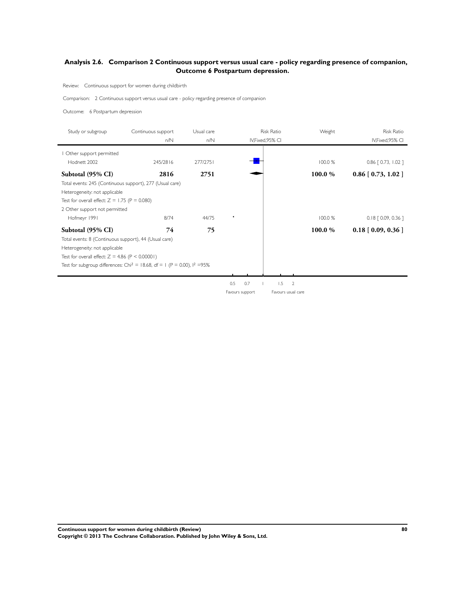## **Analysis 2.6. Comparison 2 Continuous support versus usual care - policy regarding presence of companion, Outcome 6 Postpartum depression.**

Review: Continuous support for women during childbirth

Comparison: 2 Continuous support versus usual care - policy regarding presence of companion

Outcome: 6 Postpartum depression

| Study or subgroup                                     | Continuous support                                                                     | Usual care |                 | <b>Risk Ratio</b>     | Weight  | <b>Risk Ratio</b>     |
|-------------------------------------------------------|----------------------------------------------------------------------------------------|------------|-----------------|-----------------------|---------|-----------------------|
|                                                       | n/N                                                                                    | n/N        |                 | IV, Fixed, 95% CI     |         | IV, Fixed, 95% CI     |
| Other support permitted                               |                                                                                        |            |                 |                       |         |                       |
| Hodnett 2002                                          | 245/2816                                                                               | 277/2751   |                 |                       | 100.0 % | $0.86$ $[0.73, 1.02]$ |
| Subtotal (95% CI)                                     | 2816                                                                                   | 2751       |                 |                       | 100.0 % | $0.86$ [ 0.73, 1.02 ] |
|                                                       | Total events: 245 (Continuous support), 277 (Usual care)                               |            |                 |                       |         |                       |
| Heterogeneity: not applicable                         |                                                                                        |            |                 |                       |         |                       |
| Test for overall effect: $Z = 1.75$ (P = 0.080)       |                                                                                        |            |                 |                       |         |                       |
| 2 Other support not permitted                         |                                                                                        |            |                 |                       |         |                       |
| Hofmeyr 1991                                          | 8/74                                                                                   | 44/75      |                 |                       | 100.0 % | $0.18$ [ 0.09, 0.36 ] |
| Subtotal (95% CI)                                     | 74                                                                                     | 75         |                 |                       | 100.0 % | $0.18$ [ 0.09, 0.36 ] |
| Total events: 8 (Continuous support), 44 (Usual care) |                                                                                        |            |                 |                       |         |                       |
| Heterogeneity: not applicable                         |                                                                                        |            |                 |                       |         |                       |
| Test for overall effect: $Z = 4.86$ (P < 0.00001)     |                                                                                        |            |                 |                       |         |                       |
|                                                       | Test for subgroup differences: Chi <sup>2</sup> = 18.68, df = 1 (P = 0.00), $1^2$ =95% |            |                 |                       |         |                       |
|                                                       |                                                                                        |            |                 |                       |         |                       |
|                                                       |                                                                                        |            | 0.5<br>0.7      | 1.5<br>$\overline{2}$ |         |                       |
|                                                       |                                                                                        |            | Favours support | Favours usual care    |         |                       |

**Continuous support for women during childbirth (Review) 80 Copyright © 2013 The Cochrane Collaboration. Published by John Wiley & Sons, Ltd.**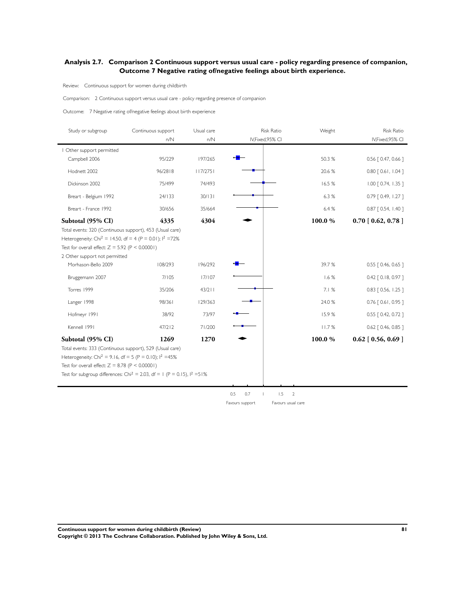## **Analysis 2.7. Comparison 2 Continuous support versus usual care - policy regarding presence of companion, Outcome 7 Negative rating of/negative feelings about birth experience.**

Review: Continuous support for women during childbirth

Comparison: 2 Continuous support versus usual care - policy regarding presence of companion

Outcome: 7 Negative rating of/negative feelings about birth experience

| Study or subgroup                                                                                                                                                                                                        | Continuous support<br>n/N                                                                      | Usual care<br>n/N |                               | Risk Ratio<br>IV,Fixed,95% CI               | Weight | <b>Risk Ratio</b><br>IV,Fixed,95% CI |
|--------------------------------------------------------------------------------------------------------------------------------------------------------------------------------------------------------------------------|------------------------------------------------------------------------------------------------|-------------------|-------------------------------|---------------------------------------------|--------|--------------------------------------|
| I Other support permitted                                                                                                                                                                                                |                                                                                                |                   |                               |                                             |        |                                      |
| Campbell 2006                                                                                                                                                                                                            | 95/229                                                                                         | 197/265           |                               |                                             | 50.3 % | $0.56$ $[0.47, 0.66]$                |
| Hodnett 2002                                                                                                                                                                                                             | 96/2818                                                                                        | 117/2751          |                               |                                             | 20.6 % | $0.80$ $[0.61, 1.04]$                |
| Dickinson 2002                                                                                                                                                                                                           | 75/499                                                                                         | 74/493            |                               |                                             | 16.5%  | $1.00$ $[0.74, 1.35]$                |
| Breart - Belgium 1992                                                                                                                                                                                                    | 24/133                                                                                         | 30/131            |                               |                                             | 6.3 %  | $0.79$ $[0.49, 1.27]$                |
| Breart - France 1992                                                                                                                                                                                                     | 30/656                                                                                         | 35/664            |                               |                                             | 6.4 %  | 0.87 [ 0.54, 1.40 ]                  |
| Subtotal (95% CI)                                                                                                                                                                                                        | 4335                                                                                           | 4304              |                               |                                             | 100.0% | $0.70$ [ $0.62$ , $0.78$ ]           |
| Total events: 320 (Continuous support), 453 (Usual care)<br>Heterogeneity: Chi <sup>2</sup> = 14.50, df = 4 (P = 0.01); $1^2$ =72%<br>Test for overall effect: $Z = 5.92$ (P < 0.00001)<br>2 Other support not permitted |                                                                                                |                   |                               |                                             |        |                                      |
| Morhason-Bello 2009                                                                                                                                                                                                      | 108/293                                                                                        | 196/292           |                               |                                             | 39.7%  | $0.55$ $[0.46, 0.65]$                |
| Bruggemann 2007                                                                                                                                                                                                          | 7/105                                                                                          | 17/107            |                               |                                             | 1.6%   | 0.42 [ 0.18, 0.97 ]                  |
| Torres 1999                                                                                                                                                                                                              | 35/206                                                                                         | $43/2$            |                               |                                             | 7.1%   | $0.83$ $[0.56, 1.25]$                |
| Langer 1998                                                                                                                                                                                                              | 98/361                                                                                         | 129/363           |                               |                                             | 24.0 % | $0.76$ $[0.61, 0.95]$                |
| Hofmeyr 1991                                                                                                                                                                                                             | 38/92                                                                                          | 73/97             |                               |                                             | 15.9%  | 0.55 [ 0.42, 0.72 ]                  |
| Kennell 1991                                                                                                                                                                                                             | 47/212                                                                                         | 71/200            |                               |                                             | 11.7%  | $0.62$ $[0.46, 0.85]$                |
| Subtotal (95% CI)<br>Total events: 333 (Continuous support), 529 (Usual care)<br>Heterogeneity: Chi <sup>2</sup> = 9.16, df = 5 (P = 0.10); $1^2$ =45%<br>Test for overall effect: $Z = 8.78$ (P < 0.00001)              | 1269<br>Test for subgroup differences: Chi <sup>2</sup> = 2.03, df = 1 (P = 0.15), $1^2$ = 51% | 1270              |                               |                                             | 100.0% | $0.62$ [ $0.56, 0.69$ ]              |
|                                                                                                                                                                                                                          |                                                                                                |                   |                               |                                             |        |                                      |
|                                                                                                                                                                                                                          |                                                                                                |                   | 0.7<br>0.5<br>Favours support | 1.5<br>$\overline{2}$<br>Favours usual care |        |                                      |
|                                                                                                                                                                                                                          |                                                                                                |                   |                               |                                             |        |                                      |

**Continuous support for women during childbirth (Review) 81**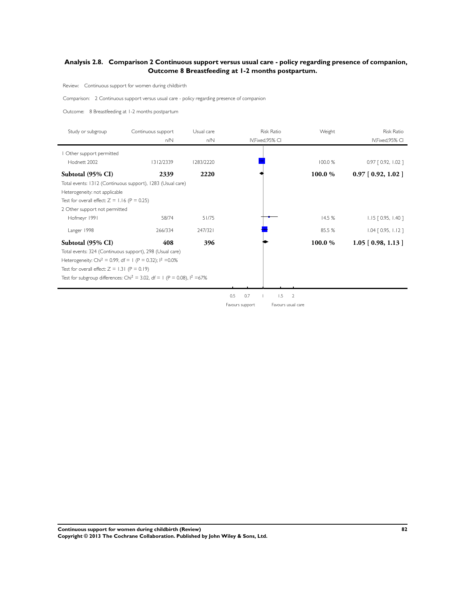### **Analysis 2.8. Comparison 2 Continuous support versus usual care - policy regarding presence of companion, Outcome 8 Breastfeeding at 1-2 months postpartum.**

Review: Continuous support for women during childbirth

Comparison: 2 Continuous support versus usual care - policy regarding presence of companion

Outcome: 8 Breastfeeding at 1-2 months postpartum

| Study or subgroup                                                      | Continuous support                                                                    | Usual care |     |                 | <b>Risk Ratio</b> |                    | Weight  | <b>Risk Ratio</b>     |
|------------------------------------------------------------------------|---------------------------------------------------------------------------------------|------------|-----|-----------------|-------------------|--------------------|---------|-----------------------|
|                                                                        | n/N                                                                                   | n/N        |     |                 | IV, Fixed, 95% CI |                    |         | IV, Fixed, 95% CI     |
| Other support permitted                                                |                                                                                       |            |     |                 |                   |                    |         |                       |
| Hodnett 2002                                                           | 1312/2339                                                                             | 1283/2220  |     |                 |                   |                    | 100.0 % | 0.97 [0.92, 1.02]     |
| Subtotal (95% CI)                                                      | 2339                                                                                  | 2220       |     |                 |                   |                    | 100.0%  | $0.97$ [ 0.92, 1.02 ] |
|                                                                        | Total events: 1312 (Continuous support), 1283 (Usual care)                            |            |     |                 |                   |                    |         |                       |
| Heterogeneity: not applicable                                          |                                                                                       |            |     |                 |                   |                    |         |                       |
| Test for overall effect: $Z = 1.16$ (P = 0.25)                         |                                                                                       |            |     |                 |                   |                    |         |                       |
| 2 Other support not permitted                                          |                                                                                       |            |     |                 |                   |                    |         |                       |
| Hofmeyr 1991                                                           | 58/74                                                                                 | 51/75      |     |                 |                   |                    | 14.5 %  | $1.15$ $[0.95, 1.40]$ |
| Langer 1998                                                            | 266/334                                                                               | 247/321    |     |                 |                   |                    | 85.5 %  | $1.04$ $[0.95, 1.12]$ |
| Subtotal (95% CI)                                                      | 408                                                                                   | 396        |     |                 |                   |                    | 100.0 % | $1.05$ [ 0.98, 1.13 ] |
|                                                                        | Total events: 324 (Continuous support), 298 (Usual care)                              |            |     |                 |                   |                    |         |                       |
| Heterogeneity: Chi <sup>2</sup> = 0.99, df = 1 (P = 0.32); $1^2$ =0.0% |                                                                                       |            |     |                 |                   |                    |         |                       |
| Test for overall effect: $Z = 1.31$ (P = 0.19)                         |                                                                                       |            |     |                 |                   |                    |         |                       |
|                                                                        | Test for subgroup differences: Chi <sup>2</sup> = 3.02, df = 1 (P = 0.08), $1^2$ =67% |            |     |                 |                   |                    |         |                       |
|                                                                        |                                                                                       |            |     |                 |                   |                    |         |                       |
|                                                                        |                                                                                       |            | 0.5 | 0.7             | 1.5               | $\overline{2}$     |         |                       |
|                                                                        |                                                                                       |            |     | Favours support |                   | Favours usual care |         |                       |

**Continuous support for women during childbirth (Review) 82**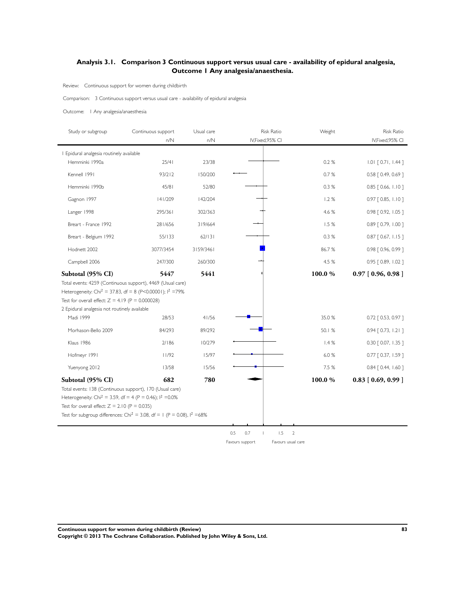## **Analysis 3.1. Comparison 3 Continuous support versus usual care - availability of epidural analgesia, Outcome 1 Any analgesia/anaesthesia.**

Review: Continuous support for women during childbirth

Comparison: 3 Continuous support versus usual care - availability of epidural analgesia

Outcome: 1 Any analgesia/anaesthesia

| Study or subgroup                                                                                                                                                                                                                                                                                    | Continuous support<br>n/N | Usual care<br>n/N |                               | Risk Ratio<br>IV, Fixed, 95% CI             | Weight | <b>Risk Ratio</b><br>IV, Fixed, 95% CI |
|------------------------------------------------------------------------------------------------------------------------------------------------------------------------------------------------------------------------------------------------------------------------------------------------------|---------------------------|-------------------|-------------------------------|---------------------------------------------|--------|----------------------------------------|
| I Epidural analgesia routinely available                                                                                                                                                                                                                                                             |                           |                   |                               |                                             |        |                                        |
| Hemminki 1990a                                                                                                                                                                                                                                                                                       | 25/41                     | 23/38             |                               |                                             | 0.2%   | $1.01$ $[0.71, 1.44]$                  |
| Kennell 1991                                                                                                                                                                                                                                                                                         | 93/212                    | 150/200           |                               |                                             | 0.7%   | $0.58$ $[0.49, 0.69]$                  |
| Hemminki 1990b                                                                                                                                                                                                                                                                                       | 45/81                     | 52/80             |                               |                                             | 0.3%   | 0.85 [ 0.66, 1.10 ]                    |
| Gagnon 1997                                                                                                                                                                                                                                                                                          | 141/209                   | 142/204           |                               |                                             | 1.2%   | $0.97$ [ 0.85, 1.10 ]                  |
| Langer 1998                                                                                                                                                                                                                                                                                          | 295/361                   | 302/363           |                               |                                             | 4.6 %  | 0.98 [ 0.92, 1.05 ]                    |
| Breart - France 1992                                                                                                                                                                                                                                                                                 | 281/656                   | 319/664           |                               |                                             | 1.5%   | $0.89$ $[0.79, 1.00]$                  |
| Breart - Belgium 1992                                                                                                                                                                                                                                                                                | 55/133                    | 62/131            |                               |                                             | 0.3%   | $0.87$ $[0.67, 1.15]$                  |
| Hodnett 2002                                                                                                                                                                                                                                                                                         | 3077/3454                 | 3159/3461         |                               |                                             | 86.7%  | 0.98 [ 0.96, 0.99 ]                    |
| Campbell 2006                                                                                                                                                                                                                                                                                        | 247/300                   | 260/300           |                               |                                             | 4.5 %  | $0.95$ $[0.89, 1.02]$                  |
| Subtotal (95% CI)                                                                                                                                                                                                                                                                                    | 5447                      | 5441              |                               |                                             | 100.0% | $0.97$ [ $0.96, 0.98$ ]                |
| Heterogeneity: Chi <sup>2</sup> = 37.83, df = 8 (P<0.00001); l <sup>2</sup> =79%<br>Test for overall effect: $Z = 4.19$ (P = 0.000028)<br>2 Epidural analgesia not routinely available                                                                                                               |                           |                   |                               |                                             |        |                                        |
| Madi 1999                                                                                                                                                                                                                                                                                            | 28/53                     | 41/56             |                               |                                             | 35.0%  | 0.72 [ 0.53, 0.97 ]                    |
| Morhason-Bello 2009                                                                                                                                                                                                                                                                                  | 84/293                    | 89/292            |                               |                                             | 50.1%  | $0.94$ $[0.73, 1.21]$                  |
| Klaus 1986                                                                                                                                                                                                                                                                                           | 2/186                     | 10/279            |                               |                                             | 1.4%   | $0.30$ $[0.07, 1.35]$                  |
| Hofmeyr 1991                                                                                                                                                                                                                                                                                         | 11/92                     | 15/97             |                               |                                             | 6.0%   | $0.77$ $[0.37, 1.59]$                  |
| Yuenyong 2012                                                                                                                                                                                                                                                                                        | 13/58                     | 15/56             |                               |                                             | 7.5 %  | $0.84$ $[ 0.44, 1.60 ]$                |
| Subtotal (95% CI)<br>Total events: 138 (Continuous support), 170 (Usual care)<br>Heterogeneity: Chi <sup>2</sup> = 3.59, df = 4 (P = 0.46); $1^2$ = 0.0%<br>Test for overall effect: $Z = 2.10$ (P = 0.035)<br>Test for subgroup differences: Chi <sup>2</sup> = 3.08, df = 1 (P = 0.08), $1^2$ =68% | 682                       | 780               | 0.5<br>0.7<br>Favours support | 1.5<br>$\overline{2}$<br>Favours usual care | 100.0% | $0.83$ [ $0.69, 0.99$ ]                |
|                                                                                                                                                                                                                                                                                                      |                           |                   |                               |                                             |        |                                        |

**Continuous support for women during childbirth (Review) 83**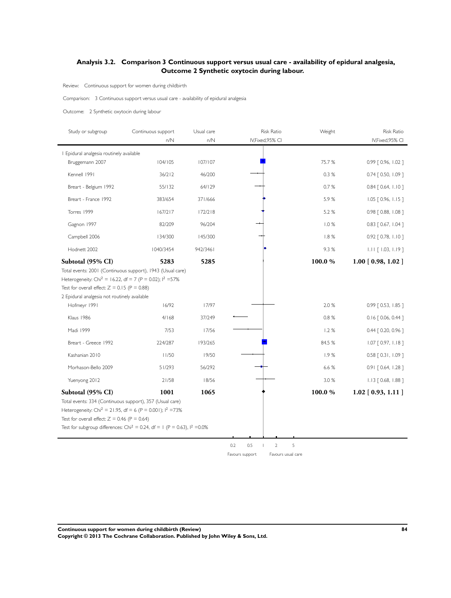## **Analysis 3.2. Comparison 3 Continuous support versus usual care - availability of epidural analgesia, Outcome 2 Synthetic oxytocin during labour.**

Review: Continuous support for women during childbirth

Comparison: 3 Continuous support versus usual care - availability of epidural analgesia

Outcome: 2 Synthetic oxytocin during labour

| Study or subgroup                                                                                                                                                                                                                                                                | Continuous support<br>n/N | Usual care<br>n/N | <b>Risk Ratio</b><br>IV,Fixed,95% CI  | Weight | <b>Risk Ratio</b><br>IV,Fixed,95% CI |
|----------------------------------------------------------------------------------------------------------------------------------------------------------------------------------------------------------------------------------------------------------------------------------|---------------------------|-------------------|---------------------------------------|--------|--------------------------------------|
| I Epidural analgesia routinely available                                                                                                                                                                                                                                         |                           |                   |                                       |        |                                      |
| Bruggemann 2007                                                                                                                                                                                                                                                                  | 104/105                   | 107/107           |                                       | 75.7%  | 0.99 [0.96, 1.02]                    |
| Kennell 1991                                                                                                                                                                                                                                                                     | 36/212                    | 46/200            |                                       | 0.3%   | $0.74$ $[0.50, 1.09]$                |
| Breart - Belgium 1992                                                                                                                                                                                                                                                            | 55/132                    | 64/129            |                                       | 0.7%   | $0.84$ $[0.64, 1.10]$                |
| Breart - France 1992                                                                                                                                                                                                                                                             | 383/654                   | 371/666           |                                       | 5.9%   | $1.05$ $[0.96, 1.15]$                |
| Torres 1999                                                                                                                                                                                                                                                                      | 167/217                   | 172/218           |                                       | 5.2 %  | 0.98 [ 0.88, 1.08 ]                  |
| Gagnon 1997                                                                                                                                                                                                                                                                      | 82/209                    | 96/204            |                                       | 1.0%   | 0.83 [ 0.67, 1.04 ]                  |
| Campbell 2006                                                                                                                                                                                                                                                                    | 134/300                   | 145/300           |                                       | 1.8%   | 0.92 [ 0.78, 1.10 ]                  |
| Hodnett 2002                                                                                                                                                                                                                                                                     | 1040/3454                 | 942/3461          |                                       | 9.3%   | $1.11$ $[1.03, 1.19]$                |
| Subtotal (95% CI)                                                                                                                                                                                                                                                                | 5283                      | 5285              |                                       | 100.0% | $1.00$ [ 0.98, 1.02 ]                |
| Heterogeneity: Chi <sup>2</sup> = 16.22, df = 7 (P = 0.02); $1^2$ = 57%<br>Test for overall effect: $Z = 0.15$ (P = 0.88)<br>2 Epidural analgesia not routinely available                                                                                                        |                           |                   |                                       |        |                                      |
| Hofmeyr 1991                                                                                                                                                                                                                                                                     | 16/92                     | 17/97             |                                       | 2.0 %  | $0.99$ $[0.53, 1.85]$                |
| Klaus 1986                                                                                                                                                                                                                                                                       | 4/168                     | 37/249            |                                       | 0.8%   | $0.16$ $[0.06, 0.44]$                |
| Madi 1999                                                                                                                                                                                                                                                                        | 7/53                      | 17/56             |                                       | 1.2%   | $0.44$ $[0.20, 0.96]$                |
| Breart - Greece 1992                                                                                                                                                                                                                                                             | 224/287                   | 193/265           |                                       | 84.5 % | $1.07$ $[0.97, 1.18]$                |
| Kashanian 2010                                                                                                                                                                                                                                                                   | 11/50                     | 19/50             |                                       | 1.9%   | $0.58$ $[0.31, 1.09]$                |
| Morhason-Bello 2009                                                                                                                                                                                                                                                              | 51/293                    | 56/292            |                                       | 6.6 %  | $0.91$ $[0.64, 1.28]$                |
| Yuenyong 2012                                                                                                                                                                                                                                                                    | 21/58                     | 18/56             |                                       | 3.0 %  | 1.13 [ 0.68, 1.88 ]                  |
| Subtotal (95% CI)                                                                                                                                                                                                                                                                | 1001                      | 1065              |                                       | 100.0% | $1.02$ [ 0.93, 1.11 ]                |
| Total events: 334 (Continuous support), 357 (Usual care)<br>Heterogeneity: Chi <sup>2</sup> = 21.95, df = 6 (P = 0.001); $1^2$ =73%<br>Test for overall effect: $Z = 0.46$ (P = 0.64)<br>Test for subgroup differences: Chi <sup>2</sup> = 0.24, df = 1 (P = 0.63), $1^2$ = 0.0% |                           |                   |                                       |        |                                      |
|                                                                                                                                                                                                                                                                                  |                           |                   | 0.2<br>0.5<br>$\overline{2}$<br>5     |        |                                      |
|                                                                                                                                                                                                                                                                                  |                           |                   | Favours support<br>Favours usual care |        |                                      |

**Continuous support for women during childbirth (Review) 84**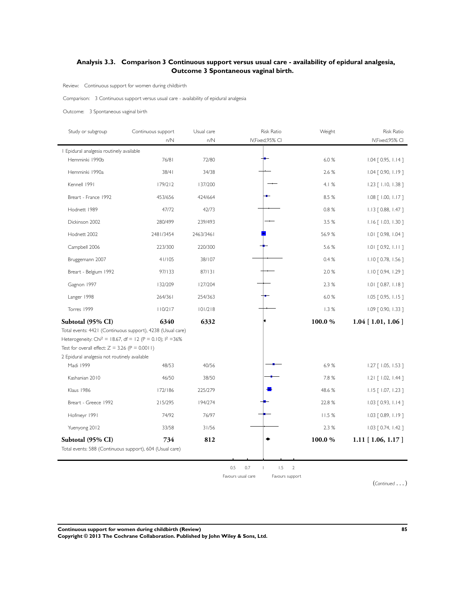## **Analysis 3.3. Comparison 3 Continuous support versus usual care - availability of epidural analgesia, Outcome 3 Spontaneous vaginal birth.**

Review: Continuous support for women during childbirth

Comparison: 3 Continuous support versus usual care - availability of epidural analgesia

Outcome: 3 Spontaneous vaginal birth

| Study or subgroup                                                                                                                                                           | Continuous support<br>n/N                                  | Usual care<br>n/N | <b>Risk Ratio</b><br>IV, Fixed, 95% CI                                       | Weight | <b>Risk Ratio</b><br>IV,Fixed,95% CI |
|-----------------------------------------------------------------------------------------------------------------------------------------------------------------------------|------------------------------------------------------------|-------------------|------------------------------------------------------------------------------|--------|--------------------------------------|
| I Epidural analgesia routinely available                                                                                                                                    |                                                            |                   |                                                                              |        |                                      |
| Hemminki 1990b                                                                                                                                                              | 76/81                                                      | 72/80             |                                                                              | 6.0%   | $1.04$ $[0.95, 1.14]$                |
| Hemminki 1990a                                                                                                                                                              | 38/41                                                      | 34/38             |                                                                              | 2.6 %  | $1.04$ [ 0.90, 1.19 ]                |
| Kennell 1991                                                                                                                                                                | 179/212                                                    | 137/200           |                                                                              | 4.1%   | $1.23$ [ $1.10$ , $1.38$ ]           |
| Breart - France 1992                                                                                                                                                        | 453/656                                                    | 424/664           |                                                                              | 8.5 %  | 1.08 [ 1.00, 1.17 ]                  |
| Hodnett 1989                                                                                                                                                                | 47/72                                                      | 42/73             |                                                                              | 0.8%   | $1.13$ [ 0.88, 1.47 ]                |
| Dickinson 2002                                                                                                                                                              | 280/499                                                    | 239/493           |                                                                              | 3.5 %  | $1.16$ [ $1.03$ , $1.30$ ]           |
| Hodnett 2002                                                                                                                                                                | 2481/3454                                                  | 2463/3461         |                                                                              | 56.9%  | $1.01$ $[0.98, 1.04]$                |
| Campbell 2006                                                                                                                                                               | 223/300                                                    | 220/300           |                                                                              | 5.6 %  | $1.01$ [ 0.92, 1.11 ]                |
| Bruggemann 2007                                                                                                                                                             | 41/105                                                     | 38/107            |                                                                              | 0.4 %  | $1.10$ $[0.78, 1.56]$                |
| Breart - Belgium 1992                                                                                                                                                       | 97/133                                                     | 87/131            |                                                                              | 2.0 %  | $1.10$ [ 0.94, 1.29 ]                |
| Gagnon 1997                                                                                                                                                                 | 132/209                                                    | 127/204           |                                                                              | 2.3%   | $1.01$ $[0.87, 1.18]$                |
| Langer 1998                                                                                                                                                                 | 264/361                                                    | 254/363           |                                                                              | 6.0%   | $1.05$ $[0.95, 1.15]$                |
| Torres 1999                                                                                                                                                                 | 110/217                                                    | 101/218           |                                                                              | 1.3%   | 1.09 [ 0.90, 1.33 ]                  |
| Subtotal (95% CI)                                                                                                                                                           | 6340                                                       | 6332              |                                                                              | 100.0% | $1.04$ [ 1.01, 1.06 ]                |
| Heterogeneity: Chi <sup>2</sup> = 18.67, df = 12 (P = 0.10); $1^2$ =36%<br>Test for overall effect: $Z = 3.26$ (P = 0.0011)<br>2 Epidural analgesia not routinely available | Total events: 4421 (Continuous support), 4238 (Usual care) |                   |                                                                              |        |                                      |
| Madi 1999                                                                                                                                                                   | 48/53                                                      | 40/56             |                                                                              | 6.9%   | $1.27$ [ $1.05$ , $1.53$ ]           |
| Kashanian 2010                                                                                                                                                              | 46/50                                                      | 38/50             |                                                                              | 7.8%   | $1.21$ [ $1.02$ , $1.44$ ]           |
| Klaus 1986                                                                                                                                                                  | 172/186                                                    | 225/279           |                                                                              | 48.6 % | $1.15$ [ $1.07$ , $1.23$ ]           |
| Breart - Greece 1992                                                                                                                                                        | 215/295                                                    | 194/274           |                                                                              | 22.8%  | 1.03 [ 0.93, 1.14 ]                  |
| Hofmeyr 1991                                                                                                                                                                | 74/92                                                      | 76/97             |                                                                              | 11.5%  | $1.03$ [ 0.89, 1.19 ]                |
| Yuenyong 2012                                                                                                                                                               | 33/58                                                      | 31/56             |                                                                              | 2.3 %  | 1.03 [ 0.74, 1.42 ]                  |
| Subtotal (95% CI)<br>Total events: 588 (Continuous support), 604 (Usual care)                                                                                               | 734                                                        | 812               |                                                                              | 100.0% | $1.11$ [ $1.06$ , $1.17$ ]           |
|                                                                                                                                                                             |                                                            |                   | 0.5<br>0.7<br>1.5<br>$\overline{2}$<br>Favours usual care<br>Favours support |        |                                      |

**Continuous support for women during childbirth (Review) 85**

**Copyright © 2013 The Cochrane Collaboration. Published by John Wiley & Sons, Ltd.**

(*Continued* ... )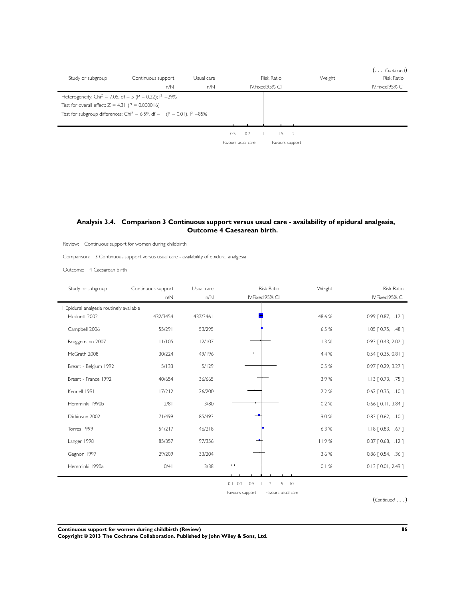| Study or subgroup                                                                     | Continuous support<br>n/N | Usual care<br>n/N |                    | <b>Risk Ratio</b><br>IV, Fixed, 95% CI | Weight | $(\ldots$ Continued)<br><b>Risk Ratio</b><br>IV, Fixed, 95% CI |
|---------------------------------------------------------------------------------------|---------------------------|-------------------|--------------------|----------------------------------------|--------|----------------------------------------------------------------|
| Heterogeneity: Chi <sup>2</sup> = 7.05, df = 5 (P = 0.22); $1^2$ = 29%                |                           |                   |                    |                                        |        |                                                                |
| Test for overall effect: $Z = 4.31$ (P = 0.000016)                                    |                           |                   |                    |                                        |        |                                                                |
| Test for subgroup differences: Chi <sup>2</sup> = 6.59, df = 1 (P = 0.01), $1^2$ =85% |                           |                   |                    |                                        |        |                                                                |
|                                                                                       |                           |                   |                    |                                        |        |                                                                |
|                                                                                       |                           |                   | 0.5<br>0.7         | $1.5 \t 2$                             |        |                                                                |
|                                                                                       |                           |                   | Favours usual care | Favours support                        |        |                                                                |
|                                                                                       |                           |                   |                    |                                        |        |                                                                |
|                                                                                       |                           |                   |                    |                                        |        |                                                                |

# **Analysis 3.4. Comparison 3 Continuous support versus usual care - availability of epidural analgesia, Outcome 4 Caesarean birth.**

Review: Continuous support for women during childbirth

Comparison: 3 Continuous support versus usual care - availability of epidural analgesia

Outcome: 4 Caesarean birth

| Study or subgroup                        | Continuous support | Usual care |                   | Weight<br><b>Risk Ratio</b> | <b>Risk Ratio</b>     |
|------------------------------------------|--------------------|------------|-------------------|-----------------------------|-----------------------|
|                                          | n/N                | n/N        | IV, Fixed, 95% CI |                             | IV, Fixed, 95% CI     |
| I Epidural analgesia routinely available |                    |            |                   |                             |                       |
| Hodnett 2002                             | 432/3454           | 437/3461   |                   | 48.6 %                      | $0.99$ $[0.87, 1.12]$ |
| Campbell 2006                            | 55/291             | 53/295     |                   | 6.5 %                       | $1.05$ $[0.75, 1.48]$ |
| Bruggemann 2007                          | 11/105             | 12/107     |                   | 1.3%                        | $0.93$ $[0.43, 2.02]$ |
| McGrath 2008                             | 30/224             | 49/196     |                   | 4.4 %                       | $0.54$ $[0.35, 0.81]$ |
| Breart - Belgium 1992                    | 5/133              | 5/129      |                   | 0.5 %                       | $0.97$ $[0.29, 3.27]$ |
| Breart - France 1992                     | 40/654             | 36/665     |                   | 3.9%                        | $1.13$ $[0.73, 1.75]$ |
| Kennell 1991                             | 17/212             | 26/200     |                   | 2.2%                        | $0.62$ $[0.35, 1.10]$ |
| Hemminki 1990b                           | 2/8                | 3/80       |                   | 0.2%                        | $0.66$ $[0.11, 3.84]$ |
| Dickinson 2002                           | 71/499             | 85/493     |                   | 9.0%                        | $0.83$ $[0.62, 1.10]$ |
| Torres 1999                              | 54/217             | 46/218     |                   | 6.3 %                       | $1.18$ [ 0.83, 1.67 ] |
| Langer 1998                              | 85/357             | 97/356     |                   | 11.9%                       | $0.87$ $[0.68, 1.12]$ |
| Gagnon 1997                              | 29/209             | 33/204     |                   | 3.6 %                       | $0.86$ $[0.54, 1.36]$ |
| Hemminki 1990a                           | 0/4                | 3/38       |                   | 0.1%                        | $0.13$ $[0.01, 2.49]$ |
|                                          |                    |            |                   |                             |                       |

 $0.1 \t0.2 \t0.5 \t1 \t2 \t5 \t10$ 

Favours support Favours usual care

(*Continued* ... )

**Continuous support for women during childbirth (Review) 86**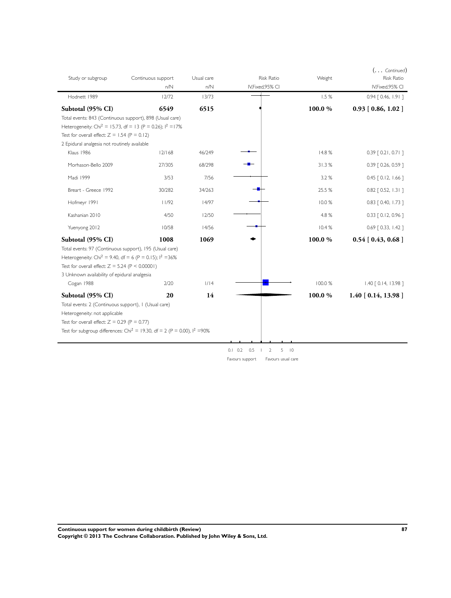| Study or subgroup                                                                                                                                                                                                                      | Continuous support<br>n/N                                                                                                                    | Usual care<br>n/N | <b>Risk Ratio</b><br>IV,Fixed,95% CI                             | Weight  | $(\ldots$ Continued)<br><b>Risk Ratio</b><br>IV, Fixed, 95% CI |
|----------------------------------------------------------------------------------------------------------------------------------------------------------------------------------------------------------------------------------------|----------------------------------------------------------------------------------------------------------------------------------------------|-------------------|------------------------------------------------------------------|---------|----------------------------------------------------------------|
| Hodnett 1989                                                                                                                                                                                                                           | 12/72                                                                                                                                        | 13/73             |                                                                  | 1.5%    | 0.94 [ 0.46, 1.91 ]                                            |
| Subtotal (95% CI)                                                                                                                                                                                                                      | 6549<br>Total events: 843 (Continuous support), 898 (Usual care)<br>Heterogeneity: Chi <sup>2</sup> = 15.73, df = 13 (P = 0.26); $1^2$ = 17% | 6515              |                                                                  | 100.0%  | $0.93$ [ 0.86, 1.02 ]                                          |
| Test for overall effect: $Z = 1.54$ (P = 0.12)                                                                                                                                                                                         |                                                                                                                                              |                   |                                                                  |         |                                                                |
| 2 Epidural analgesia not routinely available                                                                                                                                                                                           |                                                                                                                                              |                   |                                                                  |         |                                                                |
| Klaus 1986                                                                                                                                                                                                                             | 2/168                                                                                                                                        | 46/249            |                                                                  | 14.8%   | $0.39$ $[0.21, 0.71]$                                          |
| Morhason-Bello 2009                                                                                                                                                                                                                    | 27/305                                                                                                                                       | 68/298            |                                                                  | 31.3%   | 0.39 [ 0.26, 0.59 ]                                            |
| Madi 1999                                                                                                                                                                                                                              | 3/53                                                                                                                                         | 7/56              |                                                                  | 3.2 %   | $0.45$ $[0.12, 1.66]$                                          |
| Breart - Greece 1992                                                                                                                                                                                                                   | 30/282                                                                                                                                       | 34/263            |                                                                  | 25.5 %  | 0.82 [ 0.52, 1.31 ]                                            |
| Hofmeyr 1991                                                                                                                                                                                                                           | 11/92                                                                                                                                        | 14/97             |                                                                  | 10.0%   | 0.83 [ 0.40, 1.73 ]                                            |
| Kashanian 2010                                                                                                                                                                                                                         | 4/50                                                                                                                                         | 12/50             |                                                                  | 4.8%    | $0.33$ $[0.12, 0.96]$                                          |
| Yuenyong 2012                                                                                                                                                                                                                          | 10/58                                                                                                                                        | 14/56             |                                                                  | 10.4 %  | 0.69 [ 0.33, 1.42 ]                                            |
| Subtotal (95% CI)                                                                                                                                                                                                                      | 1008                                                                                                                                         | 1069              |                                                                  | 100.0%  | $0.54$ [ $0.43$ , $0.68$ ]                                     |
| Total events: 97 (Continuous support), 195 (Usual care)<br>Heterogeneity: Chi <sup>2</sup> = 9.40, df = 6 (P = 0.15); $1^2$ = 36%<br>Test for overall effect: $Z = 5.24$ (P < 0.00001)<br>3 Unknown availability of epidural analgesia |                                                                                                                                              |                   |                                                                  |         |                                                                |
| Cogan 1988                                                                                                                                                                                                                             | 2/20                                                                                                                                         | 1/14              |                                                                  | 100.0 % | $1.40$ $[0.14, 13.98]$                                         |
| Subtotal (95% CI)                                                                                                                                                                                                                      | 20                                                                                                                                           | 14                |                                                                  | 100.0%  | $1.40$ [ 0.14, 13.98 ]                                         |
| Total events: 2 (Continuous support), 1 (Usual care)<br>Heterogeneity: not applicable<br>Test for overall effect: $Z = 0.29$ (P = 0.77)                                                                                                | Test for subgroup differences: Chi <sup>2</sup> = 19.30, df = 2 (P = 0.00), $1^2$ =90%                                                       |                   |                                                                  |         |                                                                |
|                                                                                                                                                                                                                                        |                                                                                                                                              |                   |                                                                  |         |                                                                |
|                                                                                                                                                                                                                                        |                                                                                                                                              |                   | 5<br>$0.1 \quad 0.2$<br>0.5<br>$\overline{2}$<br>$\overline{10}$ |         |                                                                |
|                                                                                                                                                                                                                                        |                                                                                                                                              |                   | Favours support<br>Favours usual care                            |         |                                                                |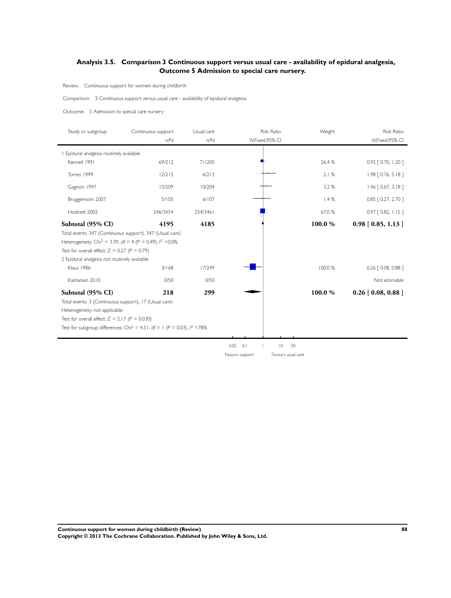## **Analysis 3.5. Comparison 3 Continuous support versus usual care - availability of epidural analgesia, Outcome 5 Admission to special care nursery.**

Review: Continuous support for women during childbirth

Comparison: 3 Continuous support versus usual care - availability of epidural analgesia

Outcome: 5 Admission to special care nursery

| Study or subgroup                                                       | Continuous support                                                                    | Usual care | <b>Risk Ratio</b> | Weight | <b>Risk Ratio</b>     |
|-------------------------------------------------------------------------|---------------------------------------------------------------------------------------|------------|-------------------|--------|-----------------------|
|                                                                         | n/N                                                                                   | n/N        | IV, Fixed, 95% CI |        | IV, Fixed, 95% CI     |
| Epidural analgesia routinely available                                  |                                                                                       |            |                   |        |                       |
| Kennell 1991                                                            | 69/212                                                                                | 71/200     |                   | 26.4 % | 0.92 [ 0.70, 1.20 ]   |
| Torres 1999                                                             | 12/215                                                                                | 6/213      |                   | 2.1%   | $1.98$ $[0.76, 5.18]$ |
| Gagnon 1997                                                             | 15/209                                                                                | 10/204     |                   | 3.2 %  | $1.46$ $[0.67, 3.18]$ |
| Bruggemann 2007                                                         | 5/105                                                                                 | 6/107      |                   | 1.4%   | $0.85$ $[0.27, 2.70]$ |
| Hodnett 2002                                                            | 246/3454                                                                              | 254/3461   |                   | 67.0%  | $0.97$ $[0.82, 1.15]$ |
| Subtotal (95% CI)                                                       | 4195                                                                                  | 4185       |                   | 100.0% | $0.98$ [ 0.85, 1.13 ] |
|                                                                         | Total events: 347 (Continuous support), 347 (Usual care)                              |            |                   |        |                       |
| Heterogeneity: Chi <sup>2</sup> = 3.39, df = 4 (P = 0.49); $1^2$ = 0.0% |                                                                                       |            |                   |        |                       |
| Test for overall effect: $Z = 0.27$ (P = 0.79)                          |                                                                                       |            |                   |        |                       |
| 2 Epidural analgesia not routinely available                            |                                                                                       |            |                   |        |                       |
| Klaus 1986                                                              | 3/168                                                                                 | 17/249     |                   | 100.0% | $0.26$ $[0.08, 0.88]$ |
| Kashanian 2010                                                          | 0/50                                                                                  | 0/50       |                   |        | Not estimable         |
| Subtotal (95% CI)                                                       | 218                                                                                   | 299        |                   | 100.0% | $0.26$ [ 0.08, 0.88 ] |
| Total events: 3 (Continuous support), 17 (Usual care)                   |                                                                                       |            |                   |        |                       |
| Heterogeneity: not applicable                                           |                                                                                       |            |                   |        |                       |
| Test for overall effect: $Z = 2.17$ (P = 0.030)                         |                                                                                       |            |                   |        |                       |
|                                                                         | Test for subgroup differences: Chi <sup>2</sup> = 4.51, df = 1 (P = 0.03), $1^2$ =78% |            |                   |        |                       |
|                                                                         |                                                                                       |            |                   |        |                       |

 $0.02$  0.1 10 50 Favours support Favours usual care

**Continuous support for women during childbirth (Review) 88**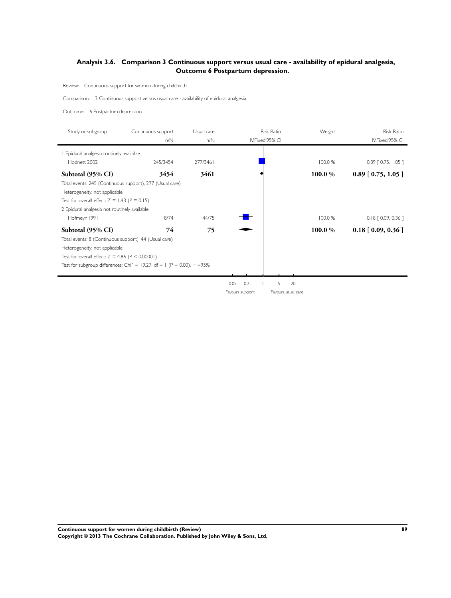## **Analysis 3.6. Comparison 3 Continuous support versus usual care - availability of epidural analgesia, Outcome 6 Postpartum depression.**

Review: Continuous support for women during childbirth

Comparison: 3 Continuous support versus usual care - availability of epidural analgesia

Outcome: 6 Postpartum depression

L.

| Study or subgroup                                     | Continuous support                                                                     | Usual care |                 | <b>Risk Ratio</b>  | Weight  | <b>Risk Ratio</b>       |
|-------------------------------------------------------|----------------------------------------------------------------------------------------|------------|-----------------|--------------------|---------|-------------------------|
|                                                       | n/N                                                                                    | n/N        |                 | IV, Fixed, 95% CI  |         | IV, Fixed, 95% CI       |
| I Epidural analgesia routinely available              |                                                                                        |            |                 |                    |         |                         |
| Hodnett 2002                                          | 245/3454                                                                               | 277/3461   |                 |                    | 100.0 % | $0.89$ $[ 0.75, 1.05 ]$ |
| Subtotal (95% CI)                                     | 3454                                                                                   | 3461       |                 |                    | 100.0 % | $0.89$ [ 0.75, 1.05 ]   |
|                                                       | Total events: 245 (Continuous support), 277 (Usual care)                               |            |                 |                    |         |                         |
| Heterogeneity: not applicable                         |                                                                                        |            |                 |                    |         |                         |
| Test for overall effect: $Z = 1.43$ (P = 0.15)        |                                                                                        |            |                 |                    |         |                         |
| 2 Epidural analgesia not routinely available          |                                                                                        |            |                 |                    |         |                         |
| Hofmeyr 1991                                          | 8/74                                                                                   | 44/75      |                 |                    | 100.0 % | $0.18$ $[0.09, 0.36]$   |
| Subtotal (95% CI)                                     | 74                                                                                     | 75         |                 |                    | 100.0%  | $0.18$ [ 0.09, 0.36 ]   |
| Total events: 8 (Continuous support), 44 (Usual care) |                                                                                        |            |                 |                    |         |                         |
| Heterogeneity: not applicable                         |                                                                                        |            |                 |                    |         |                         |
| Test for overall effect: $Z = 4.86$ (P < 0.00001)     |                                                                                        |            |                 |                    |         |                         |
|                                                       | Test for subgroup differences: Chi <sup>2</sup> = 19.27, df = 1 (P = 0.00), $1^2$ =95% |            |                 |                    |         |                         |
|                                                       |                                                                                        |            |                 |                    |         |                         |
|                                                       |                                                                                        |            | 0.2<br>0.05     | 20<br>5            |         |                         |
|                                                       |                                                                                        |            | Favours support | Favours usual care |         |                         |

**Continuous support for women during childbirth (Review) 89 Copyright © 2013 The Cochrane Collaboration. Published by John Wiley & Sons, Ltd.**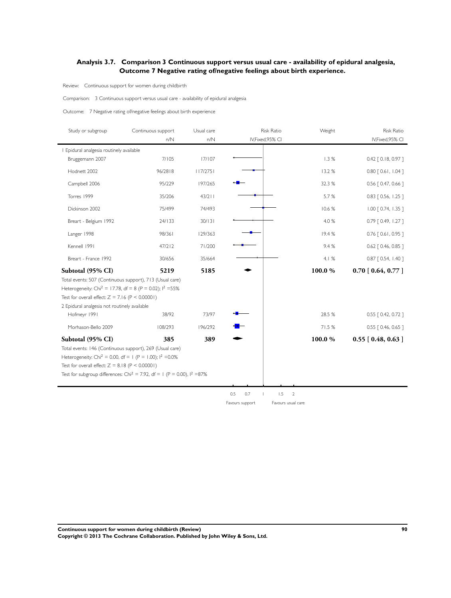## **Analysis 3.7. Comparison 3 Continuous support versus usual care - availability of epidural analgesia, Outcome 7 Negative rating of/negative feelings about birth experience.**

Review: Continuous support for women during childbirth

Comparison: 3 Continuous support versus usual care - availability of epidural analgesia

Outcome: 7 Negative rating of/negative feelings about birth experience

| Study or subgroup                                                                                                                                                                                                                                                                                              | Continuous support<br>n/N | Usual care<br>n/N |                 | Risk Ratio<br>IV,Fixed,95% CI | Weight | <b>Risk Ratio</b><br>IV, Fixed, 95% CI |
|----------------------------------------------------------------------------------------------------------------------------------------------------------------------------------------------------------------------------------------------------------------------------------------------------------------|---------------------------|-------------------|-----------------|-------------------------------|--------|----------------------------------------|
| I Epidural analgesia routinely available                                                                                                                                                                                                                                                                       |                           |                   |                 |                               |        |                                        |
| Bruggemann 2007                                                                                                                                                                                                                                                                                                | 7/105                     | 17/107            |                 |                               | 1.3%   | $0.42$ $[0.18, 0.97]$                  |
| Hodnett 2002                                                                                                                                                                                                                                                                                                   | 96/2818                   | 117/2751          |                 |                               | 13.2 % | $0.80$ $[0.61, 1.04]$                  |
| Campbell 2006                                                                                                                                                                                                                                                                                                  | 95/229                    | 197/265           |                 |                               | 32.3 % | $0.56$ $[0.47, 0.66]$                  |
| Torres 1999                                                                                                                                                                                                                                                                                                    | 35/206                    | $43/2$            |                 |                               | 5.7%   | $0.83$ $[0.56, 1.25]$                  |
| Dickinson 2002                                                                                                                                                                                                                                                                                                 | 75/499                    | 74/493            |                 |                               | 10.6 % | $1.00$ $[0.74, 1.35]$                  |
| Breart - Belgium 1992                                                                                                                                                                                                                                                                                          | 24/133                    | 30/131            |                 |                               | 4.0 %  | $0.79$ $[0.49, 1.27]$                  |
| Langer 1998                                                                                                                                                                                                                                                                                                    | 98/361                    | 129/363           |                 |                               | 19.4 % | $0.76$ $[0.61, 0.95]$                  |
| Kennell 1991                                                                                                                                                                                                                                                                                                   | 47/212                    | 71/200            |                 |                               | 9.4%   | $0.62$ $[$ 0.46, 0.85 $]$              |
| Breart - France 1992                                                                                                                                                                                                                                                                                           | 30/656                    | 35/664            |                 |                               | 4.1%   | $0.87$ $[ 0.54, 1.40 ]$                |
| Subtotal (95% CI)                                                                                                                                                                                                                                                                                              | 5219                      | 5185              |                 |                               | 100.0% | $0.70$ [ $0.64$ , $0.77$ ]             |
| Heterogeneity: Chi <sup>2</sup> = 17.78, df = 8 (P = 0.02); $1^2$ =55%<br>Test for overall effect: $Z = 7.16$ (P < 0.00001)<br>2 Epidural analgesia not routinely available<br>Hofmeyr 1991                                                                                                                    | 38/92                     | 73/97             |                 |                               | 28.5 % | $0.55$ $[0.42, 0.72]$                  |
| Morhason-Bello 2009                                                                                                                                                                                                                                                                                            | 108/293                   | 196/292           |                 |                               | 71.5%  | $0.55$ $[0.46, 0.65]$                  |
| Subtotal (95% CI)<br>Total events: 146 (Continuous support), 269 (Usual care)<br>Heterogeneity: Chi <sup>2</sup> = 0.00, df = 1 (P = 1.00); $1^2$ =0.0%<br>Test for overall effect: $Z = 8.18$ (P < 0.00001)<br>Test for subgroup differences: Chi <sup>2</sup> = 7.92, df = 1 (P = 0.00), l <sup>2</sup> =87% | 385                       | 389               |                 |                               | 100.0% | $0.55$ [ $0.48, 0.63$ ]                |
|                                                                                                                                                                                                                                                                                                                |                           |                   | 0.5<br>0.7      | 1.5<br>$\overline{2}$         |        |                                        |
|                                                                                                                                                                                                                                                                                                                |                           |                   | Favours support | Favours usual care            |        |                                        |
|                                                                                                                                                                                                                                                                                                                |                           |                   |                 |                               |        |                                        |

**Continuous support for women during childbirth (Review) 90**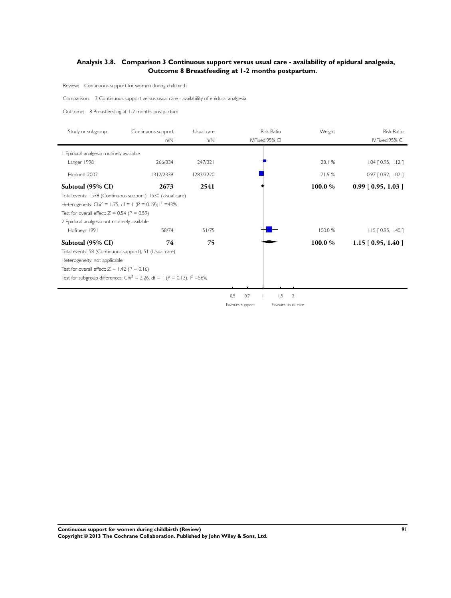# **Analysis 3.8. Comparison 3 Continuous support versus usual care - availability of epidural analgesia, Outcome 8 Breastfeeding at 1-2 months postpartum.**

Review: Continuous support for women during childbirth

Comparison: 3 Continuous support versus usual care - availability of epidural analgesia

Outcome: 8 Breastfeeding at 1-2 months postpartum

 $\overline{a}$ 

| Study or subgroup                                      | Continuous support                                                                     | Usual care |     |                 | <b>Risk Ratio</b> |                    | Weight  | <b>Risk Ratio</b>     |
|--------------------------------------------------------|----------------------------------------------------------------------------------------|------------|-----|-----------------|-------------------|--------------------|---------|-----------------------|
|                                                        | n/N                                                                                    | n/N        |     |                 | IV, Fixed, 95% CI |                    |         | IV, Fixed, 95% CI     |
| I Epidural analgesia routinely available               |                                                                                        |            |     |                 |                   |                    |         |                       |
| Langer 1998                                            | 266/334                                                                                | 247/321    |     |                 |                   |                    | 28.1 %  | $1.04$ $[0.95, 1.12]$ |
| Hodnett 2002                                           | 1312/2339                                                                              | 1283/2220  |     |                 |                   |                    | 71.9%   | $0.97$ $[0.92, 1.02]$ |
| Subtotal (95% CI)                                      | 2673                                                                                   | 2541       |     |                 |                   |                    | 100.0%  | $0.99$ [ 0.95, 1.03 ] |
|                                                        | Total events: 1578 (Continuous support), 1530 (Usual care)                             |            |     |                 |                   |                    |         |                       |
|                                                        | Heterogeneity: Chi <sup>2</sup> = 1.75, df = 1 (P = 0.19); $1^2$ =43%                  |            |     |                 |                   |                    |         |                       |
| Test for overall effect: $Z = 0.54$ (P = 0.59)         |                                                                                        |            |     |                 |                   |                    |         |                       |
| 2 Epidural analgesia not routinely available           |                                                                                        |            |     |                 |                   |                    |         |                       |
| Hofmeyr 1991                                           | 58/74                                                                                  | 51/75      |     |                 |                   |                    | 100.0 % | $1.15$ $[0.95, 1.40]$ |
| Subtotal (95% CI)                                      | 74                                                                                     | 75         |     |                 |                   |                    | 100.0%  | $1.15$ [ 0.95, 1.40 ] |
| Total events: 58 (Continuous support), 51 (Usual care) |                                                                                        |            |     |                 |                   |                    |         |                       |
| Heterogeneity: not applicable                          |                                                                                        |            |     |                 |                   |                    |         |                       |
| Test for overall effect: $Z = 1.42$ (P = 0.16)         |                                                                                        |            |     |                 |                   |                    |         |                       |
|                                                        | Test for subgroup differences: Chi <sup>2</sup> = 2.26, df = 1 (P = 0.13), $1^2$ = 56% |            |     |                 |                   |                    |         |                       |
|                                                        |                                                                                        |            |     |                 |                   |                    |         |                       |
|                                                        |                                                                                        |            | 0.5 | 0.7             | 1.5               | $\overline{2}$     |         |                       |
|                                                        |                                                                                        |            |     | Favours support |                   | Favours usual care |         |                       |

**Continuous support for women during childbirth (Review) 91**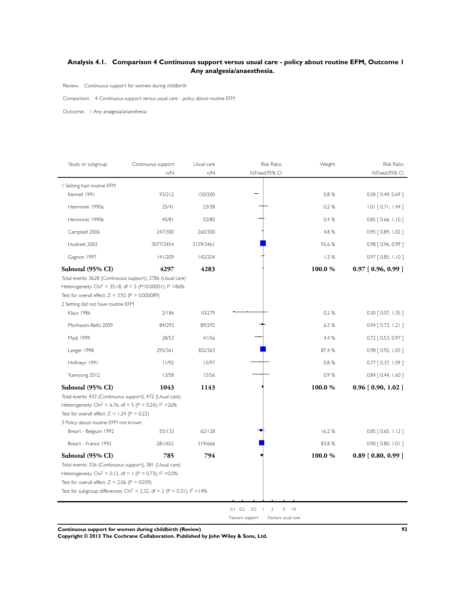## **Analysis 4.1. Comparison 4 Continuous support versus usual care - policy about routine EFM, Outcome 1 Any analgesia/anaesthesia.**

Review: Continuous support for women during childbirth

Comparison: 4 Continuous support versus usual care - policy about routine EFM

Outcome: 1 Any analgesia/anaesthesia

| Study or subgroup                                                                                             | Continuous support<br>n/N                                                                                                                                                                                                           | Usual care<br>n/N | <b>Risk Ratio</b><br>IV, Fixed, 95% CI                                                  | Weight | <b>Risk Ratio</b><br>IV,Fixed,95% CI |
|---------------------------------------------------------------------------------------------------------------|-------------------------------------------------------------------------------------------------------------------------------------------------------------------------------------------------------------------------------------|-------------------|-----------------------------------------------------------------------------------------|--------|--------------------------------------|
| I Setting had routine EFM                                                                                     |                                                                                                                                                                                                                                     |                   |                                                                                         |        |                                      |
| Kennell 1991                                                                                                  | 93/212                                                                                                                                                                                                                              | 150/200           |                                                                                         | 0.8%   | $0.58$ $[0.49, 0.69]$                |
| Hemminki 1990a                                                                                                | 25/41                                                                                                                                                                                                                               | 23/38             |                                                                                         | 0.2%   | $1.01$ $[0.71, 1.44]$                |
| Hemminki 1990b                                                                                                | 45/81                                                                                                                                                                                                                               | 52/80             |                                                                                         | 0.4 %  | $0.85$ $[0.66, 1.10]$                |
| Campbell 2006                                                                                                 | 247/300                                                                                                                                                                                                                             | 260/300           |                                                                                         | 4.8 %  | $0.95$ $[0.89, 1.02]$                |
| Hodnett 2002                                                                                                  | 3077/3454                                                                                                                                                                                                                           | 3159/3461         |                                                                                         | 92.6%  | 0.98 [0.96, 0.99]                    |
| Gagnon 1997                                                                                                   | 141/209                                                                                                                                                                                                                             | 142/204           |                                                                                         | 1.3%   | $0.97$ [ 0.85, 1.10 ]                |
| Subtotal (95% CI)<br>Test for overall effect: $Z = 3.92$ (P = 0.000089)<br>2 Setting did not have routine EFM | 4297<br>Total events: 3628 (Continuous support), 3786 (Usual care)<br>Heterogeneity: Chi <sup>2</sup> = 35.18, df = 5 (P<0.00001); $1^2$ =86%                                                                                       | 4283              |                                                                                         | 100.0% | $0.97$ [ $0.96, 0.99$ ]              |
| Klaus 1986                                                                                                    | 2/186                                                                                                                                                                                                                               | 10/279            |                                                                                         | 0.2 %  | 0.30 [0.07, 1.35]                    |
| Morhason-Bello 2009                                                                                           | 84/293                                                                                                                                                                                                                              | 89/292            |                                                                                         | 6.3 %  | $0.94$ $[0.73, 1.21]$                |
| Madi 1999                                                                                                     | 28/53                                                                                                                                                                                                                               | 41/56             |                                                                                         | 4.4 %  | $0.72$ $[0.53, 0.97]$                |
| Langer 1998                                                                                                   | 295/361                                                                                                                                                                                                                             | 302/363           |                                                                                         | 87.4%  | 0.98 [ 0.92, 1.05 ]                  |
| Hofmeyr 1991                                                                                                  | 11/92                                                                                                                                                                                                                               | 15/97             |                                                                                         | 0.8%   | $0.77$ $[0.37, 1.59]$                |
| Yuenyong 2012                                                                                                 | 13/58                                                                                                                                                                                                                               | 15/56             |                                                                                         | 0.9%   | $0.84$ $[0.44, 1.60]$                |
| Subtotal (95% CI)<br>Test for overall effect: $Z = 1.24$ (P = 0.22)<br>3 Policy about routine EFM not known   | 1043<br>Total events: 433 (Continuous support), 472 (Usual care)<br>Heterogeneity: Chi <sup>2</sup> = 6.76, df = 5 (P = 0.24); $1^2$ = 26%                                                                                          | 1143              |                                                                                         | 100.0% | $0.96$ [ $0.90, 1.02$ ]              |
| Breart - Belgium 1992                                                                                         | 55/133                                                                                                                                                                                                                              | 62/128            |                                                                                         | 16.2%  | $0.85$ $[0.65, 1.12]$                |
| Breart - France 1992                                                                                          | 281/652                                                                                                                                                                                                                             | 319/666           |                                                                                         | 83.8%  | $0.90$ $[0.80, 1.01]$                |
| Subtotal (95% CI)<br>Test for overall effect: $Z = 2.06$ (P = 0.039)                                          | 785<br>Total events: 336 (Continuous support), 381 (Usual care)<br>Heterogeneity: Chi <sup>2</sup> = 0.12, df = 1 (P = 0.73); $1^2$ =0.0%<br>Test for subgroup differences: Chi <sup>2</sup> = 2.32, df = 2 (P = 0.31), $1^2$ = 14% | 794               |                                                                                         | 100.0% | $0.89$ [ $0.80, 0.99$ ]              |
|                                                                                                               |                                                                                                                                                                                                                                     |                   | $0.1$ $0.2$ $0.5$<br>$\mathcal{L}$<br>$5 - 10$<br>Favours support<br>Favours usual care |        |                                      |

**Continuous support for women during childbirth (Review) 92**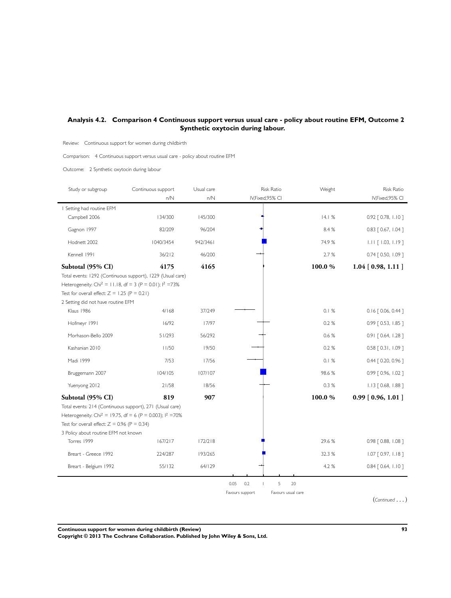## **Analysis 4.2. Comparison 4 Continuous support versus usual care - policy about routine EFM, Outcome 2 Synthetic oxytocin during labour.**

Review: Continuous support for women during childbirth

Comparison: 4 Continuous support versus usual care - policy about routine EFM

Outcome: 2 Synthetic oxytocin during labour

| Study or subgroup                                                                                                                                                                     | Continuous support | Usual care | <b>Risk Ratio</b> | Weight             | <b>Risk Ratio</b>          |
|---------------------------------------------------------------------------------------------------------------------------------------------------------------------------------------|--------------------|------------|-------------------|--------------------|----------------------------|
|                                                                                                                                                                                       | n/N                | n/N        | IV,Fixed,95% CI   |                    | IV,Fixed,95% CI            |
| I Setting had routine EFM                                                                                                                                                             |                    |            |                   |                    |                            |
| Campbell 2006                                                                                                                                                                         | 134/300            | 145/300    |                   | 14.1%              | $0.92$ [ 0.78, 1.10 ]      |
| Gagnon 1997                                                                                                                                                                           | 82/209             | 96/204     |                   | 8.4 %              | $0.83$ $[0.67, 1.04]$      |
| Hodnett 2002                                                                                                                                                                          | 1040/3454          | 942/3461   |                   | 74.9%              | $1.11$ [ 1.03, 1.19 ]      |
| Kennell 1991                                                                                                                                                                          | 36/212             | 46/200     |                   | 2.7 %              | 0.74 [ 0.50, 1.09 ]        |
| Subtotal (95% CI)                                                                                                                                                                     | 4175               | 4165       |                   | 100.0%             | $1.04$ [ 0.98, 1.11 ]      |
| Total events: 1292 (Continuous support), 1229 (Usual care)                                                                                                                            |                    |            |                   |                    |                            |
| Heterogeneity: Chi <sup>2</sup> = 11.18, df = 3 (P = 0.01); $1^2$ =73%                                                                                                                |                    |            |                   |                    |                            |
| Test for overall effect: $Z = 1.25$ (P = 0.21)                                                                                                                                        |                    |            |                   |                    |                            |
| 2 Setting did not have routine EFM                                                                                                                                                    |                    |            |                   |                    |                            |
| Klaus 1986                                                                                                                                                                            | 4/168              | 37/249     |                   | 0.1%               | $0.16$ $[0.06, 0.44]$      |
| Hofmeyr 1991                                                                                                                                                                          | 16/92              | 17/97      |                   | 0.2%               | 0.99 [ 0.53, 1.85 ]        |
| Morhason-Bello 2009                                                                                                                                                                   | 51/293             | 56/292     |                   | 0.6 %              | 0.91 [0.64, 1.28]          |
| Kashanian 2010                                                                                                                                                                        | 11/50              | 19/50      |                   | 0.2%               | $0.58$ $[0.31, 1.09]$      |
| Madi 1999                                                                                                                                                                             | 7/53               | 17/56      |                   | 0.1%               | 0.44 [ 0.20, 0.96 ]        |
| Bruggemann 2007                                                                                                                                                                       | 104/105            | 107/107    |                   | 98.6%              | 0.99 [ 0.96, 1.02 ]        |
| Yuenyong 2012                                                                                                                                                                         | 21/58              | 18/56      |                   | 0.3 %              | $1.13$ [ 0.68, 1.88 ]      |
| Subtotal (95% CI)                                                                                                                                                                     | 819                | 907        |                   | 100.0%             | $0.99$ [ $0.96$ , $1.01$ ] |
| Total events: 214 (Continuous support), 271 (Usual care)<br>Heterogeneity: Chi <sup>2</sup> = 19.75, df = 6 (P = 0.003); $1^2$ =70%<br>Test for overall effect: $Z = 0.96$ (P = 0.34) |                    |            |                   |                    |                            |
| 3 Policy about routine EFM not known                                                                                                                                                  |                    |            |                   |                    |                            |
| Torres 1999                                                                                                                                                                           | 167/217            | 172/218    |                   | 29.6 %             | 0.98 [ 0.88, 1.08 ]        |
| Breart - Greece 1992                                                                                                                                                                  | 224/287            | 193/265    |                   | 32.3 %             | $1.07$ [ 0.97, 1.18 ]      |
| Breart - Belgium 1992                                                                                                                                                                 | 55/132             | 64/129     |                   | 4.2 %              | $0.84$ $[0.64, 1.10]$      |
|                                                                                                                                                                                       |                    |            | 0.2<br>5<br>0.05  | 20                 |                            |
|                                                                                                                                                                                       |                    |            | Favours support   | Favours usual care |                            |

(*Continued* ... )

**Continuous support for women during childbirth (Review) 93**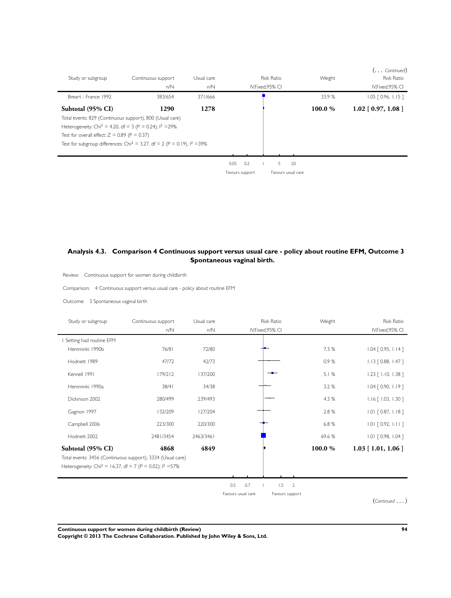| Study or subgroup                                                      | Continuous support<br>n/N                                                             | Usual care<br>n/N |      |                 | Risk Ratio<br>IV.Fixed.95% CI |                    | Weight  | $( \ldots$ Continued)<br><b>Risk Ratio</b><br>IV, Fixed, 95% CI |
|------------------------------------------------------------------------|---------------------------------------------------------------------------------------|-------------------|------|-----------------|-------------------------------|--------------------|---------|-----------------------------------------------------------------|
| Breart - France 1992                                                   | 383/654                                                                               | 371/666           |      |                 |                               |                    | 33.9 %  | $1.05$ $[0.96, 1.15]$                                           |
| Subtotal (95% CI)                                                      | 1290                                                                                  | 1278              |      |                 |                               |                    | 100.0 % | $1.02$ [ 0.97, 1.08 ]                                           |
|                                                                        | Total events: 829 (Continuous support), 800 (Usual care)                              |                   |      |                 |                               |                    |         |                                                                 |
| Heterogeneity: Chi <sup>2</sup> = 4.20, df = 3 (P = 0.24); $1^2$ = 29% |                                                                                       |                   |      |                 |                               |                    |         |                                                                 |
| Test for overall effect: $Z = 0.89$ (P = 0.37)                         |                                                                                       |                   |      |                 |                               |                    |         |                                                                 |
|                                                                        | Test for subgroup differences: Chi <sup>2</sup> = 3.27, df = 2 (P = 0.19), $1^2$ =39% |                   |      |                 |                               |                    |         |                                                                 |
|                                                                        |                                                                                       |                   |      |                 |                               |                    |         |                                                                 |
|                                                                        |                                                                                       |                   | 0.05 | 0.2             | 5.                            | 20                 |         |                                                                 |
|                                                                        |                                                                                       |                   |      | Favours support |                               | Favours usual care |         |                                                                 |

### **Analysis 4.3. Comparison 4 Continuous support versus usual care - policy about routine EFM, Outcome 3 Spontaneous vaginal birth.**

Review: Continuous support for women during childbirth

Comparison: 4 Continuous support versus usual care - policy about routine EFM

Outcome: 3 Spontaneous vaginal birth

| Study or subgroup       | Continuous support                                                     | Usual care |                    |     | <b>Risk Ratio</b> |                | Weight | <b>Risk Ratio</b>          |
|-------------------------|------------------------------------------------------------------------|------------|--------------------|-----|-------------------|----------------|--------|----------------------------|
|                         | n/N                                                                    | n/N        |                    |     | IV, Fixed, 95% CI |                |        | IV, Fixed, 95% CI          |
| Setting had routine EFM |                                                                        |            |                    |     |                   |                |        |                            |
| Hemminki 1990b          | 76/81                                                                  | 72/80      |                    |     |                   |                | 7.3 %  | $1.04$ $[0.95, 1.14]$      |
| Hodnett 1989            | 47/72                                                                  | 42/73      |                    |     |                   |                | 0.9%   | $1.13$ $[0.88, 1.47]$      |
| Kennell 1991            | 179/212                                                                | 137/200    |                    |     |                   |                | 5.1%   | $1.23$ [ $1.10$ , $1.38$ ] |
| Hemminki 1990a          | 38/41                                                                  | 34/38      |                    |     |                   |                | 3.2 %  | $1.04$ $[0.90, 1.19]$      |
| Dickinson 2002          | 280/499                                                                | 239/493    |                    |     |                   |                | 4.3 %  | $1.16$ $[ 1.03, 1.30 ]$    |
| Gagnon 1997             | 132/209                                                                | 127/204    |                    |     |                   |                | 2.8 %  | $1.01$ $[0.87, 1.18]$      |
| Campbell 2006           | 223/300                                                                | 220/300    |                    |     |                   |                | 6.8%   | $1.01$ $[0.92, 1.11]$      |
| Hodnett 2002            | 2481/3454                                                              | 2463/3461  |                    |     |                   |                | 69.6%  | $1.01$ $[0.98, 1.04]$      |
| Subtotal (95% CI)       | 4868                                                                   | 4849       |                    |     |                   |                | 100.0% | $1.03$ [ 1.01, 1.06 ]      |
|                         | Total events: 3456 (Continuous support), 3334 (Usual care)             |            |                    |     |                   |                |        |                            |
|                         | Heterogeneity: Chi <sup>2</sup> = 16.37, df = 7 (P = 0.02); $1^2$ =57% |            |                    |     |                   |                |        |                            |
|                         |                                                                        |            |                    |     |                   |                |        |                            |
|                         |                                                                        |            | 0.5                | 0.7 | 1.5               | $\overline{2}$ |        |                            |
|                         |                                                                        |            | Favours usual care |     | Favours support   |                |        |                            |
|                         |                                                                        |            |                    |     |                   |                |        | $(Continued \dots)$        |

**Continuous support for women during childbirth (Review) 94**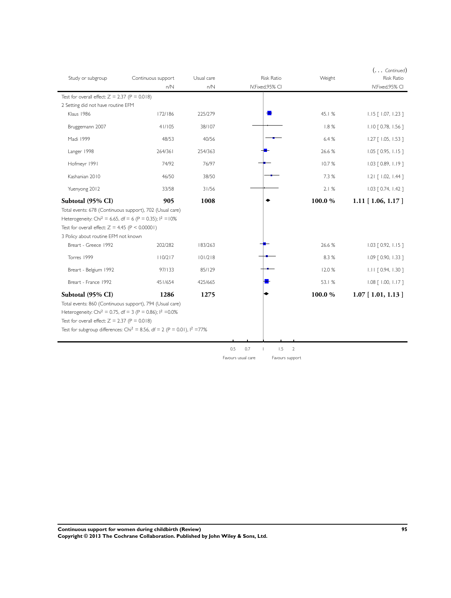| Study or subgroup                                                                                                                                                                                                                                                                                                      | Continuous support<br>n/N | Usual care<br>n/N | Risk Ratio<br>IV, Fixed, 95% CI       | Weight | $(\ldots$ Continued)<br><b>Risk Ratio</b><br>IV, Fixed, 95% CI |
|------------------------------------------------------------------------------------------------------------------------------------------------------------------------------------------------------------------------------------------------------------------------------------------------------------------------|---------------------------|-------------------|---------------------------------------|--------|----------------------------------------------------------------|
| Test for overall effect: $Z = 2.37$ (P = 0.018)                                                                                                                                                                                                                                                                        |                           |                   |                                       |        |                                                                |
| 2 Setting did not have routine EFM<br>Klaus 1986                                                                                                                                                                                                                                                                       | 172/186                   | 225/279           |                                       | 45.1%  | $1.15$ [ $1.07$ , $1.23$ ]                                     |
| Bruggemann 2007                                                                                                                                                                                                                                                                                                        | 41/105                    | 38/107            |                                       | 1.8%   | $1.10$ [ 0.78, 1.56 ]                                          |
| Madi 1999                                                                                                                                                                                                                                                                                                              | 48/53                     | 40/56             |                                       | 6.4 %  | $1.27$ [ $1.05$ , $1.53$ ]                                     |
| Langer 1998                                                                                                                                                                                                                                                                                                            | 264/361                   | 254/363           |                                       | 26.6 % | $1.05$ $[0.95, 1.15]$                                          |
| Hofmeyr 1991                                                                                                                                                                                                                                                                                                           | 74/92                     | 76/97             |                                       | 10.7%  | $1.03$ $[0.89, 1.19]$                                          |
| Kashanian 2010                                                                                                                                                                                                                                                                                                         | 46/50                     | 38/50             |                                       | 7.3 %  | $1.21$ $[1.02, 1.44]$                                          |
| Yuenyong 2012                                                                                                                                                                                                                                                                                                          | 33/58                     | 31/56             |                                       | 2.1%   | $1.03$ [ 0.74, 1.42 ]                                          |
| Subtotal (95% CI)                                                                                                                                                                                                                                                                                                      | 905                       | 1008              |                                       | 100.0% | $1.11$ [ 1.06, 1.17 ]                                          |
| Total events: 678 (Continuous support), 702 (Usual care)<br>Heterogeneity: Chi <sup>2</sup> = 6.65, df = 6 (P = 0.35); $1^2$ = 10%<br>Test for overall effect: $Z = 4.45$ (P < 0.00001)<br>3 Policy about routine EFM not known                                                                                        |                           |                   |                                       |        |                                                                |
| Breart - Greece 1992                                                                                                                                                                                                                                                                                                   | 202/282                   | 183/263           |                                       | 26.6 % | 1.03 [ 0.92, 1.15 ]                                            |
| Torres 1999                                                                                                                                                                                                                                                                                                            | 110/217                   | 101/218           |                                       | 8.3%   | 1.09 [ 0.90, 1.33 ]                                            |
| Breart - Belgium 1992                                                                                                                                                                                                                                                                                                  | 97/133                    | 85/129            |                                       | 12.0%  | $1.11$ $[0.94, 1.30]$                                          |
| Breart - France 1992                                                                                                                                                                                                                                                                                                   | 451/654                   | 425/665           |                                       | 53.1 % | $1.08$ [ 1.00, 1.17 ]                                          |
| Subtotal (95% CI)<br>Total events: 860 (Continuous support), 794 (Usual care)<br>Heterogeneity: Chi <sup>2</sup> = 0.75, df = 3 (P = 0.86); l <sup>2</sup> = 0.0%<br>Test for overall effect: $Z = 2.37$ (P = 0.018)<br>Test for subgroup differences: Chi <sup>2</sup> = 8.56, df = 2 (P = 0.01), l <sup>2</sup> =77% | 1286                      | 1275              |                                       | 100.0% | $1.07$ [ 1.01, 1.13 ]                                          |
|                                                                                                                                                                                                                                                                                                                        |                           |                   | 0.5<br>0.7<br>1.5<br>$\overline{2}$   |        |                                                                |
|                                                                                                                                                                                                                                                                                                                        |                           |                   | Favours usual care<br>Favours support |        |                                                                |

**Continuous support for women during childbirth (Review) 95**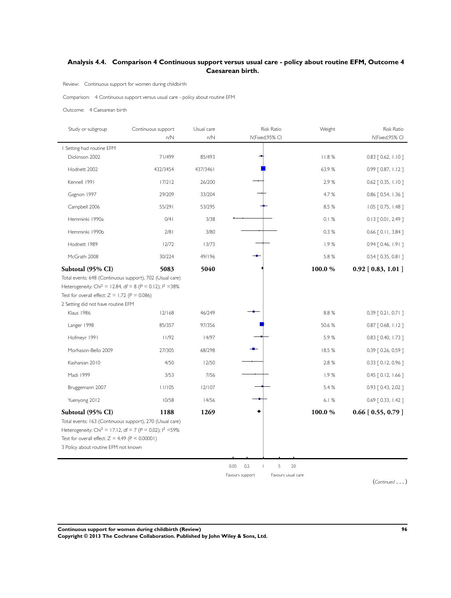# **Analysis 4.4. Comparison 4 Continuous support versus usual care - policy about routine EFM, Outcome 4 Caesarean birth.**

Review: Continuous support for women during childbirth

Comparison: 4 Continuous support versus usual care - policy about routine EFM

Outcome: 4 Caesarean birth

| Study or subgroup                                 | Continuous support                                                               | Usual care | <b>Risk Ratio</b>                                               | Weight | <b>Risk Ratio</b>          |
|---------------------------------------------------|----------------------------------------------------------------------------------|------------|-----------------------------------------------------------------|--------|----------------------------|
|                                                   | n/N                                                                              | n/N        | IV,Fixed,95% CI                                                 |        | IV,Fixed,95% CI            |
| I Setting had routine EFM                         |                                                                                  |            |                                                                 |        |                            |
| Dickinson 2002                                    | 71/499                                                                           | 85/493     |                                                                 | 11.8%  | 0.83 [ 0.62, 1.10 ]        |
| Hodnett 2002                                      | 432/3454                                                                         | 437/3461   |                                                                 | 63.9%  | 0.99 [0.87, 1.12]          |
| Kennell 1991                                      | 17/212                                                                           | 26/200     |                                                                 | 2.9%   | $0.62$ [ 0.35, 1.10 ]      |
| Gagnon 1997                                       | 29/209                                                                           | 33/204     |                                                                 | 4.7%   | $0.86$ $[0.54, 1.36]$      |
| Campbell 2006                                     | 55/291                                                                           | 53/295     |                                                                 | 8.5 %  | $1.05$ $[0.75, 1.48]$      |
| Hemminki 1990a                                    | 0/41                                                                             | 3/38       |                                                                 | 0.1%   | $0.13$ $[0.01, 2.49]$      |
| Hemminki 1990b                                    | 2/8                                                                              | 3/80       |                                                                 | 0.3%   | $0.66$ $[0.11, 3.84]$      |
| Hodnett 1989                                      | 12/72                                                                            | 13/73      |                                                                 | 1.9%   | $0.94$ $[0.46, 1.91]$      |
| McGrath 2008                                      | 30/224                                                                           | 49/196     |                                                                 | 5.8 %  | 0.54 [ 0.35, 0.8   ]       |
| Subtotal (95% CI)                                 | 5083                                                                             | 5040       |                                                                 | 100.0% | $0.92$ [ $0.83$ , $1.01$ ] |
| 2 Setting did not have routine EFM<br>Klaus 1986  | 12/168                                                                           | 46/249     |                                                                 | 8.8%   | $0.39$ $[0.21, 0.71]$      |
| Test for overall effect: $Z = 1.72$ (P = 0.086)   |                                                                                  |            |                                                                 |        |                            |
|                                                   |                                                                                  |            |                                                                 |        |                            |
| Langer 1998                                       | 85/357                                                                           | 97/356     |                                                                 | 50.6%  | $0.87$ $[0.68, 1.12]$      |
| Hofmeyr 1991                                      | 11/92                                                                            | 14/97      |                                                                 | 5.9%   | $0.83$ $[0.40, 1.73]$      |
| Morhason-Bello 2009                               | 27/305                                                                           | 68/298     |                                                                 | 18.5 % | $0.39$ $[0.26, 0.59]$      |
| Kashanian 2010                                    | 4/50                                                                             | 12/50      |                                                                 | 2.8%   | $0.33$ $[0.12, 0.96]$      |
| Madi 1999                                         | 3/53                                                                             | 7/56       |                                                                 | 1.9%   | $0.45$ $[0.12, 1.66]$      |
| Bruggemann 2007                                   | 11/105                                                                           | 12/107     |                                                                 | 5.4 %  | 0.93 [0.43, 2.02]          |
| Yuenyong 2012                                     | 10/58                                                                            | 14/56      |                                                                 | 6.1%   | 0.69 [0.33, 1.42]          |
| Subtotal (95% CI)                                 | 1188                                                                             | 1269       |                                                                 | 100.0% | $0.66$ [ $0.55$ , $0.79$ ] |
|                                                   | Total events: 163 (Continuous support), 270 (Usual care)                         |            |                                                                 |        |                            |
|                                                   | Heterogeneity: Chi <sup>2</sup> = 17.12, df = 7 (P = 0.02); l <sup>2</sup> = 59% |            |                                                                 |        |                            |
| Test for overall effect: $Z = 4.49$ (P < 0.00001) |                                                                                  |            |                                                                 |        |                            |
| 3 Policy about routine EFM not known              |                                                                                  |            |                                                                 |        |                            |
|                                                   |                                                                                  |            |                                                                 |        |                            |
|                                                   |                                                                                  |            | 0.05<br>0.2<br>5<br>20<br>Favours usual care<br>Favours support |        |                            |
|                                                   |                                                                                  |            |                                                                 |        |                            |

(*Continued* ... )

**Continuous support for women during childbirth (Review) 96**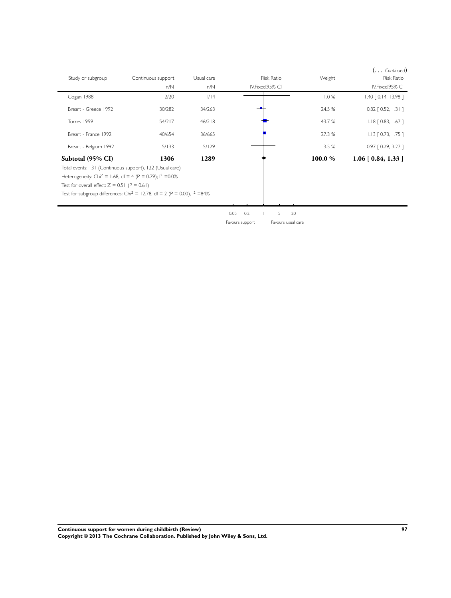|                                                                        |                                                                                        |            |                   |        | $(\ldots$ Continued)        |
|------------------------------------------------------------------------|----------------------------------------------------------------------------------------|------------|-------------------|--------|-----------------------------|
| Study or subgroup                                                      | Continuous support                                                                     | Usual care | <b>Risk Ratio</b> | Weight | <b>Risk Ratio</b>           |
|                                                                        | n/N                                                                                    | n/N        | IV, Fixed, 95% CI |        | IV, Fixed, 95% CI           |
| Cogan 1988                                                             | 2/20                                                                                   | 1/14       |                   | 1.0%   | $1.40$ $[0.14, 13.98]$      |
| Breart - Greece 1992                                                   | 30/282                                                                                 | 34/263     |                   | 24.5 % | $0.82$ [ 0.52, 1.31 ]       |
| Torres 1999                                                            | 54/217                                                                                 | 46/218     |                   | 43.7 % | $1.18$ $[0.83, 1.67]$       |
| Breart - France 1992                                                   | 40/654                                                                                 | 36/665     |                   | 27.3 % | $1.13$ $[0.73, 1.75]$       |
| Breart - Belgium 1992                                                  | 5/133                                                                                  | 5/129      |                   | 3.5%   | $0.97$ $[0.29, 3.27]$       |
| Subtotal (95% CI)                                                      | 1306                                                                                   | 1289       |                   | 100.0% | $1.06 \mid 0.84, 1.33 \mid$ |
|                                                                        | Total events: 131 (Continuous support), 122 (Usual care)                               |            |                   |        |                             |
| Heterogeneity: Chi <sup>2</sup> = 1.68, df = 4 (P = 0.79); $1^2$ =0.0% |                                                                                        |            |                   |        |                             |
| Test for overall effect: $Z = 0.51$ (P = 0.61)                         |                                                                                        |            |                   |        |                             |
|                                                                        | Test for subgroup differences: Chi <sup>2</sup> = 12.78, df = 2 (P = 0.00), $1^2$ =84% |            |                   |        |                             |
|                                                                        |                                                                                        |            |                   |        |                             |

 $0.05$   $0.2$  1 5 20

Favours support Favours usual care

**Continuous support for women during childbirth (Review) 97 Copyright © 2013 The Cochrane Collaboration. Published by John Wiley & Sons, Ltd.**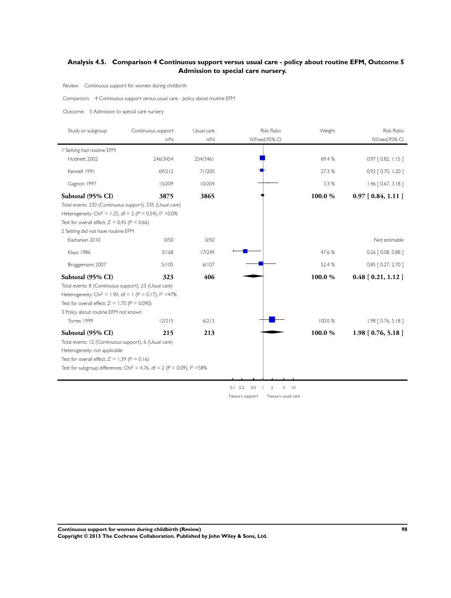## **Analysis 4.5. Comparison 4 Continuous support versus usual care - policy about routine EFM, Outcome 5 Admission to special care nursery.**

Review: Continuous support for women during childbirth

Comparison: 4 Continuous support versus usual care - policy about routine EFM

Outcome: 5 Admission to special care nursery

| Study or subgroup                                                     | Continuous support                                                                    | Usual care |                        | Risk Ratio                            | Weight  | <b>Risk Ratio</b>       |
|-----------------------------------------------------------------------|---------------------------------------------------------------------------------------|------------|------------------------|---------------------------------------|---------|-------------------------|
|                                                                       | n/N                                                                                   | n/N        |                        | IV, Fixed, 95% CI                     |         | IV, Fixed, 95% CI       |
| Setting had routine EFM                                               |                                                                                       |            |                        |                                       |         |                         |
| Hodnett 2002                                                          | 246/3454                                                                              | 254/3461   |                        |                                       | 69.4%   | $0.97$ $[0.82, 1.15]$   |
| Kennell 1991                                                          | 69/212                                                                                | 71/200     |                        |                                       | 27.3 %  | 0.92 [ 0.70, 1.20 ]     |
| Gagnon 1997                                                           | 15/209                                                                                | 10/204     |                        |                                       | 3.3 %   | $1.46$ $[0.67, 3.18]$   |
| Subtotal (95% CI)                                                     | 3875                                                                                  | 3865       |                        |                                       | 100.0%  | $0.97$ [ 0.84, 1.11 ]   |
|                                                                       | Total events: 330 (Continuous support), 335 (Usual care)                              |            |                        |                                       |         |                         |
|                                                                       | Heterogeneity: Chi <sup>2</sup> = 1.25, df = 2 (P = 0.54); $1^2$ =0.0%                |            |                        |                                       |         |                         |
| Test for overall effect: $Z = 0.45$ (P = 0.66)                        |                                                                                       |            |                        |                                       |         |                         |
| 2 Setting did not have routine EFM                                    |                                                                                       |            |                        |                                       |         |                         |
| Kashanian 2010                                                        | 0/50                                                                                  | 0/50       |                        |                                       |         | Not estimable           |
| Klaus 1986                                                            | 3/168                                                                                 | 17/249     |                        |                                       | 47.6 %  | 0.26 [ 0.08, 0.88 ]     |
| Bruggemann 2007                                                       | 5/105                                                                                 | 6/107      |                        |                                       | 52.4 %  | $0.85$ $[0.27, 2.70]$   |
| Subtotal (95% CI)                                                     | 323                                                                                   | 406        |                        |                                       | 100.0%  | $0.48$ [ $0.21, 1.12$ ] |
| Total events: 8 (Continuous support), 23 (Usual care)                 |                                                                                       |            |                        |                                       |         |                         |
| Heterogeneity: Chi <sup>2</sup> = 1.90, df = 1 (P = 0.17); $1^2$ =47% |                                                                                       |            |                        |                                       |         |                         |
| Test for overall effect: $Z = 1.70$ (P = 0.090)                       |                                                                                       |            |                        |                                       |         |                         |
| 3 Policy about routine EFM not known                                  |                                                                                       |            |                        |                                       |         |                         |
| Torres 1999                                                           | 12/215                                                                                | 6/213      |                        |                                       | 100.0 % | $1.98$ $[0.76, 5.18]$   |
| Subtotal (95% CI)                                                     | 215                                                                                   | 213        |                        |                                       | 100.0%  | 1.98 [0.76, 5.18]       |
| Total events: 12 (Continuous support), 6 (Usual care)                 |                                                                                       |            |                        |                                       |         |                         |
| Heterogeneity: not applicable                                         |                                                                                       |            |                        |                                       |         |                         |
| Test for overall effect: $Z = 1.39$ (P = 0.16)                        |                                                                                       |            |                        |                                       |         |                         |
|                                                                       | Test for subgroup differences: Chi <sup>2</sup> = 4.76, df = 2 (P = 0.09), $1^2$ =58% |            |                        |                                       |         |                         |
|                                                                       |                                                                                       |            |                        |                                       |         |                         |
|                                                                       |                                                                                       |            | $0.1 \quad 0.2$<br>0.5 | 5<br>$\overline{0}$<br>$\overline{2}$ |         |                         |
|                                                                       |                                                                                       |            | Favours support        | Favours usual care                    |         |                         |

**Continuous support for women during childbirth (Review) 98**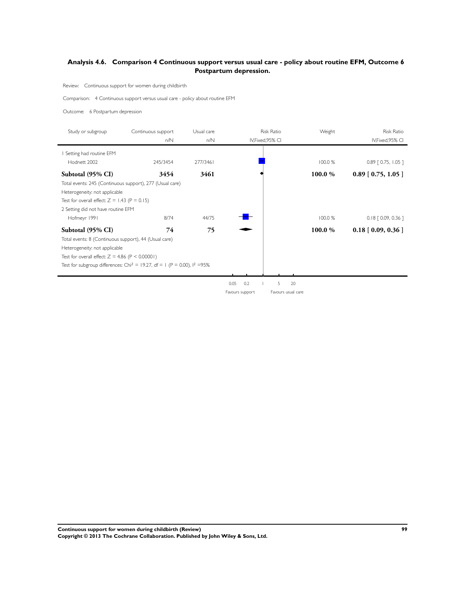## **Analysis 4.6. Comparison 4 Continuous support versus usual care - policy about routine EFM, Outcome 6 Postpartum depression.**

Review: Continuous support for women during childbirth

Comparison: 4 Continuous support versus usual care - policy about routine EFM

Outcome: 6 Postpartum depression

| Study or subgroup                                     | Continuous support<br>n/N                                                              | Usual care<br>n/N |                 | <b>Risk Ratio</b><br>IV, Fixed, 95% CI |    | Weight  | <b>Risk Ratio</b><br>IV, Fixed, 95% CI |
|-------------------------------------------------------|----------------------------------------------------------------------------------------|-------------------|-----------------|----------------------------------------|----|---------|----------------------------------------|
| I Setting had routine EFM                             |                                                                                        |                   |                 |                                        |    |         |                                        |
| Hodnett 2002                                          | 245/3454                                                                               | 277/3461          |                 |                                        |    | 100.0 % | $0.89$ $[ 0.75, 1.05 ]$                |
| Subtotal (95% CI)                                     | 3454                                                                                   | 3461              |                 |                                        |    | 100.0 % | $0.89$ [ 0.75, 1.05 ]                  |
|                                                       | Total events: 245 (Continuous support), 277 (Usual care)                               |                   |                 |                                        |    |         |                                        |
| Heterogeneity: not applicable                         |                                                                                        |                   |                 |                                        |    |         |                                        |
| Test for overall effect: $Z = 1.43$ (P = 0.15)        |                                                                                        |                   |                 |                                        |    |         |                                        |
| 2 Setting did not have routine EFM                    |                                                                                        |                   |                 |                                        |    |         |                                        |
| Hofmeyr 1991                                          | 8/74                                                                                   | 44/75             |                 |                                        |    | 100.0 % | $0.18$ [ 0.09, 0.36 ]                  |
| Subtotal (95% CI)                                     | 74                                                                                     | 75                |                 |                                        |    | 100.0 % | $0.18$ [ 0.09, 0.36 ]                  |
| Total events: 8 (Continuous support), 44 (Usual care) |                                                                                        |                   |                 |                                        |    |         |                                        |
| Heterogeneity: not applicable                         |                                                                                        |                   |                 |                                        |    |         |                                        |
| Test for overall effect: $Z = 4.86$ (P < 0.00001)     |                                                                                        |                   |                 |                                        |    |         |                                        |
|                                                       | Test for subgroup differences: Chi <sup>2</sup> = 19.27, df = 1 (P = 0.00), $1^2$ =95% |                   |                 |                                        |    |         |                                        |
|                                                       |                                                                                        |                   |                 |                                        |    |         |                                        |
|                                                       |                                                                                        |                   | 0.05<br>0.2     | 5                                      | 20 |         |                                        |
|                                                       |                                                                                        |                   | Favours support | Favours usual care                     |    |         |                                        |

**Continuous support for women during childbirth (Review) 99 Copyright © 2013 The Cochrane Collaboration. Published by John Wiley & Sons, Ltd.**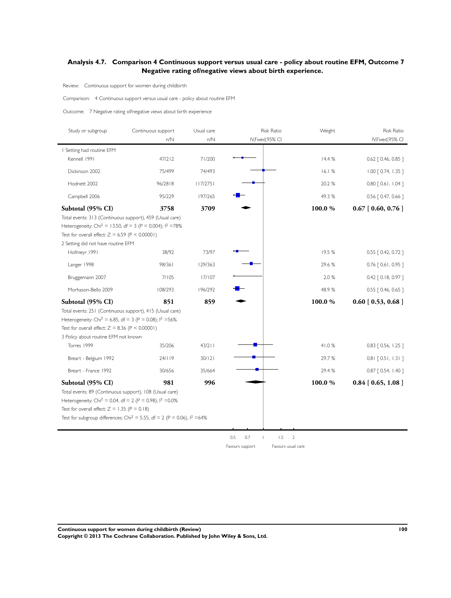## **Analysis 4.7. Comparison 4 Continuous support versus usual care - policy about routine EFM, Outcome 7 Negative rating of/negative views about birth experience.**

Review: Continuous support for women during childbirth

Comparison: 4 Continuous support versus usual care - policy about routine EFM

Outcome: 7 Negative rating of/negative views about birth experience

| Study or subgroup                                                                                                                                                                                                                                             | Continuous support                                                                           | Usual care | <b>Risk Ratio</b> | Weight                | <b>Risk Ratio</b>          |
|---------------------------------------------------------------------------------------------------------------------------------------------------------------------------------------------------------------------------------------------------------------|----------------------------------------------------------------------------------------------|------------|-------------------|-----------------------|----------------------------|
|                                                                                                                                                                                                                                                               | n/N                                                                                          | n/N        | IV, Fixed, 95% CI |                       | IV,Fixed,95% CI            |
| I Setting had routine EFM                                                                                                                                                                                                                                     |                                                                                              |            |                   |                       |                            |
| Kennell 1991                                                                                                                                                                                                                                                  | 47/212                                                                                       | 71/200     |                   | 14.4 %                | 0.62 [ 0.46, 0.85 ]        |
| Dickinson 2002                                                                                                                                                                                                                                                | 75/499                                                                                       | 74/493     |                   | 16.1%                 | $1.00$ $[0.74, 1.35]$      |
| Hodnett 2002                                                                                                                                                                                                                                                  | 96/2818                                                                                      | 117/2751   |                   | 20.2 %                | $0.80$ $[0.61, 1.04]$      |
| Campbell 2006                                                                                                                                                                                                                                                 | 95/229                                                                                       | 197/265    |                   | 49.3%                 | $0.56$ $[0.47, 0.66]$      |
| Subtotal (95% CI)                                                                                                                                                                                                                                             | 3758                                                                                         | 3709       |                   | 100.0%                | $0.67$ [ $0.60, 0.76$ ]    |
| Total events: 313 (Continuous support), 459 (Usual care)<br>Heterogeneity: Chi <sup>2</sup> = 13.50, df = 3 (P = 0.004); $1^2$ =78%<br>Test for overall effect: $Z = 6.59$ (P < 0.00001)<br>2 Setting did not have routine EFM                                |                                                                                              |            |                   |                       |                            |
| Hofmeyr 1991                                                                                                                                                                                                                                                  | 38/92                                                                                        | 73/97      |                   | 19.5 %                | 0.55 [ 0.42, 0.72 ]        |
| Langer 1998                                                                                                                                                                                                                                                   | 98/361                                                                                       | 129/363    |                   | 29.6%                 | $0.76$ $[0.61, 0.95]$      |
| Bruggemann 2007                                                                                                                                                                                                                                               | 7/105                                                                                        | 17/107     |                   | 2.0 %                 | 0.42 [ 0.18, 0.97 ]        |
| Morhason-Bello 2009                                                                                                                                                                                                                                           | 108/293                                                                                      | 196/292    |                   | 48.9%                 | $0.55$ $[0.46, 0.65]$      |
| Subtotal (95% CI)<br>Total events: 251 (Continuous support), 415 (Usual care)<br>Heterogeneity: Chi <sup>2</sup> = 6.85, df = 3 (P = 0.08); l <sup>2</sup> = 56%<br>Test for overall effect: $Z = 8.36$ (P < 0.00001)<br>3 Policy about routine EFM not known | 851                                                                                          | 859        |                   | 100.0%                | $0.60$ [ $0.53$ , $0.68$ ] |
| Torres 1999                                                                                                                                                                                                                                                   | 35/206                                                                                       | $43/2$     |                   | 41.0%                 | 0.83 [ 0.56, 1.25 ]        |
| Breart - Belgium 1992                                                                                                                                                                                                                                         | 24/119                                                                                       | 30/121     |                   | 29.7%                 | $0.81$ $[0.51, 1.31]$      |
| Breart - France 1992                                                                                                                                                                                                                                          | 30/656                                                                                       | 35/664     |                   | 29.4 %                | $0.87$ $[$ 0.54, 1.40 $]$  |
| Subtotal (95% CI)<br>Total events: 89 (Continuous support), 108 (Usual care)<br>Heterogeneity: Chi <sup>2</sup> = 0.04, df = 2 (P = 0.98); $1^2$ = 0.0%<br>Test for overall effect: $Z = 1.35$ (P = 0.18)                                                     | 981<br>Test for subgroup differences: Chi <sup>2</sup> = 5.55, df = 2 (P = 0.06), $1^2$ =64% | 996        |                   | 100.0%                | $0.84$ [ 0.65, 1.08 ]      |
|                                                                                                                                                                                                                                                               |                                                                                              |            | 0.7<br>0.5        | 1.5<br>$\overline{2}$ |                            |
|                                                                                                                                                                                                                                                               |                                                                                              |            | Favours support   | Favours usual care    |                            |

**Continuous support for women during childbirth (Review) 100**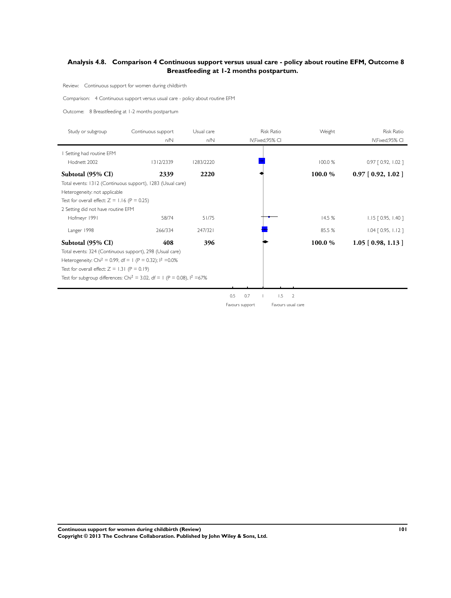## **Analysis 4.8. Comparison 4 Continuous support versus usual care - policy about routine EFM, Outcome 8 Breastfeeding at 1-2 months postpartum.**

Review: Continuous support for women during childbirth

Comparison: 4 Continuous support versus usual care - policy about routine EFM

Outcome: 8 Breastfeeding at 1-2 months postpartum

| Study or subgroup                              | Continuous support                                                                    | Usual care |     |                 | Risk Ratio        |                    | Weight  | <b>Risk Ratio</b>     |
|------------------------------------------------|---------------------------------------------------------------------------------------|------------|-----|-----------------|-------------------|--------------------|---------|-----------------------|
|                                                | n/N                                                                                   | n/N        |     |                 | IV, Fixed, 95% CI |                    |         | IV, Fixed, 95% CI     |
| I Setting had routine EFM                      |                                                                                       |            |     |                 |                   |                    |         |                       |
| Hodnett 2002                                   | 1312/2339                                                                             | 1283/2220  |     |                 |                   |                    | 100.0 % | 0.97 [0.92, 1.02]     |
| Subtotal (95% CI)                              | 2339                                                                                  | 2220       |     |                 |                   |                    | 100.0%  | $0.97$ [ 0.92, 1.02 ] |
|                                                | Total events: 1312 (Continuous support), 1283 (Usual care)                            |            |     |                 |                   |                    |         |                       |
| Heterogeneity: not applicable                  |                                                                                       |            |     |                 |                   |                    |         |                       |
| Test for overall effect: $Z = 1.16$ (P = 0.25) |                                                                                       |            |     |                 |                   |                    |         |                       |
| 2 Setting did not have routine EFM             |                                                                                       |            |     |                 |                   |                    |         |                       |
| Hofmeyr 1991                                   | 58/74                                                                                 | 51/75      |     |                 |                   |                    | 14.5 %  | $1.15$ $[0.95, 1.40]$ |
| Langer 1998                                    | 266/334                                                                               | 247/321    |     |                 |                   |                    | 85.5 %  | $1.04$ $[0.95, 1.12]$ |
| Subtotal (95% CI)                              | 408                                                                                   | 396        |     |                 |                   |                    | 100.0%  | $1.05$ [ 0.98, 1.13 ] |
|                                                | Total events: 324 (Continuous support), 298 (Usual care)                              |            |     |                 |                   |                    |         |                       |
|                                                | Heterogeneity: Chi <sup>2</sup> = 0.99, df = 1 (P = 0.32); $1^2$ =0.0%                |            |     |                 |                   |                    |         |                       |
| Test for overall effect: $Z = 1.31$ (P = 0.19) |                                                                                       |            |     |                 |                   |                    |         |                       |
|                                                | Test for subgroup differences: Chi <sup>2</sup> = 3.02, df = 1 (P = 0.08), $1^2$ =67% |            |     |                 |                   |                    |         |                       |
|                                                |                                                                                       |            |     |                 |                   |                    |         |                       |
|                                                |                                                                                       |            | 0.5 | 0.7             | 1.5               | $\overline{2}$     |         |                       |
|                                                |                                                                                       |            |     | Favours support |                   | Favours usual care |         |                       |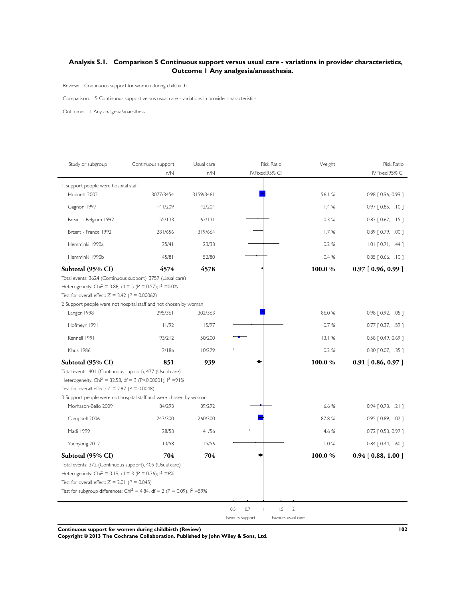# **Analysis 5.1. Comparison 5 Continuous support versus usual care - variations in provider characteristics, Outcome 1 Any analgesia/anaesthesia.**

Review: Continuous support for women during childbirth

Comparison: 5 Continuous support versus usual care - variations in provider characteristics

Outcome: 1 Any analgesia/anaesthesia

| Study or subgroup                                                                                                                            | Continuous support<br>n/N                                                                                                                                                                                                 | Usual care<br>n/N | <b>Risk Ratio</b><br>IV,Fixed,95% CI  | Weight         | <b>Risk Ratio</b><br>IV,Fixed,95% CI             |
|----------------------------------------------------------------------------------------------------------------------------------------------|---------------------------------------------------------------------------------------------------------------------------------------------------------------------------------------------------------------------------|-------------------|---------------------------------------|----------------|--------------------------------------------------|
| I Support people were hospital staff                                                                                                         |                                                                                                                                                                                                                           |                   |                                       |                |                                                  |
| Hodnett 2002                                                                                                                                 | 3077/3454                                                                                                                                                                                                                 | 3159/3461         |                                       | 96.1%          | $0.98$ $[0.96, 0.99]$                            |
| Gagnon 1997                                                                                                                                  | 141/209                                                                                                                                                                                                                   | 142/204           |                                       | 1.4%           | $0.97$ $[0.85, 1.10]$                            |
| Breart - Belgium 1992                                                                                                                        | 55/133                                                                                                                                                                                                                    | 62/131            |                                       | 0.3%           | $0.87$ $[0.67, 1.15]$                            |
| Breart - France 1992                                                                                                                         | 281/656                                                                                                                                                                                                                   | 319/664           |                                       | 1.7%           | $0.89$ $[0.79, 1.00]$                            |
| Hemminki 1990a                                                                                                                               | 25/41                                                                                                                                                                                                                     | 23/38             |                                       | 0.2%           | $1.01$ $[0.71, 1.44]$                            |
| Hemminki 1990b                                                                                                                               | 45/81                                                                                                                                                                                                                     | 52/80             |                                       | 0.4%           | $0.85$ $[0.66, 1.10]$                            |
| Subtotal (95% CI)                                                                                                                            | 4574                                                                                                                                                                                                                      | 4578              |                                       | 100.0%         | $0.97$ [ $0.96, 0.99$ ]                          |
| Heterogeneity: Chi <sup>2</sup> = 3.88, df = 5 (P = 0.57); $1^2$ = 0.0%<br>Test for overall effect: $Z = 3.42$ (P = 0.00062)<br>Langer 1998  | 2 Support people were not hospital staff and not chosen by woman<br>295/361                                                                                                                                               | 302/363           |                                       | 86.0%          | 0.98 [ 0.92, 1.05 ]                              |
| Hofmeyr 1991                                                                                                                                 | 11/92                                                                                                                                                                                                                     | 15/97             |                                       | 0.7%           | $0.77$ $[0.37, 1.59]$                            |
| Kennell 1991                                                                                                                                 | 93/212                                                                                                                                                                                                                    | 150/200           |                                       | 13.1%          |                                                  |
|                                                                                                                                              |                                                                                                                                                                                                                           |                   |                                       |                | $0.58$ $[0.49, 0.69]$                            |
| Klaus 1986                                                                                                                                   | 2/186                                                                                                                                                                                                                     | 10/279            |                                       | 0.2%           | $0.30$ $[0.07, 1.35]$                            |
| Subtotal (95% CI)<br>Test for overall effect: $Z = 2.82$ (P = 0.0048)<br>Morhason-Bello 2009                                                 | 851<br>Total events: 401 (Continuous support), 477 (Usual care)<br>Heterogeneity: Chi <sup>2</sup> = 32.58, df = 3 (P<0.00001); $1^2$ =91%<br>3 Support people were not hospital staff and were chosen by woman<br>84/293 | 939<br>89/292     |                                       | 100.0%<br>6.6% | $0.91$ [ $0.86, 0.97$ ]<br>$0.94$ [ 0.73, 1.21 ] |
| Campbell 2006                                                                                                                                | 247/300                                                                                                                                                                                                                   | 260/300           |                                       | 87.8%          | 0.95 [0.89, 1.02]                                |
| Madi 1999                                                                                                                                    | 28/53                                                                                                                                                                                                                     | 41/56             |                                       | 4.6 %          | $0.72$ $[0.53, 0.97]$                            |
| Yuenyong 2012                                                                                                                                | 13/58                                                                                                                                                                                                                     | 15/56             |                                       | 1.0%           | $0.84$ $[0.44, 1.60]$                            |
|                                                                                                                                              | 704                                                                                                                                                                                                                       | 704               |                                       | 100.0%         |                                                  |
| Subtotal (95% CI)<br>Heterogeneity: Chi <sup>2</sup> = 3.19, df = 3 (P = 0.36); $1^2$ =6%<br>Test for overall effect: $Z = 2.01$ (P = 0.045) | Total events: 372 (Continuous support), 405 (Usual care)<br>Test for subgroup differences: Chi <sup>2</sup> = 4.84, df = 2 (P = 0.09), l <sup>2</sup> =59%                                                                |                   |                                       |                | $0.94$ [ 0.88, 1.00 ]                            |
|                                                                                                                                              |                                                                                                                                                                                                                           |                   | 0.5<br>0.7<br>1.5<br>$\mathcal{P}$    |                |                                                  |
|                                                                                                                                              |                                                                                                                                                                                                                           |                   | Favours support<br>Favours usual care |                |                                                  |

**Continuous support for women during childbirth (Review) 102**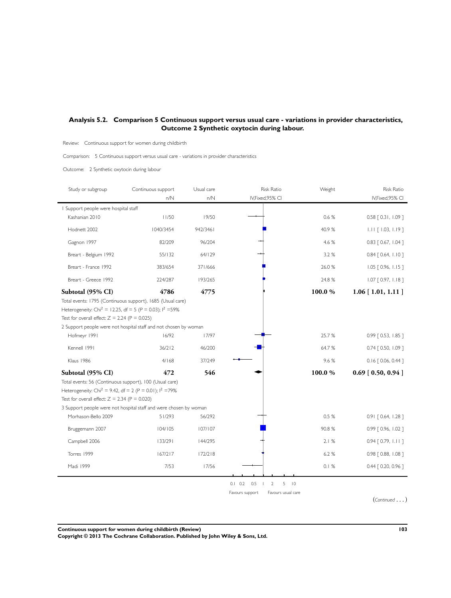## **Analysis 5.2. Comparison 5 Continuous support versus usual care - variations in provider characteristics, Outcome 2 Synthetic oxytocin during labour.**

Review: Continuous support for women during childbirth

Comparison: 5 Continuous support versus usual care - variations in provider characteristics

Outcome: 2 Synthetic oxytocin during labour

| Study or subgroup                                                     | Continuous support                                                     | Usual care | <b>Risk Ratio</b>                                           | Weight | <b>Risk Ratio</b>       |
|-----------------------------------------------------------------------|------------------------------------------------------------------------|------------|-------------------------------------------------------------|--------|-------------------------|
|                                                                       | n/N                                                                    | n/N        | IV,Fixed,95% CI                                             |        | IV,Fixed,95% CI         |
| I Support people were hospital staff                                  |                                                                        |            |                                                             |        |                         |
| Kashanian 2010                                                        | 11/50                                                                  | 19/50      |                                                             | 0.6 %  | $0.58$ $[0.31, 1.09]$   |
| Hodnett 2002                                                          | 1040/3454                                                              | 942/3461   |                                                             | 40.9%  | $1.11$ $[1.03, 1.19]$   |
| Gagnon 1997                                                           | 82/209                                                                 | 96/204     |                                                             | 4.6 %  | $0.83$ [ 0.67, 1.04 ]   |
| Breart - Belgium 1992                                                 | 55/132                                                                 | 64/129     |                                                             | 3.2 %  | $0.84$ $[ 0.64, 1.10 ]$ |
| Breart - France 1992                                                  | 383/654                                                                | 371/666    |                                                             | 26.0%  | $1.05$ $[0.96, 1.15]$   |
| Breart - Greece 1992                                                  | 224/287                                                                | 193/265    |                                                             | 24.8%  | $1.07$ $[0.97, 1.18]$   |
| Subtotal (95% CI)                                                     | 4786                                                                   | 4775       |                                                             | 100.0% | $1.06$ [ 1.01, 1.11 ]   |
|                                                                       | Total events: 1795 (Continuous support), 1685 (Usual care)             |            |                                                             |        |                         |
|                                                                       | Heterogeneity: Chi <sup>2</sup> = 12.25, df = 5 (P = 0.03); $1^2$ =59% |            |                                                             |        |                         |
| Test for overall effect: $Z = 2.24$ (P = 0.025)                       |                                                                        |            |                                                             |        |                         |
|                                                                       | 2 Support people were not hospital staff and not chosen by woman       |            |                                                             |        |                         |
| Hofmeyr 1991                                                          | 16/92                                                                  | 17/97      |                                                             | 25.7%  | $0.99$ $[0.53, 1.85]$   |
| Kennell 1991                                                          | 36/212                                                                 | 46/200     |                                                             | 64.7%  | 0.74 [ 0.50, 1.09 ]     |
| Klaus 1986                                                            | 4/168                                                                  | 37/249     |                                                             | 9.6%   | $0.16$ $[0.06, 0.44]$   |
| Subtotal (95% CI)                                                     | 472                                                                    | 546        |                                                             | 100.0% | $0.69$ [ $0.50, 0.94$ ] |
|                                                                       | Total events: 56 (Continuous support), 100 (Usual care)                |            |                                                             |        |                         |
| Heterogeneity: Chi <sup>2</sup> = 9.42, df = 2 (P = 0.01); $1^2$ =79% |                                                                        |            |                                                             |        |                         |
| Test for overall effect: $Z = 2.34$ (P = 0.020)                       |                                                                        |            |                                                             |        |                         |
|                                                                       | 3 Support people were not hospital staff and were chosen by woman      |            |                                                             |        |                         |
| Morhason-Bello 2009                                                   | 51/293                                                                 | 56/292     |                                                             | 0.5 %  | 0.91 [0.64, 1.28]       |
| Bruggemann 2007                                                       | 104/105                                                                | 107/107    |                                                             | 90.8%  | 0.99 [0.96, 1.02]       |
| Campbell 2006                                                         | 133/291                                                                | 144/295    |                                                             | 2.1%   | $0.94$ [ 0.79, 1.11 ]   |
| Torres 1999                                                           | 167/217                                                                | 172/218    |                                                             | 6.2%   | 0.98 [ 0.88, 1.08 ]     |
| Madi 1999                                                             | 7/53                                                                   | 17/56      |                                                             | 0.1%   | 0.44 [ 0.20, 0.96 ]     |
|                                                                       |                                                                        |            |                                                             |        |                         |
|                                                                       |                                                                        |            | $0.1$ $0.2$ $0.5$<br>5<br>$\overline{10}$<br>$\overline{2}$ |        |                         |
|                                                                       |                                                                        |            | Favours support<br>Favours usual care                       |        |                         |

(*Continued* ... )

**Continuous support for women during childbirth (Review) 103**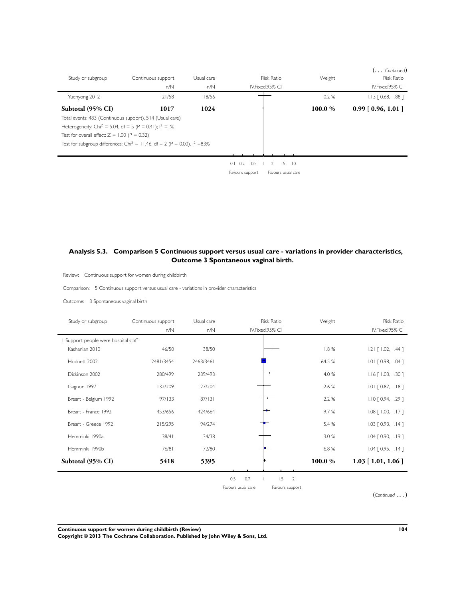| Study or subgroup                                                      | Continuous support<br>n/N                                                              | Usual care<br>n/N |                   | <b>Risk Ratio</b><br>IV, Fixed, 95% CI | Weight  | $(\ldots$ Continued)<br><b>Risk Ratio</b><br>IV, Fixed, 95% CI |
|------------------------------------------------------------------------|----------------------------------------------------------------------------------------|-------------------|-------------------|----------------------------------------|---------|----------------------------------------------------------------|
| Yuenyong 2012                                                          | 21/58                                                                                  | 18/56             |                   |                                        | 0.2%    | $1.13$ $[0.68, 1.88]$                                          |
| Subtotal (95% CI)                                                      | 1017                                                                                   | 1024              |                   |                                        | 100.0 % | $0.99$ [ 0.96, 1.01 ]                                          |
|                                                                        | Total events: 483 (Continuous support), 514 (Usual care)                               |                   |                   |                                        |         |                                                                |
| Heterogeneity: Chi <sup>2</sup> = 5.04, df = 5 (P = 0.41); $1^2 = 1\%$ |                                                                                        |                   |                   |                                        |         |                                                                |
| Test for overall effect: $Z = 1.00$ (P = 0.32)                         |                                                                                        |                   |                   |                                        |         |                                                                |
|                                                                        | Test for subgroup differences: Chi <sup>2</sup> = 11.46, df = 2 (P = 0.00), $1^2$ =83% |                   |                   |                                        |         |                                                                |
|                                                                        |                                                                                        |                   |                   |                                        |         |                                                                |
|                                                                        |                                                                                        |                   | $0.1$ $0.2$ $0.5$ | $5 \quad 10$                           |         |                                                                |
|                                                                        |                                                                                        |                   | Favours support   | Favours usual care                     |         |                                                                |

#### **Analysis 5.3. Comparison 5 Continuous support versus usual care - variations in provider characteristics, Outcome 3 Spontaneous vaginal birth.**

Review: Continuous support for women during childbirth

Comparison: 5 Continuous support versus usual care - variations in provider characteristics

Outcome: 3 Spontaneous vaginal birth

| Study or subgroup                  | Continuous support | Usual care | <b>Risk Ratio</b> | Weight                | <b>Risk Ratio</b>          |
|------------------------------------|--------------------|------------|-------------------|-----------------------|----------------------------|
|                                    | n/N                | n/N        | IV, Fixed, 95% CI |                       | IV, Fixed, 95% CI          |
| Support people were hospital staff |                    |            |                   |                       |                            |
| Kashanian 2010                     | 46/50              | 38/50      |                   | 1.8%                  | $1.21$ $[1.02, 1.44]$      |
| Hodnett 2002                       | 2481/3454          | 2463/3461  |                   | 64.5 %                | $1.01$ $[0.98, 1.04]$      |
| Dickinson 2002                     | 280/499            | 239/493    |                   | 4.0 %                 | $1.16$ [ $1.03$ , $1.30$ ] |
| Gagnon 1997                        | 132/209            | 127/204    |                   | 2.6 %                 | $1.01$ $[0.87, 1.18]$      |
| Breart - Belgium 1992              | 97/133             | 87/131     |                   | 2.2%                  | $1.10$ $[0.94, 1.29]$      |
| Breart - France 1992               | 453/656            | 424/664    |                   | 9.7%                  | $1.08$ $[ 1.00, 1.17 ]$    |
| Breart - Greece 1992               | 215/295            | 194/274    |                   | 5.4 %                 | $1.03$ $[0.93, 1.14]$      |
| Hemminki 1990a                     | 38/41              | 34/38      |                   | 3.0 %                 | $1.04$ $[0.90, 1.19]$      |
| Hemminki 1990b                     | 76/81              | 72/80      |                   | 6.8%                  | $1.04$ $[0.95, 1.14]$      |
| Subtotal (95% CI)                  | 5418               | 5395       |                   | 100.0 %               | $1.03$ [ 1.01, 1.06 ]      |
|                                    |                    |            | 0.5<br>0.7        | 1.5<br>$\overline{2}$ |                            |

Favours usual care Favours support

(*Continued* ... )

**Continuous support for women during childbirth (Review) 104**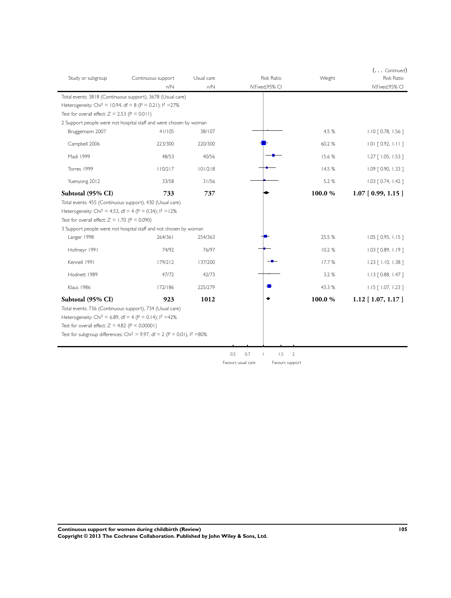| Study or subgroup                                                                                                                               | Continuous support                                                                                                                                       | Usual care | <b>Risk Ratio</b>                   | Weight | $(\ldots$ Continued)<br><b>Risk Ratio</b> |
|-------------------------------------------------------------------------------------------------------------------------------------------------|----------------------------------------------------------------------------------------------------------------------------------------------------------|------------|-------------------------------------|--------|-------------------------------------------|
|                                                                                                                                                 | n/N                                                                                                                                                      | n/N        | IV,Fixed,95% CI                     |        | IV,Fixed,95% CI                           |
|                                                                                                                                                 | Total events: 3818 (Continuous support), 3678 (Usual care)                                                                                               |            |                                     |        |                                           |
|                                                                                                                                                 | Heterogeneity: Chi <sup>2</sup> = 10.94, df = 8 (P = 0.21); $1^2$ = 27%                                                                                  |            |                                     |        |                                           |
| Test for overall effect: $Z = 2.53$ (P = 0.011)                                                                                                 |                                                                                                                                                          |            |                                     |        |                                           |
| Bruggemann 2007                                                                                                                                 | 2 Support people were not hospital staff and were chosen by woman<br>41/105                                                                              | 38/107     |                                     | 4.5 %  | $1.10$ [ 0.78, 1.56 ]                     |
| Campbell 2006                                                                                                                                   | 223/300                                                                                                                                                  | 220/300    |                                     | 60.2%  | $1.01$ $[0.92, 1.11]$                     |
| Madi 1999                                                                                                                                       | 48/53                                                                                                                                                    | 40/56      |                                     | 15.6%  | $1.27$ [ $1.05$ , $1.53$ ]                |
| Torres 1999                                                                                                                                     | 110/217                                                                                                                                                  | 101/218    |                                     | 14.5 % | 1.09 [ 0.90, 1.33 ]                       |
| Yuenyong 2012                                                                                                                                   | 33/58                                                                                                                                                    | 31/56      |                                     | 5.2 %  | $1.03$ $[0.74, 1.42]$                     |
| Subtotal (95% CI)                                                                                                                               | 733                                                                                                                                                      | 737        |                                     | 100.0% | $1.07$ [ 0.99, 1.15 ]                     |
| Heterogeneity: Chi <sup>2</sup> = 4.53, df = 4 (P = 0.34); $1^2$ = 12%<br>Test for overall effect: $Z = 1.70$ (P = 0.090)                       | Total events: 455 (Continuous support), 430 (Usual care)                                                                                                 |            |                                     |        |                                           |
|                                                                                                                                                 | 3 Support people were not hospital staff and not chosen by woman                                                                                         |            |                                     |        |                                           |
| Langer 1998                                                                                                                                     | 264/361                                                                                                                                                  | 254/363    |                                     | 25.5 % | $1.05$ $[0.95, 1.15]$                     |
| Hofmeyr 1991                                                                                                                                    | 74/92                                                                                                                                                    | 76/97      |                                     | 10.2%  | $1.03$ $[0.89, 1.19]$                     |
| Kennell 1991                                                                                                                                    | 179/212                                                                                                                                                  | 137/200    |                                     | 17.7%  | $1.23$ $[$ 1.10, 1.38 ]                   |
| Hodnett 1989                                                                                                                                    | 47/72                                                                                                                                                    | 42/73      |                                     | 3.2 %  | $1.13$ [ 0.88, 1.47 ]                     |
| Klaus 1986                                                                                                                                      | 172/186                                                                                                                                                  | 225/279    | ┻                                   | 43.3 % | $1.15$ $[1.07, 1.23]$                     |
| Subtotal (95% CI)<br>Heterogeneity: Chi <sup>2</sup> = 6.89, df = 4 (P = 0.14); $1^2$ =42%<br>Test for overall effect: $Z = 4.82$ (P < 0.00001) | 923<br>Total events: 736 (Continuous support), 734 (Usual care)<br>Test for subgroup differences: Chi <sup>2</sup> = 9.97, df = 2 (P = 0.01), $1^2$ =80% | 1012       |                                     | 100.0% | $1.12$ [ 1.07, 1.17 ]                     |
|                                                                                                                                                 |                                                                                                                                                          |            | 0.5<br>0.7<br>1.5<br>$\overline{2}$ |        |                                           |

Favours usual care Favours support

**Continuous support for women during childbirth (Review) 105**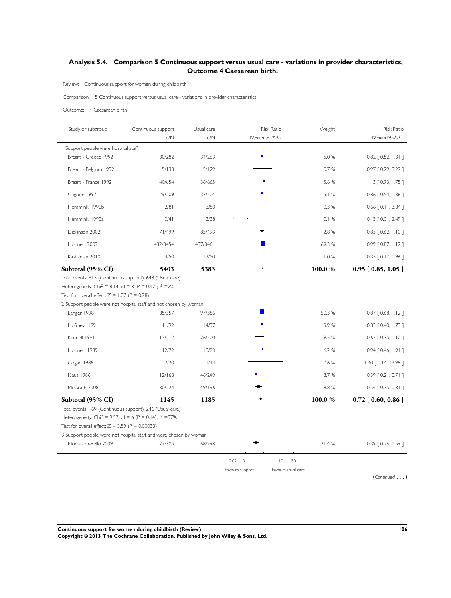### **Analysis 5.4. Comparison 5 Continuous support versus usual care - variations in provider characteristics, Outcome 4 Caesarean birth.**

Review: Continuous support for women during childbirth

Comparison: 5 Continuous support versus usual care - variations in provider characteristics

Outcome: 4 Caesarean birth

| Study or subgroup                                                                                                                               | Continuous support<br>n/N                                         | Usual care<br>n/N | <b>Risk Ratio</b><br>IV,Fixed,95% CI  | Weight | <b>Risk Ratio</b><br>IV,Fixed,95% CI |
|-------------------------------------------------------------------------------------------------------------------------------------------------|-------------------------------------------------------------------|-------------------|---------------------------------------|--------|--------------------------------------|
| I Support people were hospital staff                                                                                                            |                                                                   |                   |                                       |        |                                      |
| Breart - Greece 1992                                                                                                                            | 30/282                                                            | 34/263            |                                       | 5.0 %  | $0.82$ [ 0.52, 1.31 ]                |
| Breart - Belgium 1992                                                                                                                           | 5/133                                                             | 5/129             |                                       | 0.7%   | $0.97$ $[0.29, 3.27]$                |
| Breart - France 1992                                                                                                                            | 40/654                                                            | 36/665            |                                       | 5.6 %  | $1.13$ [ 0.73, 1.75 ]                |
| Gagnon 1997                                                                                                                                     | 29/209                                                            | 33/204            |                                       | 5.1%   | $0.86$ $[0.54, 1.36]$                |
| Hemminki 1990b                                                                                                                                  | 2/8                                                               | 3/80              |                                       | 0.3%   | $0.66$ [ $0.11$ , $3.84$ ]           |
| Hemminki 1990a                                                                                                                                  | 0/41                                                              | 3/38              |                                       | 0.1%   | $0.13$ $[0.01, 2.49]$                |
| Dickinson 2002                                                                                                                                  | 71/499                                                            | 85/493            |                                       | 12.8%  | $0.83$ $[0.62, 1.10]$                |
| Hodnett 2002                                                                                                                                    | 432/3454                                                          | 437/3461          |                                       | 69.3%  | $0.99$ $[0.87, 1.12]$                |
| Kashanian 2010                                                                                                                                  | 4/50                                                              | 12/50             |                                       | 1.0%   | $0.33$ $[0.12, 0.96]$                |
| Subtotal (95% CI)                                                                                                                               | 5403                                                              | 5383              |                                       | 100.0% | $0.95$ [ $0.85$ , $1.05$ ]           |
|                                                                                                                                                 | 2 Support people were not hospital staff and not chosen by woman  |                   |                                       |        |                                      |
| Test for overall effect: $Z = 1.07$ (P = 0.28)                                                                                                  |                                                                   |                   |                                       |        |                                      |
| Langer 1998                                                                                                                                     | 85/357                                                            | 97/356            |                                       | 50.3%  | $0.87$ $[ 0.68, 1.12 ]$              |
| Hofmeyr 1991                                                                                                                                    | 11/92                                                             | 14/97             |                                       | 5.9%   | $0.83$ $[ 0.40, 1.73 ]$              |
| Kennell 1991                                                                                                                                    | 17/212                                                            | 26/200            |                                       | 9.5%   | $0.62$ $[0.35, 1.10]$                |
| Hodnett 1989                                                                                                                                    | 12/72                                                             | 13/73             |                                       | 6.2%   | $0.94$ $[0.46, 1.91]$                |
| Cogan 1988                                                                                                                                      | 2/20                                                              | 1/14              |                                       | 0.6%   | $1.40$ $[0.14, 13.98]$               |
| Klaus 1986                                                                                                                                      | 12/168                                                            | 46/249            |                                       | 8.7%   | $0.39$ $[0.21, 0.71]$                |
| McGrath 2008                                                                                                                                    | 30/224                                                            | 49/196            |                                       | 18.8%  | $0.54$ $[0.35, 0.81]$                |
| Subtotal (95% CI)<br>Heterogeneity: Chi <sup>2</sup> = 9.57, df = 6 (P = 0.14); $1^2$ =37%<br>Test for overall effect: $Z = 3.59$ (P = 0.00033) | 1145<br>Total events: 169 (Continuous support), 246 (Usual care)  | 1185              |                                       | 100.0% | $0.72$ [ $0.60, 0.86$ ]              |
|                                                                                                                                                 | 3 Support people were not hospital staff and were chosen by woman |                   |                                       |        |                                      |
| Morhason-Bello 2009                                                                                                                             | 27/305                                                            | 68/298            |                                       | 21.4%  | 0.39 [0.26, 0.59]                    |
|                                                                                                                                                 |                                                                   |                   | 0.02 0.1<br>$\overline{0}$            | 50     |                                      |
|                                                                                                                                                 |                                                                   |                   | Favours usual care<br>Favours support |        | $(Continued \dots)$                  |

**Continuous support for women during childbirth (Review) 106**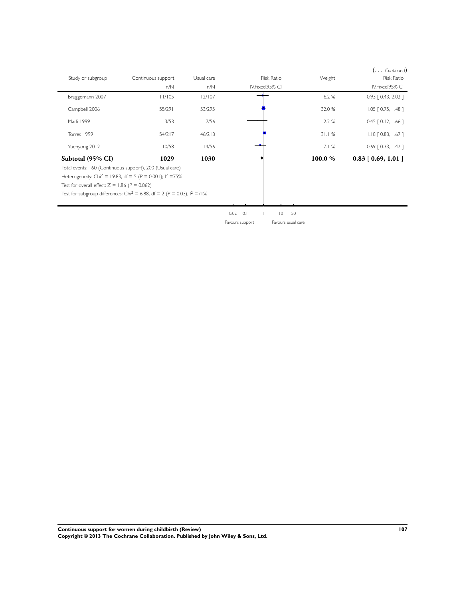| Study or subgroup                               | Continuous support                                                                    | Usual care | <b>Risk Ratio</b> | Weight | $(\ldots$ Continued)<br><b>Risk Ratio</b> |
|-------------------------------------------------|---------------------------------------------------------------------------------------|------------|-------------------|--------|-------------------------------------------|
|                                                 | n/N                                                                                   | n/N        | IV, Fixed, 95% CI |        | IV, Fixed, 95% CI                         |
| Bruggemann 2007                                 | 11/105                                                                                | 12/107     |                   | 6.2%   | $0.93$ $[0.43, 2.02]$                     |
| Campbell 2006                                   | 55/291                                                                                | 53/295     |                   | 32.0 % | $1.05$ $[0.75, 1.48]$                     |
| Madi 1999                                       | 3/53                                                                                  | 7/56       |                   | 2.2 %  | $0.45$ $[0.12, 1.66]$                     |
| Torres 1999                                     | 54/217                                                                                | 46/218     |                   | 31.1%  | $1.18$ $[0.83, 1.67]$                     |
| Yuenyong 2012                                   | 10/58                                                                                 | 14/56      |                   | 7.1%   | $0.69$ $[ 0.33, 1.42 ]$                   |
| Subtotal (95% CI)                               | 1029                                                                                  | 1030       |                   | 100.0% | $0.83$ [ 0.69, 1.01 ]                     |
|                                                 | Total events: 160 (Continuous support), 200 (Usual care)                              |            |                   |        |                                           |
|                                                 | Heterogeneity: Chi <sup>2</sup> = 19.83, df = 5 (P = 0.001); $1^2$ =75%               |            |                   |        |                                           |
| Test for overall effect: $Z = 1.86$ (P = 0.062) |                                                                                       |            |                   |        |                                           |
|                                                 | Test for subgroup differences: Chi <sup>2</sup> = 6.88, df = 2 (P = 0.03), $1^2$ =71% |            |                   |        |                                           |

 $0.02$  0.1 10 50

Favours support Favours usual care

**Continuous support for women during childbirth (Review) 107 Copyright © 2013 The Cochrane Collaboration. Published by John Wiley & Sons, Ltd.**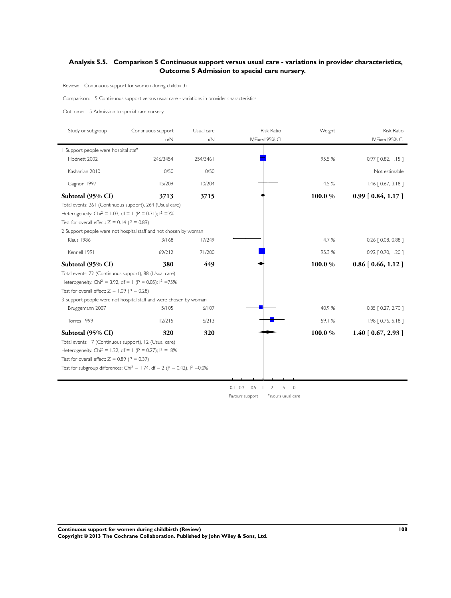#### **Analysis 5.5. Comparison 5 Continuous support versus usual care - variations in provider characteristics, Outcome 5 Admission to special care nursery.**

Review: Continuous support for women during childbirth

Comparison: 5 Continuous support versus usual care - variations in provider characteristics

Outcome: 5 Admission to special care nursery

| Study or subgroup                                                    | Continuous support                                                                               | Usual care | Risk Ratio                                    | Weight | <b>Risk Ratio</b>        |
|----------------------------------------------------------------------|--------------------------------------------------------------------------------------------------|------------|-----------------------------------------------|--------|--------------------------|
|                                                                      | n/N                                                                                              | n/N        | IV, Fixed, 95% CI                             |        | IV, Fixed, 95% CI        |
| I Support people were hospital staff                                 |                                                                                                  |            |                                               |        |                          |
| Hodnett 2002                                                         | 246/3454                                                                                         | 254/3461   |                                               | 95.5 % | $0.97$ $[0.82, 1.15]$    |
| Kashanian 2010                                                       | 0/50                                                                                             | 0/50       |                                               |        | Not estimable            |
| Gagnon 1997                                                          | 15/209                                                                                           | 10/204     |                                               | 4.5 %  | $1.46$ $[0.67, 3.18]$    |
| Subtotal (95% CI)                                                    | 3713                                                                                             | 3715       |                                               | 100.0% | $0.99$ [ $0.84$ , 1.17 ] |
|                                                                      | Total events: 261 (Continuous support), 264 (Usual care)                                         |            |                                               |        |                          |
| Heterogeneity: Chi <sup>2</sup> = 1.03, df = 1 (P = 0.31); $1^2$ =3% |                                                                                                  |            |                                               |        |                          |
| Test for overall effect: $Z = 0.14$ (P = 0.89)                       |                                                                                                  |            |                                               |        |                          |
|                                                                      | 2 Support people were not hospital staff and not chosen by woman                                 |            |                                               |        |                          |
| Klaus 1986                                                           | 3/168                                                                                            | 17/249     |                                               | 4.7%   | 0.26 [ 0.08, 0.88 ]      |
| Kennell 1991                                                         | 69/212                                                                                           | 71/200     |                                               | 95.3%  | 0.92 [ 0.70, 1.20 ]      |
| Subtotal (95% CI)                                                    | 380                                                                                              | 449        |                                               | 100.0% | $0.86$ [ 0.66, 1.12 ]    |
|                                                                      | Total events: 72 (Continuous support), 88 (Usual care)                                           |            |                                               |        |                          |
|                                                                      | Heterogeneity: Chi <sup>2</sup> = 3.92, df = 1 (P = 0.05); $1^2$ =75%                            |            |                                               |        |                          |
| Test for overall effect: $Z = 1.09$ (P = 0.28)                       |                                                                                                  |            |                                               |        |                          |
|                                                                      | 3 Support people were not hospital staff and were chosen by woman                                |            |                                               |        |                          |
| Bruggemann 2007                                                      | 5/105                                                                                            | 6/107      |                                               | 40.9%  | $0.85$ $[0.27, 2.70]$    |
| Torres 1999                                                          | 12/215                                                                                           | 6/213      |                                               | 59.1%  | $1.98$ $[0.76, 5.18]$    |
| Subtotal (95% CI)                                                    | 320                                                                                              | 320        |                                               | 100.0% | $1.40$ [ 0.67, 2.93 ]    |
|                                                                      | Total events: 17 (Continuous support), 12 (Usual care)                                           |            |                                               |        |                          |
|                                                                      | Heterogeneity: Chi <sup>2</sup> = 1.22, df = 1 (P = 0.27); $1^2 = 18\%$                          |            |                                               |        |                          |
| Test for overall effect: $Z = 0.89$ (P = 0.37)                       |                                                                                                  |            |                                               |        |                          |
|                                                                      | Test for subgroup differences: Chi <sup>2</sup> = 1.74, df = 2 (P = 0.42), l <sup>2</sup> = 0.0% |            |                                               |        |                          |
|                                                                      |                                                                                                  |            |                                               |        |                          |
|                                                                      |                                                                                                  |            | $0.1$ $0.2$ $0.5$<br>5<br>$\overline{0}$<br>2 |        |                          |
|                                                                      |                                                                                                  |            |                                               |        |                          |

Favours support | Favours usual care

**Continuous support for women during childbirth (Review) 108**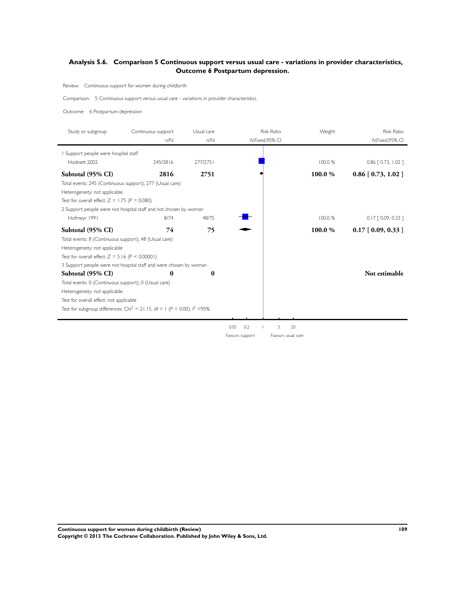### **Analysis 5.6. Comparison 5 Continuous support versus usual care - variations in provider characteristics, Outcome 6 Postpartum depression.**

Review: Continuous support for women during childbirth

Comparison: 5 Continuous support versus usual care - variations in provider characteristics

Outcome: 6 Postpartum depression

| Study or subgroup                                     | Continuous support<br>n/N                                                                       | Usual care<br>n/N | <b>Risk Ratio</b><br>IV, Fixed, 95% CI | Weight  | <b>Risk Ratio</b><br>IV, Fixed, 95% CI |
|-------------------------------------------------------|-------------------------------------------------------------------------------------------------|-------------------|----------------------------------------|---------|----------------------------------------|
| Support people were hospital staff                    |                                                                                                 |                   |                                        |         |                                        |
| Hodnett 2002                                          | 245/2816                                                                                        | 277/2751          |                                        | 100.0 % | $0.86$ $[ 0.73, 1.02 ]$                |
| Subtotal (95% CI)                                     | 2816                                                                                            | 2751              |                                        | 100.0 % | $0.86$ [ 0.73, 1.02 ]                  |
|                                                       | Total events: 245 (Continuous support), 277 (Usual care)                                        |                   |                                        |         |                                        |
| Heterogeneity: not applicable                         |                                                                                                 |                   |                                        |         |                                        |
| Test for overall effect: $Z = 1.75$ (P = 0.080)       |                                                                                                 |                   |                                        |         |                                        |
|                                                       | 2 Support people were not hospital staff and not chosen by woman                                |                   |                                        |         |                                        |
| Hofmeyr 1991                                          | 8/74                                                                                            | 48/75             |                                        | 100.0 % | $0.17$ $[0.09, 0.33]$                  |
| Subtotal (95% CI)                                     | 74                                                                                              | 75                |                                        | 100.0 % | $0.17$ [ 0.09, 0.33 ]                  |
| Total events: 8 (Continuous support), 48 (Usual care) |                                                                                                 |                   |                                        |         |                                        |
| Heterogeneity: not applicable                         |                                                                                                 |                   |                                        |         |                                        |
| Test for overall effect: $Z = 5.16$ (P < 0.00001)     |                                                                                                 |                   |                                        |         |                                        |
|                                                       | 3 Support people were not hospital staff and were chosen by woman                               |                   |                                        |         |                                        |
| Subtotal (95% CI)                                     | $\bf{0}$                                                                                        | $\bf{0}$          |                                        |         | Not estimable                          |
| Total events: 0 (Continuous support), 0 (Usual care)  |                                                                                                 |                   |                                        |         |                                        |
| Heterogeneity: not applicable                         |                                                                                                 |                   |                                        |         |                                        |
| Test for overall effect: not applicable               |                                                                                                 |                   |                                        |         |                                        |
|                                                       | Test for subgroup differences: Chi <sup>2</sup> = 21.15, df = 1 (P = 0.00), l <sup>2</sup> =95% |                   |                                        |         |                                        |
|                                                       |                                                                                                 |                   |                                        |         |                                        |

 $0.05$  0.2 1 5 20 Favours support Favours usual care

**Continuous support for women during childbirth (Review) 109**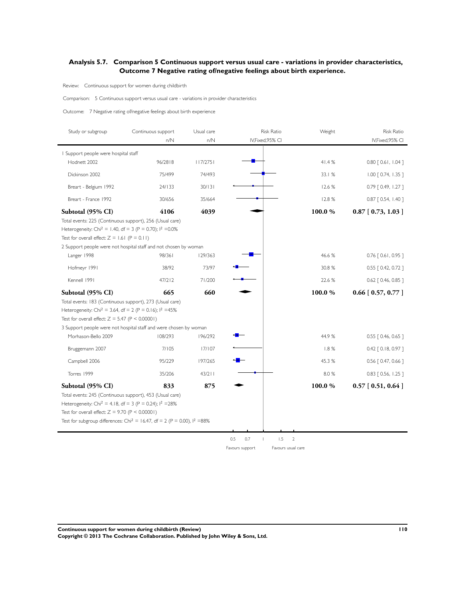#### **Analysis 5.7. Comparison 5 Continuous support versus usual care - variations in provider characteristics, Outcome 7 Negative rating of/negative feelings about birth experience.**

Review: Continuous support for women during childbirth

Comparison: 5 Continuous support versus usual care - variations in provider characteristics

Outcome: 7 Negative rating of/negative feelings about birth experience

| Study or subgroup                                                                                                                                                                                            | Continuous support<br>n/N                                                                              | Usual care<br>n/N |                               | <b>Risk Ratio</b><br>IV,Fixed,95% CI        | Weight  | <b>Risk Ratio</b><br>IV, Fixed, 95% CI |
|--------------------------------------------------------------------------------------------------------------------------------------------------------------------------------------------------------------|--------------------------------------------------------------------------------------------------------|-------------------|-------------------------------|---------------------------------------------|---------|----------------------------------------|
| I Support people were hospital staff                                                                                                                                                                         |                                                                                                        |                   |                               |                                             |         |                                        |
| Hodnett 2002                                                                                                                                                                                                 | 96/2818                                                                                                | 117/2751          |                               |                                             | 41.4%   | $0.80$ $[0.61, 1.04]$                  |
| Dickinson 2002                                                                                                                                                                                               | 75/499                                                                                                 | 74/493            |                               |                                             | 33.1 %  | $1.00$ $[0.74, 1.35]$                  |
| Breart - Belgium 1992                                                                                                                                                                                        | 24/133                                                                                                 | 30/131            |                               |                                             | 12.6 %  | $0.79$ $[0.49, 1.27]$                  |
| Breart - France 1992                                                                                                                                                                                         | 30/656                                                                                                 | 35/664            |                               |                                             | 12.8%   | $0.87$ [ 0.54, 1.40 ]                  |
| Subtotal (95% CI)                                                                                                                                                                                            | 4106                                                                                                   | 4039              |                               |                                             | 100.0%  | $0.87$ [ $0.73$ , $1.03$ ]             |
| Total events: 225 (Continuous support), 256 (Usual care)<br>Heterogeneity: Chi <sup>2</sup> = 1.40, df = 3 (P = 0.70); $1^2$ =0.0%<br>Test for overall effect: $Z = 1.61$ (P = 0.11)                         | 2 Support people were not hospital staff and not chosen by woman                                       |                   |                               |                                             |         |                                        |
| Langer 1998                                                                                                                                                                                                  | 98/361                                                                                                 | 129/363           |                               |                                             | 46.6%   | $0.76$ $[0.61, 0.95]$                  |
| Hofmeyr 1991                                                                                                                                                                                                 | 38/92                                                                                                  | 73/97             |                               |                                             | 30.8%   | 0.55 [ 0.42, 0.72 ]                    |
| Kennell 1991                                                                                                                                                                                                 | 47/212                                                                                                 | 71/200            |                               |                                             | 22.6 %  | $0.62$ $[0.46, 0.85]$                  |
| Subtotal (95% CI)                                                                                                                                                                                            | 665                                                                                                    | 660               |                               |                                             | 100.0 % | $0.66$ [ $0.57, 0.77$ ]                |
| Total events: 183 (Continuous support), 273 (Usual care)<br>Heterogeneity: Chi <sup>2</sup> = 3.64, df = 2 (P = 0.16); $1^2$ =45%<br>Test for overall effect: $Z = 5.47$ (P < 0.00001)                       | 3 Support people were not hospital staff and were chosen by woman                                      |                   |                               |                                             |         |                                        |
| Morhason-Bello 2009                                                                                                                                                                                          | 108/293                                                                                                | 196/292           |                               |                                             | 44.9%   | $0.55$ $[0.46, 0.65]$                  |
| Bruggemann 2007                                                                                                                                                                                              | 7/105                                                                                                  | 17/107            |                               |                                             | 1.8%    | $0.42$ $[0.18, 0.97]$                  |
| Campbell 2006                                                                                                                                                                                                | 95/229                                                                                                 | 197/265           |                               |                                             | 45.3%   | $0.56$ $[0.47, 0.66]$                  |
| Torres 1999                                                                                                                                                                                                  | 35/206                                                                                                 | $43/2$            |                               |                                             | 8.0%    | $0.83$ $[0.56, 1.25]$                  |
| Subtotal (95% CI)<br>Total events: 245 (Continuous support), 453 (Usual care)<br>Heterogeneity: Chi <sup>2</sup> = 4.18, df = 3 (P = 0.24); $1^2$ = 28%<br>Test for overall effect: $Z = 9.70$ (P < 0.00001) | 833<br>Test for subgroup differences: Chi <sup>2</sup> = 16.47, df = 2 (P = 0.00), l <sup>2</sup> =88% | 875               |                               |                                             | 100.0%  | $0.57$ [ $0.51, 0.64$ ]                |
|                                                                                                                                                                                                              |                                                                                                        |                   | 0.7<br>0.5<br>Favours support | $\overline{2}$<br>1.5<br>Favours usual care |         |                                        |

**Continuous support for women during childbirth (Review) 110**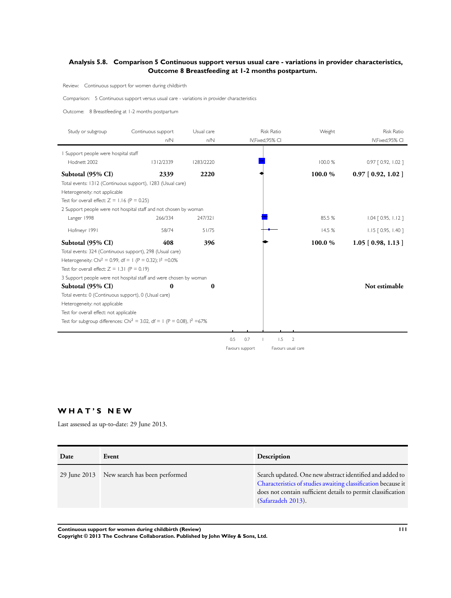#### **Analysis 5.8. Comparison 5 Continuous support versus usual care - variations in provider characteristics, Outcome 8 Breastfeeding at 1-2 months postpartum.**

Review: Continuous support for women during childbirth

Comparison: 5 Continuous support versus usual care - variations in provider characteristics

Outcome: 8 Breastfeeding at 1-2 months postpartum

| Study or subgroup                                    | Continuous support                                                                    | Usual care | <b>Risk Ratio</b> | Weight   | <b>Risk Ratio</b>     |
|------------------------------------------------------|---------------------------------------------------------------------------------------|------------|-------------------|----------|-----------------------|
|                                                      | n/N                                                                                   | n/N        | IV, Fixed, 95% CI |          | IV, Fixed, 95% CI     |
| I Support people were hospital staff                 |                                                                                       |            |                   |          |                       |
| Hodnett 2002                                         | 1312/2339                                                                             | 1283/2220  |                   | 100.0 %  | 0.97 [0.92, 1.02]     |
| Subtotal (95% CI)                                    | 2339                                                                                  | 2220       |                   | 100.0 %  | $0.97$ [ 0.92, 1.02 ] |
|                                                      | Total events: 1312 (Continuous support), 1283 (Usual care)                            |            |                   |          |                       |
| Heterogeneity: not applicable                        |                                                                                       |            |                   |          |                       |
| Test for overall effect: $Z = 1.16$ (P = 0.25)       |                                                                                       |            |                   |          |                       |
|                                                      | 2 Support people were not hospital staff and not chosen by woman                      |            |                   |          |                       |
| Langer 1998                                          | 266/334                                                                               | 247/321    |                   | 85.5 %   | $1.04$ $[0.95, 1.12]$ |
| Hofmeyr 1991                                         | 58/74                                                                                 | 51/75      |                   | 14.5 %   | $1.15$ $[0.95, 1.40]$ |
| Subtotal (95% CI)                                    | 408                                                                                   | 396        |                   | 100.0%   | $1.05$ [ 0.98, 1.13 ] |
|                                                      | Total events: 324 (Continuous support), 298 (Usual care)                              |            |                   |          |                       |
|                                                      | Heterogeneity: Chi <sup>2</sup> = 0.99, df = 1 (P = 0.32); $1^2$ =0.0%                |            |                   |          |                       |
| Test for overall effect: $Z = 1.31$ (P = 0.19)       |                                                                                       |            |                   |          |                       |
|                                                      | 3 Support people were not hospital staff and were chosen by woman                     |            |                   |          |                       |
| Subtotal (95% CI)                                    | 0                                                                                     | 0          |                   |          | Not estimable         |
| Total events: 0 (Continuous support), 0 (Usual care) |                                                                                       |            |                   |          |                       |
| Heterogeneity: not applicable                        |                                                                                       |            |                   |          |                       |
| Test for overall effect: not applicable              |                                                                                       |            |                   |          |                       |
|                                                      | Test for subgroup differences: Chi <sup>2</sup> = 3.02, df = 1 (P = 0.08), $1^2$ =67% |            |                   |          |                       |
|                                                      |                                                                                       |            |                   |          |                       |
|                                                      |                                                                                       |            | 0.5<br>0.7        | 1.5<br>2 |                       |

Favours support Favours usual care

# **W H A T ' S N E W**

Ŷ.

Last assessed as up-to-date: 29 June 2013.

| Date | Event                                      | Description                                                                                                                                                                                                     |
|------|--------------------------------------------|-----------------------------------------------------------------------------------------------------------------------------------------------------------------------------------------------------------------|
|      | 29 June 2013 New search has been performed | Search updated. One new abstract identified and added to<br>Characteristics of studies awaiting classification because it<br>does not contain sufficient details to permit classification<br>(Safarzadeh 2013). |

**Continuous support for women during childbirth (Review) 111**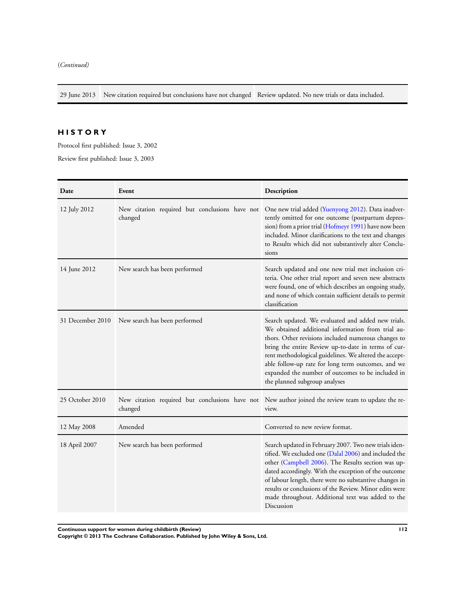29 June 2013 New citation required but conclusions have not changed Review updated. No new trials or data included.

# **H I S T O R Y**

Protocol first published: Issue 3, 2002 Review first published: Issue 3, 2003

| Date             | Event                                                     | Description                                                                                                                                                                                                                                                                                                                                                                                                                 |
|------------------|-----------------------------------------------------------|-----------------------------------------------------------------------------------------------------------------------------------------------------------------------------------------------------------------------------------------------------------------------------------------------------------------------------------------------------------------------------------------------------------------------------|
| 12 July 2012     | New citation required but conclusions have not<br>changed | One new trial added (Yuenyong 2012). Data inadver-<br>tently omitted for one outcome (postpartum depres-<br>sion) from a prior trial (Hofmeyr 1991) have now been<br>included. Minor clarifications to the text and changes<br>to Results which did not substantively alter Conclu-<br>sions                                                                                                                                |
| 14 June 2012     | New search has been performed                             | Search updated and one new trial met inclusion cri-<br>teria. One other trial report and seven new abstracts<br>were found, one of which describes an ongoing study,<br>and none of which contain sufficient details to permit<br>classification                                                                                                                                                                            |
| 31 December 2010 | New search has been performed                             | Search updated. We evaluated and added new trials.<br>We obtained additional information from trial au-<br>thors. Other revisions included numerous changes to<br>bring the entire Review up-to-date in terms of cur-<br>rent methodological guidelines. We altered the accept-<br>able follow-up rate for long term outcomes, and we<br>expanded the number of outcomes to be included in<br>the planned subgroup analyses |
| 25 October 2010  | New citation required but conclusions have not<br>changed | New author joined the review team to update the re-<br>view.                                                                                                                                                                                                                                                                                                                                                                |
| 12 May 2008      | Amended                                                   | Converted to new review format.                                                                                                                                                                                                                                                                                                                                                                                             |
| 18 April 2007    | New search has been performed                             | Search updated in February 2007. Two new trials iden-<br>tified. We excluded one (Dalal 2006) and included the<br>other (Campbell 2006). The Results section was up-<br>dated accordingly. With the exception of the outcome<br>of labour length, there were no substantive changes in<br>results or conclusions of the Review. Minor edits were<br>made throughout. Additional text was added to the<br>Discussion         |

**Continuous support for women during childbirth (Review) 112**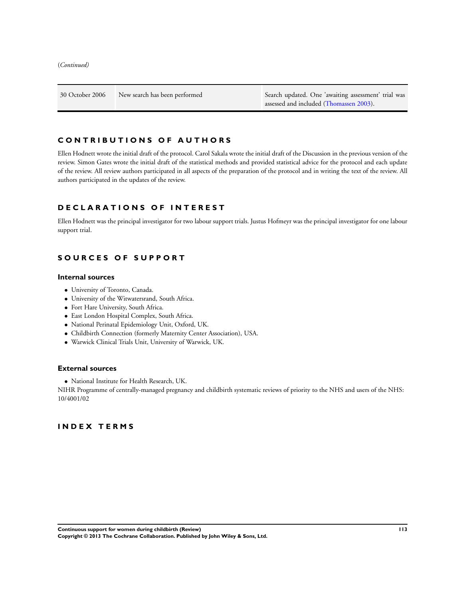30 October 2006 New search has been performed Search updated. One 'awaiting assessment' trial was assessed and included (Thomassen 2003).

# **C O N T R I B U T I O N S O F A U T H O R S**

Ellen Hodnett wrote the initial draft of the protocol. Carol Sakala wrote the initial draft of the Discussion in the previous version of the review. Simon Gates wrote the initial draft of the statistical methods and provided statistical advice for the protocol and each update of the review. All review authors participated in all aspects of the preparation of the protocol and in writing the text of the review. All authors participated in the updates of the review.

### **D E C L A R A T I O N S O F I N T E R E S T**

Ellen Hodnett was the principal investigator for two labour support trials. Justus Hofmeyr was the principal investigator for one labour support trial.

## **S O U R C E S O F S U P P O R T**

#### **Internal sources**

- University of Toronto, Canada.
- University of the Witwatersrand, South Africa.
- Fort Hare University, South Africa.
- East London Hospital Complex, South Africa.
- National Perinatal Epidemiology Unit, Oxford, UK.
- Childbirth Connection (formerly Maternity Center Association), USA.
- Warwick Clinical Trials Unit, University of Warwick, UK.

#### **External sources**

• National Institute for Health Research, UK.

NIHR Programme of centrally-managed pregnancy and childbirth systematic reviews of priority to the NHS and users of the NHS: 10/4001/02

# **I N D E X T E R M S**